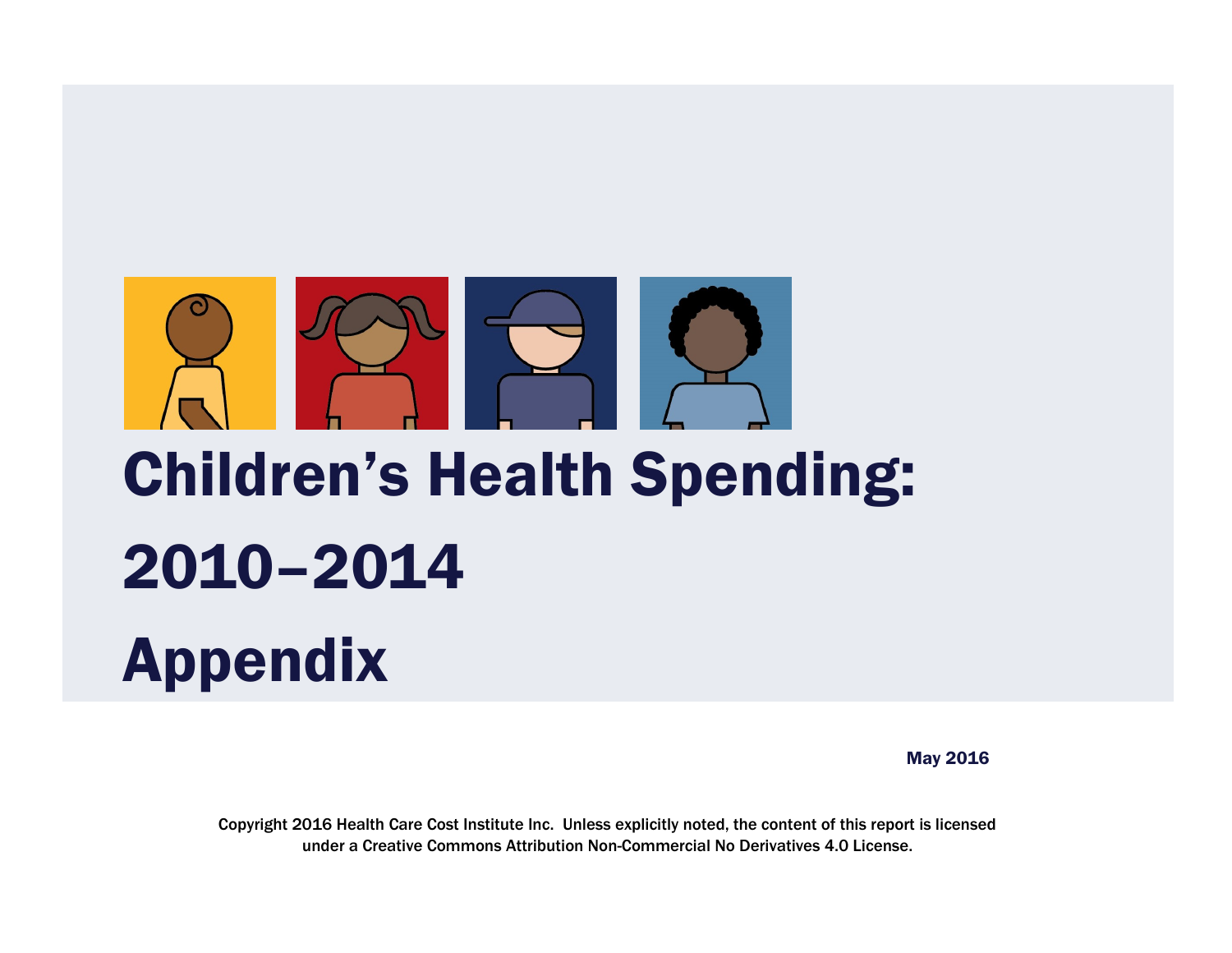

# Children's Health Spending: 2010–2014 Appendix

May 2016

Copyright 2016 Health Care Cost Institute Inc. Unless explicitly noted, the content of this report is licensed under a Creative Commons Attribution Non-Commercial No Derivatives 4.0 License.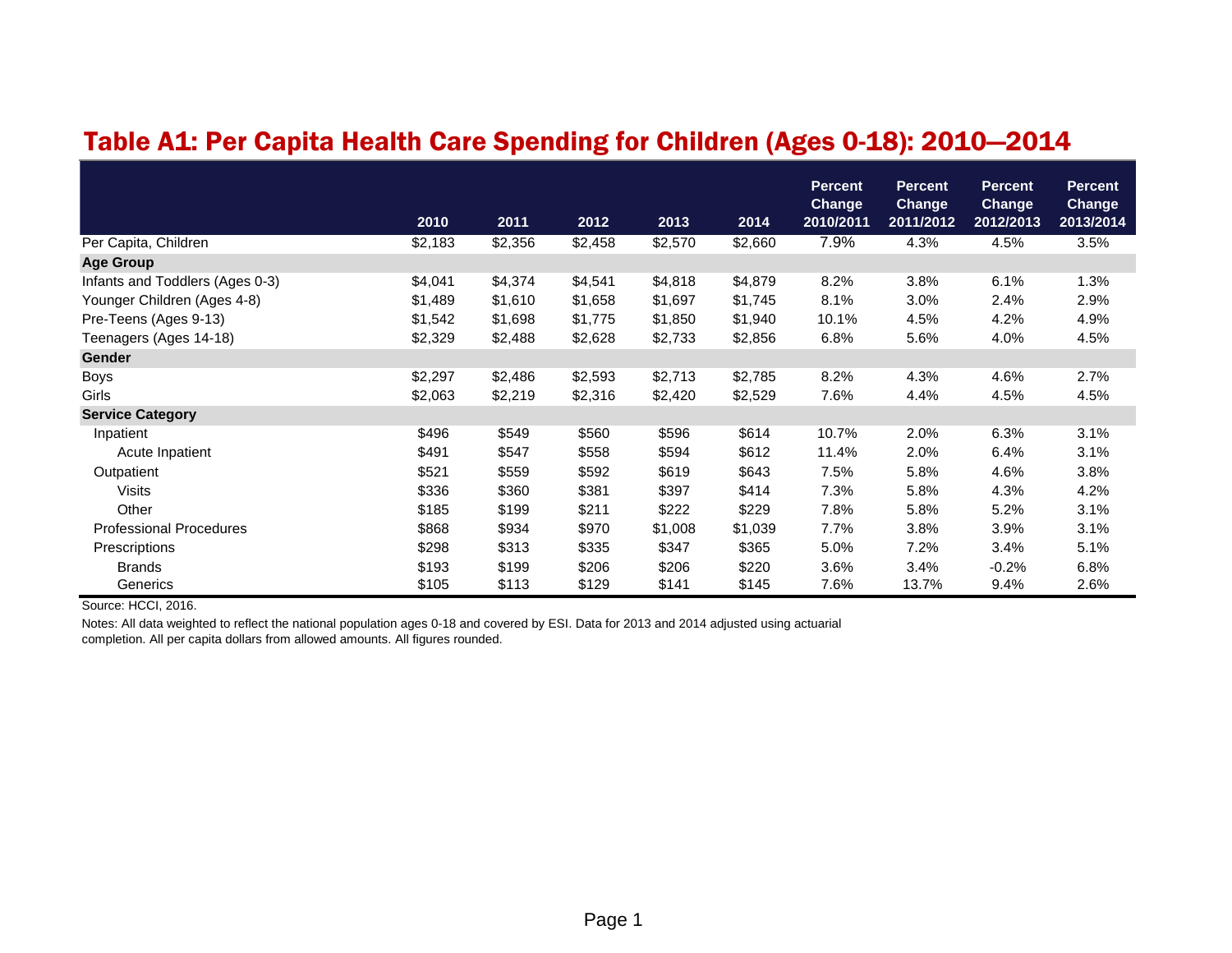# Table A1: Per Capita Health Care Spending for Children (Ages 0-18): 2010—2014

|                                 | 2010    | 2011    | 2012    | 2013    | 2014    | <b>Percent</b><br><b>Change</b><br>2010/2011 | <b>Percent</b><br><b>Change</b><br>2011/2012 | <b>Percent</b><br>Change<br>2012/2013 | <b>Percent</b><br>Change<br>2013/2014 |
|---------------------------------|---------|---------|---------|---------|---------|----------------------------------------------|----------------------------------------------|---------------------------------------|---------------------------------------|
| Per Capita, Children            | \$2,183 | \$2,356 | \$2,458 | \$2,570 | \$2,660 | 7.9%                                         | 4.3%                                         | 4.5%                                  | 3.5%                                  |
| <b>Age Group</b>                |         |         |         |         |         |                                              |                                              |                                       |                                       |
| Infants and Toddlers (Ages 0-3) | \$4,041 | \$4,374 | \$4,541 | \$4,818 | \$4,879 | 8.2%                                         | 3.8%                                         | 6.1%                                  | 1.3%                                  |
| Younger Children (Ages 4-8)     | \$1,489 | \$1,610 | \$1,658 | \$1,697 | \$1,745 | 8.1%                                         | 3.0%                                         | 2.4%                                  | 2.9%                                  |
| Pre-Teens (Ages 9-13)           | \$1,542 | \$1,698 | \$1,775 | \$1,850 | \$1,940 | 10.1%                                        | 4.5%                                         | 4.2%                                  | 4.9%                                  |
| Teenagers (Ages 14-18)          | \$2,329 | \$2,488 | \$2,628 | \$2,733 | \$2,856 | 6.8%                                         | 5.6%                                         | 4.0%                                  | 4.5%                                  |
| <b>Gender</b>                   |         |         |         |         |         |                                              |                                              |                                       |                                       |
| <b>Boys</b>                     | \$2,297 | \$2,486 | \$2,593 | \$2,713 | \$2,785 | 8.2%                                         | 4.3%                                         | 4.6%                                  | 2.7%                                  |
| Girls                           | \$2,063 | \$2,219 | \$2,316 | \$2,420 | \$2,529 | 7.6%                                         | 4.4%                                         | 4.5%                                  | 4.5%                                  |
| <b>Service Category</b>         |         |         |         |         |         |                                              |                                              |                                       |                                       |
| Inpatient                       | \$496   | \$549   | \$560   | \$596   | \$614   | 10.7%                                        | 2.0%                                         | 6.3%                                  | 3.1%                                  |
| Acute Inpatient                 | \$491   | \$547   | \$558   | \$594   | \$612   | 11.4%                                        | 2.0%                                         | 6.4%                                  | 3.1%                                  |
| Outpatient                      | \$521   | \$559   | \$592   | \$619   | \$643   | 7.5%                                         | 5.8%                                         | 4.6%                                  | 3.8%                                  |
| <b>Visits</b>                   | \$336   | \$360   | \$381   | \$397   | \$414   | 7.3%                                         | 5.8%                                         | 4.3%                                  | 4.2%                                  |
| Other                           | \$185   | \$199   | \$211   | \$222   | \$229   | 7.8%                                         | 5.8%                                         | 5.2%                                  | 3.1%                                  |
| <b>Professional Procedures</b>  | \$868   | \$934   | \$970   | \$1,008 | \$1,039 | 7.7%                                         | 3.8%                                         | 3.9%                                  | 3.1%                                  |
| Prescriptions                   | \$298   | \$313   | \$335   | \$347   | \$365   | 5.0%                                         | 7.2%                                         | 3.4%                                  | 5.1%                                  |
| <b>Brands</b>                   | \$193   | \$199   | \$206   | \$206   | \$220   | 3.6%                                         | 3.4%                                         | $-0.2%$                               | 6.8%                                  |
| Generics                        | \$105   | \$113   | \$129   | \$141   | \$145   | 7.6%                                         | 13.7%                                        | 9.4%                                  | 2.6%                                  |

Source: HCCI, 2016.

Notes: All data weighted to reflect the national population ages 0-18 and covered by ESI. Data for 2013 and 2014 adjusted using actuarial completion. All per capita dollars from allowed amounts. All figures rounded.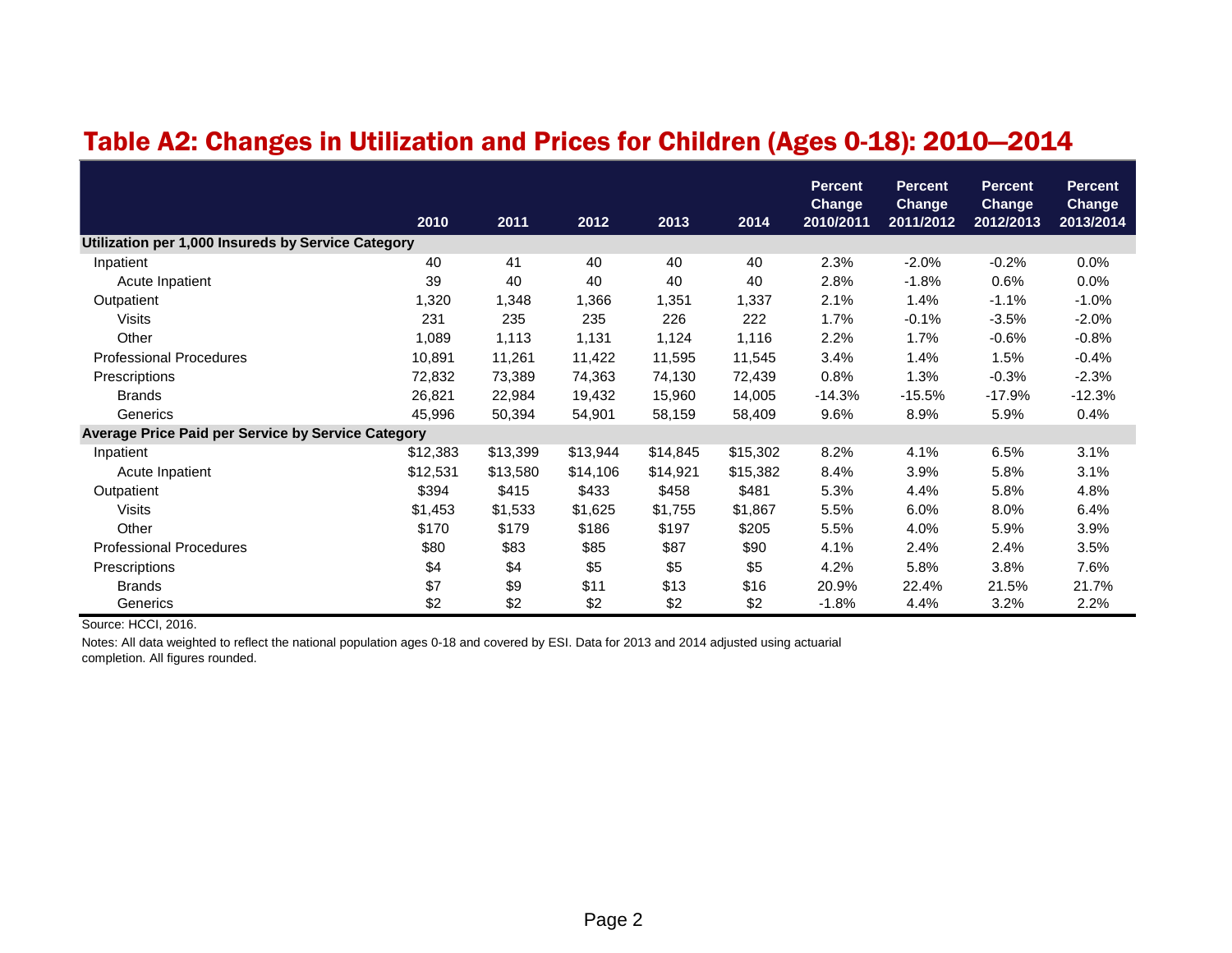#### Table A2: Changes in Utilization and Prices for Children (Ages 0-18): 2010—2014

|                                                           | 2010     | 2011     | 2012     | 2013     | 2014     | <b>Percent</b><br><b>Change</b><br>2010/2011 | <b>Percent</b><br><b>Change</b><br>2011/2012 | <b>Percent</b><br><b>Change</b><br>2012/2013 | <b>Percent</b><br><b>Change</b><br>2013/2014 |
|-----------------------------------------------------------|----------|----------|----------|----------|----------|----------------------------------------------|----------------------------------------------|----------------------------------------------|----------------------------------------------|
| Utilization per 1,000 Insureds by Service Category        |          |          |          |          |          |                                              |                                              |                                              |                                              |
| Inpatient                                                 | 40       | 41       | 40       | 40       | 40       | 2.3%                                         | $-2.0%$                                      | $-0.2%$                                      | 0.0%                                         |
| Acute Inpatient                                           | 39       | 40       | 40       | 40       | 40       | 2.8%                                         | $-1.8%$                                      | 0.6%                                         | 0.0%                                         |
| Outpatient                                                | 1,320    | 1,348    | 1,366    | 1,351    | 1,337    | 2.1%                                         | 1.4%                                         | $-1.1%$                                      | $-1.0%$                                      |
| <b>Visits</b>                                             | 231      | 235      | 235      | 226      | 222      | 1.7%                                         | $-0.1%$                                      | $-3.5%$                                      | $-2.0%$                                      |
| Other                                                     | 1,089    | 1,113    | 1,131    | 1,124    | 1,116    | 2.2%                                         | 1.7%                                         | $-0.6%$                                      | $-0.8%$                                      |
| <b>Professional Procedures</b>                            | 10,891   | 11,261   | 11,422   | 11,595   | 11,545   | 3.4%                                         | 1.4%                                         | 1.5%                                         | $-0.4%$                                      |
| Prescriptions                                             | 72,832   | 73,389   | 74,363   | 74,130   | 72,439   | 0.8%                                         | 1.3%                                         | $-0.3%$                                      | $-2.3%$                                      |
| <b>Brands</b>                                             | 26,821   | 22,984   | 19,432   | 15,960   | 14,005   | $-14.3%$                                     | $-15.5%$                                     | $-17.9%$                                     | $-12.3%$                                     |
| Generics                                                  | 45,996   | 50,394   | 54,901   | 58,159   | 58,409   | 9.6%                                         | 8.9%                                         | 5.9%                                         | 0.4%                                         |
| <b>Average Price Paid per Service by Service Category</b> |          |          |          |          |          |                                              |                                              |                                              |                                              |
| Inpatient                                                 | \$12,383 | \$13,399 | \$13,944 | \$14,845 | \$15,302 | 8.2%                                         | 4.1%                                         | 6.5%                                         | 3.1%                                         |
| Acute Inpatient                                           | \$12,531 | \$13,580 | \$14,106 | \$14,921 | \$15,382 | 8.4%                                         | 3.9%                                         | 5.8%                                         | 3.1%                                         |
| Outpatient                                                | \$394    | \$415    | \$433    | \$458    | \$481    | 5.3%                                         | 4.4%                                         | 5.8%                                         | 4.8%                                         |
| <b>Visits</b>                                             | \$1,453  | \$1,533  | \$1,625  | \$1,755  | \$1,867  | 5.5%                                         | 6.0%                                         | 8.0%                                         | 6.4%                                         |
| Other                                                     | \$170    | \$179    | \$186    | \$197    | \$205    | 5.5%                                         | 4.0%                                         | 5.9%                                         | 3.9%                                         |
| <b>Professional Procedures</b>                            | \$80     | \$83     | \$85     | \$87     | \$90     | 4.1%                                         | 2.4%                                         | 2.4%                                         | 3.5%                                         |
| Prescriptions                                             | \$4      | \$4      | \$5      | \$5      | \$5      | 4.2%                                         | 5.8%                                         | 3.8%                                         | 7.6%                                         |
| <b>Brands</b>                                             | \$7      | \$9      | \$11     | \$13     | \$16     | 20.9%                                        | 22.4%                                        | 21.5%                                        | 21.7%                                        |
| Generics                                                  | \$2      | \$2      | \$2      | \$2      | \$2      | $-1.8%$                                      | 4.4%                                         | 3.2%                                         | 2.2%                                         |

Source: HCCI, 2016.

Notes: All data weighted to reflect the national population ages 0-18 and covered by ESI. Data for 2013 and 2014 adjusted using actuarial completion. All figures rounded.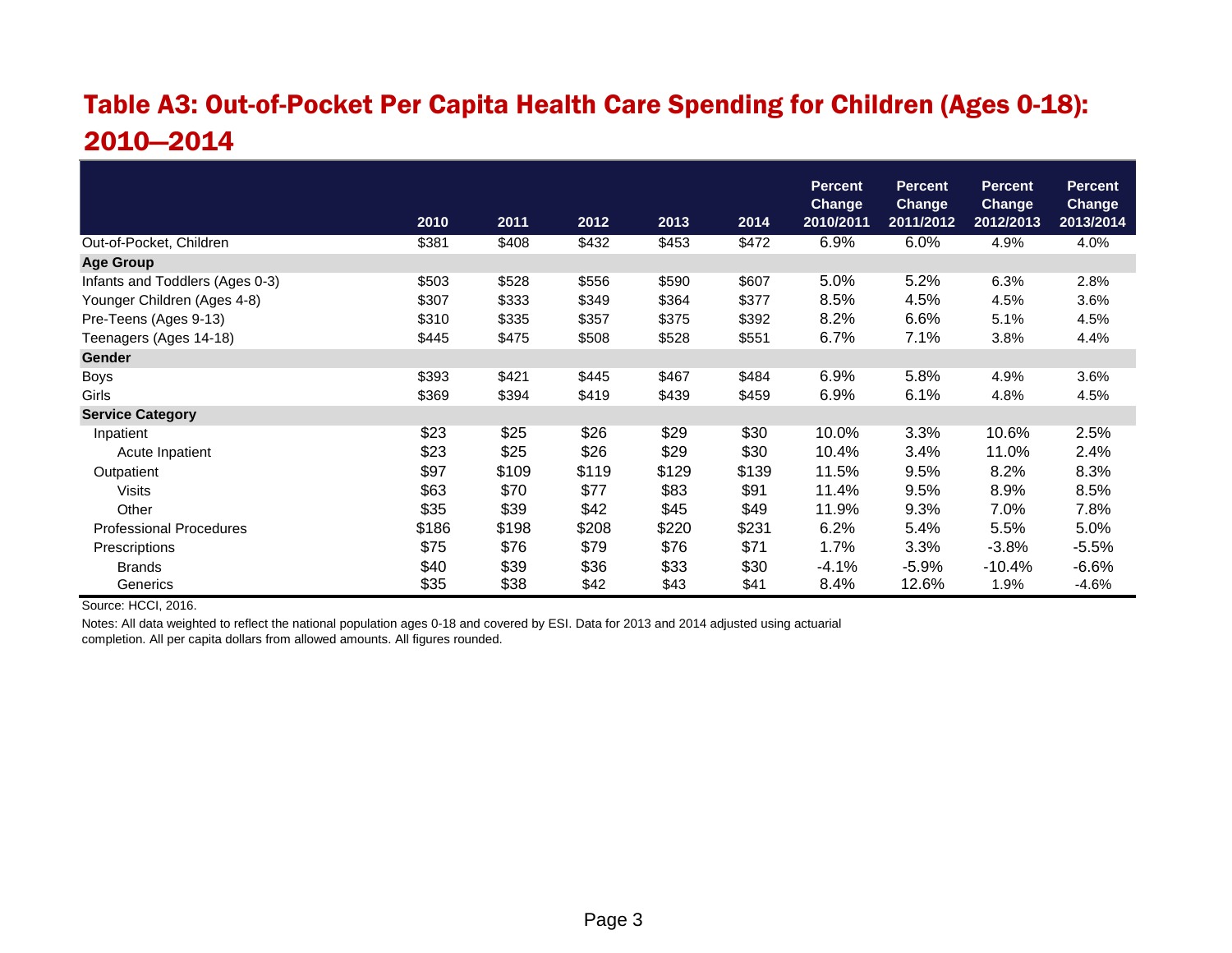# Table A3: Out-of-Pocket Per Capita Health Care Spending for Children (Ages 0-18): 2010—2014

|                                 |       |       |       |       |       | <b>Percent</b><br><b>Change</b> | <b>Percent</b><br><b>Change</b> | <b>Percent</b><br><b>Change</b> | <b>Percent</b><br><b>Change</b> |
|---------------------------------|-------|-------|-------|-------|-------|---------------------------------|---------------------------------|---------------------------------|---------------------------------|
|                                 | 2010  | 2011  | 2012  | 2013  | 2014  | 2010/2011                       | 2011/2012                       | 2012/2013                       | 2013/2014                       |
| Out-of-Pocket, Children         | \$381 | \$408 | \$432 | \$453 | \$472 | 6.9%                            | 6.0%                            | 4.9%                            | 4.0%                            |
| <b>Age Group</b>                |       |       |       |       |       |                                 |                                 |                                 |                                 |
| Infants and Toddlers (Ages 0-3) | \$503 | \$528 | \$556 | \$590 | \$607 | 5.0%                            | 5.2%                            | 6.3%                            | 2.8%                            |
| Younger Children (Ages 4-8)     | \$307 | \$333 | \$349 | \$364 | \$377 | 8.5%                            | 4.5%                            | 4.5%                            | 3.6%                            |
| Pre-Teens (Ages 9-13)           | \$310 | \$335 | \$357 | \$375 | \$392 | 8.2%                            | 6.6%                            | 5.1%                            | 4.5%                            |
| Teenagers (Ages 14-18)          | \$445 | \$475 | \$508 | \$528 | \$551 | 6.7%                            | 7.1%                            | 3.8%                            | 4.4%                            |
| <b>Gender</b>                   |       |       |       |       |       |                                 |                                 |                                 |                                 |
| Boys                            | \$393 | \$421 | \$445 | \$467 | \$484 | 6.9%                            | 5.8%                            | 4.9%                            | 3.6%                            |
| Girls                           | \$369 | \$394 | \$419 | \$439 | \$459 | 6.9%                            | 6.1%                            | 4.8%                            | 4.5%                            |
| <b>Service Category</b>         |       |       |       |       |       |                                 |                                 |                                 |                                 |
| Inpatient                       | \$23  | \$25  | \$26  | \$29  | \$30  | 10.0%                           | 3.3%                            | 10.6%                           | 2.5%                            |
| Acute Inpatient                 | \$23  | \$25  | \$26  | \$29  | \$30  | 10.4%                           | 3.4%                            | 11.0%                           | 2.4%                            |
| Outpatient                      | \$97  | \$109 | \$119 | \$129 | \$139 | 11.5%                           | 9.5%                            | 8.2%                            | 8.3%                            |
| Visits                          | \$63  | \$70  | \$77  | \$83  | \$91  | 11.4%                           | 9.5%                            | 8.9%                            | 8.5%                            |
| Other                           | \$35  | \$39  | \$42  | \$45  | \$49  | 11.9%                           | 9.3%                            | 7.0%                            | 7.8%                            |
| <b>Professional Procedures</b>  | \$186 | \$198 | \$208 | \$220 | \$231 | 6.2%                            | 5.4%                            | 5.5%                            | 5.0%                            |
| Prescriptions                   | \$75  | \$76  | \$79  | \$76  | \$71  | 1.7%                            | 3.3%                            | $-3.8\%$                        | $-5.5%$                         |
| <b>Brands</b>                   | \$40  | \$39  | \$36  | \$33  | \$30  | -4.1%                           | $-5.9%$                         | $-10.4%$                        | $-6.6%$                         |
| Generics                        | \$35  | \$38  | \$42  | \$43  | \$41  | 8.4%                            | 12.6%                           | 1.9%                            | $-4.6%$                         |

Source: HCCI, 2016.

Notes: All data weighted to reflect the national population ages 0-18 and covered by ESI. Data for 2013 and 2014 adjusted using actuarial completion. All per capita dollars from allowed amounts. All figures rounded.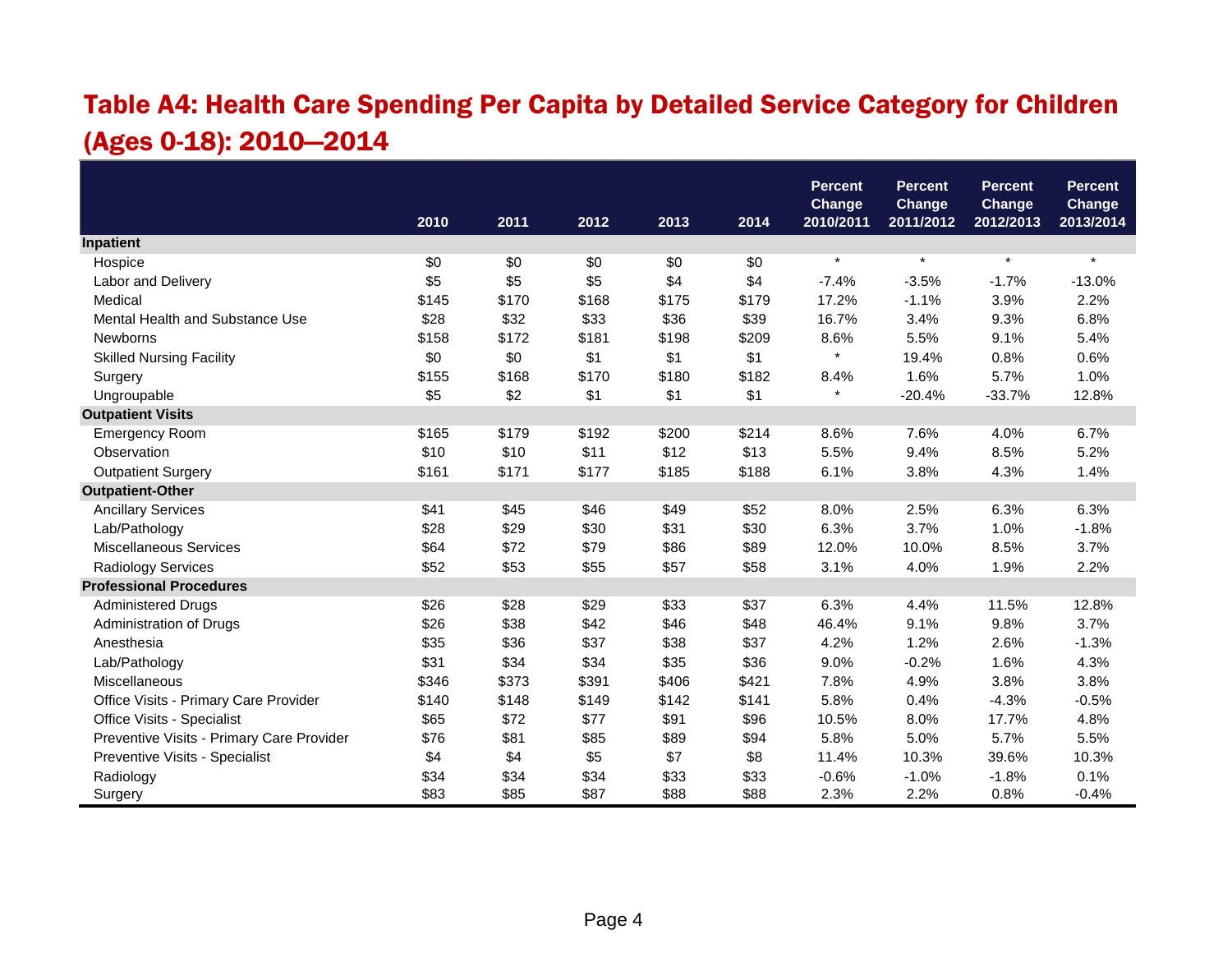# Table A4: Health Care Spending Per Capita by Detailed Service Category for Children (Ages 0-18): 2010—2014

|                                           |       |       |       |       |       | <b>Percent</b>             | <b>Percent</b>      | <b>Percent</b>      | <b>Percent</b>             |
|-------------------------------------------|-------|-------|-------|-------|-------|----------------------------|---------------------|---------------------|----------------------------|
|                                           | 2010  | 2011  | 2012  | 2013  | 2014  | <b>Change</b><br>2010/2011 | Change<br>2011/2012 | Change<br>2012/2013 | <b>Change</b><br>2013/2014 |
| Inpatient                                 |       |       |       |       |       |                            |                     |                     |                            |
| Hospice                                   | \$0   | \$0   | \$0   | \$0   | \$0   | $\star$                    | $\star$             | $\star$             | $\star$                    |
| Labor and Delivery                        | \$5   | \$5   | \$5   | \$4   | \$4   | $-7.4%$                    | $-3.5%$             | $-1.7%$             | $-13.0%$                   |
| Medical                                   | \$145 | \$170 | \$168 | \$175 | \$179 | 17.2%                      | $-1.1%$             | 3.9%                | 2.2%                       |
| Mental Health and Substance Use           | \$28  | \$32  | \$33  | \$36  | \$39  | 16.7%                      | 3.4%                | 9.3%                | 6.8%                       |
| Newborns                                  | \$158 | \$172 | \$181 | \$198 | \$209 | 8.6%                       | 5.5%                | 9.1%                | 5.4%                       |
| <b>Skilled Nursing Facility</b>           | \$0   | \$0   | \$1   | \$1   | \$1   | $\star$                    | 19.4%               | 0.8%                | 0.6%                       |
| Surgery                                   | \$155 | \$168 | \$170 | \$180 | \$182 | 8.4%                       | 1.6%                | 5.7%                | 1.0%                       |
| Ungroupable                               | \$5   | \$2   | \$1   | \$1   | \$1   | $\star$                    | $-20.4%$            | $-33.7%$            | 12.8%                      |
| <b>Outpatient Visits</b>                  |       |       |       |       |       |                            |                     |                     |                            |
| <b>Emergency Room</b>                     | \$165 | \$179 | \$192 | \$200 | \$214 | 8.6%                       | 7.6%                | 4.0%                | 6.7%                       |
| Observation                               | \$10  | \$10  | \$11  | \$12  | \$13  | 5.5%                       | 9.4%                | 8.5%                | 5.2%                       |
| <b>Outpatient Surgery</b>                 | \$161 | \$171 | \$177 | \$185 | \$188 | 6.1%                       | 3.8%                | 4.3%                | 1.4%                       |
| <b>Outpatient-Other</b>                   |       |       |       |       |       |                            |                     |                     |                            |
| <b>Ancillary Services</b>                 | \$41  | \$45  | \$46  | \$49  | \$52  | 8.0%                       | 2.5%                | 6.3%                | 6.3%                       |
| Lab/Pathology                             | \$28  | \$29  | \$30  | \$31  | \$30  | 6.3%                       | 3.7%                | 1.0%                | $-1.8%$                    |
| <b>Miscellaneous Services</b>             | \$64  | \$72  | \$79  | \$86  | \$89  | 12.0%                      | 10.0%               | 8.5%                | 3.7%                       |
| Radiology Services                        | \$52  | \$53  | \$55  | \$57  | \$58  | 3.1%                       | 4.0%                | 1.9%                | 2.2%                       |
| <b>Professional Procedures</b>            |       |       |       |       |       |                            |                     |                     |                            |
| <b>Administered Drugs</b>                 | \$26  | \$28  | \$29  | \$33  | \$37  | 6.3%                       | 4.4%                | 11.5%               | 12.8%                      |
| Administration of Drugs                   | \$26  | \$38  | \$42  | \$46  | \$48  | 46.4%                      | 9.1%                | 9.8%                | 3.7%                       |
| Anesthesia                                | \$35  | \$36  | \$37  | \$38  | \$37  | 4.2%                       | 1.2%                | 2.6%                | $-1.3%$                    |
| Lab/Pathology                             | \$31  | \$34  | \$34  | \$35  | \$36  | 9.0%                       | $-0.2%$             | 1.6%                | 4.3%                       |
| Miscellaneous                             | \$346 | \$373 | \$391 | \$406 | \$421 | 7.8%                       | 4.9%                | 3.8%                | 3.8%                       |
| Office Visits - Primary Care Provider     | \$140 | \$148 | \$149 | \$142 | \$141 | 5.8%                       | 0.4%                | $-4.3%$             | $-0.5%$                    |
| Office Visits - Specialist                | \$65  | \$72  | \$77  | \$91  | \$96  | 10.5%                      | 8.0%                | 17.7%               | 4.8%                       |
| Preventive Visits - Primary Care Provider | \$76  | \$81  | \$85  | \$89  | \$94  | 5.8%                       | 5.0%                | 5.7%                | 5.5%                       |
| Preventive Visits - Specialist            | \$4   | \$4   | \$5   | \$7   | \$8   | 11.4%                      | 10.3%               | 39.6%               | 10.3%                      |
| Radiology                                 | \$34  | \$34  | \$34  | \$33  | \$33  | $-0.6%$                    | $-1.0%$             | $-1.8%$             | 0.1%                       |
| Surgery                                   | \$83  | \$85  | \$87  | \$88  | \$88  | 2.3%                       | 2.2%                | 0.8%                | $-0.4%$                    |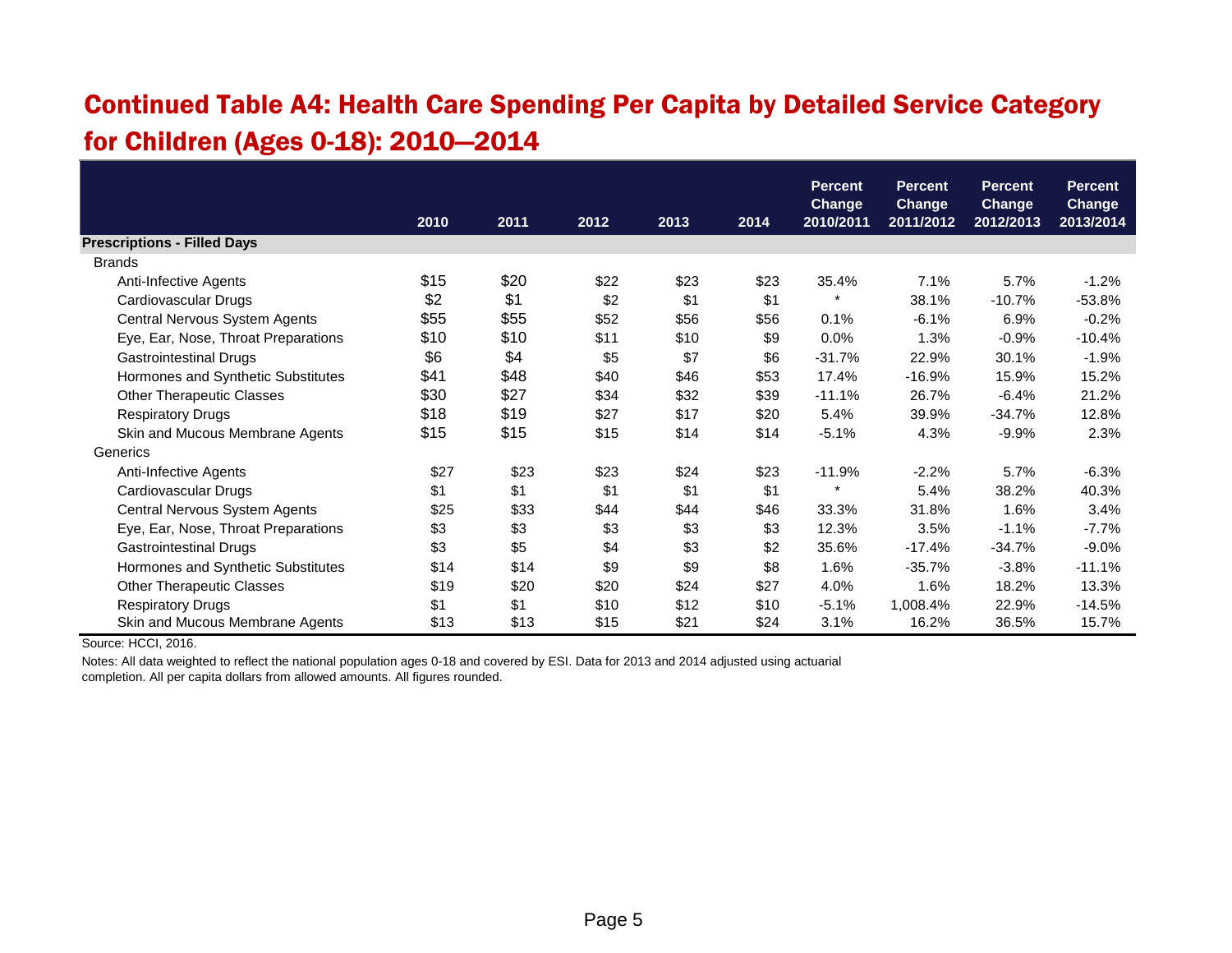### Continued Table A4: Health Care Spending Per Capita by Detailed Service Category for Children (Ages 0-18): 2010—2014

|                                     |      |      |      |      |      | <b>Percent</b>             | <b>Percent</b>             | <b>Percent</b>             | <b>Percent</b>      |
|-------------------------------------|------|------|------|------|------|----------------------------|----------------------------|----------------------------|---------------------|
|                                     | 2010 | 2011 | 2012 | 2013 | 2014 | <b>Change</b><br>2010/2011 | <b>Change</b><br>2011/2012 | <b>Change</b><br>2012/2013 | Change<br>2013/2014 |
| <b>Prescriptions - Filled Days</b>  |      |      |      |      |      |                            |                            |                            |                     |
| <b>Brands</b>                       |      |      |      |      |      |                            |                            |                            |                     |
| Anti-Infective Agents               | \$15 | \$20 | \$22 | \$23 | \$23 | 35.4%                      | 7.1%                       | 5.7%                       | $-1.2%$             |
| Cardiovascular Drugs                | \$2  | \$1  | \$2  | \$1  | \$1  |                            | 38.1%                      | $-10.7%$                   | $-53.8%$            |
| Central Nervous System Agents       | \$55 | \$55 | \$52 | \$56 | \$56 | 0.1%                       | $-6.1%$                    | 6.9%                       | $-0.2%$             |
| Eye, Ear, Nose, Throat Preparations | \$10 | \$10 | \$11 | \$10 | \$9  | 0.0%                       | 1.3%                       | $-0.9%$                    | $-10.4%$            |
| <b>Gastrointestinal Drugs</b>       | \$6  | \$4  | \$5  | \$7  | \$6  | $-31.7%$                   | 22.9%                      | 30.1%                      | $-1.9%$             |
| Hormones and Synthetic Substitutes  | \$41 | \$48 | \$40 | \$46 | \$53 | 17.4%                      | $-16.9%$                   | 15.9%                      | 15.2%               |
| <b>Other Therapeutic Classes</b>    | \$30 | \$27 | \$34 | \$32 | \$39 | $-11.1%$                   | 26.7%                      | $-6.4%$                    | 21.2%               |
| <b>Respiratory Drugs</b>            | \$18 | \$19 | \$27 | \$17 | \$20 | 5.4%                       | 39.9%                      | $-34.7%$                   | 12.8%               |
| Skin and Mucous Membrane Agents     | \$15 | \$15 | \$15 | \$14 | \$14 | $-5.1%$                    | 4.3%                       | $-9.9\%$                   | 2.3%                |
| Generics                            |      |      |      |      |      |                            |                            |                            |                     |
| Anti-Infective Agents               | \$27 | \$23 | \$23 | \$24 | \$23 | $-11.9%$                   | $-2.2%$                    | 5.7%                       | $-6.3%$             |
| Cardiovascular Drugs                | \$1  | \$1  | \$1  | \$1  | \$1  | $\star$                    | 5.4%                       | 38.2%                      | 40.3%               |
| Central Nervous System Agents       | \$25 | \$33 | \$44 | \$44 | \$46 | 33.3%                      | 31.8%                      | 1.6%                       | 3.4%                |
| Eye, Ear, Nose, Throat Preparations | \$3  | \$3  | \$3  | \$3  | \$3  | 12.3%                      | 3.5%                       | $-1.1%$                    | $-7.7%$             |
| <b>Gastrointestinal Drugs</b>       | \$3  | \$5  | \$4  | \$3  | \$2  | 35.6%                      | $-17.4%$                   | $-34.7%$                   | $-9.0%$             |
| Hormones and Synthetic Substitutes  | \$14 | \$14 | \$9  | \$9  | \$8  | 1.6%                       | $-35.7%$                   | $-3.8%$                    | $-11.1%$            |
| <b>Other Therapeutic Classes</b>    | \$19 | \$20 | \$20 | \$24 | \$27 | 4.0%                       | 1.6%                       | 18.2%                      | 13.3%               |
| <b>Respiratory Drugs</b>            | \$1  | \$1  | \$10 | \$12 | \$10 | $-5.1%$                    | 1,008.4%                   | 22.9%                      | $-14.5%$            |
| Skin and Mucous Membrane Agents     | \$13 | \$13 | \$15 | \$21 | \$24 | 3.1%                       | 16.2%                      | 36.5%                      | 15.7%               |

Source: HCCI, 2016.

Notes: All data weighted to reflect the national population ages 0-18 and covered by ESI. Data for 2013 and 2014 adjusted using actuarial completion. All per capita dollars from allowed amounts. All figures rounded.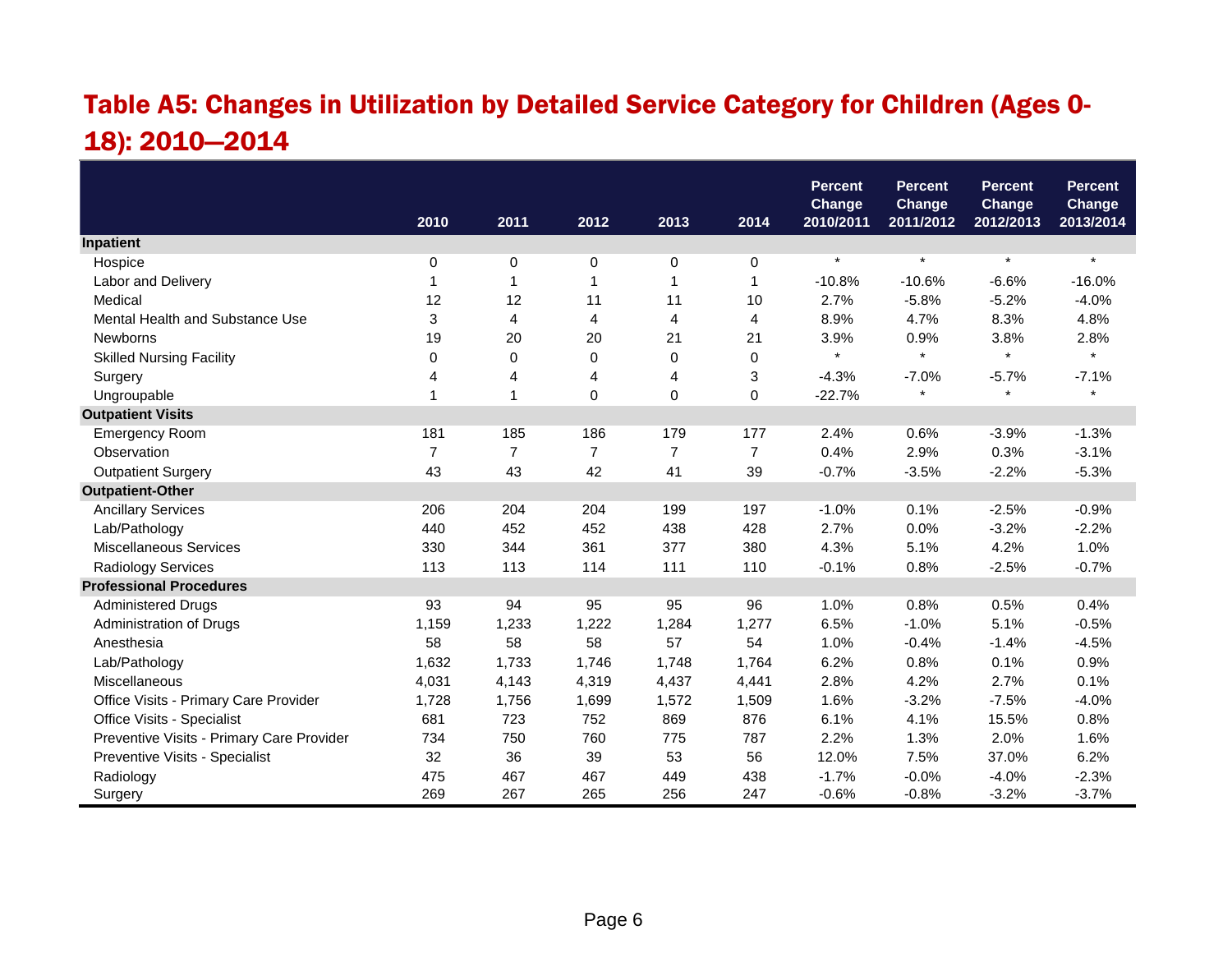# Table A5: Changes in Utilization by Detailed Service Category for Children (Ages 0- 18): 2010—2014

|                                           |                |                |                |                |                | <b>Percent</b><br><b>Change</b> | <b>Percent</b><br><b>Change</b> | <b>Percent</b><br>Change | <b>Percent</b><br><b>Change</b> |
|-------------------------------------------|----------------|----------------|----------------|----------------|----------------|---------------------------------|---------------------------------|--------------------------|---------------------------------|
|                                           | 2010           | 2011           | 2012           | 2013           | 2014           | 2010/2011                       | 2011/2012                       | 2012/2013                | 2013/2014                       |
| Inpatient                                 |                |                |                |                |                |                                 |                                 |                          |                                 |
| Hospice                                   | 0              | 0              | 0              | 0              | 0              | $\star$                         | $\star$                         | $\star$                  | $\star$                         |
| Labor and Delivery                        | 1              | 1              | 1              | 1              | 1              | $-10.8%$                        | $-10.6%$                        | $-6.6%$                  | $-16.0%$                        |
| Medical                                   | 12             | 12             | 11             | 11             | 10             | 2.7%                            | $-5.8%$                         | $-5.2%$                  | $-4.0%$                         |
| Mental Health and Substance Use           | 3              | 4              | 4              | $\overline{4}$ | 4              | 8.9%                            | 4.7%                            | 8.3%                     | 4.8%                            |
| <b>Newborns</b>                           | 19             | 20             | 20             | 21             | 21             | 3.9%                            | 0.9%                            | 3.8%                     | 2.8%                            |
| <b>Skilled Nursing Facility</b>           | 0              | $\mathbf 0$    | 0              | 0              | $\mathbf 0$    | $\star$                         | $\star$                         | $\star$                  | $\star$                         |
| Surgery                                   | 4              | 4              | 4              | 4              | 3              | $-4.3%$                         | $-7.0%$                         | $-5.7%$                  | $-7.1%$                         |
| Ungroupable                               | 1              | $\overline{1}$ | 0              | 0              | 0              | $-22.7%$                        | $\star$                         | $\star$                  | $\star$                         |
| <b>Outpatient Visits</b>                  |                |                |                |                |                |                                 |                                 |                          |                                 |
| <b>Emergency Room</b>                     | 181            | 185            | 186            | 179            | 177            | 2.4%                            | 0.6%                            | $-3.9%$                  | $-1.3%$                         |
| Observation                               | $\overline{7}$ | $\overline{7}$ | $\overline{7}$ | $\overline{7}$ | $\overline{7}$ | 0.4%                            | 2.9%                            | 0.3%                     | $-3.1%$                         |
| <b>Outpatient Surgery</b>                 | 43             | 43             | 42             | 41             | 39             | $-0.7%$                         | $-3.5%$                         | $-2.2%$                  | $-5.3%$                         |
| <b>Outpatient-Other</b>                   |                |                |                |                |                |                                 |                                 |                          |                                 |
| <b>Ancillary Services</b>                 | 206            | 204            | 204            | 199            | 197            | $-1.0%$                         | 0.1%                            | $-2.5%$                  | $-0.9%$                         |
| Lab/Pathology                             | 440            | 452            | 452            | 438            | 428            | 2.7%                            | 0.0%                            | $-3.2%$                  | $-2.2%$                         |
| <b>Miscellaneous Services</b>             | 330            | 344            | 361            | 377            | 380            | 4.3%                            | 5.1%                            | 4.2%                     | 1.0%                            |
| Radiology Services                        | 113            | 113            | 114            | 111            | 110            | $-0.1%$                         | 0.8%                            | $-2.5%$                  | $-0.7%$                         |
| <b>Professional Procedures</b>            |                |                |                |                |                |                                 |                                 |                          |                                 |
| <b>Administered Drugs</b>                 | 93             | 94             | 95             | 95             | 96             | 1.0%                            | 0.8%                            | 0.5%                     | 0.4%                            |
| Administration of Drugs                   | 1,159          | 1,233          | 1,222          | 1,284          | 1,277          | 6.5%                            | $-1.0%$                         | 5.1%                     | $-0.5%$                         |
| Anesthesia                                | 58             | 58             | 58             | 57             | 54             | 1.0%                            | $-0.4%$                         | $-1.4%$                  | $-4.5%$                         |
| Lab/Pathology                             | 1,632          | 1,733          | 1,746          | 1,748          | 1,764          | 6.2%                            | 0.8%                            | 0.1%                     | 0.9%                            |
| Miscellaneous                             | 4,031          | 4,143          | 4,319          | 4,437          | 4,441          | 2.8%                            | 4.2%                            | 2.7%                     | 0.1%                            |
| Office Visits - Primary Care Provider     | 1,728          | 1,756          | 1,699          | 1,572          | 1,509          | 1.6%                            | $-3.2%$                         | $-7.5%$                  | $-4.0%$                         |
| Office Visits - Specialist                | 681            | 723            | 752            | 869            | 876            | 6.1%                            | 4.1%                            | 15.5%                    | 0.8%                            |
| Preventive Visits - Primary Care Provider | 734            | 750            | 760            | 775            | 787            | 2.2%                            | 1.3%                            | 2.0%                     | 1.6%                            |
| Preventive Visits - Specialist            | 32             | 36             | 39             | 53             | 56             | 12.0%                           | 7.5%                            | 37.0%                    | 6.2%                            |
| Radiology                                 | 475            | 467            | 467            | 449            | 438            | $-1.7%$                         | $-0.0%$                         | $-4.0%$                  | $-2.3%$                         |
| Surgery                                   | 269            | 267            | 265            | 256            | 247            | $-0.6%$                         | $-0.8%$                         | $-3.2%$                  | $-3.7%$                         |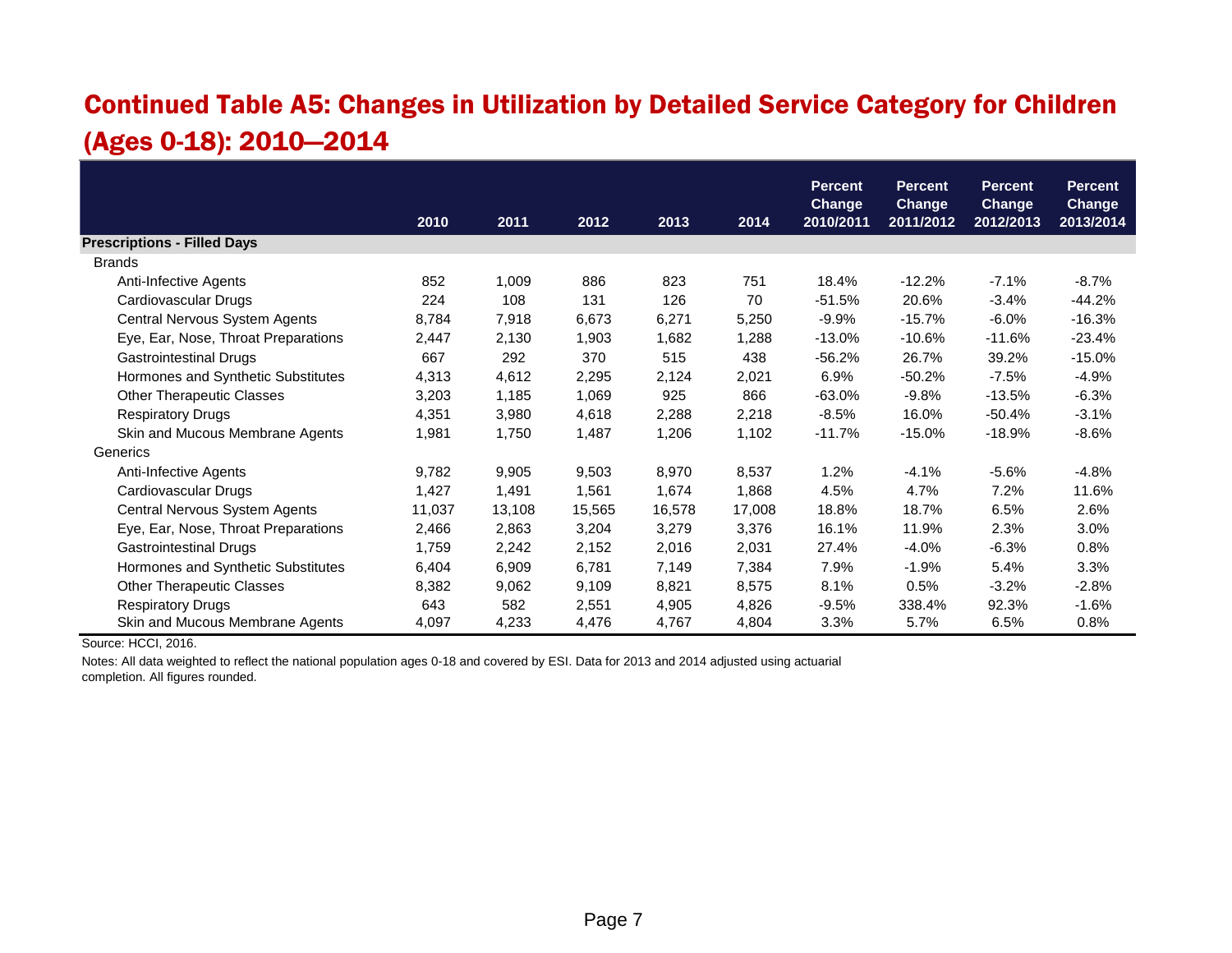#### Continued Table A5: Changes in Utilization by Detailed Service Category for Children (Ages 0-18): 2010—2014

|                                     |        |        |        |        |        | <b>Percent</b>             | <b>Percent</b>             | <b>Percent</b>             | <b>Percent</b>             |
|-------------------------------------|--------|--------|--------|--------|--------|----------------------------|----------------------------|----------------------------|----------------------------|
|                                     | 2010   | 2011   | 2012   | 2013   | 2014   | <b>Change</b><br>2010/2011 | <b>Change</b><br>2011/2012 | <b>Change</b><br>2012/2013 | <b>Change</b><br>2013/2014 |
| <b>Prescriptions - Filled Days</b>  |        |        |        |        |        |                            |                            |                            |                            |
| <b>Brands</b>                       |        |        |        |        |        |                            |                            |                            |                            |
| Anti-Infective Agents               | 852    | 1,009  | 886    | 823    | 751    | 18.4%                      | $-12.2%$                   | $-7.1%$                    | $-8.7\%$                   |
| Cardiovascular Drugs                | 224    | 108    | 131    | 126    | 70     | $-51.5%$                   | 20.6%                      | $-3.4%$                    | $-44.2%$                   |
| Central Nervous System Agents       | 8,784  | 7,918  | 6,673  | 6,271  | 5,250  | $-9.9%$                    | $-15.7%$                   | $-6.0%$                    | $-16.3%$                   |
| Eye, Ear, Nose, Throat Preparations | 2,447  | 2,130  | 1,903  | 1,682  | 1,288  | $-13.0%$                   | $-10.6%$                   | $-11.6%$                   | $-23.4%$                   |
| <b>Gastrointestinal Drugs</b>       | 667    | 292    | 370    | 515    | 438    | $-56.2%$                   | 26.7%                      | 39.2%                      | $-15.0%$                   |
| Hormones and Synthetic Substitutes  | 4,313  | 4,612  | 2,295  | 2,124  | 2,021  | 6.9%                       | $-50.2%$                   | $-7.5%$                    | $-4.9%$                    |
| <b>Other Therapeutic Classes</b>    | 3,203  | 1,185  | 1,069  | 925    | 866    | $-63.0%$                   | $-9.8%$                    | $-13.5%$                   | $-6.3%$                    |
| <b>Respiratory Drugs</b>            | 4,351  | 3,980  | 4,618  | 2,288  | 2,218  | $-8.5%$                    | 16.0%                      | $-50.4%$                   | $-3.1%$                    |
| Skin and Mucous Membrane Agents     | 1,981  | 1,750  | 1,487  | 1,206  | 1,102  | $-11.7%$                   | $-15.0%$                   | $-18.9%$                   | $-8.6%$                    |
| Generics                            |        |        |        |        |        |                            |                            |                            |                            |
| Anti-Infective Agents               | 9,782  | 9,905  | 9,503  | 8,970  | 8,537  | 1.2%                       | $-4.1%$                    | $-5.6%$                    | $-4.8%$                    |
| Cardiovascular Drugs                | 1,427  | 1,491  | 1,561  | 1,674  | 1,868  | 4.5%                       | 4.7%                       | 7.2%                       | 11.6%                      |
| Central Nervous System Agents       | 11,037 | 13,108 | 15,565 | 16,578 | 17,008 | 18.8%                      | 18.7%                      | 6.5%                       | 2.6%                       |
| Eye, Ear, Nose, Throat Preparations | 2,466  | 2,863  | 3,204  | 3,279  | 3,376  | 16.1%                      | 11.9%                      | 2.3%                       | 3.0%                       |
| <b>Gastrointestinal Drugs</b>       | 1,759  | 2,242  | 2,152  | 2,016  | 2,031  | 27.4%                      | $-4.0%$                    | $-6.3%$                    | 0.8%                       |
| Hormones and Synthetic Substitutes  | 6,404  | 6,909  | 6,781  | 7,149  | 7,384  | 7.9%                       | $-1.9%$                    | 5.4%                       | 3.3%                       |
| <b>Other Therapeutic Classes</b>    | 8,382  | 9,062  | 9,109  | 8,821  | 8,575  | 8.1%                       | 0.5%                       | $-3.2%$                    | $-2.8%$                    |
| <b>Respiratory Drugs</b>            | 643    | 582    | 2,551  | 4,905  | 4,826  | $-9.5%$                    | 338.4%                     | 92.3%                      | $-1.6%$                    |
| Skin and Mucous Membrane Agents     | 4,097  | 4,233  | 4,476  | 4,767  | 4,804  | 3.3%                       | 5.7%                       | 6.5%                       | 0.8%                       |

Source: HCCI, 2016.

Notes: All data weighted to reflect the national population ages 0-18 and covered by ESI. Data for 2013 and 2014 adjusted using actuarial completion. All figures rounded.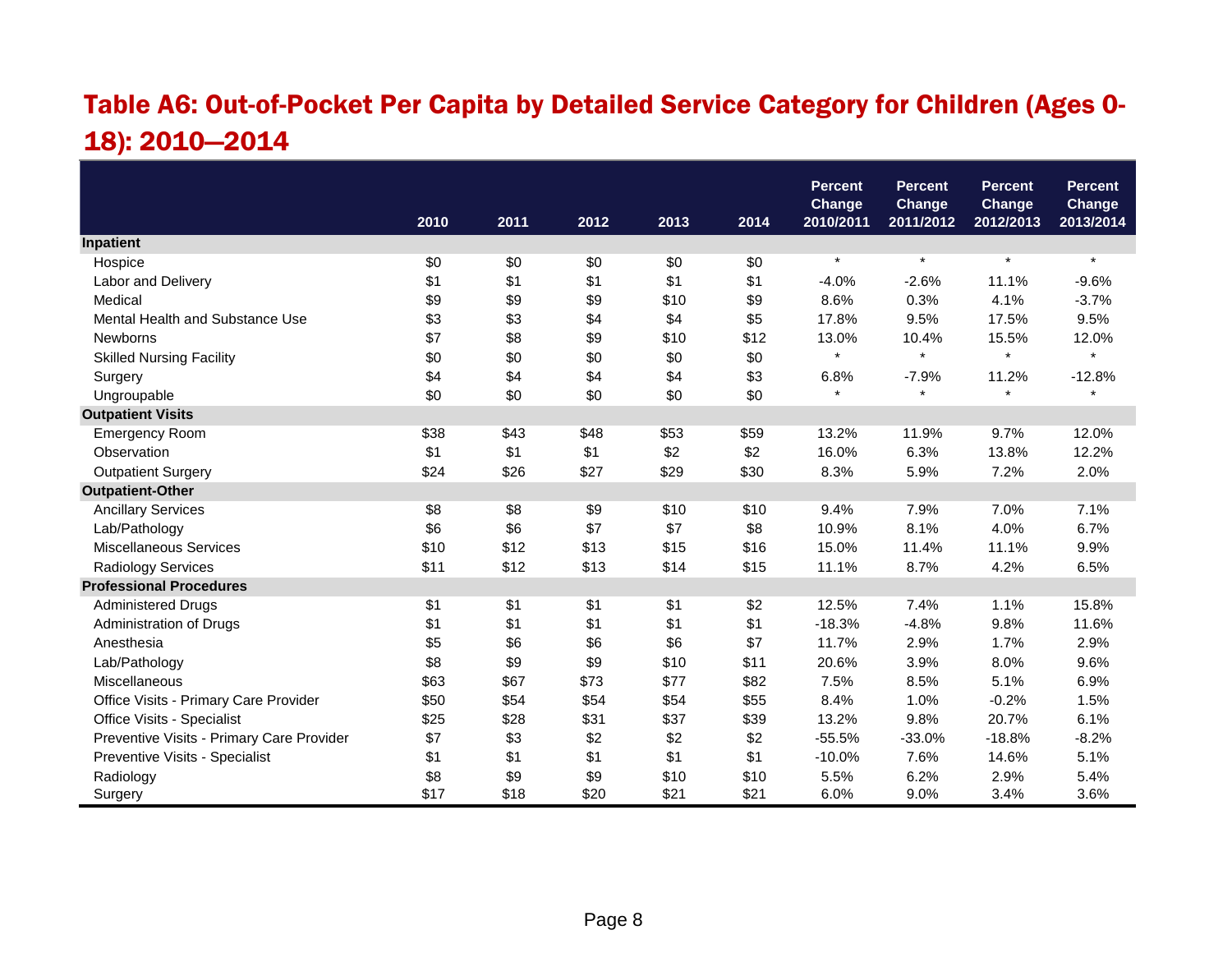# Table A6: Out-of-Pocket Per Capita by Detailed Service Category for Children (Ages 0- 18): 2010—2014

|                                           |      |      |      |      |      | <b>Percent</b><br><b>Change</b> | <b>Percent</b><br><b>Change</b> | <b>Percent</b><br>Change | <b>Percent</b><br><b>Change</b> |
|-------------------------------------------|------|------|------|------|------|---------------------------------|---------------------------------|--------------------------|---------------------------------|
|                                           | 2010 | 2011 | 2012 | 2013 | 2014 | 2010/2011                       | 2011/2012                       | 2012/2013                | 2013/2014                       |
| Inpatient                                 |      |      |      |      |      |                                 |                                 |                          |                                 |
| Hospice                                   | \$0  | \$0  | \$0  | \$0  | \$0  | $\star$                         | $\star$                         | $\star$                  | $\star$                         |
| Labor and Delivery                        | \$1  | \$1  | \$1  | \$1  | \$1  | $-4.0%$                         | $-2.6%$                         | 11.1%                    | $-9.6%$                         |
| Medical                                   | \$9  | \$9  | \$9  | \$10 | \$9  | 8.6%                            | 0.3%                            | 4.1%                     | $-3.7%$                         |
| Mental Health and Substance Use           | \$3  | \$3  | \$4  | \$4  | \$5  | 17.8%                           | 9.5%                            | 17.5%                    | 9.5%                            |
| Newborns                                  | \$7  | \$8  | \$9  | \$10 | \$12 | 13.0%                           | 10.4%                           | 15.5%                    | 12.0%                           |
| <b>Skilled Nursing Facility</b>           | \$0  | \$0  | \$0  | \$0  | \$0  | $\star$                         | $\star$                         | $\star$                  | $\star$                         |
| Surgery                                   | \$4  | \$4  | \$4  | \$4  | \$3  | 6.8%                            | $-7.9%$                         | 11.2%                    | $-12.8%$                        |
| Ungroupable                               | \$0  | \$0  | \$0  | \$0  | \$0  | $\star$                         | $\star$                         | $\star$                  | $\star$                         |
| <b>Outpatient Visits</b>                  |      |      |      |      |      |                                 |                                 |                          |                                 |
| <b>Emergency Room</b>                     | \$38 | \$43 | \$48 | \$53 | \$59 | 13.2%                           | 11.9%                           | 9.7%                     | 12.0%                           |
| Observation                               | \$1  | \$1  | \$1  | \$2  | \$2  | 16.0%                           | 6.3%                            | 13.8%                    | 12.2%                           |
| <b>Outpatient Surgery</b>                 | \$24 | \$26 | \$27 | \$29 | \$30 | 8.3%                            | 5.9%                            | 7.2%                     | 2.0%                            |
| <b>Outpatient-Other</b>                   |      |      |      |      |      |                                 |                                 |                          |                                 |
| <b>Ancillary Services</b>                 | \$8  | \$8  | \$9  | \$10 | \$10 | 9.4%                            | 7.9%                            | 7.0%                     | 7.1%                            |
| Lab/Pathology                             | \$6  | \$6  | \$7  | \$7  | \$8  | 10.9%                           | 8.1%                            | 4.0%                     | 6.7%                            |
| <b>Miscellaneous Services</b>             | \$10 | \$12 | \$13 | \$15 | \$16 | 15.0%                           | 11.4%                           | 11.1%                    | 9.9%                            |
| <b>Radiology Services</b>                 | \$11 | \$12 | \$13 | \$14 | \$15 | 11.1%                           | 8.7%                            | 4.2%                     | 6.5%                            |
| <b>Professional Procedures</b>            |      |      |      |      |      |                                 |                                 |                          |                                 |
| <b>Administered Drugs</b>                 | \$1  | \$1  | \$1  | \$1  | \$2  | 12.5%                           | 7.4%                            | 1.1%                     | 15.8%                           |
| Administration of Drugs                   | \$1  | \$1  | \$1  | \$1  | \$1  | $-18.3%$                        | $-4.8%$                         | 9.8%                     | 11.6%                           |
| Anesthesia                                | \$5  | \$6  | \$6  | \$6  | \$7  | 11.7%                           | 2.9%                            | 1.7%                     | 2.9%                            |
| Lab/Pathology                             | \$8  | \$9  | \$9  | \$10 | \$11 | 20.6%                           | 3.9%                            | 8.0%                     | 9.6%                            |
| Miscellaneous                             | \$63 | \$67 | \$73 | \$77 | \$82 | 7.5%                            | 8.5%                            | 5.1%                     | 6.9%                            |
| Office Visits - Primary Care Provider     | \$50 | \$54 | \$54 | \$54 | \$55 | 8.4%                            | 1.0%                            | $-0.2%$                  | 1.5%                            |
| Office Visits - Specialist                | \$25 | \$28 | \$31 | \$37 | \$39 | 13.2%                           | 9.8%                            | 20.7%                    | 6.1%                            |
| Preventive Visits - Primary Care Provider | \$7  | \$3  | \$2  | \$2  | \$2  | $-55.5%$                        | $-33.0%$                        | $-18.8%$                 | $-8.2%$                         |
| Preventive Visits - Specialist            | \$1  | \$1  | \$1  | \$1  | \$1  | $-10.0%$                        | 7.6%                            | 14.6%                    | 5.1%                            |
| Radiology                                 | \$8  | \$9  | \$9  | \$10 | \$10 | 5.5%                            | 6.2%                            | 2.9%                     | 5.4%                            |
| Surgery                                   | \$17 | \$18 | \$20 | \$21 | \$21 | 6.0%                            | 9.0%                            | 3.4%                     | 3.6%                            |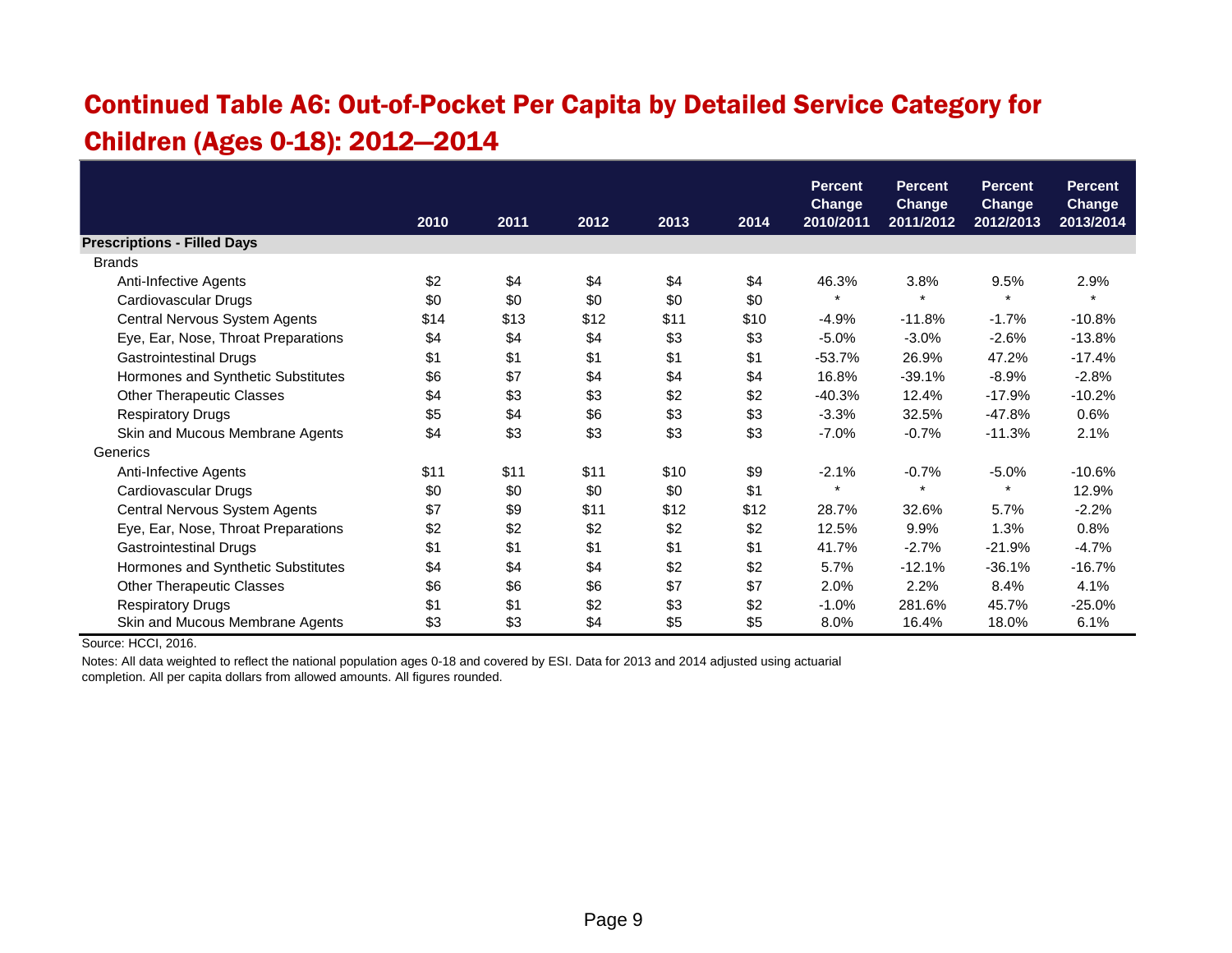# Continued Table A6: Out-of-Pocket Per Capita by Detailed Service Category for Children (Ages 0-18): 2012—2014

|                                     |      |      |      |      |      | <b>Percent</b><br><b>Change</b> | <b>Percent</b><br><b>Change</b> | <b>Percent</b><br><b>Change</b> | <b>Percent</b><br><b>Change</b> |
|-------------------------------------|------|------|------|------|------|---------------------------------|---------------------------------|---------------------------------|---------------------------------|
|                                     | 2010 | 2011 | 2012 | 2013 | 2014 | 2010/2011                       | 2011/2012                       | 2012/2013                       | 2013/2014                       |
| <b>Prescriptions - Filled Days</b>  |      |      |      |      |      |                                 |                                 |                                 |                                 |
| <b>Brands</b>                       |      |      |      |      |      |                                 |                                 |                                 |                                 |
| Anti-Infective Agents               | \$2  | \$4  | \$4  | \$4  | \$4  | 46.3%                           | 3.8%                            | 9.5%                            | 2.9%                            |
| Cardiovascular Drugs                | \$0  | \$0  | \$0  | \$0  | \$0  | $\star$                         | $\star$                         | $\star$                         |                                 |
| Central Nervous System Agents       | \$14 | \$13 | \$12 | \$11 | \$10 | $-4.9%$                         | $-11.8%$                        | $-1.7%$                         | $-10.8%$                        |
| Eye, Ear, Nose, Throat Preparations | \$4  | \$4  | \$4  | \$3  | \$3  | $-5.0%$                         | $-3.0%$                         | $-2.6%$                         | $-13.8%$                        |
| <b>Gastrointestinal Drugs</b>       | \$1  | \$1  | \$1  | \$1  | \$1  | $-53.7%$                        | 26.9%                           | 47.2%                           | $-17.4%$                        |
| Hormones and Synthetic Substitutes  | \$6  | \$7  | \$4  | \$4  | \$4  | 16.8%                           | $-39.1%$                        | $-8.9%$                         | $-2.8%$                         |
| <b>Other Therapeutic Classes</b>    | \$4  | \$3  | \$3  | \$2  | \$2  | $-40.3%$                        | 12.4%                           | $-17.9%$                        | $-10.2%$                        |
| <b>Respiratory Drugs</b>            | \$5  | \$4  | \$6  | \$3  | \$3  | $-3.3%$                         | 32.5%                           | $-47.8%$                        | 0.6%                            |
| Skin and Mucous Membrane Agents     | \$4  | \$3  | \$3  | \$3  | \$3  | $-7.0%$                         | $-0.7%$                         | $-11.3%$                        | 2.1%                            |
| Generics                            |      |      |      |      |      |                                 |                                 |                                 |                                 |
| Anti-Infective Agents               | \$11 | \$11 | \$11 | \$10 | \$9  | $-2.1%$                         | $-0.7%$                         | $-5.0%$                         | $-10.6%$                        |
| Cardiovascular Drugs                | \$0  | \$0  | \$0  | \$0  | \$1  | $\star$                         | $\star$                         | $\star$                         | 12.9%                           |
| Central Nervous System Agents       | \$7  | \$9  | \$11 | \$12 | \$12 | 28.7%                           | 32.6%                           | 5.7%                            | $-2.2%$                         |
| Eye, Ear, Nose, Throat Preparations | \$2  | \$2  | \$2  | \$2  | \$2  | 12.5%                           | 9.9%                            | 1.3%                            | 0.8%                            |
| <b>Gastrointestinal Drugs</b>       | \$1  | \$1  | \$1  | \$1  | \$1  | 41.7%                           | $-2.7%$                         | $-21.9%$                        | $-4.7%$                         |
| Hormones and Synthetic Substitutes  | \$4  | \$4  | \$4  | \$2  | \$2  | 5.7%                            | $-12.1%$                        | $-36.1%$                        | $-16.7%$                        |
| <b>Other Therapeutic Classes</b>    | \$6  | \$6  | \$6  | \$7  | \$7  | 2.0%                            | 2.2%                            | 8.4%                            | 4.1%                            |
| <b>Respiratory Drugs</b>            | \$1  | \$1  | \$2  | \$3  | \$2  | $-1.0%$                         | 281.6%                          | 45.7%                           | $-25.0%$                        |
| Skin and Mucous Membrane Agents     | \$3  | \$3  | \$4  | \$5  | \$5  | 8.0%                            | 16.4%                           | 18.0%                           | 6.1%                            |

Source: HCCI, 2016.

Notes: All data weighted to reflect the national population ages 0-18 and covered by ESI. Data for 2013 and 2014 adjusted using actuarial completion. All per capita dollars from allowed amounts. All figures rounded.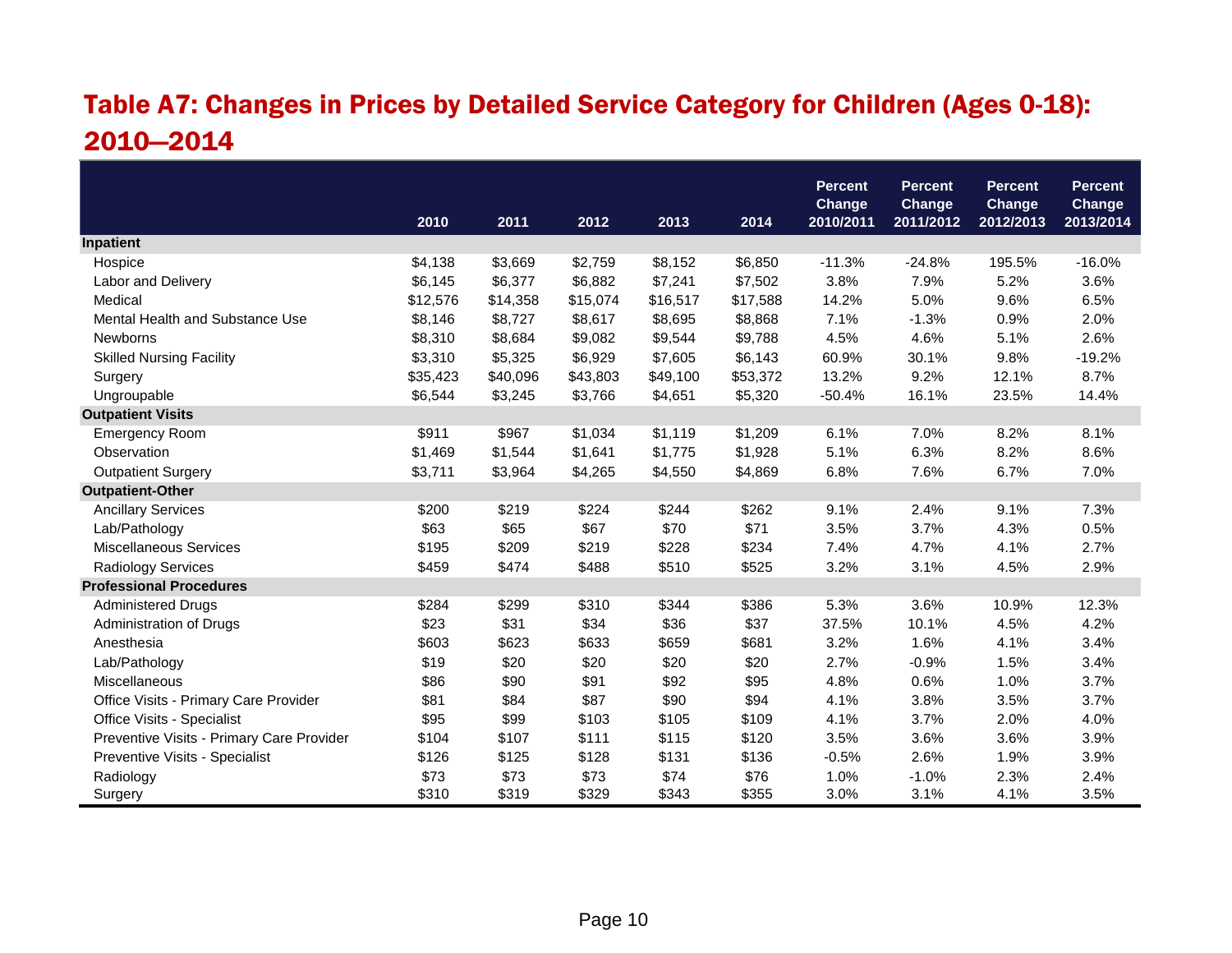### Table A7: Changes in Prices by Detailed Service Category for Children (Ages 0-18): 2010—2014

|                                           |          |          |          |          |          | <b>Percent</b><br>Change | <b>Percent</b><br><b>Change</b> | <b>Percent</b><br><b>Change</b> | <b>Percent</b><br><b>Change</b> |
|-------------------------------------------|----------|----------|----------|----------|----------|--------------------------|---------------------------------|---------------------------------|---------------------------------|
|                                           | 2010     | 2011     | 2012     | 2013     | 2014     | 2010/2011                | 2011/2012                       | 2012/2013                       | 2013/2014                       |
| Inpatient                                 |          |          |          |          |          |                          |                                 |                                 |                                 |
| Hospice                                   | \$4,138  | \$3,669  | \$2,759  | \$8,152  | \$6,850  | $-11.3%$                 | $-24.8%$                        | 195.5%                          | $-16.0%$                        |
| Labor and Delivery                        | \$6,145  | \$6,377  | \$6,882  | \$7,241  | \$7,502  | 3.8%                     | 7.9%                            | 5.2%                            | 3.6%                            |
| Medical                                   | \$12,576 | \$14,358 | \$15,074 | \$16,517 | \$17,588 | 14.2%                    | 5.0%                            | 9.6%                            | 6.5%                            |
| Mental Health and Substance Use           | \$8,146  | \$8,727  | \$8,617  | \$8,695  | \$8,868  | 7.1%                     | $-1.3%$                         | 0.9%                            | 2.0%                            |
| Newborns                                  | \$8,310  | \$8,684  | \$9,082  | \$9,544  | \$9,788  | 4.5%                     | 4.6%                            | 5.1%                            | 2.6%                            |
| <b>Skilled Nursing Facility</b>           | \$3,310  | \$5,325  | \$6,929  | \$7,605  | \$6,143  | 60.9%                    | 30.1%                           | 9.8%                            | $-19.2%$                        |
| Surgery                                   | \$35,423 | \$40,096 | \$43,803 | \$49,100 | \$53,372 | 13.2%                    | 9.2%                            | 12.1%                           | 8.7%                            |
| Ungroupable                               | \$6,544  | \$3,245  | \$3,766  | \$4,651  | \$5,320  | $-50.4%$                 | 16.1%                           | 23.5%                           | 14.4%                           |
| <b>Outpatient Visits</b>                  |          |          |          |          |          |                          |                                 |                                 |                                 |
| <b>Emergency Room</b>                     | \$911    | \$967    | \$1,034  | \$1,119  | \$1,209  | 6.1%                     | 7.0%                            | 8.2%                            | 8.1%                            |
| Observation                               | \$1,469  | \$1,544  | \$1,641  | \$1,775  | \$1,928  | 5.1%                     | 6.3%                            | 8.2%                            | 8.6%                            |
| <b>Outpatient Surgery</b>                 | \$3,711  | \$3,964  | \$4,265  | \$4,550  | \$4,869  | 6.8%                     | 7.6%                            | 6.7%                            | 7.0%                            |
| <b>Outpatient-Other</b>                   |          |          |          |          |          |                          |                                 |                                 |                                 |
| <b>Ancillary Services</b>                 | \$200    | \$219    | \$224    | \$244    | \$262    | 9.1%                     | 2.4%                            | 9.1%                            | 7.3%                            |
| Lab/Pathology                             | \$63     | \$65     | \$67     | \$70     | \$71     | 3.5%                     | 3.7%                            | 4.3%                            | 0.5%                            |
| <b>Miscellaneous Services</b>             | \$195    | \$209    | \$219    | \$228    | \$234    | 7.4%                     | 4.7%                            | 4.1%                            | 2.7%                            |
| <b>Radiology Services</b>                 | \$459    | \$474    | \$488    | \$510    | \$525    | 3.2%                     | 3.1%                            | 4.5%                            | 2.9%                            |
| <b>Professional Procedures</b>            |          |          |          |          |          |                          |                                 |                                 |                                 |
| <b>Administered Drugs</b>                 | \$284    | \$299    | \$310    | \$344    | \$386    | 5.3%                     | 3.6%                            | 10.9%                           | 12.3%                           |
| Administration of Drugs                   | \$23     | \$31     | \$34     | \$36     | \$37     | 37.5%                    | 10.1%                           | 4.5%                            | 4.2%                            |
| Anesthesia                                | \$603    | \$623    | \$633    | \$659    | \$681    | 3.2%                     | 1.6%                            | 4.1%                            | 3.4%                            |
| Lab/Pathology                             | \$19     | \$20     | \$20     | \$20     | \$20     | 2.7%                     | $-0.9%$                         | 1.5%                            | 3.4%                            |
| Miscellaneous                             | \$86     | \$90     | \$91     | \$92     | \$95     | 4.8%                     | 0.6%                            | 1.0%                            | 3.7%                            |
| Office Visits - Primary Care Provider     | \$81     | \$84     | \$87     | \$90     | \$94     | 4.1%                     | 3.8%                            | 3.5%                            | 3.7%                            |
| Office Visits - Specialist                | \$95     | \$99     | \$103    | \$105    | \$109    | 4.1%                     | 3.7%                            | 2.0%                            | 4.0%                            |
| Preventive Visits - Primary Care Provider | \$104    | \$107    | \$111    | \$115    | \$120    | 3.5%                     | 3.6%                            | 3.6%                            | 3.9%                            |
| Preventive Visits - Specialist            | \$126    | \$125    | \$128    | \$131    | \$136    | $-0.5%$                  | 2.6%                            | 1.9%                            | 3.9%                            |
| Radiology                                 | \$73     | \$73     | \$73     | \$74     | \$76     | 1.0%                     | $-1.0%$                         | 2.3%                            | 2.4%                            |
| Surgery                                   | \$310    | \$319    | \$329    | \$343    | \$355    | 3.0%                     | 3.1%                            | 4.1%                            | 3.5%                            |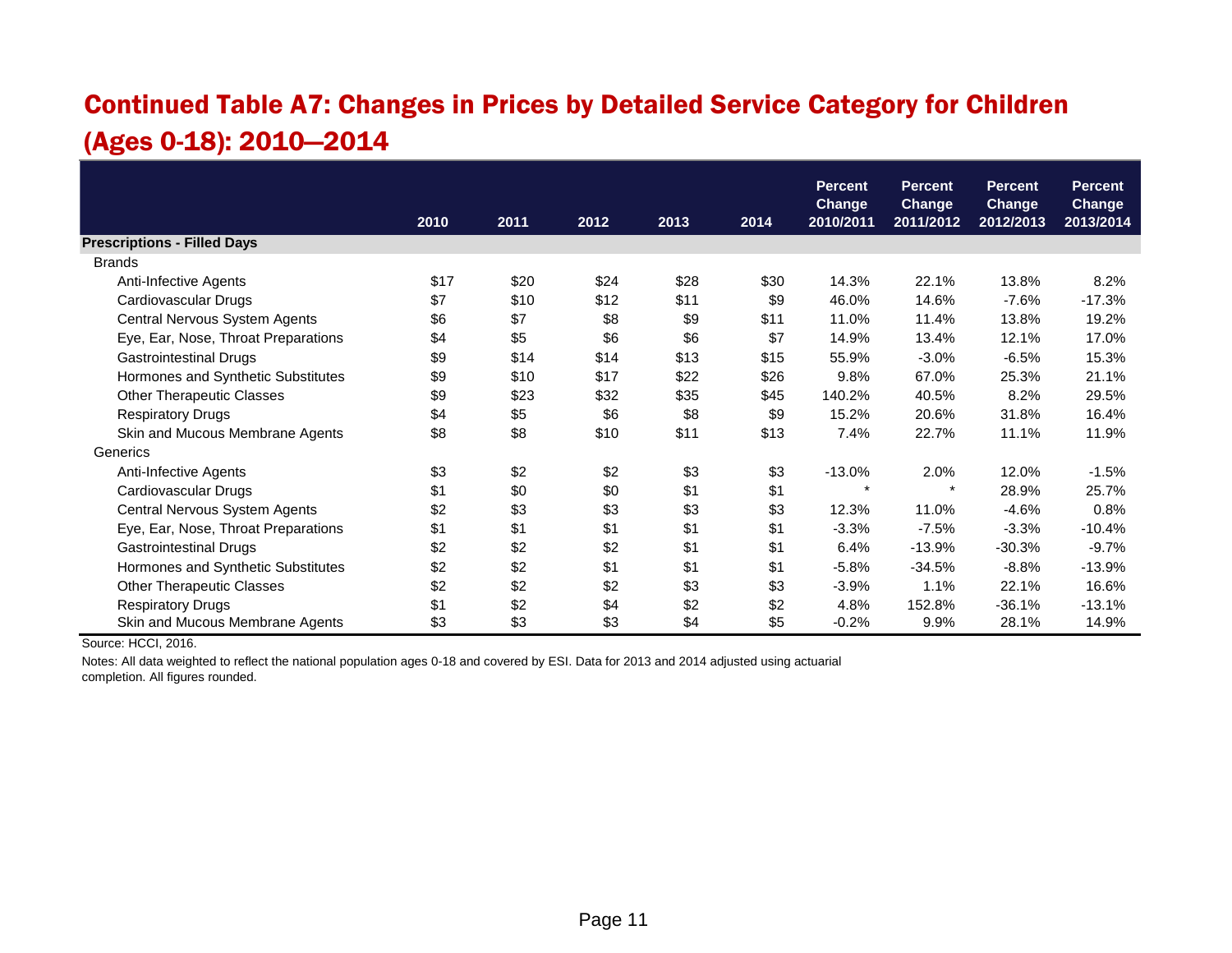# Continued Table A7: Changes in Prices by Detailed Service Category for Children (Ages 0-18): 2010—2014

|                                     |      |      |      |      |      | <b>Percent</b><br><b>Change</b> | <b>Percent</b><br><b>Change</b> | <b>Percent</b><br><b>Change</b> | <b>Percent</b><br><b>Change</b> |
|-------------------------------------|------|------|------|------|------|---------------------------------|---------------------------------|---------------------------------|---------------------------------|
|                                     | 2010 | 2011 | 2012 | 2013 | 2014 | 2010/2011                       | 2011/2012                       | 2012/2013                       | 2013/2014                       |
| <b>Prescriptions - Filled Days</b>  |      |      |      |      |      |                                 |                                 |                                 |                                 |
| <b>Brands</b>                       |      |      |      |      |      |                                 |                                 |                                 |                                 |
| Anti-Infective Agents               | \$17 | \$20 | \$24 | \$28 | \$30 | 14.3%                           | 22.1%                           | 13.8%                           | 8.2%                            |
| Cardiovascular Drugs                | \$7  | \$10 | \$12 | \$11 | \$9  | 46.0%                           | 14.6%                           | $-7.6%$                         | $-17.3%$                        |
| Central Nervous System Agents       | \$6  | \$7  | \$8  | \$9  | \$11 | 11.0%                           | 11.4%                           | 13.8%                           | 19.2%                           |
| Eye, Ear, Nose, Throat Preparations | \$4  | \$5  | \$6  | \$6  | \$7  | 14.9%                           | 13.4%                           | 12.1%                           | 17.0%                           |
| <b>Gastrointestinal Drugs</b>       | \$9  | \$14 | \$14 | \$13 | \$15 | 55.9%                           | $-3.0%$                         | $-6.5%$                         | 15.3%                           |
| Hormones and Synthetic Substitutes  | \$9  | \$10 | \$17 | \$22 | \$26 | 9.8%                            | 67.0%                           | 25.3%                           | 21.1%                           |
| <b>Other Therapeutic Classes</b>    | \$9  | \$23 | \$32 | \$35 | \$45 | 140.2%                          | 40.5%                           | 8.2%                            | 29.5%                           |
| <b>Respiratory Drugs</b>            | \$4  | \$5  | \$6  | \$8  | \$9  | 15.2%                           | 20.6%                           | 31.8%                           | 16.4%                           |
| Skin and Mucous Membrane Agents     | \$8  | \$8  | \$10 | \$11 | \$13 | 7.4%                            | 22.7%                           | 11.1%                           | 11.9%                           |
| Generics                            |      |      |      |      |      |                                 |                                 |                                 |                                 |
| Anti-Infective Agents               | \$3  | \$2  | \$2  | \$3  | \$3  | $-13.0%$                        | 2.0%                            | 12.0%                           | $-1.5%$                         |
| Cardiovascular Drugs                | \$1  | \$0  | \$0  | \$1  | \$1  | $\star$                         | $\star$                         | 28.9%                           | 25.7%                           |
| Central Nervous System Agents       | \$2  | \$3  | \$3  | \$3  | \$3  | 12.3%                           | 11.0%                           | $-4.6%$                         | 0.8%                            |
| Eye, Ear, Nose, Throat Preparations | \$1  | \$1  | \$1  | \$1  | \$1  | $-3.3%$                         | $-7.5%$                         | $-3.3%$                         | $-10.4%$                        |
| <b>Gastrointestinal Drugs</b>       | \$2  | \$2  | \$2  | \$1  | \$1  | 6.4%                            | $-13.9%$                        | $-30.3%$                        | $-9.7%$                         |
| Hormones and Synthetic Substitutes  | \$2  | \$2  | \$1  | \$1  | \$1  | $-5.8%$                         | $-34.5%$                        | $-8.8%$                         | $-13.9%$                        |
| <b>Other Therapeutic Classes</b>    | \$2  | \$2  | \$2  | \$3  | \$3  | $-3.9%$                         | 1.1%                            | 22.1%                           | 16.6%                           |
| <b>Respiratory Drugs</b>            | \$1  | \$2  | \$4  | \$2  | \$2  | 4.8%                            | 152.8%                          | $-36.1%$                        | $-13.1%$                        |
| Skin and Mucous Membrane Agents     | \$3  | \$3  | \$3  | \$4  | \$5  | $-0.2%$                         | 9.9%                            | 28.1%                           | 14.9%                           |

Source: HCCI, 2016.

Notes: All data weighted to reflect the national population ages 0-18 and covered by ESI. Data for 2013 and 2014 adjusted using actuarial completion. All figures rounded.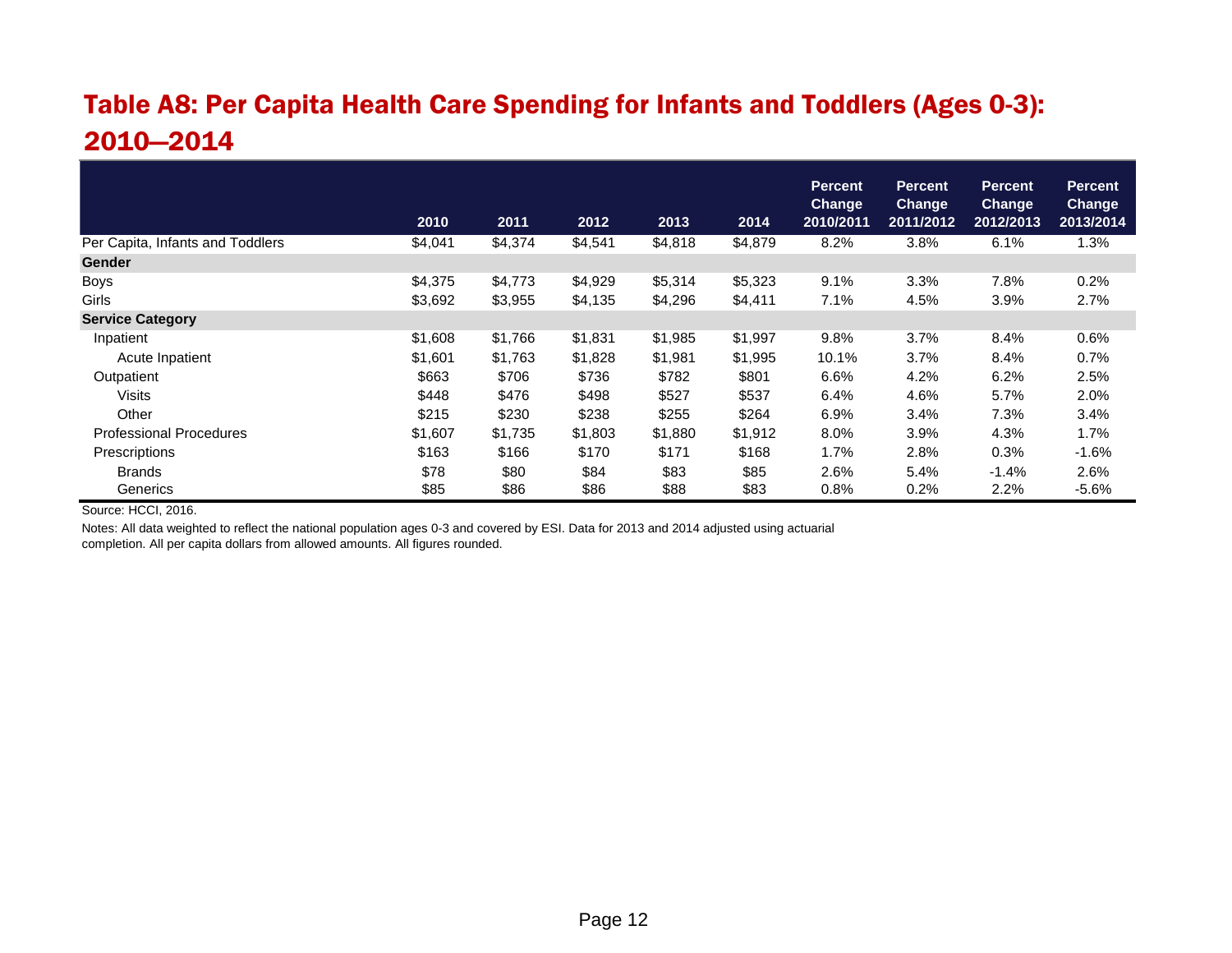# Table A8: Per Capita Health Care Spending for Infants and Toddlers (Ages 0-3): 2010—2014

|                                  |         |         |         |         |         | <b>Percent</b><br><b>Change</b> | <b>Percent</b><br><b>Change</b> | <b>Percent</b><br><b>Change</b> | <b>Percent</b><br><b>Change</b> |
|----------------------------------|---------|---------|---------|---------|---------|---------------------------------|---------------------------------|---------------------------------|---------------------------------|
|                                  | 2010    | 2011    | 2012    | 2013    | 2014    | 2010/2011                       | 2011/2012                       | 2012/2013                       | 2013/2014                       |
| Per Capita, Infants and Toddlers | \$4,041 | \$4,374 | \$4,541 | \$4,818 | \$4,879 | 8.2%                            | 3.8%                            | 6.1%                            | 1.3%                            |
| <b>Gender</b>                    |         |         |         |         |         |                                 |                                 |                                 |                                 |
| <b>Boys</b>                      | \$4,375 | \$4,773 | \$4,929 | \$5,314 | \$5,323 | 9.1%                            | 3.3%                            | 7.8%                            | 0.2%                            |
| Girls                            | \$3,692 | \$3,955 | \$4,135 | \$4,296 | \$4,411 | 7.1%                            | 4.5%                            | 3.9%                            | 2.7%                            |
| <b>Service Category</b>          |         |         |         |         |         |                                 |                                 |                                 |                                 |
| Inpatient                        | \$1,608 | \$1,766 | \$1,831 | \$1,985 | \$1,997 | 9.8%                            | 3.7%                            | 8.4%                            | 0.6%                            |
| Acute Inpatient                  | \$1,601 | \$1,763 | \$1,828 | \$1,981 | \$1,995 | 10.1%                           | 3.7%                            | 8.4%                            | 0.7%                            |
| Outpatient                       | \$663   | \$706   | \$736   | \$782   | \$801   | 6.6%                            | 4.2%                            | 6.2%                            | 2.5%                            |
| <b>Visits</b>                    | \$448   | \$476   | \$498   | \$527   | \$537   | 6.4%                            | 4.6%                            | 5.7%                            | 2.0%                            |
| Other                            | \$215   | \$230   | \$238   | \$255   | \$264   | 6.9%                            | 3.4%                            | 7.3%                            | 3.4%                            |
| <b>Professional Procedures</b>   | \$1,607 | \$1,735 | \$1,803 | \$1,880 | \$1,912 | 8.0%                            | 3.9%                            | 4.3%                            | 1.7%                            |
| Prescriptions                    | \$163   | \$166   | \$170   | \$171   | \$168   | 1.7%                            | 2.8%                            | 0.3%                            | $-1.6%$                         |
| <b>Brands</b>                    | \$78    | \$80    | \$84    | \$83    | \$85    | 2.6%                            | 5.4%                            | $-1.4%$                         | 2.6%                            |
| Generics                         | \$85    | \$86    | \$86    | \$88    | \$83    | 0.8%                            | 0.2%                            | 2.2%                            | $-5.6%$                         |

Source: HCCI, 2016.

Notes: All data weighted to reflect the national population ages 0-3 and covered by ESI. Data for 2013 and 2014 adjusted using actuarial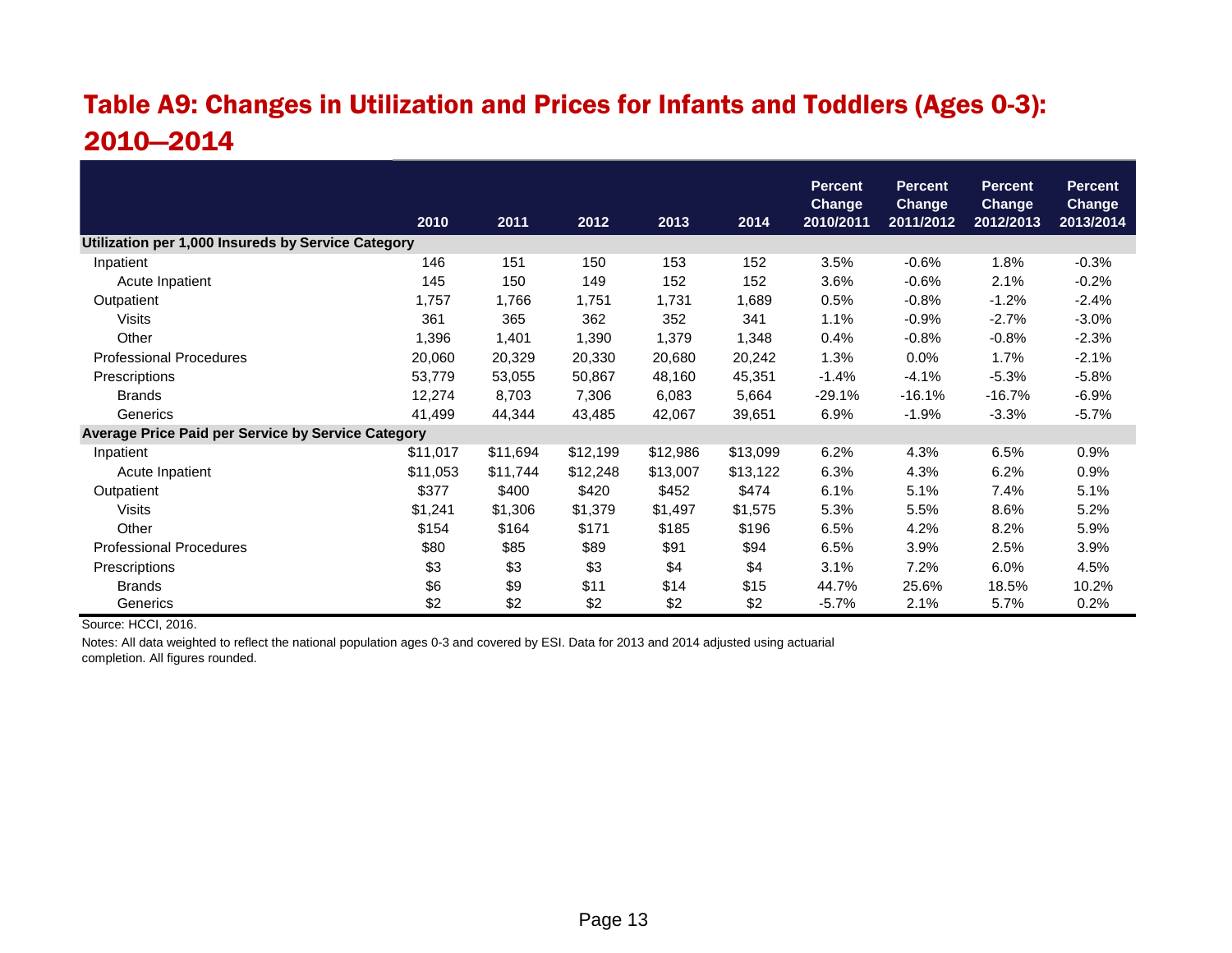# Table A9: Changes in Utilization and Prices for Infants and Toddlers (Ages 0-3): 2010—2014

|                                                    | 2010     | 2011     | 2012     | 2013     | 2014     | <b>Percent</b><br><b>Change</b><br>2010/2011 | <b>Percent</b><br><b>Change</b><br>2011/2012 | <b>Percent</b><br><b>Change</b><br>2012/2013 | <b>Percent</b><br>Change<br>2013/2014 |
|----------------------------------------------------|----------|----------|----------|----------|----------|----------------------------------------------|----------------------------------------------|----------------------------------------------|---------------------------------------|
| Utilization per 1,000 Insureds by Service Category |          |          |          |          |          |                                              |                                              |                                              |                                       |
| Inpatient                                          | 146      | 151      | 150      | 153      | 152      | 3.5%                                         | $-0.6%$                                      | 1.8%                                         | $-0.3%$                               |
| Acute Inpatient                                    | 145      | 150      | 149      | 152      | 152      | 3.6%                                         | $-0.6%$                                      | 2.1%                                         | $-0.2%$                               |
| Outpatient                                         | 1,757    | 1,766    | 1,751    | 1,731    | 1,689    | 0.5%                                         | $-0.8%$                                      | $-1.2%$                                      | $-2.4%$                               |
| Visits                                             | 361      | 365      | 362      | 352      | 341      | 1.1%                                         | $-0.9%$                                      | $-2.7%$                                      | $-3.0%$                               |
| Other                                              | 1,396    | 1,401    | 1,390    | 1,379    | 1,348    | 0.4%                                         | $-0.8%$                                      | $-0.8%$                                      | $-2.3%$                               |
| <b>Professional Procedures</b>                     | 20,060   | 20,329   | 20,330   | 20,680   | 20,242   | 1.3%                                         | 0.0%                                         | 1.7%                                         | $-2.1%$                               |
| Prescriptions                                      | 53,779   | 53,055   | 50,867   | 48,160   | 45,351   | $-1.4%$                                      | $-4.1%$                                      | $-5.3%$                                      | $-5.8%$                               |
| <b>Brands</b>                                      | 12,274   | 8,703    | 7,306    | 6,083    | 5,664    | $-29.1%$                                     | $-16.1%$                                     | $-16.7%$                                     | $-6.9%$                               |
| Generics                                           | 41,499   | 44,344   | 43,485   | 42,067   | 39,651   | 6.9%                                         | $-1.9%$                                      | $-3.3%$                                      | $-5.7%$                               |
| Average Price Paid per Service by Service Category |          |          |          |          |          |                                              |                                              |                                              |                                       |
| Inpatient                                          | \$11,017 | \$11,694 | \$12,199 | \$12,986 | \$13,099 | 6.2%                                         | 4.3%                                         | 6.5%                                         | 0.9%                                  |
| Acute Inpatient                                    | \$11,053 | \$11,744 | \$12,248 | \$13,007 | \$13,122 | 6.3%                                         | 4.3%                                         | 6.2%                                         | 0.9%                                  |
| Outpatient                                         | \$377    | \$400    | \$420    | \$452    | \$474    | 6.1%                                         | 5.1%                                         | 7.4%                                         | 5.1%                                  |
| <b>Visits</b>                                      | \$1,241  | \$1,306  | \$1,379  | \$1,497  | \$1,575  | 5.3%                                         | 5.5%                                         | 8.6%                                         | 5.2%                                  |
| Other                                              | \$154    | \$164    | \$171    | \$185    | \$196    | 6.5%                                         | 4.2%                                         | 8.2%                                         | 5.9%                                  |
| <b>Professional Procedures</b>                     | \$80     | \$85     | \$89     | \$91     | \$94     | 6.5%                                         | 3.9%                                         | 2.5%                                         | 3.9%                                  |
| Prescriptions                                      | \$3      | \$3      | \$3      | \$4      | \$4      | 3.1%                                         | 7.2%                                         | 6.0%                                         | 4.5%                                  |
| <b>Brands</b>                                      | \$6      | \$9      | \$11     | \$14     | \$15     | 44.7%                                        | 25.6%                                        | 18.5%                                        | 10.2%                                 |
| Generics                                           | \$2      | \$2      | \$2      | \$2      | \$2      | $-5.7%$                                      | 2.1%                                         | 5.7%                                         | 0.2%                                  |

Source: HCCI, 2016.

Notes: All data weighted to reflect the national population ages 0-3 and covered by ESI. Data for 2013 and 2014 adjusted using actuarial completion. All figures rounded.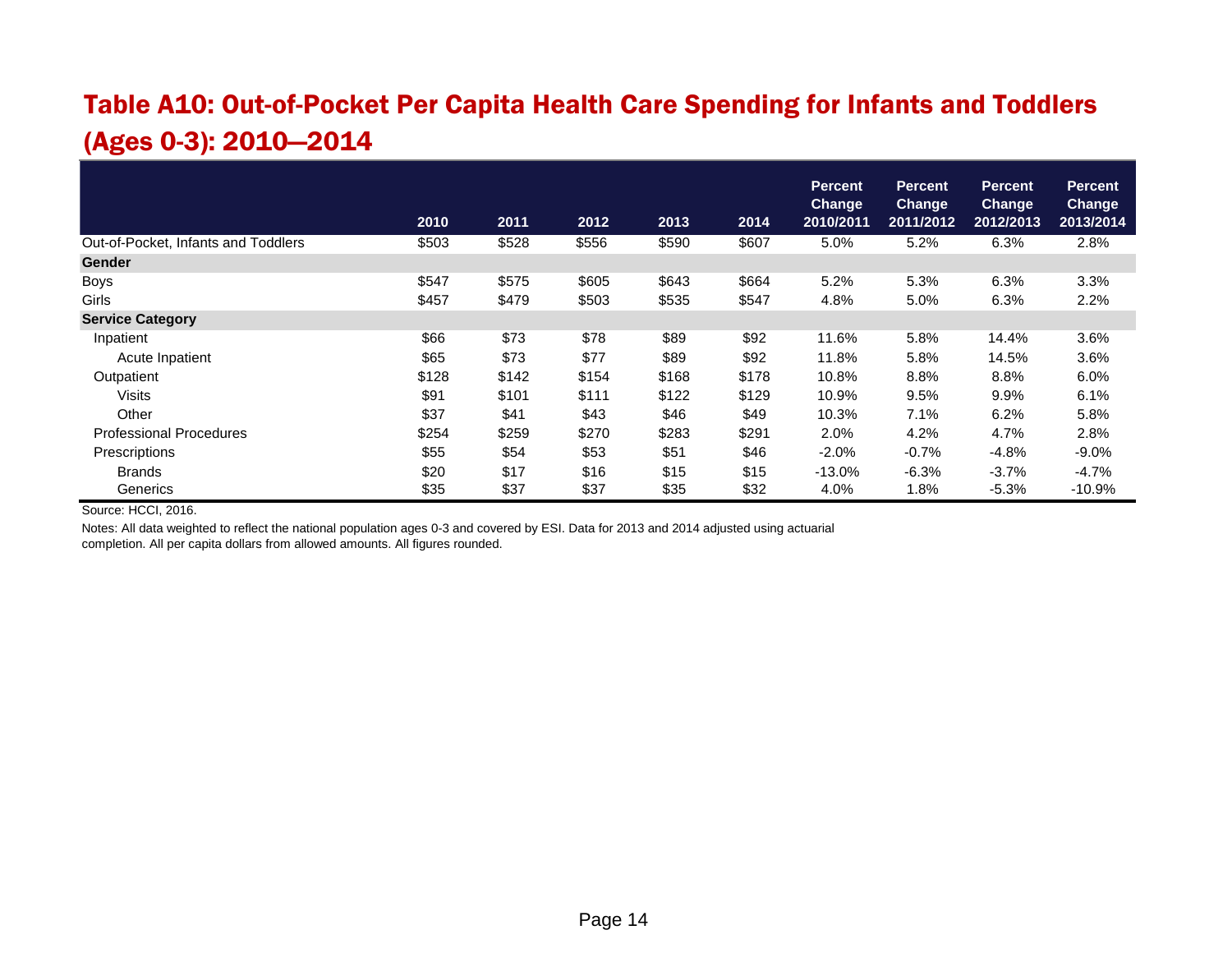# Table A10: Out-of-Pocket Per Capita Health Care Spending for Infants and Toddlers (Ages 0-3): 2010—2014

|                                     | 2010  | 2011  | 2012  | 2013  | 2014  | <b>Percent</b><br><b>Change</b><br>2010/2011 | <b>Percent</b><br><b>Change</b><br>2011/2012 | <b>Percent</b><br><b>Change</b><br>2012/2013 | <b>Percent</b><br>Change<br>2013/2014 |
|-------------------------------------|-------|-------|-------|-------|-------|----------------------------------------------|----------------------------------------------|----------------------------------------------|---------------------------------------|
| Out-of-Pocket, Infants and Toddlers | \$503 | \$528 | \$556 | \$590 | \$607 | 5.0%                                         | 5.2%                                         | 6.3%                                         | 2.8%                                  |
| <b>Gender</b>                       |       |       |       |       |       |                                              |                                              |                                              |                                       |
| <b>Boys</b>                         | \$547 | \$575 | \$605 | \$643 | \$664 | 5.2%                                         | 5.3%                                         | 6.3%                                         | 3.3%                                  |
| Girls                               | \$457 | \$479 | \$503 | \$535 | \$547 | 4.8%                                         | 5.0%                                         | 6.3%                                         | 2.2%                                  |
| <b>Service Category</b>             |       |       |       |       |       |                                              |                                              |                                              |                                       |
| Inpatient                           | \$66  | \$73  | \$78  | \$89  | \$92  | 11.6%                                        | 5.8%                                         | 14.4%                                        | 3.6%                                  |
| Acute Inpatient                     | \$65  | \$73  | \$77  | \$89  | \$92  | 11.8%                                        | 5.8%                                         | 14.5%                                        | 3.6%                                  |
| Outpatient                          | \$128 | \$142 | \$154 | \$168 | \$178 | 10.8%                                        | 8.8%                                         | 8.8%                                         | 6.0%                                  |
| Visits                              | \$91  | \$101 | \$111 | \$122 | \$129 | 10.9%                                        | 9.5%                                         | 9.9%                                         | 6.1%                                  |
| Other                               | \$37  | \$41  | \$43  | \$46  | \$49  | 10.3%                                        | 7.1%                                         | 6.2%                                         | 5.8%                                  |
| <b>Professional Procedures</b>      | \$254 | \$259 | \$270 | \$283 | \$291 | 2.0%                                         | 4.2%                                         | 4.7%                                         | 2.8%                                  |
| Prescriptions                       | \$55  | \$54  | \$53  | \$51  | \$46  | $-2.0%$                                      | $-0.7%$                                      | $-4.8%$                                      | $-9.0%$                               |
| <b>Brands</b>                       | \$20  | \$17  | \$16  | \$15  | \$15  | $-13.0%$                                     | $-6.3%$                                      | $-3.7%$                                      | $-4.7%$                               |
| Generics                            | \$35  | \$37  | \$37  | \$35  | \$32  | 4.0%                                         | 1.8%                                         | $-5.3%$                                      | $-10.9%$                              |

Source: HCCI, 2016.

Notes: All data weighted to reflect the national population ages 0-3 and covered by ESI. Data for 2013 and 2014 adjusted using actuarial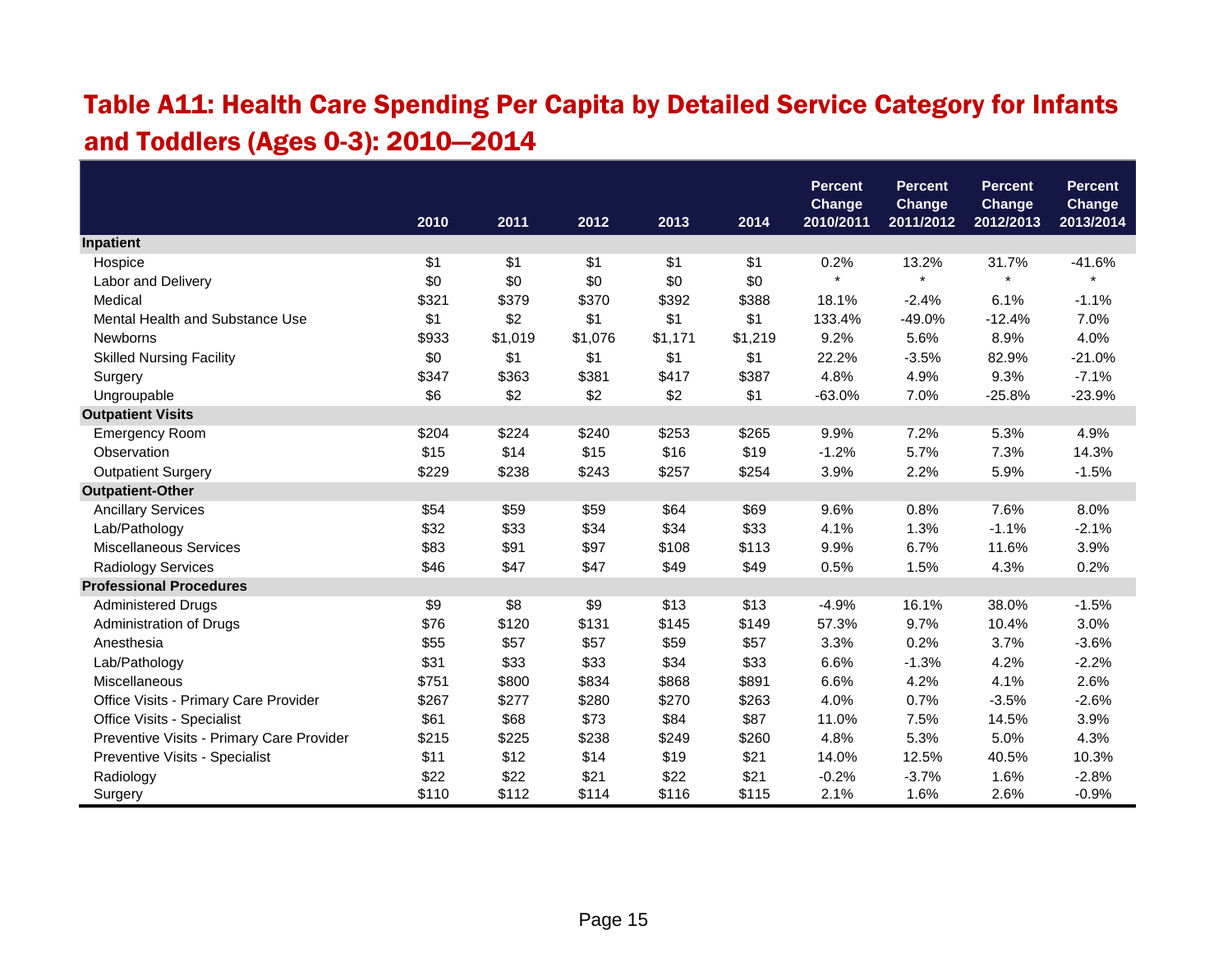# Table A11: Health Care Spending Per Capita by Detailed Service Category for Infants and Toddlers (Ages 0-3): 2010—2014

|                                           |       |         |         |         |         | <b>Percent</b>             | <b>Percent</b>             | <b>Percent</b>             | <b>Percent</b>      |
|-------------------------------------------|-------|---------|---------|---------|---------|----------------------------|----------------------------|----------------------------|---------------------|
|                                           | 2010  | 2011    | 2012    | 2013    | 2014    | <b>Change</b><br>2010/2011 | <b>Change</b><br>2011/2012 | <b>Change</b><br>2012/2013 | Change<br>2013/2014 |
| <b>Inpatient</b>                          |       |         |         |         |         |                            |                            |                            |                     |
| Hospice                                   | \$1   | \$1     | \$1     | \$1     | \$1     | 0.2%                       | 13.2%                      | 31.7%                      | $-41.6%$            |
| Labor and Delivery                        | \$0   | \$0     | \$0     | \$0     | \$0     | $\star$                    | $\star$                    | $\star$                    | $\star$             |
| Medical                                   | \$321 | \$379   | \$370   | \$392   | \$388   | 18.1%                      | $-2.4%$                    | 6.1%                       | $-1.1%$             |
| Mental Health and Substance Use           | \$1   | \$2     | \$1     | \$1     | \$1     | 133.4%                     | $-49.0%$                   | $-12.4%$                   | 7.0%                |
| <b>Newborns</b>                           | \$933 | \$1,019 | \$1,076 | \$1,171 | \$1,219 | 9.2%                       | 5.6%                       | 8.9%                       | 4.0%                |
| <b>Skilled Nursing Facility</b>           | \$0   | \$1     | \$1     | \$1     | \$1     | 22.2%                      | $-3.5%$                    | 82.9%                      | $-21.0%$            |
| Surgery                                   | \$347 | \$363   | \$381   | \$417   | \$387   | 4.8%                       | 4.9%                       | 9.3%                       | $-7.1%$             |
| Ungroupable                               | \$6   | \$2     | \$2     | \$2     | \$1     | $-63.0%$                   | 7.0%                       | $-25.8%$                   | $-23.9%$            |
| <b>Outpatient Visits</b>                  |       |         |         |         |         |                            |                            |                            |                     |
| <b>Emergency Room</b>                     | \$204 | \$224   | \$240   | \$253   | \$265   | 9.9%                       | 7.2%                       | 5.3%                       | 4.9%                |
| Observation                               | \$15  | \$14    | \$15    | \$16    | \$19    | $-1.2%$                    | 5.7%                       | 7.3%                       | 14.3%               |
| <b>Outpatient Surgery</b>                 | \$229 | \$238   | \$243   | \$257   | \$254   | 3.9%                       | 2.2%                       | 5.9%                       | $-1.5%$             |
| <b>Outpatient-Other</b>                   |       |         |         |         |         |                            |                            |                            |                     |
| <b>Ancillary Services</b>                 | \$54  | \$59    | \$59    | \$64    | \$69    | 9.6%                       | 0.8%                       | 7.6%                       | 8.0%                |
| Lab/Pathology                             | \$32  | \$33    | \$34    | \$34    | \$33    | 4.1%                       | 1.3%                       | $-1.1%$                    | $-2.1%$             |
| Miscellaneous Services                    | \$83  | \$91    | \$97    | \$108   | \$113   | 9.9%                       | 6.7%                       | 11.6%                      | 3.9%                |
| Radiology Services                        | \$46  | \$47    | \$47    | \$49    | \$49    | 0.5%                       | 1.5%                       | 4.3%                       | 0.2%                |
| <b>Professional Procedures</b>            |       |         |         |         |         |                            |                            |                            |                     |
| <b>Administered Drugs</b>                 | \$9   | \$8     | \$9     | \$13    | \$13    | $-4.9%$                    | 16.1%                      | 38.0%                      | $-1.5%$             |
| Administration of Drugs                   | \$76  | \$120   | \$131   | \$145   | \$149   | 57.3%                      | 9.7%                       | 10.4%                      | 3.0%                |
| Anesthesia                                | \$55  | \$57    | \$57    | \$59    | \$57    | 3.3%                       | 0.2%                       | 3.7%                       | $-3.6%$             |
| Lab/Pathology                             | \$31  | \$33    | \$33    | \$34    | \$33    | 6.6%                       | $-1.3%$                    | 4.2%                       | $-2.2%$             |
| Miscellaneous                             | \$751 | \$800   | \$834   | \$868   | \$891   | 6.6%                       | 4.2%                       | 4.1%                       | 2.6%                |
| Office Visits - Primary Care Provider     | \$267 | \$277   | \$280   | \$270   | \$263   | 4.0%                       | 0.7%                       | $-3.5%$                    | $-2.6%$             |
| Office Visits - Specialist                | \$61  | \$68    | \$73    | \$84    | \$87    | 11.0%                      | 7.5%                       | 14.5%                      | 3.9%                |
| Preventive Visits - Primary Care Provider | \$215 | \$225   | \$238   | \$249   | \$260   | 4.8%                       | 5.3%                       | 5.0%                       | 4.3%                |
| Preventive Visits - Specialist            | \$11  | \$12    | \$14    | \$19    | \$21    | 14.0%                      | 12.5%                      | 40.5%                      | 10.3%               |
| Radiology                                 | \$22  | \$22    | \$21    | \$22    | \$21    | $-0.2%$                    | $-3.7%$                    | 1.6%                       | $-2.8%$             |
| Surgery                                   | \$110 | \$112   | \$114   | \$116   | \$115   | 2.1%                       | 1.6%                       | 2.6%                       | $-0.9%$             |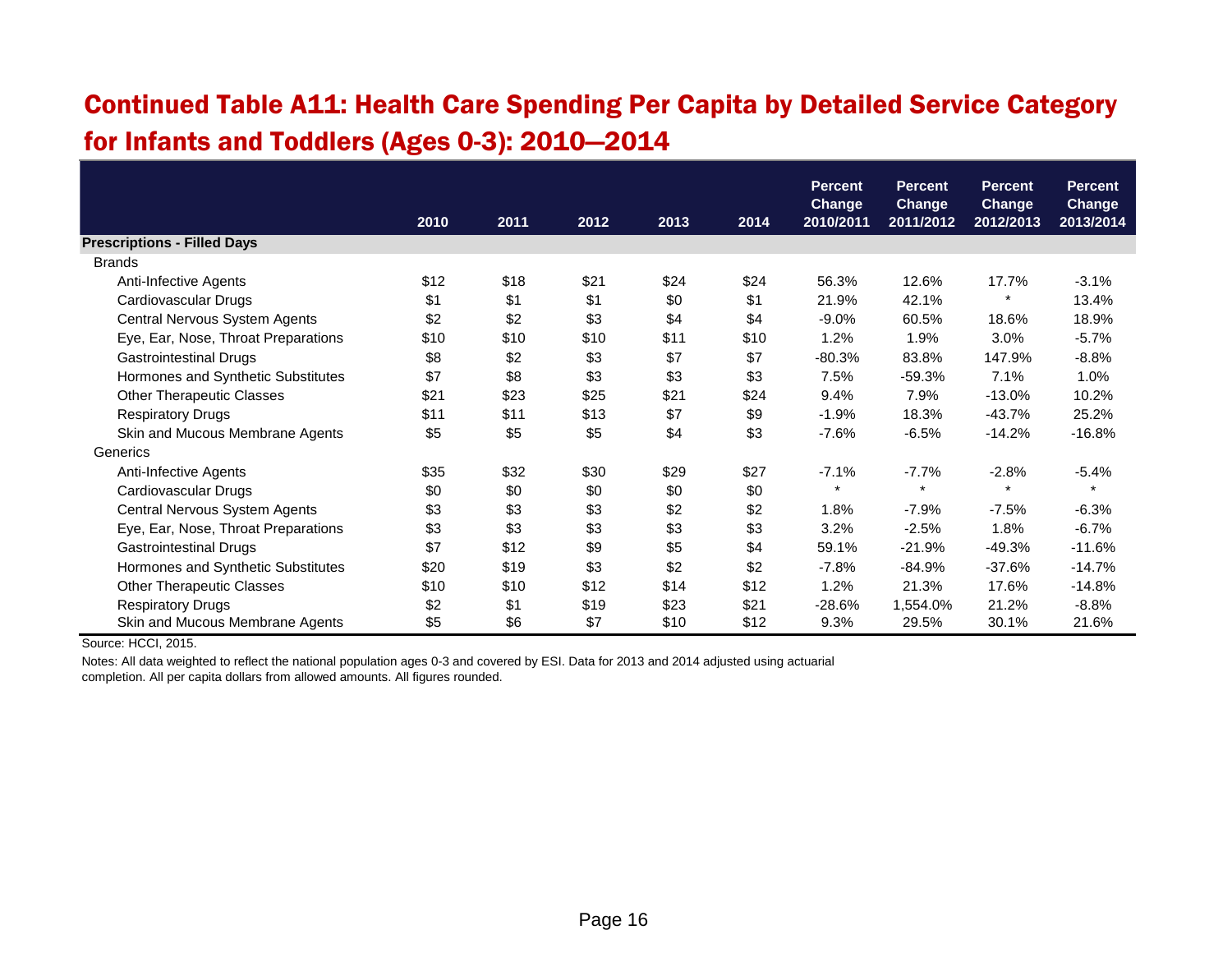#### Continued Table A11: Health Care Spending Per Capita by Detailed Service Category for Infants and Toddlers (Ages 0-3): 2010—2014

|                                     |      |      |      |      |      | <b>Percent</b><br><b>Change</b> | <b>Percent</b><br><b>Change</b> | <b>Percent</b><br><b>Change</b> | <b>Percent</b><br>Change |
|-------------------------------------|------|------|------|------|------|---------------------------------|---------------------------------|---------------------------------|--------------------------|
|                                     | 2010 | 2011 | 2012 | 2013 | 2014 | 2010/2011                       | 2011/2012                       | 2012/2013                       | 2013/2014                |
| <b>Prescriptions - Filled Days</b>  |      |      |      |      |      |                                 |                                 |                                 |                          |
| <b>Brands</b>                       |      |      |      |      |      |                                 |                                 |                                 |                          |
| Anti-Infective Agents               | \$12 | \$18 | \$21 | \$24 | \$24 | 56.3%                           | 12.6%                           | 17.7%                           | $-3.1%$                  |
| Cardiovascular Drugs                | \$1  | \$1  | \$1  | \$0  | \$1  | 21.9%                           | 42.1%                           | $\star$                         | 13.4%                    |
| Central Nervous System Agents       | \$2  | \$2  | \$3  | \$4  | \$4  | $-9.0%$                         | 60.5%                           | 18.6%                           | 18.9%                    |
| Eye, Ear, Nose, Throat Preparations | \$10 | \$10 | \$10 | \$11 | \$10 | 1.2%                            | 1.9%                            | 3.0%                            | $-5.7%$                  |
| <b>Gastrointestinal Drugs</b>       | \$8  | \$2  | \$3  | \$7  | \$7  | $-80.3%$                        | 83.8%                           | 147.9%                          | $-8.8%$                  |
| Hormones and Synthetic Substitutes  | \$7  | \$8  | \$3  | \$3  | \$3  | 7.5%                            | $-59.3%$                        | 7.1%                            | 1.0%                     |
| <b>Other Therapeutic Classes</b>    | \$21 | \$23 | \$25 | \$21 | \$24 | 9.4%                            | 7.9%                            | $-13.0%$                        | 10.2%                    |
| <b>Respiratory Drugs</b>            | \$11 | \$11 | \$13 | \$7  | \$9  | $-1.9%$                         | 18.3%                           | $-43.7%$                        | 25.2%                    |
| Skin and Mucous Membrane Agents     | \$5  | \$5  | \$5  | \$4  | \$3  | $-7.6%$                         | $-6.5%$                         | $-14.2%$                        | $-16.8%$                 |
| Generics                            |      |      |      |      |      |                                 |                                 |                                 |                          |
| Anti-Infective Agents               | \$35 | \$32 | \$30 | \$29 | \$27 | $-7.1%$                         | $-7.7\%$                        | $-2.8%$                         | $-5.4%$                  |
| Cardiovascular Drugs                | \$0  | \$0  | \$0  | \$0  | \$0  | $\star$                         | $\star$                         | $\star$                         | $\star$                  |
| Central Nervous System Agents       | \$3  | \$3  | \$3  | \$2  | \$2  | 1.8%                            | $-7.9%$                         | $-7.5%$                         | $-6.3%$                  |
| Eye, Ear, Nose, Throat Preparations | \$3  | \$3  | \$3  | \$3  | \$3  | 3.2%                            | $-2.5%$                         | 1.8%                            | $-6.7%$                  |
| <b>Gastrointestinal Drugs</b>       | \$7  | \$12 | \$9  | \$5  | \$4  | 59.1%                           | $-21.9%$                        | $-49.3%$                        | $-11.6%$                 |
| Hormones and Synthetic Substitutes  | \$20 | \$19 | \$3  | \$2  | \$2  | $-7.8%$                         | $-84.9%$                        | $-37.6%$                        | $-14.7%$                 |
| <b>Other Therapeutic Classes</b>    | \$10 | \$10 | \$12 | \$14 | \$12 | 1.2%                            | 21.3%                           | 17.6%                           | $-14.8%$                 |
| <b>Respiratory Drugs</b>            | \$2  | \$1  | \$19 | \$23 | \$21 | $-28.6%$                        | 1,554.0%                        | 21.2%                           | $-8.8%$                  |
| Skin and Mucous Membrane Agents     | \$5  | \$6  | \$7  | \$10 | \$12 | 9.3%                            | 29.5%                           | 30.1%                           | 21.6%                    |

Source: HCCI, 2015.

Notes: All data weighted to reflect the national population ages 0-3 and covered by ESI. Data for 2013 and 2014 adjusted using actuarial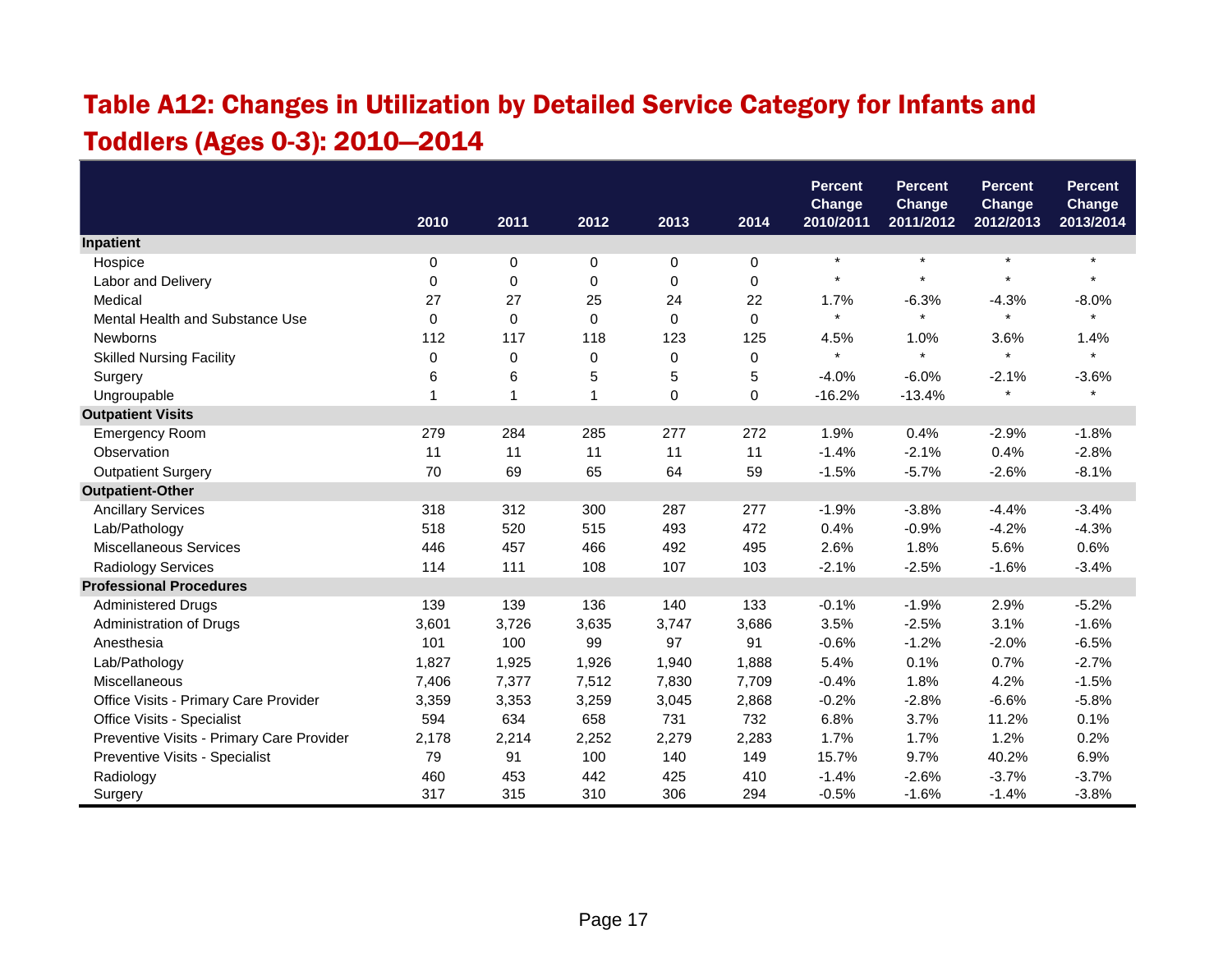# Table A12: Changes in Utilization by Detailed Service Category for Infants and Toddlers (Ages 0-3): 2010—2014

|                                           |       |                |             |       |                | <b>Percent</b><br>Change | <b>Percent</b><br><b>Change</b> | <b>Percent</b><br>Change | <b>Percent</b><br>Change |
|-------------------------------------------|-------|----------------|-------------|-------|----------------|--------------------------|---------------------------------|--------------------------|--------------------------|
|                                           | 2010  | 2011           | 2012        | 2013  | 2014           | 2010/2011                | 2011/2012                       | 2012/2013                | 2013/2014                |
| Inpatient                                 |       |                |             |       |                |                          |                                 |                          |                          |
| Hospice                                   | 0     | 0              | 0           | 0     | 0              | $\star$                  | $\star$                         | $\star$                  | $\star$                  |
| Labor and Delivery                        | 0     | $\Omega$       | 0           | 0     | $\Omega$       | $\star$                  | $\star$                         | $\lambda$                | $\star$                  |
| Medical                                   | 27    | 27             | 25          | 24    | 22             | 1.7%                     | $-6.3%$                         | $-4.3%$                  | $-8.0%$                  |
| Mental Health and Substance Use           | 0     | $\Omega$       | $\mathbf 0$ | 0     | $\Omega$       | $\star$                  | $\star$                         | $\star$                  | $\star$                  |
| Newborns                                  | 112   | 117            | 118         | 123   | 125            | 4.5%                     | 1.0%                            | 3.6%                     | 1.4%                     |
| <b>Skilled Nursing Facility</b>           | 0     | 0              | 0           | 0     | $\pmb{0}$      | $\star$                  | $\star$                         | $\star$                  | $\star$                  |
| Surgery                                   | 6     | 6              | 5           | 5     | $\overline{5}$ | $-4.0%$                  | $-6.0%$                         | $-2.1%$                  | $-3.6%$                  |
| Ungroupable                               | 1     | $\overline{1}$ | 1           | 0     | $\mathbf 0$    | $-16.2%$                 | $-13.4%$                        |                          | $\star$                  |
| <b>Outpatient Visits</b>                  |       |                |             |       |                |                          |                                 |                          |                          |
| <b>Emergency Room</b>                     | 279   | 284            | 285         | 277   | 272            | 1.9%                     | 0.4%                            | $-2.9%$                  | $-1.8%$                  |
| Observation                               | 11    | 11             | 11          | 11    | 11             | $-1.4%$                  | $-2.1%$                         | 0.4%                     | $-2.8%$                  |
| <b>Outpatient Surgery</b>                 | 70    | 69             | 65          | 64    | 59             | $-1.5%$                  | $-5.7%$                         | $-2.6%$                  | $-8.1%$                  |
| <b>Outpatient-Other</b>                   |       |                |             |       |                |                          |                                 |                          |                          |
| <b>Ancillary Services</b>                 | 318   | 312            | 300         | 287   | 277            | $-1.9%$                  | $-3.8%$                         | $-4.4%$                  | $-3.4%$                  |
| Lab/Pathology                             | 518   | 520            | 515         | 493   | 472            | 0.4%                     | $-0.9%$                         | $-4.2%$                  | $-4.3%$                  |
| <b>Miscellaneous Services</b>             | 446   | 457            | 466         | 492   | 495            | 2.6%                     | 1.8%                            | 5.6%                     | 0.6%                     |
| Radiology Services                        | 114   | 111            | 108         | 107   | 103            | $-2.1%$                  | $-2.5%$                         | $-1.6%$                  | $-3.4%$                  |
| <b>Professional Procedures</b>            |       |                |             |       |                |                          |                                 |                          |                          |
| <b>Administered Drugs</b>                 | 139   | 139            | 136         | 140   | 133            | $-0.1%$                  | $-1.9%$                         | 2.9%                     | $-5.2%$                  |
| Administration of Drugs                   | 3,601 | 3,726          | 3,635       | 3,747 | 3,686          | 3.5%                     | $-2.5%$                         | 3.1%                     | $-1.6%$                  |
| Anesthesia                                | 101   | 100            | 99          | 97    | 91             | $-0.6%$                  | $-1.2%$                         | $-2.0%$                  | $-6.5%$                  |
| Lab/Pathology                             | 1,827 | 1,925          | 1,926       | 1,940 | 1,888          | 5.4%                     | 0.1%                            | 0.7%                     | $-2.7%$                  |
| Miscellaneous                             | 7,406 | 7,377          | 7,512       | 7,830 | 7,709          | $-0.4%$                  | 1.8%                            | 4.2%                     | $-1.5%$                  |
| Office Visits - Primary Care Provider     | 3,359 | 3,353          | 3,259       | 3,045 | 2,868          | $-0.2%$                  | $-2.8%$                         | $-6.6%$                  | $-5.8%$                  |
| <b>Office Visits - Specialist</b>         | 594   | 634            | 658         | 731   | 732            | 6.8%                     | 3.7%                            | 11.2%                    | 0.1%                     |
| Preventive Visits - Primary Care Provider | 2,178 | 2,214          | 2,252       | 2,279 | 2,283          | 1.7%                     | 1.7%                            | 1.2%                     | 0.2%                     |
| Preventive Visits - Specialist            | 79    | 91             | 100         | 140   | 149            | 15.7%                    | 9.7%                            | 40.2%                    | 6.9%                     |
| Radiology                                 | 460   | 453            | 442         | 425   | 410            | $-1.4%$                  | $-2.6%$                         | $-3.7%$                  | $-3.7%$                  |
| Surgery                                   | 317   | 315            | 310         | 306   | 294            | $-0.5%$                  | $-1.6%$                         | $-1.4%$                  | $-3.8%$                  |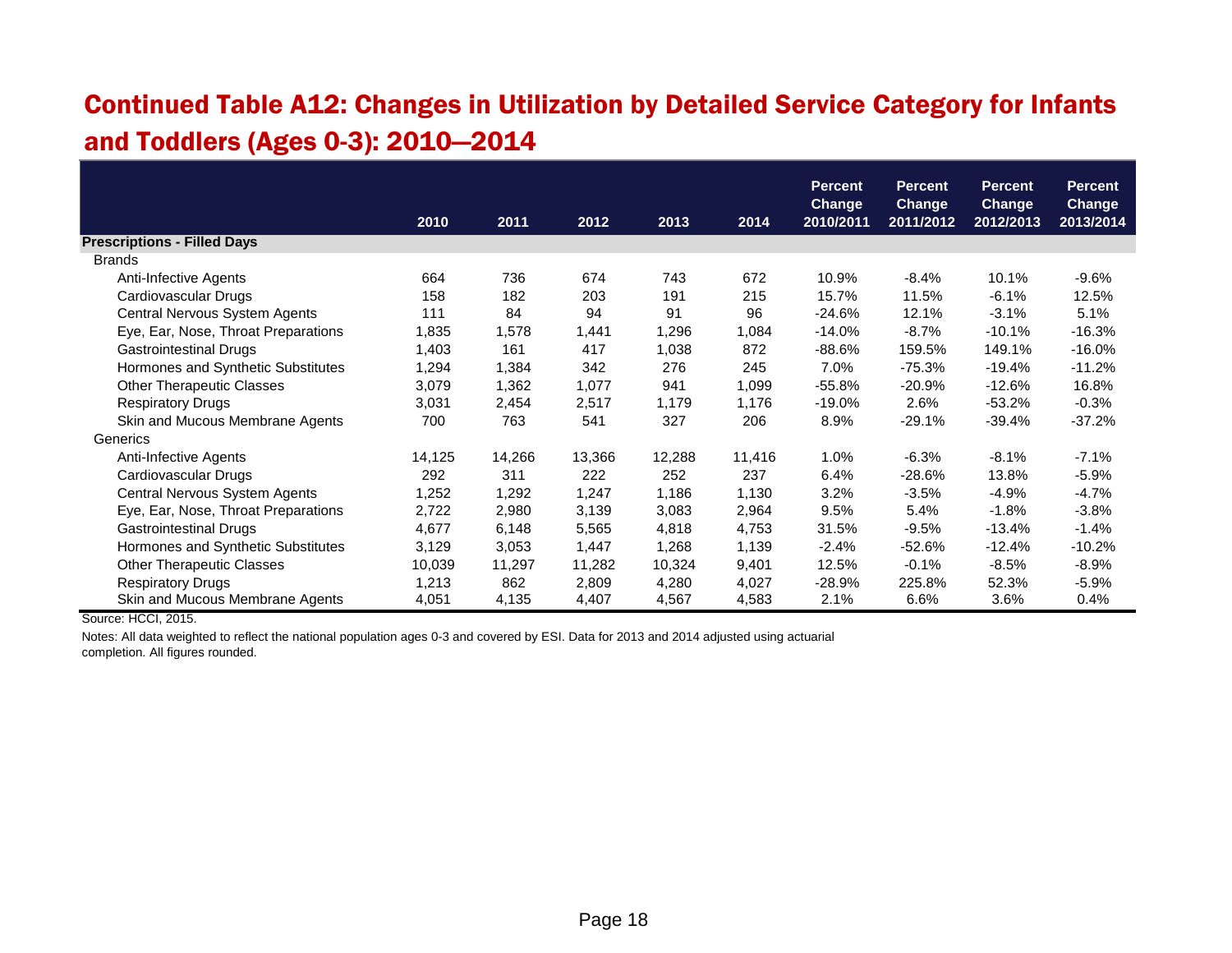# Continued Table A12: Changes in Utilization by Detailed Service Category for Infants and Toddlers (Ages 0-3): 2010—2014

|                                     |        |        |        |        |        | <b>Percent</b>             | <b>Percent</b>             | <b>Percent</b>             | <b>Percent</b>             |
|-------------------------------------|--------|--------|--------|--------|--------|----------------------------|----------------------------|----------------------------|----------------------------|
|                                     | 2010   | 2011   | 2012   | 2013   | 2014   | <b>Change</b><br>2010/2011 | <b>Change</b><br>2011/2012 | <b>Change</b><br>2012/2013 | <b>Change</b><br>2013/2014 |
| <b>Prescriptions - Filled Days</b>  |        |        |        |        |        |                            |                            |                            |                            |
| <b>Brands</b>                       |        |        |        |        |        |                            |                            |                            |                            |
| Anti-Infective Agents               | 664    | 736    | 674    | 743    | 672    | 10.9%                      | $-8.4%$                    | 10.1%                      | $-9.6\%$                   |
| Cardiovascular Drugs                | 158    | 182    | 203    | 191    | 215    | 15.7%                      | 11.5%                      | $-6.1%$                    | 12.5%                      |
| Central Nervous System Agents       | 111    | 84     | 94     | 91     | 96     | $-24.6%$                   | 12.1%                      | $-3.1%$                    | 5.1%                       |
| Eye, Ear, Nose, Throat Preparations | 1,835  | 1,578  | 1,441  | 1,296  | 1,084  | $-14.0%$                   | $-8.7%$                    | $-10.1%$                   | $-16.3%$                   |
| Gastrointestinal Drugs              | 1,403  | 161    | 417    | 1,038  | 872    | $-88.6%$                   | 159.5%                     | 149.1%                     | $-16.0%$                   |
| Hormones and Synthetic Substitutes  | 1,294  | 1,384  | 342    | 276    | 245    | 7.0%                       | $-75.3%$                   | $-19.4%$                   | $-11.2%$                   |
| <b>Other Therapeutic Classes</b>    | 3,079  | 1,362  | 1,077  | 941    | 1,099  | $-55.8%$                   | $-20.9%$                   | $-12.6%$                   | 16.8%                      |
| <b>Respiratory Drugs</b>            | 3,031  | 2,454  | 2,517  | 1,179  | 1,176  | $-19.0%$                   | 2.6%                       | $-53.2%$                   | $-0.3%$                    |
| Skin and Mucous Membrane Agents     | 700    | 763    | 541    | 327    | 206    | 8.9%                       | $-29.1%$                   | $-39.4%$                   | -37.2%                     |
| Generics                            |        |        |        |        |        |                            |                            |                            |                            |
| Anti-Infective Agents               | 14,125 | 14,266 | 13,366 | 12,288 | 11,416 | 1.0%                       | $-6.3%$                    | $-8.1%$                    | $-7.1%$                    |
| Cardiovascular Drugs                | 292    | 311    | 222    | 252    | 237    | 6.4%                       | $-28.6%$                   | 13.8%                      | $-5.9%$                    |
| Central Nervous System Agents       | 1,252  | 1,292  | 1,247  | 1,186  | 1,130  | 3.2%                       | $-3.5%$                    | $-4.9%$                    | $-4.7%$                    |
| Eye, Ear, Nose, Throat Preparations | 2,722  | 2,980  | 3,139  | 3,083  | 2,964  | 9.5%                       | 5.4%                       | $-1.8%$                    | $-3.8%$                    |
| Gastrointestinal Drugs              | 4,677  | 6,148  | 5,565  | 4,818  | 4,753  | 31.5%                      | $-9.5%$                    | $-13.4%$                   | $-1.4%$                    |
| Hormones and Synthetic Substitutes  | 3,129  | 3,053  | 1,447  | 1,268  | 1,139  | $-2.4%$                    | $-52.6%$                   | $-12.4%$                   | $-10.2%$                   |
| <b>Other Therapeutic Classes</b>    | 10,039 | 11,297 | 11,282 | 10,324 | 9,401  | 12.5%                      | $-0.1%$                    | $-8.5%$                    | $-8.9%$                    |
| <b>Respiratory Drugs</b>            | 1,213  | 862    | 2,809  | 4,280  | 4,027  | $-28.9%$                   | 225.8%                     | 52.3%                      | $-5.9%$                    |
| Skin and Mucous Membrane Agents     | 4,051  | 4,135  | 4,407  | 4,567  | 4,583  | 2.1%                       | 6.6%                       | 3.6%                       | 0.4%                       |

Source: HCCI, 2015.

Notes: All data weighted to reflect the national population ages 0-3 and covered by ESI. Data for 2013 and 2014 adjusted using actuarial completion. All figures rounded.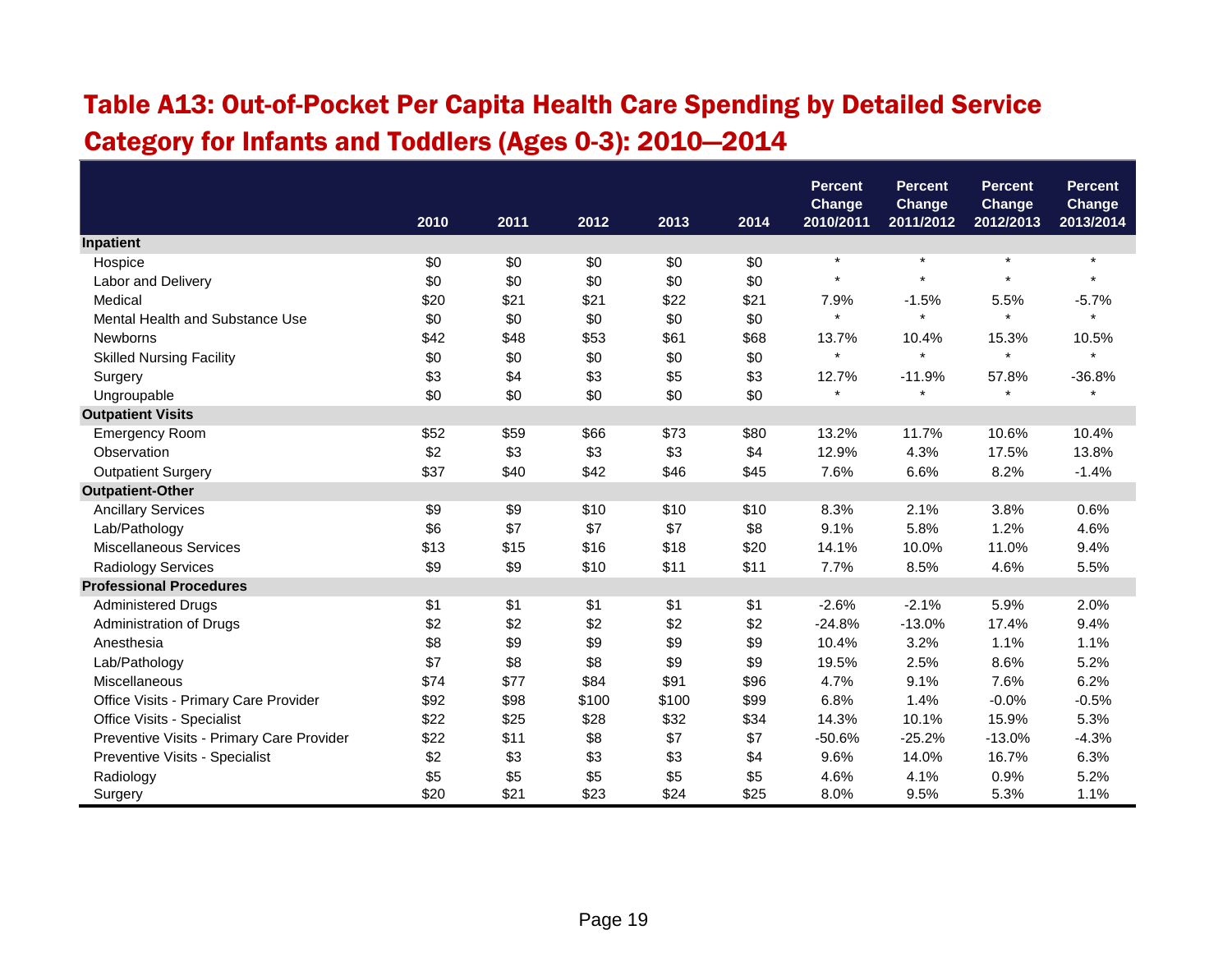## Table A13: Out-of-Pocket Per Capita Health Care Spending by Detailed Service Category for Infants and Toddlers (Ages 0-3): 2010—2014

|                                           |      |      |       |       |      | <b>Percent</b><br>Change | <b>Percent</b><br><b>Change</b> | <b>Percent</b><br><b>Change</b> | <b>Percent</b><br>Change |
|-------------------------------------------|------|------|-------|-------|------|--------------------------|---------------------------------|---------------------------------|--------------------------|
|                                           | 2010 | 2011 | 2012  | 2013  | 2014 | 2010/2011                | 2011/2012                       | 2012/2013                       | 2013/2014                |
| Inpatient                                 |      |      |       |       |      |                          |                                 |                                 |                          |
| Hospice                                   | \$0  | \$0  | \$0   | \$0   | \$0  | $\star$                  | $\star$                         | $\pmb{\ast}$                    | $\star$                  |
| Labor and Delivery                        | \$0  | \$0  | \$0   | \$0   | \$0  |                          |                                 | $\star$                         |                          |
| Medical                                   | \$20 | \$21 | \$21  | \$22  | \$21 | 7.9%                     | $-1.5%$                         | 5.5%                            | $-5.7%$                  |
| Mental Health and Substance Use           | \$0  | \$0  | \$0   | \$0   | \$0  | $\star$                  | $\star$                         | $\star$                         | $\star$                  |
| <b>Newborns</b>                           | \$42 | \$48 | \$53  | \$61  | \$68 | 13.7%                    | 10.4%                           | 15.3%                           | 10.5%                    |
| <b>Skilled Nursing Facility</b>           | \$0  | \$0  | \$0   | \$0   | \$0  |                          | $\star$                         | $\star$                         |                          |
| Surgery                                   | \$3  | \$4  | \$3   | \$5   | \$3  | 12.7%                    | $-11.9%$                        | 57.8%                           | $-36.8%$                 |
| Ungroupable                               | \$0  | \$0  | \$0   | \$0   | \$0  | $\star$                  | $\star$                         | $\star$                         | $\star$                  |
| <b>Outpatient Visits</b>                  |      |      |       |       |      |                          |                                 |                                 |                          |
| Emergency Room                            | \$52 | \$59 | \$66  | \$73  | \$80 | 13.2%                    | 11.7%                           | 10.6%                           | 10.4%                    |
| Observation                               | \$2  | \$3  | \$3   | \$3   | \$4  | 12.9%                    | 4.3%                            | 17.5%                           | 13.8%                    |
| <b>Outpatient Surgery</b>                 | \$37 | \$40 | \$42  | \$46  | \$45 | 7.6%                     | 6.6%                            | 8.2%                            | $-1.4%$                  |
| <b>Outpatient-Other</b>                   |      |      |       |       |      |                          |                                 |                                 |                          |
| <b>Ancillary Services</b>                 | \$9  | \$9  | \$10  | \$10  | \$10 | 8.3%                     | 2.1%                            | 3.8%                            | 0.6%                     |
| Lab/Pathology                             | \$6  | \$7  | \$7   | \$7   | \$8  | 9.1%                     | 5.8%                            | 1.2%                            | 4.6%                     |
| <b>Miscellaneous Services</b>             | \$13 | \$15 | \$16  | \$18  | \$20 | 14.1%                    | 10.0%                           | 11.0%                           | 9.4%                     |
| Radiology Services                        | \$9  | \$9  | \$10  | \$11  | \$11 | 7.7%                     | 8.5%                            | 4.6%                            | 5.5%                     |
| <b>Professional Procedures</b>            |      |      |       |       |      |                          |                                 |                                 |                          |
| <b>Administered Drugs</b>                 | \$1  | \$1  | \$1   | \$1   | \$1  | $-2.6%$                  | $-2.1%$                         | 5.9%                            | 2.0%                     |
| Administration of Drugs                   | \$2  | \$2  | \$2   | \$2   | \$2  | $-24.8%$                 | $-13.0%$                        | 17.4%                           | 9.4%                     |
| Anesthesia                                | \$8  | \$9  | \$9   | \$9   | \$9  | 10.4%                    | 3.2%                            | 1.1%                            | 1.1%                     |
| Lab/Pathology                             | \$7  | \$8  | \$8   | \$9   | \$9  | 19.5%                    | 2.5%                            | 8.6%                            | 5.2%                     |
| Miscellaneous                             | \$74 | \$77 | \$84  | \$91  | \$96 | 4.7%                     | 9.1%                            | 7.6%                            | 6.2%                     |
| Office Visits - Primary Care Provider     | \$92 | \$98 | \$100 | \$100 | \$99 | 6.8%                     | 1.4%                            | $-0.0%$                         | $-0.5%$                  |
| Office Visits - Specialist                | \$22 | \$25 | \$28  | \$32  | \$34 | 14.3%                    | 10.1%                           | 15.9%                           | 5.3%                     |
| Preventive Visits - Primary Care Provider | \$22 | \$11 | \$8   | \$7   | \$7  | $-50.6%$                 | $-25.2%$                        | $-13.0%$                        | $-4.3%$                  |
| Preventive Visits - Specialist            | \$2  | \$3  | \$3   | \$3   | \$4  | 9.6%                     | 14.0%                           | 16.7%                           | 6.3%                     |
| Radiology                                 | \$5  | \$5  | \$5   | \$5   | \$5  | 4.6%                     | 4.1%                            | 0.9%                            | 5.2%                     |
| Surgery                                   | \$20 | \$21 | \$23  | \$24  | \$25 | 8.0%                     | 9.5%                            | 5.3%                            | 1.1%                     |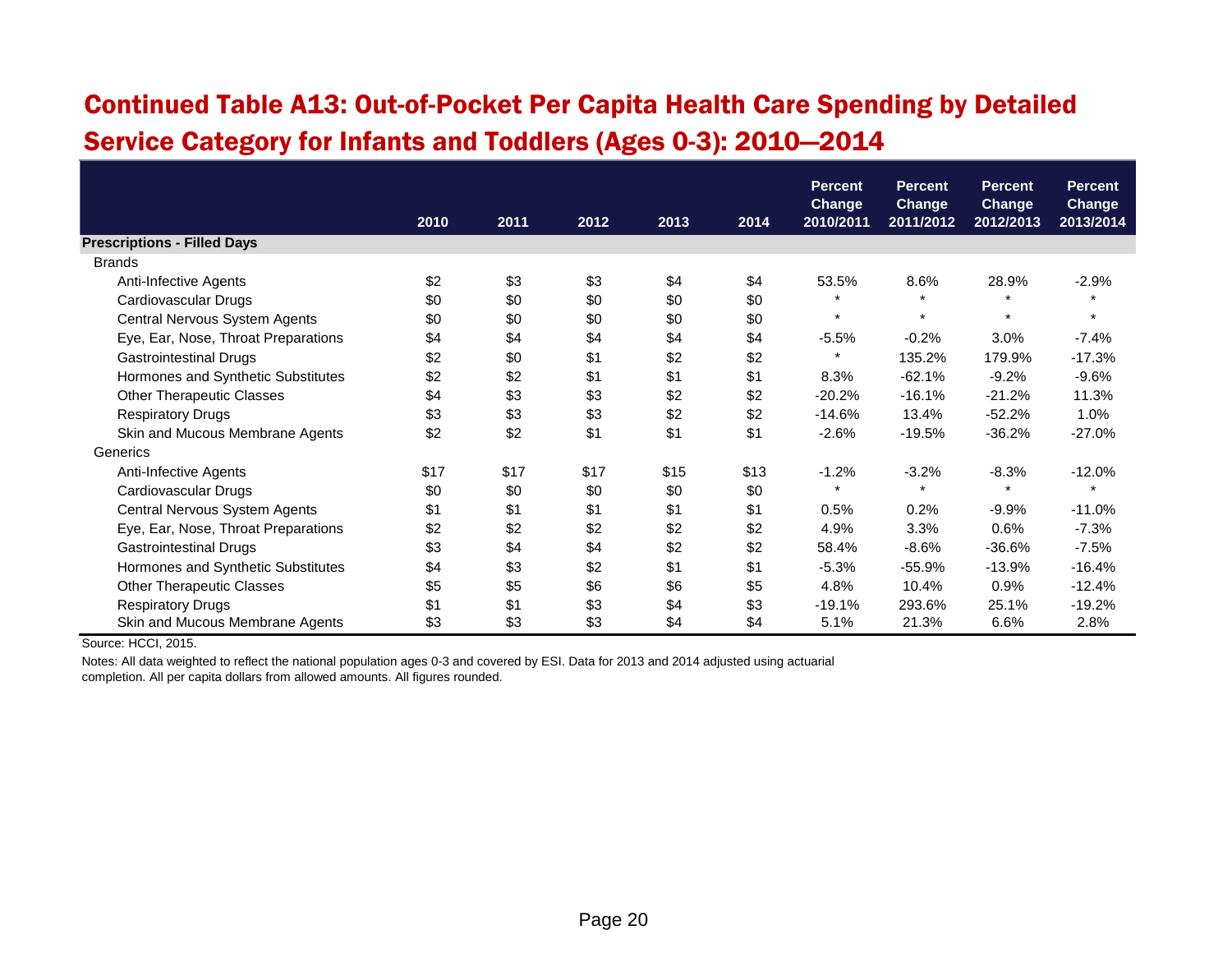#### Continued Table A13: Out-of-Pocket Per Capita Health Care Spending by Detailed Service Category for Infants and Toddlers (Ages 0-3): 2010—2014

|                                     |      |      |      |      |      | <b>Percent</b>             | <b>Percent</b>             | <b>Percent</b>             | <b>Percent</b>             |
|-------------------------------------|------|------|------|------|------|----------------------------|----------------------------|----------------------------|----------------------------|
|                                     | 2010 | 2011 | 2012 | 2013 | 2014 | <b>Change</b><br>2010/2011 | <b>Change</b><br>2011/2012 | <b>Change</b><br>2012/2013 | <b>Change</b><br>2013/2014 |
| <b>Prescriptions - Filled Days</b>  |      |      |      |      |      |                            |                            |                            |                            |
| <b>Brands</b>                       |      |      |      |      |      |                            |                            |                            |                            |
| Anti-Infective Agents               | \$2  | \$3  | \$3  | \$4  | \$4  | 53.5%                      | 8.6%                       | 28.9%                      | $-2.9%$                    |
| Cardiovascular Drugs                | \$0  | \$0  | \$0  | \$0  | \$0  |                            | $\star$                    |                            |                            |
| Central Nervous System Agents       | \$0  | \$0  | \$0  | \$0  | \$0  | $\star$                    | $\star$                    | $\star$                    | $\star$                    |
| Eye, Ear, Nose, Throat Preparations | \$4  | \$4  | \$4  | \$4  | \$4  | $-5.5%$                    | $-0.2%$                    | 3.0%                       | $-7.4%$                    |
| <b>Gastrointestinal Drugs</b>       | \$2  | \$0  | \$1  | \$2  | \$2  | $\star$                    | 135.2%                     | 179.9%                     | $-17.3%$                   |
| Hormones and Synthetic Substitutes  | \$2  | \$2  | \$1  | \$1  | \$1  | 8.3%                       | $-62.1%$                   | $-9.2%$                    | $-9.6%$                    |
| <b>Other Therapeutic Classes</b>    | \$4  | \$3  | \$3  | \$2  | \$2  | $-20.2%$                   | $-16.1%$                   | $-21.2%$                   | 11.3%                      |
| <b>Respiratory Drugs</b>            | \$3  | \$3  | \$3  | \$2  | \$2  | $-14.6%$                   | 13.4%                      | $-52.2%$                   | 1.0%                       |
| Skin and Mucous Membrane Agents     | \$2  | \$2  | \$1  | \$1  | \$1  | $-2.6%$                    | $-19.5%$                   | $-36.2%$                   | $-27.0%$                   |
| Generics                            |      |      |      |      |      |                            |                            |                            |                            |
| Anti-Infective Agents               | \$17 | \$17 | \$17 | \$15 | \$13 | $-1.2%$                    | $-3.2%$                    | $-8.3%$                    | $-12.0%$                   |
| Cardiovascular Drugs                | \$0  | \$0  | \$0  | \$0  | \$0  |                            | $\star$                    | $\ddot{\phantom{1}}$       |                            |
| Central Nervous System Agents       | \$1  | \$1  | \$1  | \$1  | \$1  | 0.5%                       | 0.2%                       | $-9.9%$                    | $-11.0%$                   |
| Eye, Ear, Nose, Throat Preparations | \$2  | \$2  | \$2  | \$2  | \$2  | 4.9%                       | 3.3%                       | 0.6%                       | $-7.3%$                    |
| <b>Gastrointestinal Drugs</b>       | \$3  | \$4  | \$4  | \$2  | \$2  | 58.4%                      | $-8.6%$                    | $-36.6%$                   | $-7.5%$                    |
| Hormones and Synthetic Substitutes  | \$4  | \$3  | \$2  | \$1  | \$1  | $-5.3%$                    | $-55.9%$                   | $-13.9%$                   | $-16.4%$                   |
| <b>Other Therapeutic Classes</b>    | \$5  | \$5  | \$6  | \$6  | \$5  | 4.8%                       | 10.4%                      | 0.9%                       | $-12.4%$                   |
| <b>Respiratory Drugs</b>            | \$1  | \$1  | \$3  | \$4  | \$3  | $-19.1%$                   | 293.6%                     | 25.1%                      | $-19.2%$                   |
| Skin and Mucous Membrane Agents     | \$3  | \$3  | \$3  | \$4  | \$4  | 5.1%                       | 21.3%                      | 6.6%                       | 2.8%                       |

Source: HCCI, 2015.

Notes: All data weighted to reflect the national population ages 0-3 and covered by ESI. Data for 2013 and 2014 adjusted using actuarial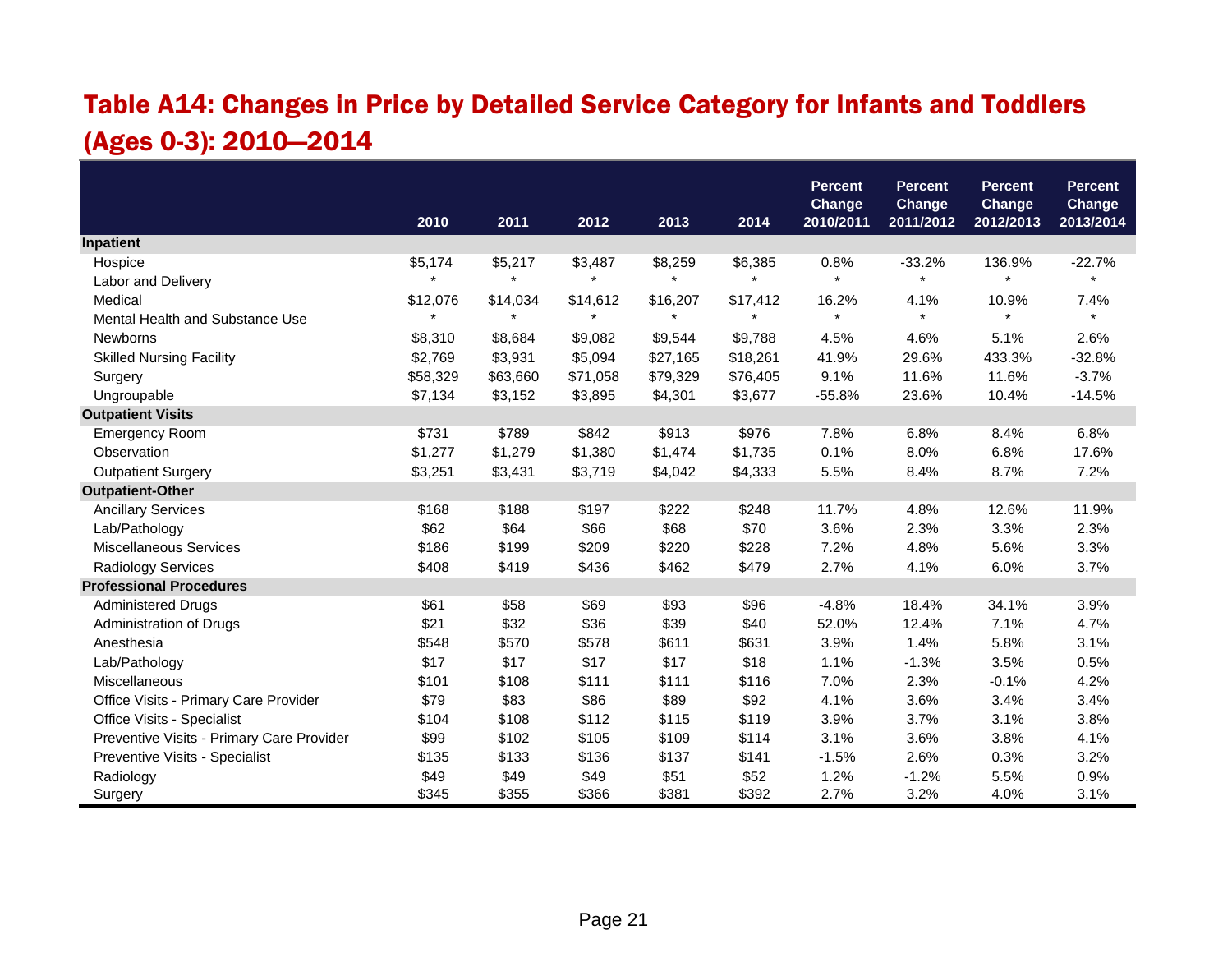# Table A14: Changes in Price by Detailed Service Category for Infants and Toddlers (Ages 0-3): 2010—2014

|                                           |          |          |          |          |          | <b>Percent</b>             | <b>Percent</b>             | <b>Percent</b>             | <b>Percent</b>             |
|-------------------------------------------|----------|----------|----------|----------|----------|----------------------------|----------------------------|----------------------------|----------------------------|
|                                           | 2010     | 2011     | 2012     | 2013     | 2014     | <b>Change</b><br>2010/2011 | <b>Change</b><br>2011/2012 | <b>Change</b><br>2012/2013 | <b>Change</b><br>2013/2014 |
| Inpatient                                 |          |          |          |          |          |                            |                            |                            |                            |
| Hospice                                   | \$5,174  | \$5,217  | \$3,487  | \$8,259  | \$6,385  | 0.8%                       | $-33.2%$                   | 136.9%                     | $-22.7%$                   |
| Labor and Delivery                        | $\star$  | $\star$  | $\star$  | $\star$  | $\star$  | $\pmb{\star}$              | $\star$                    | $\star$                    | $\star$                    |
| Medical                                   | \$12,076 | \$14,034 | \$14,612 | \$16,207 | \$17,412 | 16.2%                      | 4.1%                       | 10.9%                      | 7.4%                       |
| Mental Health and Substance Use           |          |          | $\star$  |          |          | $\star$                    | $\star$                    |                            |                            |
| <b>Newborns</b>                           | \$8,310  | \$8,684  | \$9,082  | \$9,544  | \$9,788  | 4.5%                       | 4.6%                       | 5.1%                       | 2.6%                       |
| <b>Skilled Nursing Facility</b>           | \$2,769  | \$3,931  | \$5,094  | \$27,165 | \$18,261 | 41.9%                      | 29.6%                      | 433.3%                     | $-32.8%$                   |
| Surgery                                   | \$58,329 | \$63,660 | \$71,058 | \$79,329 | \$76,405 | 9.1%                       | 11.6%                      | 11.6%                      | $-3.7%$                    |
| Ungroupable                               | \$7,134  | \$3,152  | \$3,895  | \$4,301  | \$3,677  | $-55.8%$                   | 23.6%                      | 10.4%                      | $-14.5%$                   |
| <b>Outpatient Visits</b>                  |          |          |          |          |          |                            |                            |                            |                            |
| <b>Emergency Room</b>                     | \$731    | \$789    | \$842    | \$913    | \$976    | 7.8%                       | 6.8%                       | 8.4%                       | 6.8%                       |
| Observation                               | \$1,277  | \$1,279  | \$1,380  | \$1,474  | \$1,735  | 0.1%                       | 8.0%                       | 6.8%                       | 17.6%                      |
| <b>Outpatient Surgery</b>                 | \$3,251  | \$3,431  | \$3,719  | \$4,042  | \$4,333  | 5.5%                       | 8.4%                       | 8.7%                       | 7.2%                       |
| <b>Outpatient-Other</b>                   |          |          |          |          |          |                            |                            |                            |                            |
| <b>Ancillary Services</b>                 | \$168    | \$188    | \$197    | \$222    | \$248    | 11.7%                      | 4.8%                       | 12.6%                      | 11.9%                      |
| Lab/Pathology                             | \$62     | \$64     | \$66     | \$68     | \$70     | 3.6%                       | 2.3%                       | 3.3%                       | 2.3%                       |
| <b>Miscellaneous Services</b>             | \$186    | \$199    | \$209    | \$220    | \$228    | 7.2%                       | 4.8%                       | 5.6%                       | 3.3%                       |
| <b>Radiology Services</b>                 | \$408    | \$419    | \$436    | \$462    | \$479    | 2.7%                       | 4.1%                       | 6.0%                       | 3.7%                       |
| <b>Professional Procedures</b>            |          |          |          |          |          |                            |                            |                            |                            |
| <b>Administered Drugs</b>                 | \$61     | \$58     | \$69     | \$93     | \$96     | $-4.8%$                    | 18.4%                      | 34.1%                      | 3.9%                       |
| Administration of Drugs                   | \$21     | \$32     | \$36     | \$39     | \$40     | 52.0%                      | 12.4%                      | 7.1%                       | 4.7%                       |
| Anesthesia                                | \$548    | \$570    | \$578    | \$611    | \$631    | 3.9%                       | 1.4%                       | 5.8%                       | 3.1%                       |
| Lab/Pathology                             | \$17     | \$17     | \$17     | \$17     | \$18     | 1.1%                       | $-1.3%$                    | 3.5%                       | 0.5%                       |
| Miscellaneous                             | \$101    | \$108    | \$111    | \$111    | \$116    | 7.0%                       | 2.3%                       | $-0.1%$                    | 4.2%                       |
| Office Visits - Primary Care Provider     | \$79     | \$83     | \$86     | \$89     | \$92     | 4.1%                       | 3.6%                       | 3.4%                       | 3.4%                       |
| Office Visits - Specialist                | \$104    | \$108    | \$112    | \$115    | \$119    | 3.9%                       | 3.7%                       | 3.1%                       | 3.8%                       |
| Preventive Visits - Primary Care Provider | \$99     | \$102    | \$105    | \$109    | \$114    | 3.1%                       | 3.6%                       | 3.8%                       | 4.1%                       |
| Preventive Visits - Specialist            | \$135    | \$133    | \$136    | \$137    | \$141    | $-1.5%$                    | 2.6%                       | 0.3%                       | 3.2%                       |
| Radiology                                 | \$49     | \$49     | \$49     | \$51     | \$52     | 1.2%                       | $-1.2%$                    | 5.5%                       | 0.9%                       |
| Surgery                                   | \$345    | \$355    | \$366    | \$381    | \$392    | 2.7%                       | 3.2%                       | 4.0%                       | 3.1%                       |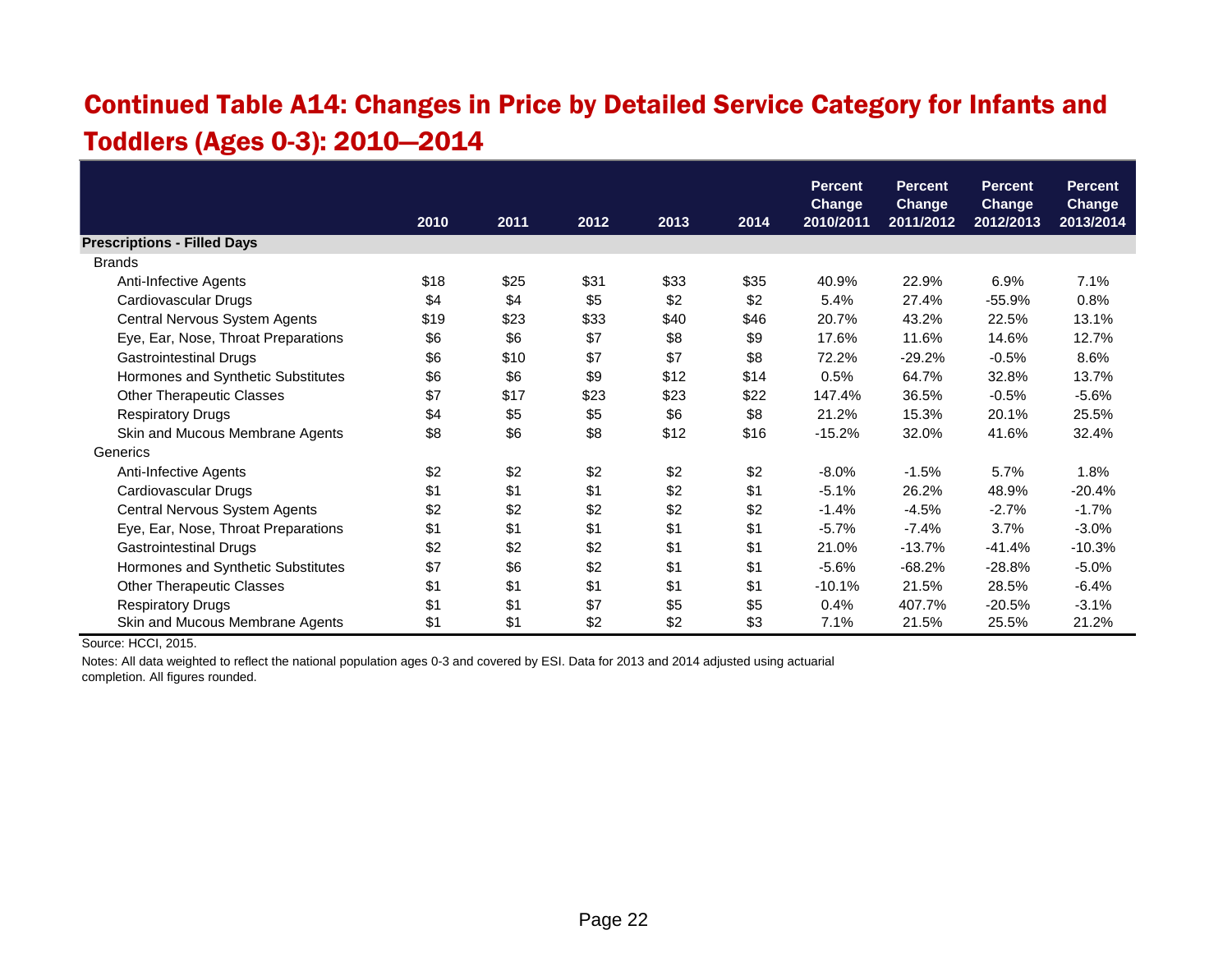# Continued Table A14: Changes in Price by Detailed Service Category for Infants and Toddlers (Ages 0-3): 2010—2014

|                                     |      |      |      |      |      | <b>Percent</b>             | <b>Percent</b>             | <b>Percent</b>             | <b>Percent</b>      |
|-------------------------------------|------|------|------|------|------|----------------------------|----------------------------|----------------------------|---------------------|
|                                     | 2010 | 2011 | 2012 | 2013 | 2014 | <b>Change</b><br>2010/2011 | <b>Change</b><br>2011/2012 | <b>Change</b><br>2012/2013 | Change<br>2013/2014 |
| <b>Prescriptions - Filled Days</b>  |      |      |      |      |      |                            |                            |                            |                     |
| <b>Brands</b>                       |      |      |      |      |      |                            |                            |                            |                     |
| Anti-Infective Agents               | \$18 | \$25 | \$31 | \$33 | \$35 | 40.9%                      | 22.9%                      | 6.9%                       | 7.1%                |
| Cardiovascular Drugs                | \$4  | \$4  | \$5  | \$2  | \$2  | 5.4%                       | 27.4%                      | $-55.9%$                   | 0.8%                |
| Central Nervous System Agents       | \$19 | \$23 | \$33 | \$40 | \$46 | 20.7%                      | 43.2%                      | 22.5%                      | 13.1%               |
| Eye, Ear, Nose, Throat Preparations | \$6  | \$6  | \$7  | \$8  | \$9  | 17.6%                      | 11.6%                      | 14.6%                      | 12.7%               |
| <b>Gastrointestinal Drugs</b>       | \$6  | \$10 | \$7  | \$7  | \$8  | 72.2%                      | $-29.2%$                   | $-0.5%$                    | 8.6%                |
| Hormones and Synthetic Substitutes  | \$6  | \$6  | \$9  | \$12 | \$14 | 0.5%                       | 64.7%                      | 32.8%                      | 13.7%               |
| <b>Other Therapeutic Classes</b>    | \$7  | \$17 | \$23 | \$23 | \$22 | 147.4%                     | 36.5%                      | $-0.5%$                    | $-5.6%$             |
| <b>Respiratory Drugs</b>            | \$4  | \$5  | \$5  | \$6  | \$8  | 21.2%                      | 15.3%                      | 20.1%                      | 25.5%               |
| Skin and Mucous Membrane Agents     | \$8  | \$6  | \$8  | \$12 | \$16 | $-15.2%$                   | 32.0%                      | 41.6%                      | 32.4%               |
| Generics                            |      |      |      |      |      |                            |                            |                            |                     |
| Anti-Infective Agents               | \$2  | \$2  | \$2  | \$2  | \$2  | $-8.0\%$                   | $-1.5%$                    | 5.7%                       | 1.8%                |
| Cardiovascular Drugs                | \$1  | \$1  | \$1  | \$2  | \$1  | $-5.1%$                    | 26.2%                      | 48.9%                      | $-20.4%$            |
| Central Nervous System Agents       | \$2  | \$2  | \$2  | \$2  | \$2  | $-1.4%$                    | $-4.5%$                    | $-2.7%$                    | $-1.7%$             |
| Eye, Ear, Nose, Throat Preparations | \$1  | \$1  | \$1  | \$1  | \$1  | $-5.7%$                    | $-7.4%$                    | 3.7%                       | $-3.0%$             |
| <b>Gastrointestinal Drugs</b>       | \$2  | \$2  | \$2  | \$1  | \$1  | 21.0%                      | $-13.7%$                   | $-41.4%$                   | $-10.3%$            |
| Hormones and Synthetic Substitutes  | \$7  | \$6  | \$2  | \$1  | \$1  | $-5.6%$                    | $-68.2%$                   | $-28.8%$                   | $-5.0%$             |
| <b>Other Therapeutic Classes</b>    | \$1  | \$1  | \$1  | \$1  | \$1  | $-10.1%$                   | 21.5%                      | 28.5%                      | $-6.4%$             |
| <b>Respiratory Drugs</b>            | \$1  | \$1  | \$7  | \$5  | \$5  | 0.4%                       | 407.7%                     | $-20.5%$                   | $-3.1%$             |
| Skin and Mucous Membrane Agents     | \$1  | \$1  | \$2  | \$2  | \$3  | 7.1%                       | 21.5%                      | 25.5%                      | 21.2%               |

Source: HCCI, 2015.

Notes: All data weighted to reflect the national population ages 0-3 and covered by ESI. Data for 2013 and 2014 adjusted using actuarial

completion. All figures rounded.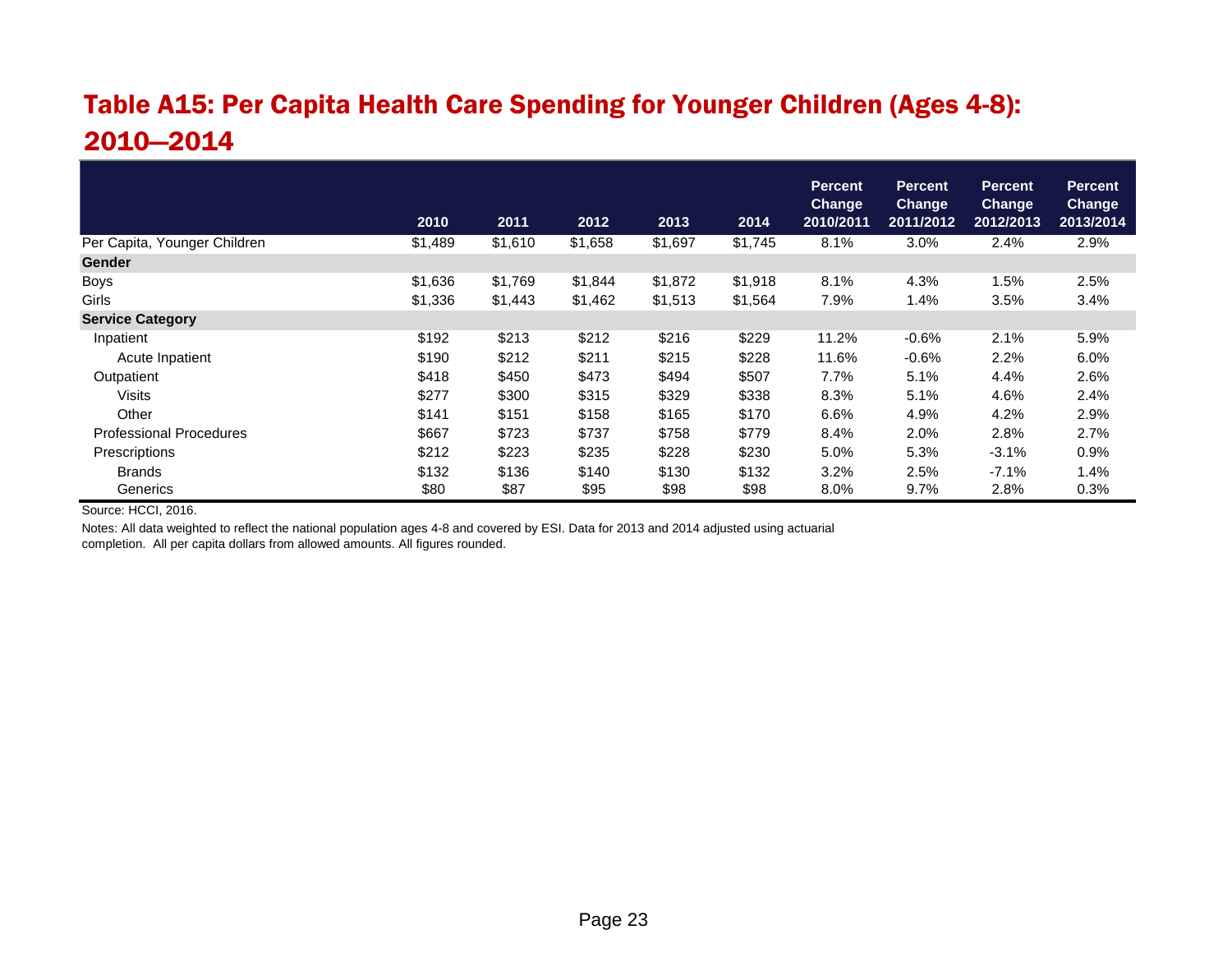# Table A15: Per Capita Health Care Spending for Younger Children (Ages 4-8): 2010—2014

|                                |         |         |         |         |         | <b>Percent</b><br><b>Change</b> | <b>Percent</b><br><b>Change</b> | <b>Percent</b><br><b>Change</b> | <b>Percent</b><br><b>Change</b> |
|--------------------------------|---------|---------|---------|---------|---------|---------------------------------|---------------------------------|---------------------------------|---------------------------------|
|                                | 2010    | 2011    | 2012    | 2013    | 2014    | 2010/2011                       | 2011/2012                       | 2012/2013                       | 2013/2014                       |
| Per Capita, Younger Children   | \$1,489 | \$1,610 | \$1,658 | \$1,697 | \$1,745 | 8.1%                            | 3.0%                            | 2.4%                            | 2.9%                            |
| <b>Gender</b>                  |         |         |         |         |         |                                 |                                 |                                 |                                 |
| <b>Boys</b>                    | \$1,636 | \$1,769 | \$1,844 | \$1,872 | \$1,918 | 8.1%                            | 4.3%                            | 1.5%                            | 2.5%                            |
| Girls                          | \$1,336 | \$1,443 | \$1,462 | \$1,513 | \$1,564 | 7.9%                            | 1.4%                            | 3.5%                            | 3.4%                            |
| <b>Service Category</b>        |         |         |         |         |         |                                 |                                 |                                 |                                 |
| Inpatient                      | \$192   | \$213   | \$212   | \$216   | \$229   | 11.2%                           | $-0.6%$                         | 2.1%                            | 5.9%                            |
| Acute Inpatient                | \$190   | \$212   | \$211   | \$215   | \$228   | 11.6%                           | $-0.6%$                         | 2.2%                            | 6.0%                            |
| Outpatient                     | \$418   | \$450   | \$473   | \$494   | \$507   | 7.7%                            | 5.1%                            | 4.4%                            | 2.6%                            |
| Visits                         | \$277   | \$300   | \$315   | \$329   | \$338   | 8.3%                            | 5.1%                            | 4.6%                            | 2.4%                            |
| Other                          | \$141   | \$151   | \$158   | \$165   | \$170   | 6.6%                            | 4.9%                            | 4.2%                            | 2.9%                            |
| <b>Professional Procedures</b> | \$667   | \$723   | \$737   | \$758   | \$779   | 8.4%                            | 2.0%                            | 2.8%                            | 2.7%                            |
| Prescriptions                  | \$212   | \$223   | \$235   | \$228   | \$230   | 5.0%                            | 5.3%                            | $-3.1%$                         | 0.9%                            |
| <b>Brands</b>                  | \$132   | \$136   | \$140   | \$130   | \$132   | 3.2%                            | 2.5%                            | $-7.1%$                         | 1.4%                            |
| Generics                       | \$80    | \$87    | \$95    | \$98    | \$98    | 8.0%                            | 9.7%                            | 2.8%                            | 0.3%                            |

Source: HCCI, 2016.

Notes: All data weighted to reflect the national population ages 4-8 and covered by ESI. Data for 2013 and 2014 adjusted using actuarial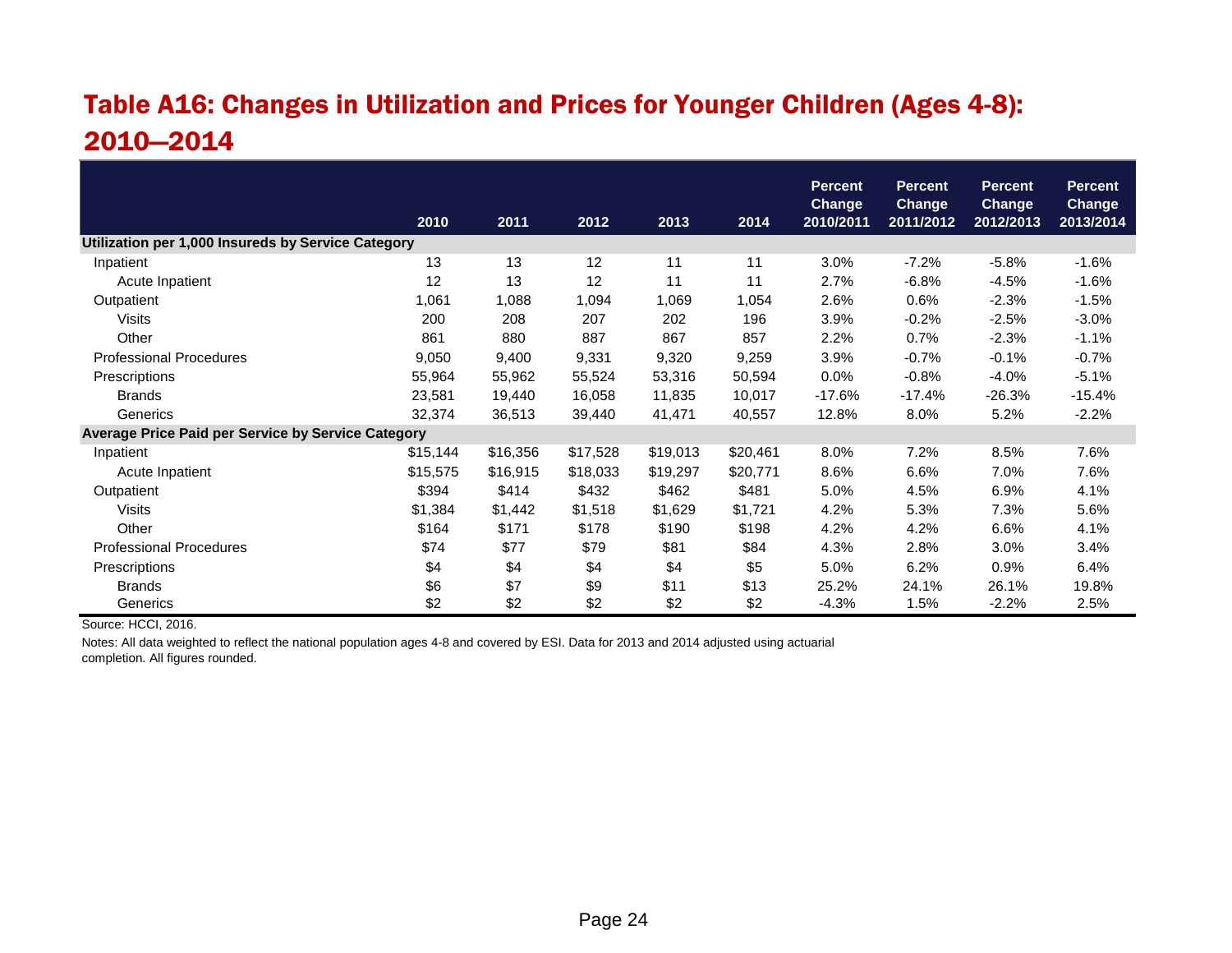# Table A16: Changes in Utilization and Prices for Younger Children (Ages 4-8): 2010—2014

|                                                    | 2010     | 2011     | 2012     | 2013     | 2014     | <b>Percent</b><br><b>Change</b><br>2010/2011 | <b>Percent</b><br><b>Change</b><br>2011/2012 | <b>Percent</b><br><b>Change</b><br>2012/2013 | <b>Percent</b><br><b>Change</b><br>2013/2014 |
|----------------------------------------------------|----------|----------|----------|----------|----------|----------------------------------------------|----------------------------------------------|----------------------------------------------|----------------------------------------------|
| Utilization per 1,000 Insureds by Service Category |          |          |          |          |          |                                              |                                              |                                              |                                              |
| Inpatient                                          | 13       | 13       | 12       | 11       | 11       | 3.0%                                         | $-7.2%$                                      | $-5.8%$                                      | $-1.6%$                                      |
| Acute Inpatient                                    | 12       | 13       | 12       | 11       | 11       | 2.7%                                         | $-6.8%$                                      | $-4.5%$                                      | $-1.6%$                                      |
| Outpatient                                         | 1,061    | 1,088    | 1,094    | 1,069    | 1,054    | 2.6%                                         | 0.6%                                         | $-2.3%$                                      | $-1.5%$                                      |
| Visits                                             | 200      | 208      | 207      | 202      | 196      | 3.9%                                         | $-0.2%$                                      | $-2.5%$                                      | $-3.0%$                                      |
| Other                                              | 861      | 880      | 887      | 867      | 857      | 2.2%                                         | 0.7%                                         | $-2.3%$                                      | $-1.1%$                                      |
| <b>Professional Procedures</b>                     | 9,050    | 9,400    | 9,331    | 9,320    | 9,259    | 3.9%                                         | $-0.7%$                                      | $-0.1%$                                      | $-0.7%$                                      |
| Prescriptions                                      | 55,964   | 55,962   | 55,524   | 53,316   | 50,594   | 0.0%                                         | $-0.8%$                                      | $-4.0%$                                      | $-5.1%$                                      |
| <b>Brands</b>                                      | 23,581   | 19,440   | 16,058   | 11,835   | 10,017   | $-17.6%$                                     | $-17.4%$                                     | $-26.3%$                                     | $-15.4%$                                     |
| Generics                                           | 32,374   | 36,513   | 39,440   | 41,471   | 40,557   | 12.8%                                        | 8.0%                                         | 5.2%                                         | $-2.2%$                                      |
| Average Price Paid per Service by Service Category |          |          |          |          |          |                                              |                                              |                                              |                                              |
| Inpatient                                          | \$15,144 | \$16,356 | \$17,528 | \$19,013 | \$20,461 | 8.0%                                         | 7.2%                                         | 8.5%                                         | 7.6%                                         |
| Acute Inpatient                                    | \$15,575 | \$16,915 | \$18,033 | \$19,297 | \$20,771 | 8.6%                                         | 6.6%                                         | 7.0%                                         | 7.6%                                         |
| Outpatient                                         | \$394    | \$414    | \$432    | \$462    | \$481    | 5.0%                                         | 4.5%                                         | 6.9%                                         | 4.1%                                         |
| Visits                                             | \$1,384  | \$1,442  | \$1,518  | \$1,629  | \$1,721  | 4.2%                                         | 5.3%                                         | 7.3%                                         | 5.6%                                         |
| Other                                              | \$164    | \$171    | \$178    | \$190    | \$198    | 4.2%                                         | 4.2%                                         | 6.6%                                         | 4.1%                                         |
| <b>Professional Procedures</b>                     | \$74     | \$77     | \$79     | \$81     | \$84     | 4.3%                                         | 2.8%                                         | 3.0%                                         | 3.4%                                         |
| Prescriptions                                      | \$4      | \$4      | \$4      | \$4      | \$5      | 5.0%                                         | 6.2%                                         | 0.9%                                         | 6.4%                                         |
| <b>Brands</b>                                      | \$6      | \$7      | \$9      | \$11     | \$13     | 25.2%                                        | 24.1%                                        | 26.1%                                        | 19.8%                                        |
| Generics                                           | \$2      | \$2      | \$2      | \$2      | \$2      | $-4.3%$                                      | 1.5%                                         | $-2.2%$                                      | 2.5%                                         |

Source: HCCI, 2016.

Notes: All data weighted to reflect the national population ages 4-8 and covered by ESI. Data for 2013 and 2014 adjusted using actuarial completion. All figures rounded.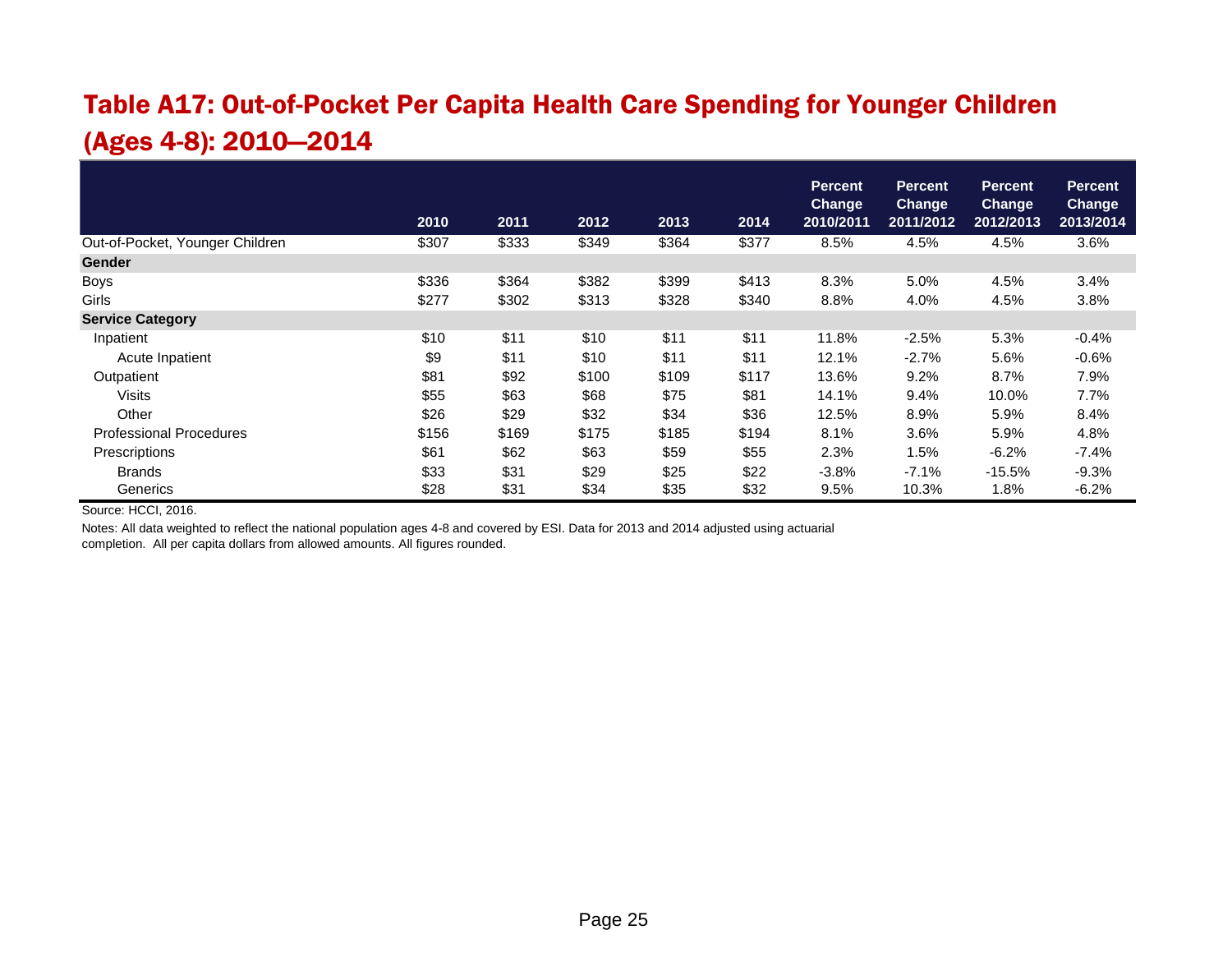# Table A17: Out-of-Pocket Per Capita Health Care Spending for Younger Children (Ages 4-8): 2010—2014

|                                 | 2010  | 2011  | 2012  | 2013  | 2014  | <b>Percent</b><br><b>Change</b><br>2010/2011 | <b>Percent</b><br><b>Change</b><br>2011/2012 | <b>Percent</b><br>Change<br>2012/2013 | <b>Percent</b><br><b>Change</b><br>2013/2014 |
|---------------------------------|-------|-------|-------|-------|-------|----------------------------------------------|----------------------------------------------|---------------------------------------|----------------------------------------------|
| Out-of-Pocket, Younger Children | \$307 | \$333 | \$349 | \$364 | \$377 | 8.5%                                         | 4.5%                                         | 4.5%                                  | 3.6%                                         |
|                                 |       |       |       |       |       |                                              |                                              |                                       |                                              |
| <b>Gender</b>                   |       |       |       |       |       |                                              |                                              |                                       |                                              |
| <b>Boys</b>                     | \$336 | \$364 | \$382 | \$399 | \$413 | 8.3%                                         | 5.0%                                         | 4.5%                                  | 3.4%                                         |
| Girls                           | \$277 | \$302 | \$313 | \$328 | \$340 | 8.8%                                         | 4.0%                                         | 4.5%                                  | 3.8%                                         |
| <b>Service Category</b>         |       |       |       |       |       |                                              |                                              |                                       |                                              |
| Inpatient                       | \$10  | \$11  | \$10  | \$11  | \$11  | 11.8%                                        | $-2.5%$                                      | 5.3%                                  | $-0.4%$                                      |
| Acute Inpatient                 | \$9   | \$11  | \$10  | \$11  | \$11  | 12.1%                                        | $-2.7%$                                      | 5.6%                                  | $-0.6%$                                      |
| Outpatient                      | \$81  | \$92  | \$100 | \$109 | \$117 | 13.6%                                        | 9.2%                                         | 8.7%                                  | 7.9%                                         |
| Visits                          | \$55  | \$63  | \$68  | \$75  | \$81  | 14.1%                                        | 9.4%                                         | 10.0%                                 | 7.7%                                         |
| Other                           | \$26  | \$29  | \$32  | \$34  | \$36  | 12.5%                                        | 8.9%                                         | 5.9%                                  | 8.4%                                         |
| <b>Professional Procedures</b>  | \$156 | \$169 | \$175 | \$185 | \$194 | 8.1%                                         | 3.6%                                         | 5.9%                                  | 4.8%                                         |
| Prescriptions                   | \$61  | \$62  | \$63  | \$59  | \$55  | 2.3%                                         | 1.5%                                         | $-6.2%$                               | $-7.4%$                                      |
| <b>Brands</b>                   | \$33  | \$31  | \$29  | \$25  | \$22  | $-3.8%$                                      | $-7.1%$                                      | $-15.5%$                              | $-9.3%$                                      |
| Generics                        | \$28  | \$31  | \$34  | \$35  | \$32  | 9.5%                                         | 10.3%                                        | 1.8%                                  | $-6.2%$                                      |

Source: HCCI, 2016.

Notes: All data weighted to reflect the national population ages 4-8 and covered by ESI. Data for 2013 and 2014 adjusted using actuarial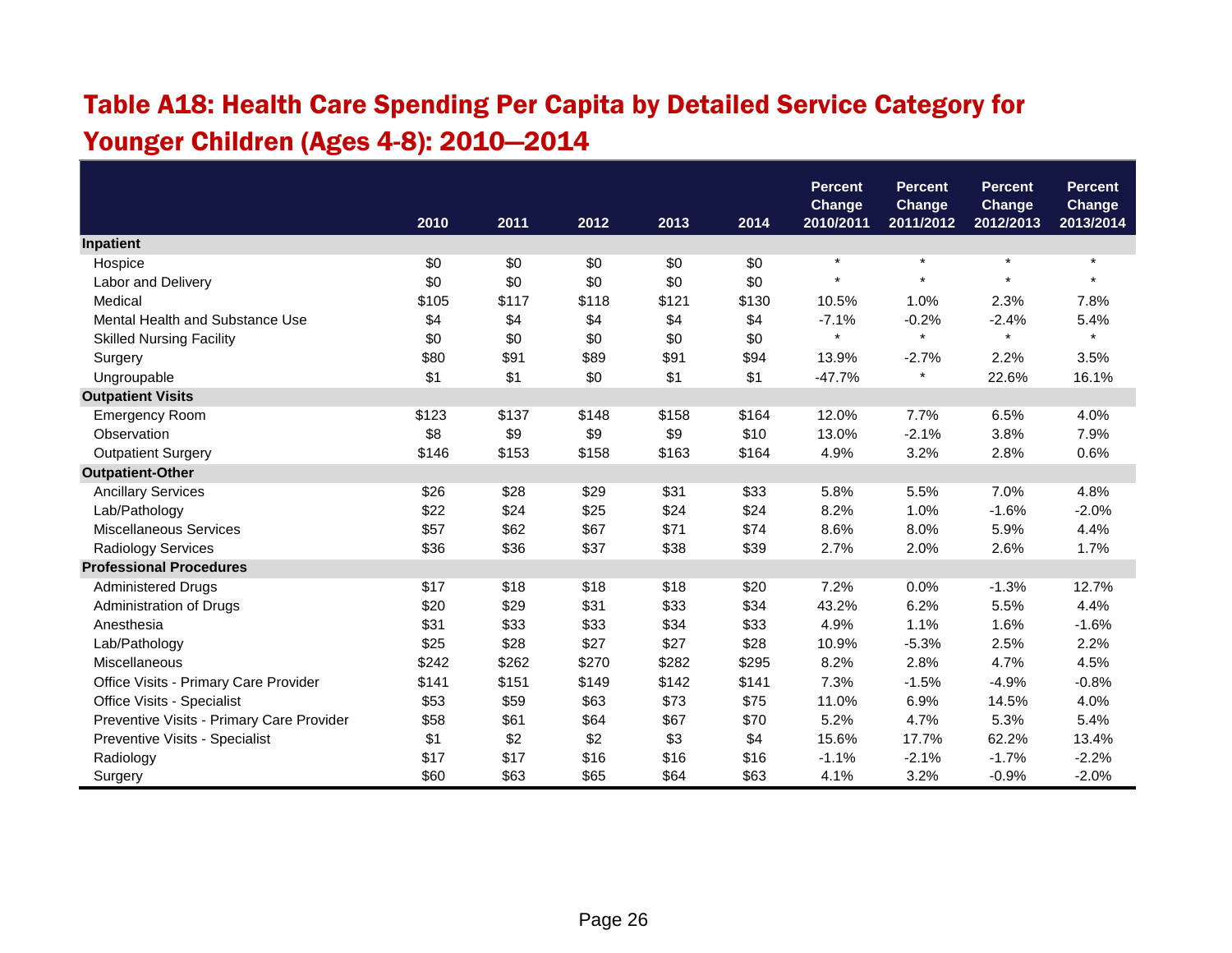# Table A18: Health Care Spending Per Capita by Detailed Service Category for Younger Children (Ages 4-8): 2010—2014

|                                           |       |       |       |       |       | <b>Percent</b><br>Change | <b>Percent</b>             | <b>Percent</b><br>Change | <b>Percent</b><br><b>Change</b> |
|-------------------------------------------|-------|-------|-------|-------|-------|--------------------------|----------------------------|--------------------------|---------------------------------|
|                                           | 2010  | 2011  | 2012  | 2013  | 2014  | 2010/2011                | <b>Change</b><br>2011/2012 | 2012/2013                | 2013/2014                       |
| <b>Inpatient</b>                          |       |       |       |       |       |                          |                            |                          |                                 |
| Hospice                                   | \$0   | \$0   | \$0   | \$0   | \$0   | $\star$                  | $\star$                    | $\star$                  | $\star$                         |
| Labor and Delivery                        | \$0   | \$0   | \$0   | \$0   | \$0   |                          | $\star$                    |                          |                                 |
| Medical                                   | \$105 | \$117 | \$118 | \$121 | \$130 | 10.5%                    | 1.0%                       | 2.3%                     | 7.8%                            |
| Mental Health and Substance Use           | \$4   | \$4   | \$4   | \$4   | \$4   | $-7.1%$                  | $-0.2%$                    | $-2.4%$                  | 5.4%                            |
| <b>Skilled Nursing Facility</b>           | \$0   | \$0   | \$0   | \$0   | \$0   | $\star$                  | $\star$                    | $\star$                  | $\star$                         |
| Surgery                                   | \$80  | \$91  | \$89  | \$91  | \$94  | 13.9%                    | $-2.7%$                    | 2.2%                     | 3.5%                            |
| Ungroupable                               | \$1   | \$1   | \$0   | \$1   | \$1   | $-47.7%$                 | $\star$                    | 22.6%                    | 16.1%                           |
| <b>Outpatient Visits</b>                  |       |       |       |       |       |                          |                            |                          |                                 |
| <b>Emergency Room</b>                     | \$123 | \$137 | \$148 | \$158 | \$164 | 12.0%                    | 7.7%                       | 6.5%                     | 4.0%                            |
| Observation                               | \$8   | \$9   | \$9   | \$9   | \$10  | 13.0%                    | $-2.1%$                    | 3.8%                     | 7.9%                            |
| <b>Outpatient Surgery</b>                 | \$146 | \$153 | \$158 | \$163 | \$164 | 4.9%                     | 3.2%                       | 2.8%                     | 0.6%                            |
| <b>Outpatient-Other</b>                   |       |       |       |       |       |                          |                            |                          |                                 |
| <b>Ancillary Services</b>                 | \$26  | \$28  | \$29  | \$31  | \$33  | 5.8%                     | 5.5%                       | 7.0%                     | 4.8%                            |
| Lab/Pathology                             | \$22  | \$24  | \$25  | \$24  | \$24  | 8.2%                     | 1.0%                       | $-1.6%$                  | $-2.0%$                         |
| Miscellaneous Services                    | \$57  | \$62  | \$67  | \$71  | \$74  | 8.6%                     | 8.0%                       | 5.9%                     | 4.4%                            |
| <b>Radiology Services</b>                 | \$36  | \$36  | \$37  | \$38  | \$39  | 2.7%                     | 2.0%                       | 2.6%                     | 1.7%                            |
| <b>Professional Procedures</b>            |       |       |       |       |       |                          |                            |                          |                                 |
| <b>Administered Drugs</b>                 | \$17  | \$18  | \$18  | \$18  | \$20  | 7.2%                     | 0.0%                       | $-1.3%$                  | 12.7%                           |
| Administration of Drugs                   | \$20  | \$29  | \$31  | \$33  | \$34  | 43.2%                    | 6.2%                       | 5.5%                     | 4.4%                            |
| Anesthesia                                | \$31  | \$33  | \$33  | \$34  | \$33  | 4.9%                     | 1.1%                       | 1.6%                     | $-1.6%$                         |
| Lab/Pathology                             | \$25  | \$28  | \$27  | \$27  | \$28  | 10.9%                    | $-5.3%$                    | 2.5%                     | 2.2%                            |
| Miscellaneous                             | \$242 | \$262 | \$270 | \$282 | \$295 | 8.2%                     | 2.8%                       | 4.7%                     | 4.5%                            |
| Office Visits - Primary Care Provider     | \$141 | \$151 | \$149 | \$142 | \$141 | 7.3%                     | $-1.5%$                    | $-4.9%$                  | $-0.8%$                         |
| Office Visits - Specialist                | \$53  | \$59  | \$63  | \$73  | \$75  | 11.0%                    | 6.9%                       | 14.5%                    | 4.0%                            |
| Preventive Visits - Primary Care Provider | \$58  | \$61  | \$64  | \$67  | \$70  | 5.2%                     | 4.7%                       | 5.3%                     | 5.4%                            |
| Preventive Visits - Specialist            | \$1   | \$2   | \$2   | \$3   | \$4   | 15.6%                    | 17.7%                      | 62.2%                    | 13.4%                           |
| Radiology                                 | \$17  | \$17  | \$16  | \$16  | \$16  | $-1.1%$                  | $-2.1%$                    | $-1.7%$                  | $-2.2%$                         |
| Surgery                                   | \$60  | \$63  | \$65  | \$64  | \$63  | 4.1%                     | 3.2%                       | $-0.9%$                  | $-2.0%$                         |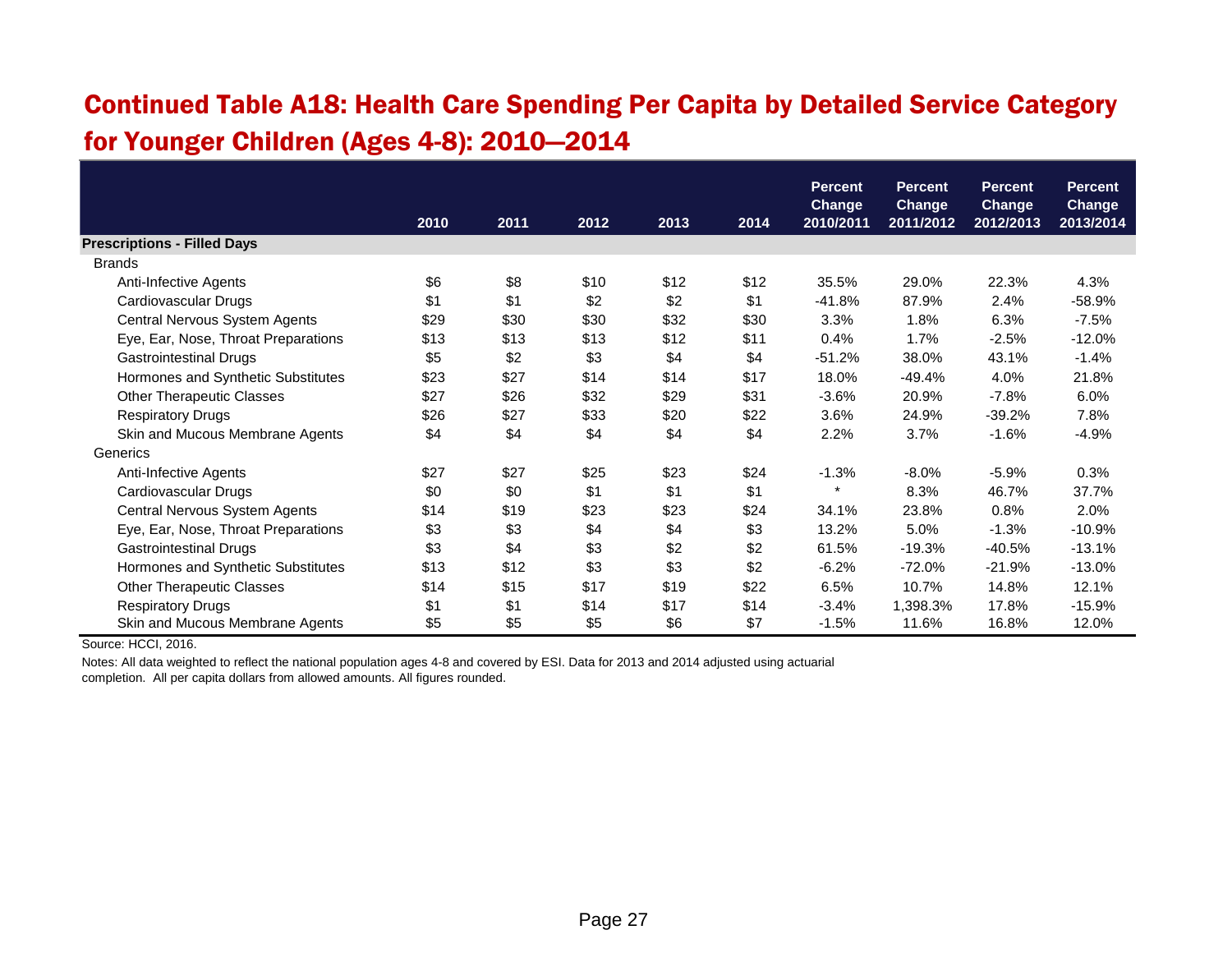#### Continued Table A18: Health Care Spending Per Capita by Detailed Service Category for Younger Children (Ages 4-8): 2010—2014

|                                     | <b>Percent</b><br><b>Percent</b><br><b>Change</b><br><b>Change</b> |      |      | <b>Percent</b> | <b>Percent</b><br><b>Change</b> |           |           |                            |           |
|-------------------------------------|--------------------------------------------------------------------|------|------|----------------|---------------------------------|-----------|-----------|----------------------------|-----------|
|                                     | 2010                                                               | 2011 | 2012 | 2013           | 2014                            | 2010/2011 | 2011/2012 | <b>Change</b><br>2012/2013 | 2013/2014 |
| <b>Prescriptions - Filled Days</b>  |                                                                    |      |      |                |                                 |           |           |                            |           |
| <b>Brands</b>                       |                                                                    |      |      |                |                                 |           |           |                            |           |
| Anti-Infective Agents               | \$6                                                                | \$8  | \$10 | \$12           | \$12                            | 35.5%     | 29.0%     | 22.3%                      | 4.3%      |
| Cardiovascular Drugs                | \$1                                                                | \$1  | \$2  | \$2            | \$1                             | -41.8%    | 87.9%     | 2.4%                       | $-58.9%$  |
| Central Nervous System Agents       | \$29                                                               | \$30 | \$30 | \$32           | \$30                            | 3.3%      | 1.8%      | 6.3%                       | $-7.5%$   |
| Eye, Ear, Nose, Throat Preparations | \$13                                                               | \$13 | \$13 | \$12           | \$11                            | 0.4%      | 1.7%      | $-2.5%$                    | $-12.0%$  |
| <b>Gastrointestinal Drugs</b>       | \$5                                                                | \$2  | \$3  | \$4            | \$4                             | $-51.2%$  | 38.0%     | 43.1%                      | $-1.4%$   |
| Hormones and Synthetic Substitutes  | \$23                                                               | \$27 | \$14 | \$14           | \$17                            | 18.0%     | $-49.4%$  | 4.0%                       | 21.8%     |
| <b>Other Therapeutic Classes</b>    | \$27                                                               | \$26 | \$32 | \$29           | \$31                            | $-3.6%$   | 20.9%     | $-7.8%$                    | 6.0%      |
| <b>Respiratory Drugs</b>            | \$26                                                               | \$27 | \$33 | \$20           | \$22                            | 3.6%      | 24.9%     | $-39.2%$                   | 7.8%      |
| Skin and Mucous Membrane Agents     | \$4                                                                | \$4  | \$4  | \$4            | \$4                             | 2.2%      | 3.7%      | $-1.6%$                    | $-4.9%$   |
| Generics                            |                                                                    |      |      |                |                                 |           |           |                            |           |
| Anti-Infective Agents               | \$27                                                               | \$27 | \$25 | \$23           | \$24                            | $-1.3%$   | $-8.0\%$  | $-5.9%$                    | 0.3%      |
| Cardiovascular Drugs                | \$0                                                                | \$0  | \$1  | \$1            | \$1                             | $\ast$    | 8.3%      | 46.7%                      | 37.7%     |
| Central Nervous System Agents       | \$14                                                               | \$19 | \$23 | \$23           | \$24                            | 34.1%     | 23.8%     | 0.8%                       | 2.0%      |
| Eye, Ear, Nose, Throat Preparations | \$3                                                                | \$3  | \$4  | \$4            | \$3                             | 13.2%     | 5.0%      | $-1.3%$                    | $-10.9%$  |
| <b>Gastrointestinal Drugs</b>       | \$3                                                                | \$4  | \$3  | \$2            | \$2                             | 61.5%     | $-19.3%$  | $-40.5%$                   | $-13.1%$  |
| Hormones and Synthetic Substitutes  | \$13                                                               | \$12 | \$3  | \$3            | \$2                             | $-6.2%$   | $-72.0%$  | $-21.9%$                   | $-13.0%$  |
| <b>Other Therapeutic Classes</b>    | \$14                                                               | \$15 | \$17 | \$19           | \$22                            | 6.5%      | 10.7%     | 14.8%                      | 12.1%     |
| <b>Respiratory Drugs</b>            | \$1                                                                | \$1  | \$14 | \$17           | \$14                            | $-3.4%$   | 1,398.3%  | 17.8%                      | $-15.9%$  |
| Skin and Mucous Membrane Agents     | \$5                                                                | \$5  | \$5  | \$6            | \$7                             | $-1.5%$   | 11.6%     | 16.8%                      | 12.0%     |

Source: HCCI, 2016.

Notes: All data weighted to reflect the national population ages 4-8 and covered by ESI. Data for 2013 and 2014 adjusted using actuarial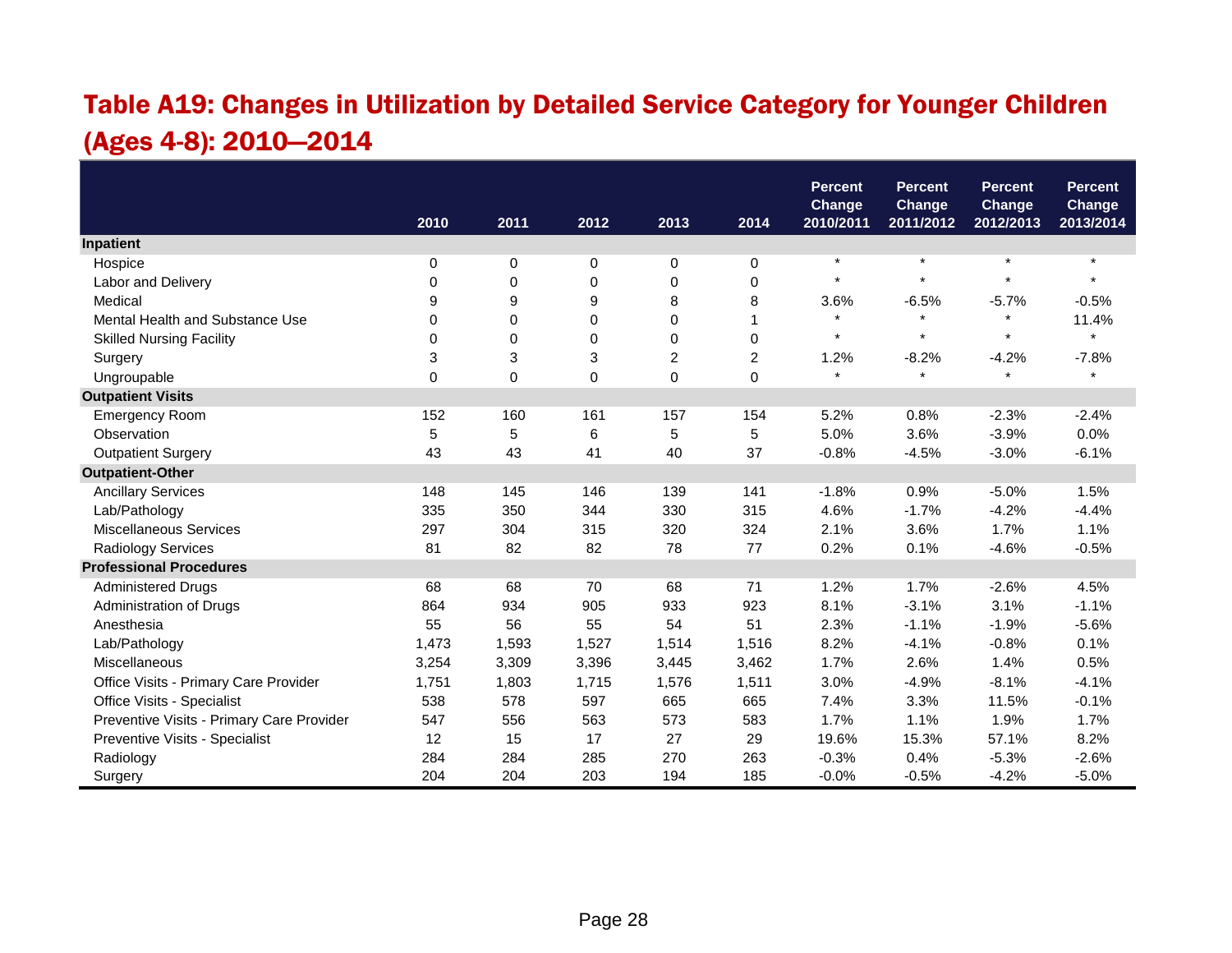# Table A19: Changes in Utilization by Detailed Service Category for Younger Children (Ages 4-8): 2010—2014

|                                           |       |             |             |                |                | <b>Percent</b>             | <b>Percent</b>             | <b>Percent</b>             | <b>Percent</b>             |
|-------------------------------------------|-------|-------------|-------------|----------------|----------------|----------------------------|----------------------------|----------------------------|----------------------------|
|                                           | 2010  | 2011        | 2012        | 2013           | 2014           | <b>Change</b><br>2010/2011 | <b>Change</b><br>2011/2012 | <b>Change</b><br>2012/2013 | <b>Change</b><br>2013/2014 |
| Inpatient                                 |       |             |             |                |                |                            |                            |                            |                            |
| Hospice                                   | 0     | $\mathbf 0$ | 0           | 0              | 0              | $\star$                    | $\star$                    | $\star$                    | $\star$                    |
| Labor and Delivery                        | 0     | 0           | 0           | 0              | 0              | $\star$                    | $\star$                    | $\star$                    |                            |
| Medical                                   | 9     | 9           | 9           | 8              | 8              | 3.6%                       | $-6.5%$                    | $-5.7%$                    | $-0.5%$                    |
| Mental Health and Substance Use           | 0     | 0           | 0           | 0              | $\overline{1}$ | $\star$                    | $\star$                    | $\star$                    | 11.4%                      |
| <b>Skilled Nursing Facility</b>           | 0     | 0           | 0           | 0              | 0              | $\star$                    | $\star$                    | $\star$                    | $\star$                    |
| Surgery                                   | 3     | 3           | 3           | $\overline{c}$ | $\overline{c}$ | 1.2%                       | $-8.2%$                    | $-4.2%$                    | $-7.8%$                    |
| Ungroupable                               | 0     | $\Omega$    | $\mathbf 0$ | 0              | $\mathbf 0$    | $\star$                    | $\star$                    | $\star$                    | $\star$                    |
| <b>Outpatient Visits</b>                  |       |             |             |                |                |                            |                            |                            |                            |
| <b>Emergency Room</b>                     | 152   | 160         | 161         | 157            | 154            | 5.2%                       | 0.8%                       | $-2.3%$                    | $-2.4%$                    |
| Observation                               | 5     | 5           | 6           | 5              | 5              | 5.0%                       | 3.6%                       | $-3.9%$                    | 0.0%                       |
| <b>Outpatient Surgery</b>                 | 43    | 43          | 41          | 40             | 37             | $-0.8%$                    | $-4.5%$                    | $-3.0%$                    | $-6.1%$                    |
| <b>Outpatient-Other</b>                   |       |             |             |                |                |                            |                            |                            |                            |
| <b>Ancillary Services</b>                 | 148   | 145         | 146         | 139            | 141            | $-1.8%$                    | 0.9%                       | $-5.0%$                    | 1.5%                       |
| Lab/Pathology                             | 335   | 350         | 344         | 330            | 315            | 4.6%                       | $-1.7%$                    | $-4.2%$                    | $-4.4%$                    |
| <b>Miscellaneous Services</b>             | 297   | 304         | 315         | 320            | 324            | 2.1%                       | 3.6%                       | 1.7%                       | 1.1%                       |
| Radiology Services                        | 81    | 82          | 82          | 78             | 77             | 0.2%                       | 0.1%                       | $-4.6%$                    | $-0.5%$                    |
| <b>Professional Procedures</b>            |       |             |             |                |                |                            |                            |                            |                            |
| <b>Administered Drugs</b>                 | 68    | 68          | 70          | 68             | 71             | 1.2%                       | 1.7%                       | $-2.6%$                    | 4.5%                       |
| Administration of Drugs                   | 864   | 934         | 905         | 933            | 923            | 8.1%                       | $-3.1%$                    | 3.1%                       | $-1.1%$                    |
| Anesthesia                                | 55    | 56          | 55          | 54             | 51             | 2.3%                       | $-1.1%$                    | $-1.9%$                    | $-5.6%$                    |
| Lab/Pathology                             | 1,473 | 1,593       | 1,527       | 1,514          | 1,516          | 8.2%                       | $-4.1%$                    | $-0.8%$                    | 0.1%                       |
| Miscellaneous                             | 3,254 | 3,309       | 3,396       | 3,445          | 3,462          | 1.7%                       | 2.6%                       | 1.4%                       | 0.5%                       |
| Office Visits - Primary Care Provider     | 1,751 | 1,803       | 1,715       | 1,576          | 1,511          | 3.0%                       | $-4.9%$                    | $-8.1%$                    | $-4.1%$                    |
| Office Visits - Specialist                | 538   | 578         | 597         | 665            | 665            | 7.4%                       | 3.3%                       | 11.5%                      | $-0.1%$                    |
| Preventive Visits - Primary Care Provider | 547   | 556         | 563         | 573            | 583            | 1.7%                       | 1.1%                       | 1.9%                       | 1.7%                       |
| Preventive Visits - Specialist            | 12    | 15          | 17          | 27             | 29             | 19.6%                      | 15.3%                      | 57.1%                      | 8.2%                       |
| Radiology                                 | 284   | 284         | 285         | 270            | 263            | $-0.3%$                    | 0.4%                       | $-5.3%$                    | $-2.6%$                    |
| Surgery                                   | 204   | 204         | 203         | 194            | 185            | $-0.0%$                    | $-0.5%$                    | $-4.2%$                    | $-5.0%$                    |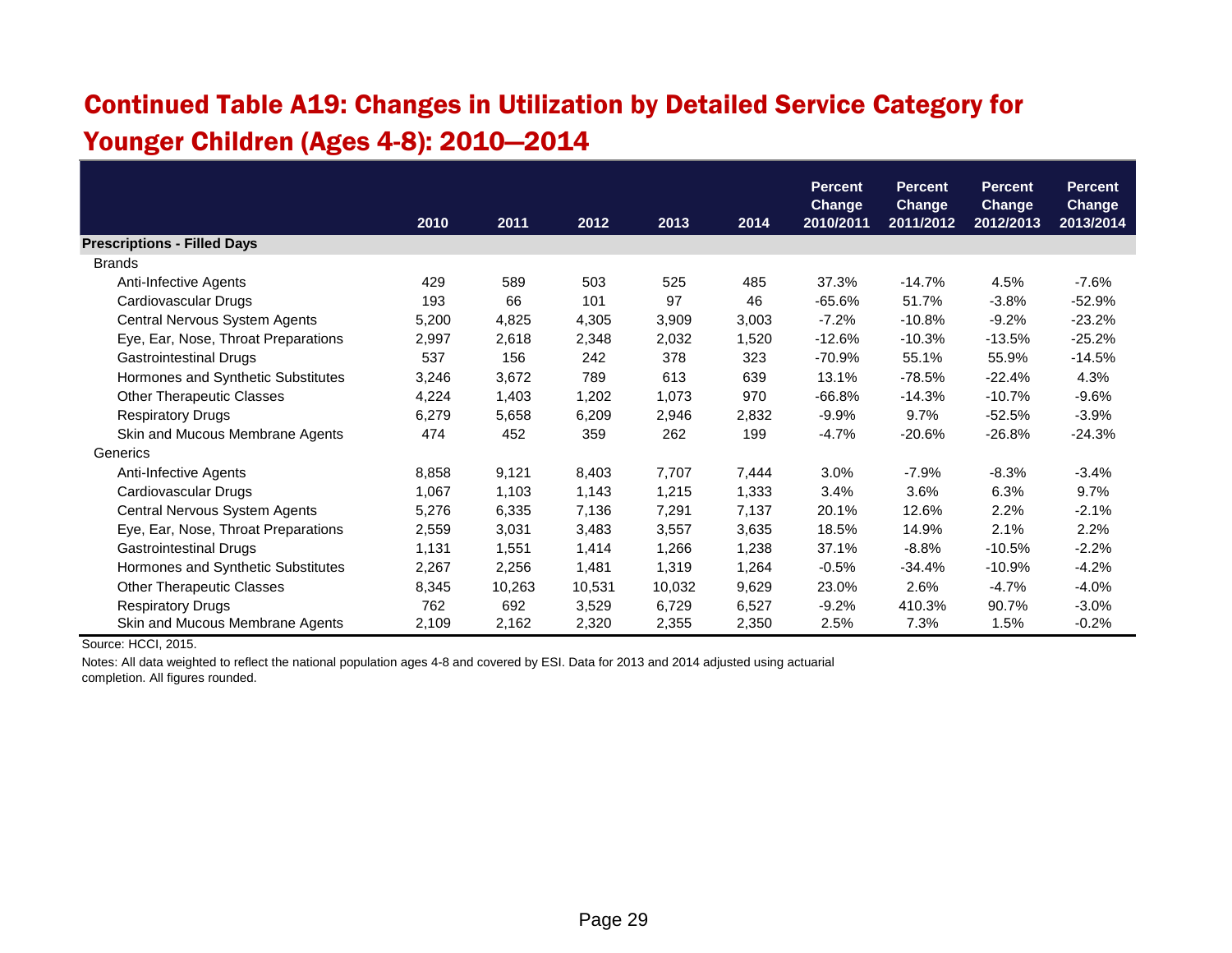# Continued Table A19: Changes in Utilization by Detailed Service Category for Younger Children (Ages 4-8): 2010—2014

|                                     |       |        |        |        |       | <b>Percent</b><br><b>Change</b> | <b>Percent</b><br><b>Change</b> | <b>Percent</b><br><b>Change</b> | <b>Percent</b><br>Change |
|-------------------------------------|-------|--------|--------|--------|-------|---------------------------------|---------------------------------|---------------------------------|--------------------------|
|                                     | 2010  | 2011   | 2012   | 2013   | 2014  | 2010/2011                       | 2011/2012                       | 2012/2013                       | 2013/2014                |
| <b>Prescriptions - Filled Days</b>  |       |        |        |        |       |                                 |                                 |                                 |                          |
| <b>Brands</b>                       |       |        |        |        |       |                                 |                                 |                                 |                          |
| Anti-Infective Agents               | 429   | 589    | 503    | 525    | 485   | 37.3%                           | $-14.7%$                        | 4.5%                            | $-7.6%$                  |
| Cardiovascular Drugs                | 193   | 66     | 101    | 97     | 46    | $-65.6\%$                       | 51.7%                           | $-3.8%$                         | $-52.9%$                 |
| Central Nervous System Agents       | 5,200 | 4,825  | 4,305  | 3,909  | 3,003 | $-7.2%$                         | $-10.8%$                        | $-9.2%$                         | $-23.2%$                 |
| Eye, Ear, Nose, Throat Preparations | 2,997 | 2,618  | 2,348  | 2,032  | 1,520 | $-12.6%$                        | $-10.3%$                        | $-13.5%$                        | $-25.2%$                 |
| <b>Gastrointestinal Drugs</b>       | 537   | 156    | 242    | 378    | 323   | $-70.9%$                        | 55.1%                           | 55.9%                           | $-14.5%$                 |
| Hormones and Synthetic Substitutes  | 3,246 | 3,672  | 789    | 613    | 639   | 13.1%                           | $-78.5%$                        | $-22.4%$                        | 4.3%                     |
| <b>Other Therapeutic Classes</b>    | 4,224 | 1,403  | 1,202  | 1,073  | 970   | $-66.8%$                        | $-14.3%$                        | $-10.7%$                        | $-9.6%$                  |
| <b>Respiratory Drugs</b>            | 6,279 | 5,658  | 6,209  | 2,946  | 2,832 | $-9.9%$                         | 9.7%                            | $-52.5%$                        | $-3.9%$                  |
| Skin and Mucous Membrane Agents     | 474   | 452    | 359    | 262    | 199   | $-4.7%$                         | $-20.6%$                        | $-26.8%$                        | -24.3%                   |
| Generics                            |       |        |        |        |       |                                 |                                 |                                 |                          |
| Anti-Infective Agents               | 8,858 | 9,121  | 8,403  | 7,707  | 7,444 | 3.0%                            | $-7.9%$                         | $-8.3%$                         | $-3.4%$                  |
| Cardiovascular Drugs                | 1,067 | 1,103  | 1,143  | 1,215  | 1,333 | 3.4%                            | 3.6%                            | 6.3%                            | 9.7%                     |
| Central Nervous System Agents       | 5,276 | 6,335  | 7,136  | 7,291  | 7,137 | 20.1%                           | 12.6%                           | 2.2%                            | $-2.1%$                  |
| Eye, Ear, Nose, Throat Preparations | 2,559 | 3,031  | 3,483  | 3,557  | 3,635 | 18.5%                           | 14.9%                           | 2.1%                            | 2.2%                     |
| <b>Gastrointestinal Drugs</b>       | 1,131 | 1,551  | 1,414  | 1,266  | 1,238 | 37.1%                           | $-8.8%$                         | $-10.5%$                        | $-2.2\%$                 |
| Hormones and Synthetic Substitutes  | 2,267 | 2,256  | 1,481  | 1,319  | 1,264 | $-0.5%$                         | $-34.4%$                        | $-10.9%$                        | $-4.2%$                  |
| <b>Other Therapeutic Classes</b>    | 8,345 | 10,263 | 10,531 | 10,032 | 9,629 | 23.0%                           | 2.6%                            | $-4.7%$                         | $-4.0\%$                 |
| <b>Respiratory Drugs</b>            | 762   | 692    | 3,529  | 6,729  | 6,527 | $-9.2%$                         | 410.3%                          | 90.7%                           | $-3.0\%$                 |
| Skin and Mucous Membrane Agents     | 2,109 | 2,162  | 2,320  | 2,355  | 2,350 | 2.5%                            | 7.3%                            | 1.5%                            | $-0.2%$                  |

Source: HCCI, 2015.

Notes: All data weighted to reflect the national population ages 4-8 and covered by ESI. Data for 2013 and 2014 adjusted using actuarial

completion. All figures rounded.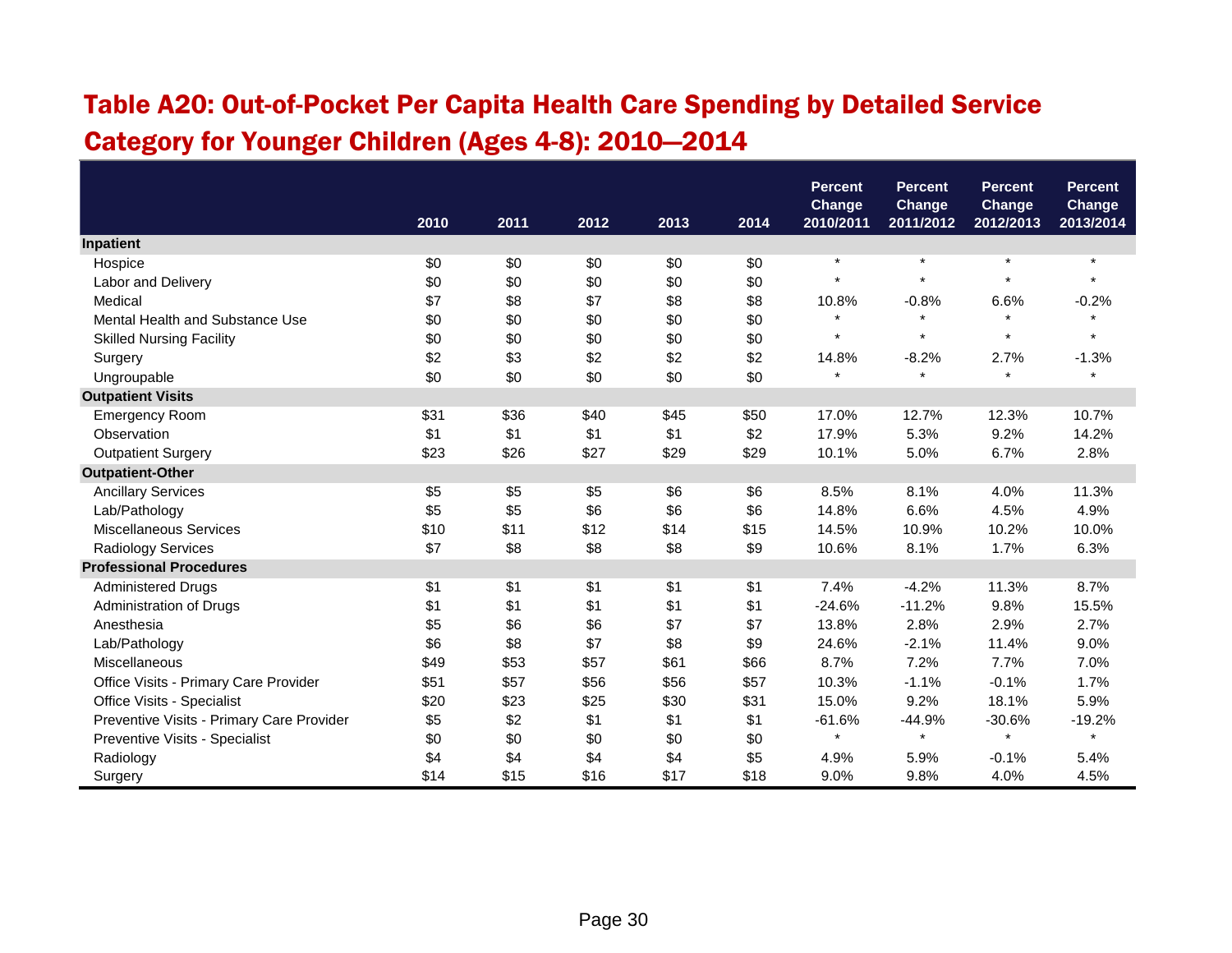# Table A20: Out-of-Pocket Per Capita Health Care Spending by Detailed Service Category for Younger Children (Ages 4-8): 2010—2014

|                                           |      |      |      |      |      | <b>Percent</b><br><b>Change</b> | <b>Percent</b><br>Change | <b>Percent</b><br>Change | <b>Percent</b><br>Change |
|-------------------------------------------|------|------|------|------|------|---------------------------------|--------------------------|--------------------------|--------------------------|
|                                           | 2010 | 2011 | 2012 | 2013 | 2014 | 2010/2011                       | 2011/2012                | 2012/2013                | 2013/2014                |
| Inpatient                                 |      |      |      |      |      |                                 |                          |                          |                          |
| Hospice                                   | \$0  | \$0  | \$0  | \$0  | \$0  | $\star$                         | $\star$                  | $\star$                  | $\star$                  |
| Labor and Delivery                        | \$0  | \$0  | \$0  | \$0  | \$0  | $\star$                         | $\star$                  | $\star$                  |                          |
| Medical                                   | \$7  | \$8  | \$7  | \$8  | \$8  | 10.8%                           | $-0.8%$                  | 6.6%                     | $-0.2%$                  |
| Mental Health and Substance Use           | \$0  | \$0  | \$0  | \$0  | \$0  |                                 |                          |                          |                          |
| <b>Skilled Nursing Facility</b>           | \$0  | \$0  | \$0  | \$0  | \$0  | $\star$                         | $\star$                  | $\star$                  | $\star$                  |
| Surgery                                   | \$2  | \$3  | \$2  | \$2  | \$2  | 14.8%                           | $-8.2%$                  | 2.7%                     | $-1.3%$                  |
| Ungroupable                               | \$0  | \$0  | \$0  | \$0  | \$0  | $\star$                         | $\star$                  | $\star$                  | $\star$                  |
| <b>Outpatient Visits</b>                  |      |      |      |      |      |                                 |                          |                          |                          |
| <b>Emergency Room</b>                     | \$31 | \$36 | \$40 | \$45 | \$50 | 17.0%                           | 12.7%                    | 12.3%                    | 10.7%                    |
| Observation                               | \$1  | \$1  | \$1  | \$1  | \$2  | 17.9%                           | 5.3%                     | 9.2%                     | 14.2%                    |
| <b>Outpatient Surgery</b>                 | \$23 | \$26 | \$27 | \$29 | \$29 | 10.1%                           | 5.0%                     | 6.7%                     | 2.8%                     |
| <b>Outpatient-Other</b>                   |      |      |      |      |      |                                 |                          |                          |                          |
| <b>Ancillary Services</b>                 | \$5  | \$5  | \$5  | \$6  | \$6  | 8.5%                            | 8.1%                     | 4.0%                     | 11.3%                    |
| Lab/Pathology                             | \$5  | \$5  | \$6  | \$6  | \$6  | 14.8%                           | 6.6%                     | 4.5%                     | 4.9%                     |
| Miscellaneous Services                    | \$10 | \$11 | \$12 | \$14 | \$15 | 14.5%                           | 10.9%                    | 10.2%                    | 10.0%                    |
| Radiology Services                        | \$7  | \$8  | \$8  | \$8  | \$9  | 10.6%                           | 8.1%                     | 1.7%                     | 6.3%                     |
| <b>Professional Procedures</b>            |      |      |      |      |      |                                 |                          |                          |                          |
| <b>Administered Drugs</b>                 | \$1  | \$1  | \$1  | \$1  | \$1  | 7.4%                            | $-4.2%$                  | 11.3%                    | 8.7%                     |
| Administration of Drugs                   | \$1  | \$1  | \$1  | \$1  | \$1  | $-24.6%$                        | $-11.2%$                 | 9.8%                     | 15.5%                    |
| Anesthesia                                | \$5  | \$6  | \$6  | \$7  | \$7  | 13.8%                           | 2.8%                     | 2.9%                     | 2.7%                     |
| Lab/Pathology                             | \$6  | \$8  | \$7  | \$8  | \$9  | 24.6%                           | $-2.1%$                  | 11.4%                    | 9.0%                     |
| Miscellaneous                             | \$49 | \$53 | \$57 | \$61 | \$66 | 8.7%                            | 7.2%                     | 7.7%                     | 7.0%                     |
| Office Visits - Primary Care Provider     | \$51 | \$57 | \$56 | \$56 | \$57 | 10.3%                           | $-1.1%$                  | $-0.1%$                  | 1.7%                     |
| Office Visits - Specialist                | \$20 | \$23 | \$25 | \$30 | \$31 | 15.0%                           | 9.2%                     | 18.1%                    | 5.9%                     |
| Preventive Visits - Primary Care Provider | \$5  | \$2  | \$1  | \$1  | \$1  | $-61.6%$                        | $-44.9%$                 | $-30.6%$                 | $-19.2%$                 |
| Preventive Visits - Specialist            | \$0  | \$0  | \$0  | \$0  | \$0  | $\star$                         | $\star$                  | $\star$                  | $\star$                  |
| Radiology                                 | \$4  | \$4  | \$4  | \$4  | \$5  | 4.9%                            | 5.9%                     | $-0.1%$                  | 5.4%                     |
| Surgery                                   | \$14 | \$15 | \$16 | \$17 | \$18 | 9.0%                            | 9.8%                     | 4.0%                     | 4.5%                     |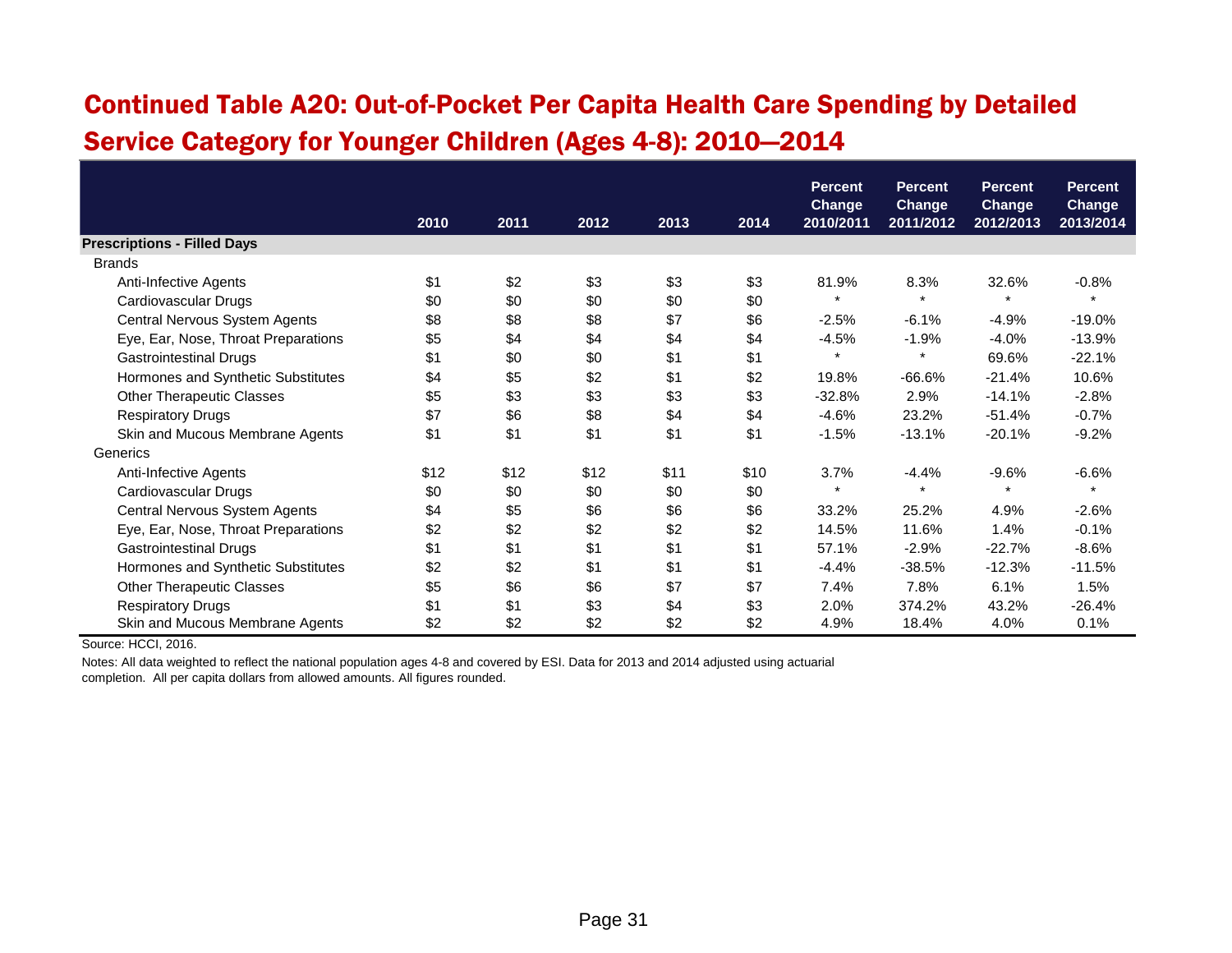# Continued Table A20: Out-of-Pocket Per Capita Health Care Spending by Detailed Service Category for Younger Children (Ages 4-8): 2010—2014

|                                     |      |      |      |      |      | <b>Percent</b>             | <b>Percent</b>             | <b>Percent</b>             | <b>Percent</b>             |
|-------------------------------------|------|------|------|------|------|----------------------------|----------------------------|----------------------------|----------------------------|
|                                     | 2010 | 2011 | 2012 | 2013 | 2014 | <b>Change</b><br>2010/2011 | <b>Change</b><br>2011/2012 | <b>Change</b><br>2012/2013 | <b>Change</b><br>2013/2014 |
| <b>Prescriptions - Filled Days</b>  |      |      |      |      |      |                            |                            |                            |                            |
| <b>Brands</b>                       |      |      |      |      |      |                            |                            |                            |                            |
| Anti-Infective Agents               | \$1  | \$2  | \$3  | \$3  | \$3  | 81.9%                      | 8.3%                       | 32.6%                      | $-0.8%$                    |
| Cardiovascular Drugs                | \$0  | \$0  | \$0  | \$0  | \$0  | $\star$                    | $\star$                    |                            | $\star$                    |
| Central Nervous System Agents       | \$8  | \$8  | \$8  | \$7  | \$6  | $-2.5%$                    | $-6.1%$                    | $-4.9%$                    | $-19.0%$                   |
| Eye, Ear, Nose, Throat Preparations | \$5  | \$4  | \$4  | \$4  | \$4  | $-4.5%$                    | $-1.9%$                    | $-4.0%$                    | $-13.9%$                   |
| <b>Gastrointestinal Drugs</b>       | \$1  | \$0  | \$0  | \$1  | \$1  | $\star$                    | $\star$                    | 69.6%                      | $-22.1%$                   |
| Hormones and Synthetic Substitutes  | \$4  | \$5  | \$2  | \$1  | \$2  | 19.8%                      | $-66.6%$                   | $-21.4%$                   | 10.6%                      |
| <b>Other Therapeutic Classes</b>    | \$5  | \$3  | \$3  | \$3  | \$3  | $-32.8%$                   | 2.9%                       | $-14.1%$                   | $-2.8%$                    |
| <b>Respiratory Drugs</b>            | \$7  | \$6  | \$8  | \$4  | \$4  | $-4.6%$                    | 23.2%                      | $-51.4%$                   | $-0.7%$                    |
| Skin and Mucous Membrane Agents     | \$1  | \$1  | \$1  | \$1  | \$1  | $-1.5%$                    | $-13.1%$                   | $-20.1%$                   | $-9.2%$                    |
| Generics                            |      |      |      |      |      |                            |                            |                            |                            |
| Anti-Infective Agents               | \$12 | \$12 | \$12 | \$11 | \$10 | 3.7%                       | $-4.4%$                    | $-9.6%$                    | $-6.6%$                    |
| Cardiovascular Drugs                | \$0  | \$0  | \$0  | \$0  | \$0  | $\star$                    | $\star$                    | $\star$                    | $\star$                    |
| Central Nervous System Agents       | \$4  | \$5  | \$6  | \$6  | \$6  | 33.2%                      | 25.2%                      | 4.9%                       | $-2.6%$                    |
| Eye, Ear, Nose, Throat Preparations | \$2  | \$2  | \$2  | \$2  | \$2  | 14.5%                      | 11.6%                      | 1.4%                       | $-0.1%$                    |
| <b>Gastrointestinal Drugs</b>       | \$1  | \$1  | \$1  | \$1  | \$1  | 57.1%                      | $-2.9%$                    | $-22.7%$                   | $-8.6%$                    |
| Hormones and Synthetic Substitutes  | \$2  | \$2  | \$1  | \$1  | \$1  | $-4.4%$                    | $-38.5%$                   | $-12.3%$                   | $-11.5%$                   |
| <b>Other Therapeutic Classes</b>    | \$5  | \$6  | \$6  | \$7  | \$7  | 7.4%                       | 7.8%                       | 6.1%                       | 1.5%                       |
| <b>Respiratory Drugs</b>            | \$1  | \$1  | \$3  | \$4  | \$3  | 2.0%                       | 374.2%                     | 43.2%                      | $-26.4%$                   |
| Skin and Mucous Membrane Agents     | \$2  | \$2  | \$2  | \$2  | \$2  | 4.9%                       | 18.4%                      | 4.0%                       | 0.1%                       |

Source: HCCI, 2016.

Notes: All data weighted to reflect the national population ages 4-8 and covered by ESI. Data for 2013 and 2014 adjusted using actuarial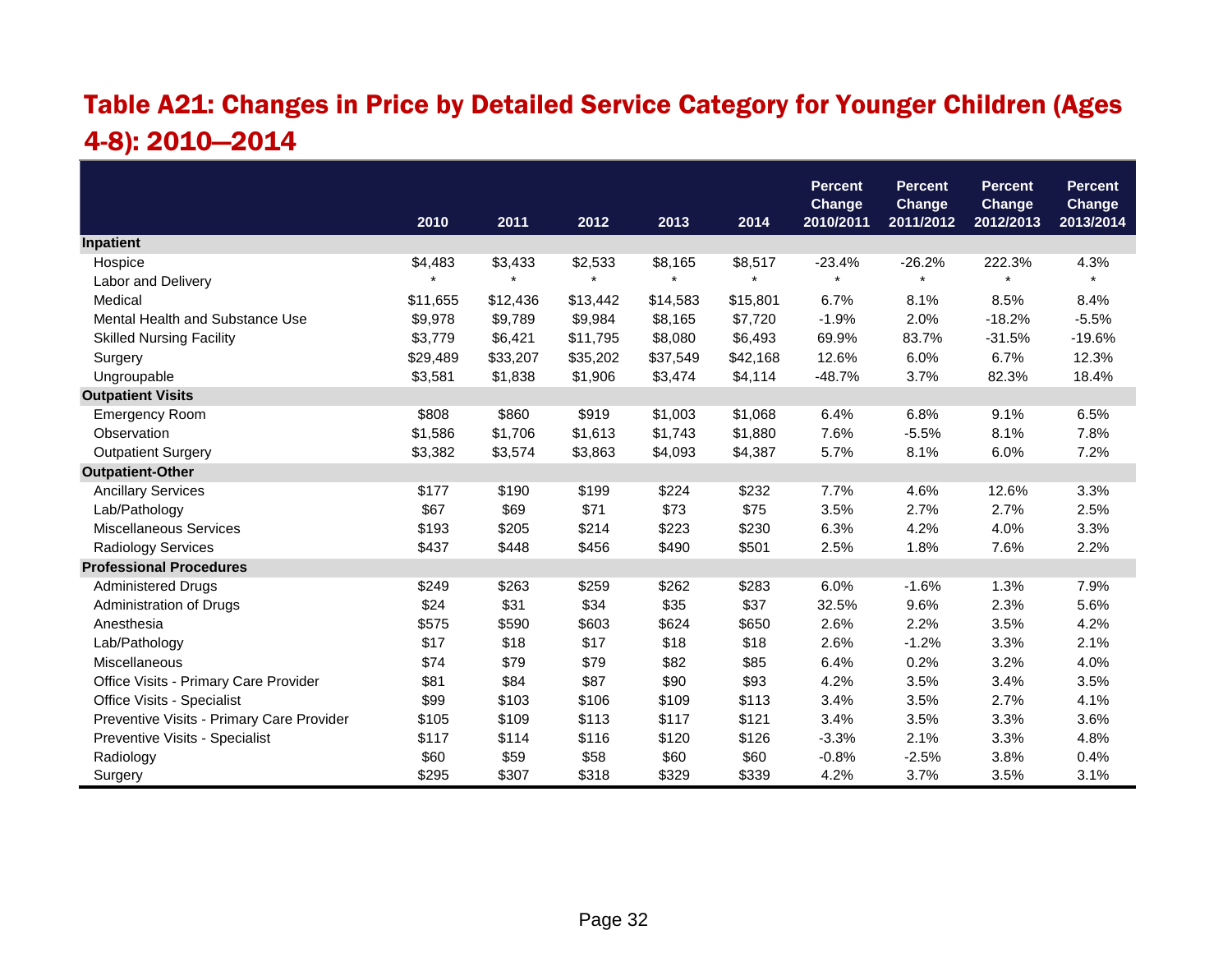# Table A21: Changes in Price by Detailed Service Category for Younger Children (Ages 4-8): 2010—2014

|                                           |          |          |          |          |          | <b>Percent</b>      | <b>Percent</b>             | <b>Percent</b>             | <b>Percent</b>      |
|-------------------------------------------|----------|----------|----------|----------|----------|---------------------|----------------------------|----------------------------|---------------------|
|                                           | 2010     | 2011     | 2012     | 2013     | 2014     | Change<br>2010/2011 | <b>Change</b><br>2011/2012 | <b>Change</b><br>2012/2013 | Change<br>2013/2014 |
| Inpatient                                 |          |          |          |          |          |                     |                            |                            |                     |
| Hospice                                   | \$4,483  | \$3,433  | \$2,533  | \$8,165  | \$8,517  | $-23.4%$            | $-26.2%$                   | 222.3%                     | 4.3%                |
| Labor and Delivery                        |          |          |          |          |          |                     | $\star$                    |                            |                     |
| Medical                                   | \$11,655 | \$12,436 | \$13,442 | \$14,583 | \$15,801 | 6.7%                | 8.1%                       | 8.5%                       | 8.4%                |
| Mental Health and Substance Use           | \$9,978  | \$9,789  | \$9,984  | \$8,165  | \$7,720  | $-1.9%$             | 2.0%                       | $-18.2%$                   | $-5.5%$             |
| <b>Skilled Nursing Facility</b>           | \$3,779  | \$6,421  | \$11,795 | \$8,080  | \$6,493  | 69.9%               | 83.7%                      | $-31.5%$                   | $-19.6%$            |
| Surgery                                   | \$29,489 | \$33,207 | \$35,202 | \$37,549 | \$42,168 | 12.6%               | 6.0%                       | 6.7%                       | 12.3%               |
| Ungroupable                               | \$3,581  | \$1,838  | \$1,906  | \$3,474  | \$4,114  | $-48.7%$            | 3.7%                       | 82.3%                      | 18.4%               |
| <b>Outpatient Visits</b>                  |          |          |          |          |          |                     |                            |                            |                     |
| <b>Emergency Room</b>                     | \$808    | \$860    | \$919    | \$1,003  | \$1,068  | 6.4%                | 6.8%                       | 9.1%                       | 6.5%                |
| Observation                               | \$1,586  | \$1,706  | \$1,613  | \$1,743  | \$1,880  | 7.6%                | $-5.5%$                    | 8.1%                       | 7.8%                |
| <b>Outpatient Surgery</b>                 | \$3,382  | \$3,574  | \$3,863  | \$4,093  | \$4,387  | 5.7%                | 8.1%                       | 6.0%                       | 7.2%                |
| <b>Outpatient-Other</b>                   |          |          |          |          |          |                     |                            |                            |                     |
| <b>Ancillary Services</b>                 | \$177    | \$190    | \$199    | \$224    | \$232    | 7.7%                | 4.6%                       | 12.6%                      | 3.3%                |
| Lab/Pathology                             | \$67     | \$69     | \$71     | \$73     | \$75     | 3.5%                | 2.7%                       | 2.7%                       | 2.5%                |
| Miscellaneous Services                    | \$193    | \$205    | \$214    | \$223    | \$230    | 6.3%                | 4.2%                       | 4.0%                       | 3.3%                |
| <b>Radiology Services</b>                 | \$437    | \$448    | \$456    | \$490    | \$501    | 2.5%                | 1.8%                       | 7.6%                       | 2.2%                |
| <b>Professional Procedures</b>            |          |          |          |          |          |                     |                            |                            |                     |
| <b>Administered Drugs</b>                 | \$249    | \$263    | \$259    | \$262    | \$283    | 6.0%                | $-1.6%$                    | 1.3%                       | 7.9%                |
| Administration of Drugs                   | \$24     | \$31     | \$34     | \$35     | \$37     | 32.5%               | 9.6%                       | 2.3%                       | 5.6%                |
| Anesthesia                                | \$575    | \$590    | \$603    | \$624    | \$650    | 2.6%                | 2.2%                       | 3.5%                       | 4.2%                |
| Lab/Pathology                             | \$17     | \$18     | \$17     | \$18     | \$18     | 2.6%                | $-1.2%$                    | 3.3%                       | 2.1%                |
| Miscellaneous                             | \$74     | \$79     | \$79     | \$82     | \$85     | 6.4%                | 0.2%                       | 3.2%                       | 4.0%                |
| Office Visits - Primary Care Provider     | \$81     | \$84     | \$87     | \$90     | \$93     | 4.2%                | 3.5%                       | 3.4%                       | 3.5%                |
| Office Visits - Specialist                | \$99     | \$103    | \$106    | \$109    | \$113    | 3.4%                | 3.5%                       | 2.7%                       | 4.1%                |
| Preventive Visits - Primary Care Provider | \$105    | \$109    | \$113    | \$117    | \$121    | 3.4%                | 3.5%                       | 3.3%                       | 3.6%                |
| Preventive Visits - Specialist            | \$117    | \$114    | \$116    | \$120    | \$126    | $-3.3%$             | 2.1%                       | 3.3%                       | 4.8%                |
| Radiology                                 | \$60     | \$59     | \$58     | \$60     | \$60     | $-0.8%$             | $-2.5%$                    | 3.8%                       | 0.4%                |
| Surgery                                   | \$295    | \$307    | \$318    | \$329    | \$339    | 4.2%                | 3.7%                       | 3.5%                       | 3.1%                |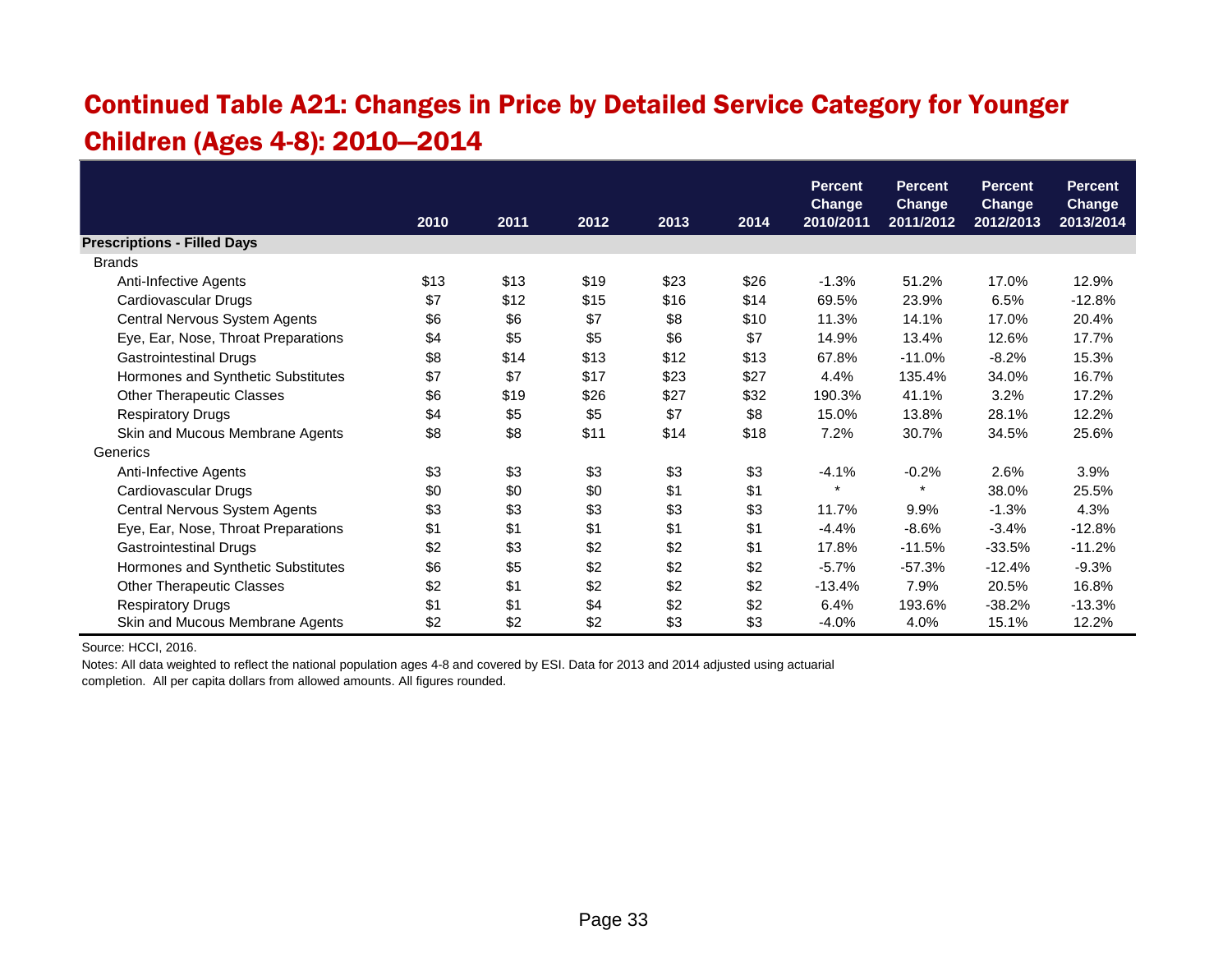# Continued Table A21: Changes in Price by Detailed Service Category for Younger Children (Ages 4-8): 2010—2014

|                                     |      |      |      |      |      | <b>Percent</b>             | <b>Percent</b>             | <b>Percent</b>             | <b>Percent</b><br><b>Change</b> |
|-------------------------------------|------|------|------|------|------|----------------------------|----------------------------|----------------------------|---------------------------------|
|                                     | 2010 | 2011 | 2012 | 2013 | 2014 | <b>Change</b><br>2010/2011 | <b>Change</b><br>2011/2012 | <b>Change</b><br>2012/2013 | 2013/2014                       |
| <b>Prescriptions - Filled Days</b>  |      |      |      |      |      |                            |                            |                            |                                 |
| <b>Brands</b>                       |      |      |      |      |      |                            |                            |                            |                                 |
| Anti-Infective Agents               | \$13 | \$13 | \$19 | \$23 | \$26 | $-1.3%$                    | 51.2%                      | 17.0%                      | 12.9%                           |
| Cardiovascular Drugs                | \$7  | \$12 | \$15 | \$16 | \$14 | 69.5%                      | 23.9%                      | 6.5%                       | $-12.8%$                        |
| Central Nervous System Agents       | \$6  | \$6  | \$7  | \$8  | \$10 | 11.3%                      | 14.1%                      | 17.0%                      | 20.4%                           |
| Eye, Ear, Nose, Throat Preparations | \$4  | \$5  | \$5  | \$6  | \$7  | 14.9%                      | 13.4%                      | 12.6%                      | 17.7%                           |
| <b>Gastrointestinal Drugs</b>       | \$8  | \$14 | \$13 | \$12 | \$13 | 67.8%                      | $-11.0%$                   | $-8.2%$                    | 15.3%                           |
| Hormones and Synthetic Substitutes  | \$7  | \$7  | \$17 | \$23 | \$27 | 4.4%                       | 135.4%                     | 34.0%                      | 16.7%                           |
| <b>Other Therapeutic Classes</b>    | \$6  | \$19 | \$26 | \$27 | \$32 | 190.3%                     | 41.1%                      | 3.2%                       | 17.2%                           |
| <b>Respiratory Drugs</b>            | \$4  | \$5  | \$5  | \$7  | \$8  | 15.0%                      | 13.8%                      | 28.1%                      | 12.2%                           |
| Skin and Mucous Membrane Agents     | \$8  | \$8  | \$11 | \$14 | \$18 | 7.2%                       | 30.7%                      | 34.5%                      | 25.6%                           |
| Generics                            |      |      |      |      |      |                            |                            |                            |                                 |
| Anti-Infective Agents               | \$3  | \$3  | \$3  | \$3  | \$3  | $-4.1%$                    | $-0.2%$                    | 2.6%                       | 3.9%                            |
| Cardiovascular Drugs                | \$0  | \$0  | \$0  | \$1  | \$1  | $\star$                    | $\star$                    | 38.0%                      | 25.5%                           |
| Central Nervous System Agents       | \$3  | \$3  | \$3  | \$3  | \$3  | 11.7%                      | 9.9%                       | $-1.3%$                    | 4.3%                            |
| Eye, Ear, Nose, Throat Preparations | \$1  | \$1  | \$1  | \$1  | \$1  | $-4.4%$                    | $-8.6%$                    | $-3.4%$                    | $-12.8%$                        |
| <b>Gastrointestinal Drugs</b>       | \$2  | \$3  | \$2  | \$2  | \$1  | 17.8%                      | $-11.5%$                   | $-33.5%$                   | $-11.2%$                        |
| Hormones and Synthetic Substitutes  | \$6  | \$5  | \$2  | \$2  | \$2  | $-5.7\%$                   | $-57.3%$                   | $-12.4%$                   | $-9.3%$                         |
| <b>Other Therapeutic Classes</b>    | \$2  | \$1  | \$2  | \$2  | \$2  | $-13.4%$                   | 7.9%                       | 20.5%                      | 16.8%                           |
| <b>Respiratory Drugs</b>            | \$1  | \$1  | \$4  | \$2  | \$2  | 6.4%                       | 193.6%                     | $-38.2%$                   | $-13.3%$                        |
| Skin and Mucous Membrane Agents     | \$2  | \$2  | \$2  | \$3  | \$3  | $-4.0%$                    | 4.0%                       | 15.1%                      | 12.2%                           |

Source: HCCI, 2016.

Notes: All data weighted to reflect the national population ages 4-8 and covered by ESI. Data for 2013 and 2014 adjusted using actuarial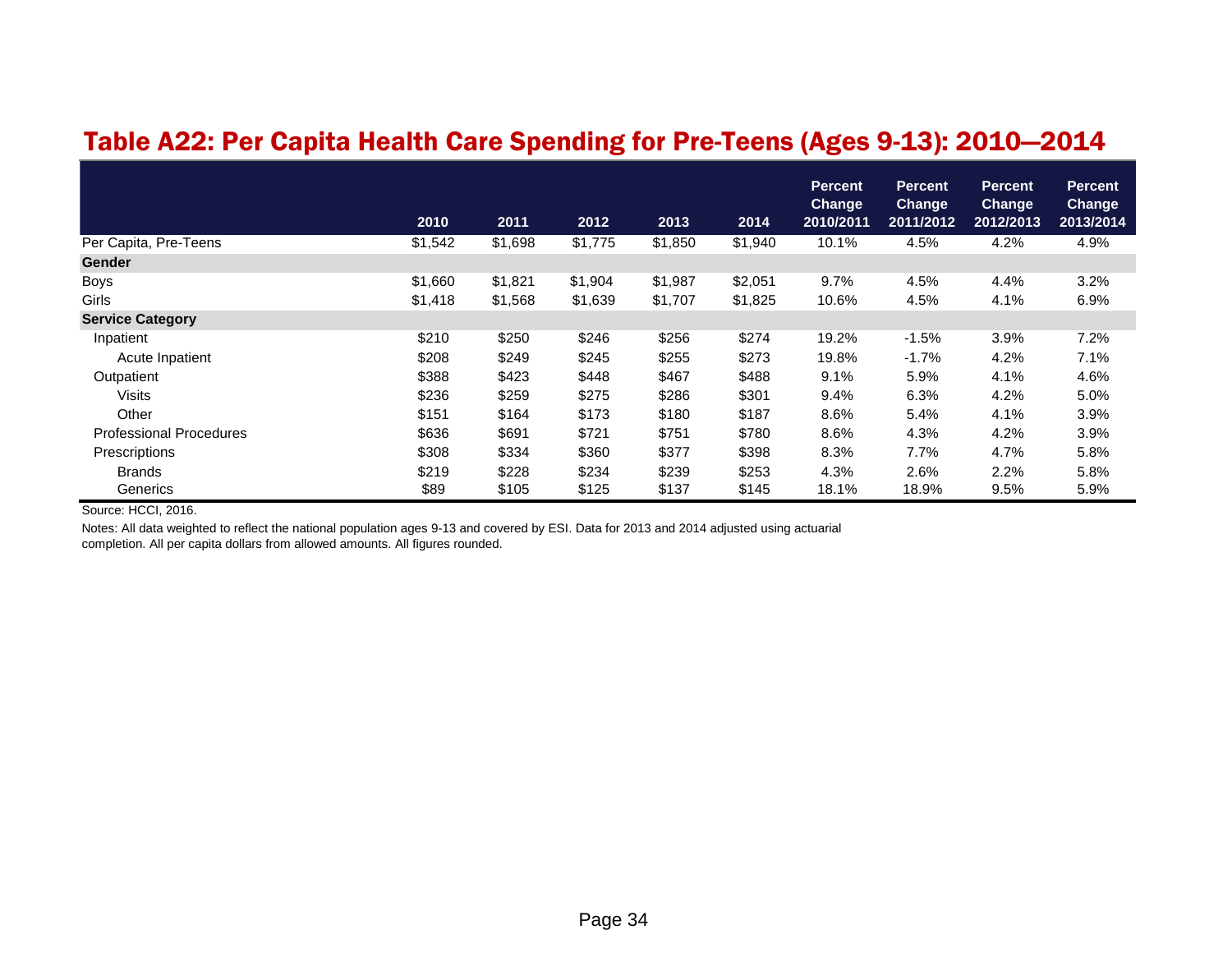#### Table A22: Per Capita Health Care Spending for Pre-Teens (Ages 9-13): 2010—2014

|                                | 2010    | 2011    | 2012    | 2013    | 2014    | <b>Percent</b><br><b>Change</b><br>2010/2011 | <b>Percent</b><br><b>Change</b><br>2011/2012 | <b>Percent</b><br>Change<br>2012/2013 | <b>Percent</b><br><b>Change</b><br>2013/2014 |
|--------------------------------|---------|---------|---------|---------|---------|----------------------------------------------|----------------------------------------------|---------------------------------------|----------------------------------------------|
| Per Capita, Pre-Teens          | \$1,542 | \$1,698 | \$1,775 | \$1,850 | \$1,940 | 10.1%                                        | 4.5%                                         | 4.2%                                  | 4.9%                                         |
| <b>Gender</b>                  |         |         |         |         |         |                                              |                                              |                                       |                                              |
| <b>Boys</b>                    | \$1,660 | \$1,821 | \$1,904 | \$1,987 | \$2,051 | 9.7%                                         | 4.5%                                         | 4.4%                                  | 3.2%                                         |
| Girls                          | \$1,418 | \$1,568 | \$1,639 | \$1,707 | \$1,825 | 10.6%                                        | 4.5%                                         | 4.1%                                  | 6.9%                                         |
| <b>Service Category</b>        |         |         |         |         |         |                                              |                                              |                                       |                                              |
| Inpatient                      | \$210   | \$250   | \$246   | \$256   | \$274   | 19.2%                                        | $-1.5%$                                      | 3.9%                                  | 7.2%                                         |
| Acute Inpatient                | \$208   | \$249   | \$245   | \$255   | \$273   | 19.8%                                        | $-1.7%$                                      | 4.2%                                  | 7.1%                                         |
| Outpatient                     | \$388   | \$423   | \$448   | \$467   | \$488   | 9.1%                                         | 5.9%                                         | 4.1%                                  | 4.6%                                         |
| <b>Visits</b>                  | \$236   | \$259   | \$275   | \$286   | \$301   | 9.4%                                         | 6.3%                                         | 4.2%                                  | 5.0%                                         |
| Other                          | \$151   | \$164   | \$173   | \$180   | \$187   | 8.6%                                         | 5.4%                                         | 4.1%                                  | 3.9%                                         |
| <b>Professional Procedures</b> | \$636   | \$691   | \$721   | \$751   | \$780   | 8.6%                                         | 4.3%                                         | 4.2%                                  | 3.9%                                         |
| Prescriptions                  | \$308   | \$334   | \$360   | \$377   | \$398   | 8.3%                                         | 7.7%                                         | 4.7%                                  | 5.8%                                         |
| <b>Brands</b>                  | \$219   | \$228   | \$234   | \$239   | \$253   | 4.3%                                         | 2.6%                                         | 2.2%                                  | 5.8%                                         |
| Generics                       | \$89    | \$105   | \$125   | \$137   | \$145   | 18.1%                                        | 18.9%                                        | 9.5%                                  | 5.9%                                         |

Source: HCCI, 2016.

Notes: All data weighted to reflect the national population ages 9-13 and covered by ESI. Data for 2013 and 2014 adjusted using actuarial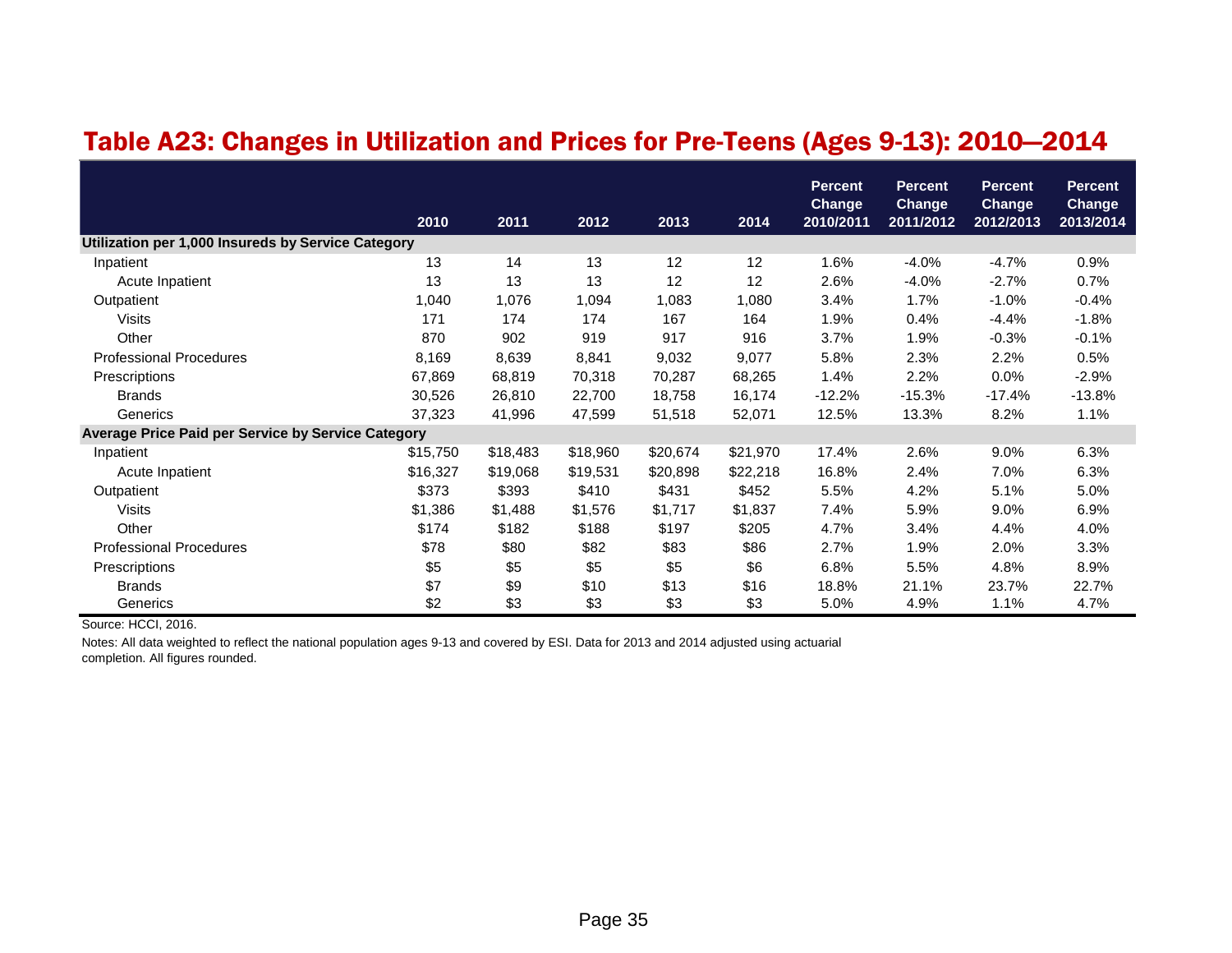#### Table A23: Changes in Utilization and Prices for Pre-Teens (Ages 9-13): 2010—2014

|                                                           | 2010     | 2011     | 2012     | 2013     | 2014     | <b>Percent</b><br><b>Change</b><br>2010/2011 | Percent<br><b>Change</b><br>2011/2012 | <b>Percent</b><br><b>Change</b><br>2012/2013 | <b>Percent</b><br><b>Change</b><br>2013/2014 |
|-----------------------------------------------------------|----------|----------|----------|----------|----------|----------------------------------------------|---------------------------------------|----------------------------------------------|----------------------------------------------|
| Utilization per 1,000 Insureds by Service Category        |          |          |          |          |          |                                              |                                       |                                              |                                              |
| Inpatient                                                 | 13       | 14       | 13       | 12       | 12       | 1.6%                                         | $-4.0%$                               | $-4.7%$                                      | 0.9%                                         |
| Acute Inpatient                                           | 13       | 13       | 13       | 12       | 12       | 2.6%                                         | $-4.0%$                               | $-2.7%$                                      | 0.7%                                         |
| Outpatient                                                | 1,040    | 1,076    | 1,094    | 1,083    | 1,080    | 3.4%                                         | 1.7%                                  | $-1.0%$                                      | $-0.4%$                                      |
| Visits                                                    | 171      | 174      | 174      | 167      | 164      | 1.9%                                         | 0.4%                                  | $-4.4%$                                      | $-1.8%$                                      |
| Other                                                     | 870      | 902      | 919      | 917      | 916      | 3.7%                                         | 1.9%                                  | $-0.3%$                                      | $-0.1%$                                      |
| <b>Professional Procedures</b>                            | 8,169    | 8,639    | 8,841    | 9,032    | 9,077    | 5.8%                                         | 2.3%                                  | 2.2%                                         | 0.5%                                         |
| Prescriptions                                             | 67,869   | 68,819   | 70,318   | 70,287   | 68,265   | 1.4%                                         | 2.2%                                  | 0.0%                                         | $-2.9%$                                      |
| <b>Brands</b>                                             | 30,526   | 26,810   | 22,700   | 18,758   | 16,174   | $-12.2%$                                     | $-15.3%$                              | $-17.4%$                                     | $-13.8%$                                     |
| Generics                                                  | 37,323   | 41,996   | 47,599   | 51,518   | 52,071   | 12.5%                                        | 13.3%                                 | 8.2%                                         | 1.1%                                         |
| <b>Average Price Paid per Service by Service Category</b> |          |          |          |          |          |                                              |                                       |                                              |                                              |
| Inpatient                                                 | \$15,750 | \$18,483 | \$18,960 | \$20,674 | \$21,970 | 17.4%                                        | 2.6%                                  | 9.0%                                         | 6.3%                                         |
| Acute Inpatient                                           | \$16,327 | \$19,068 | \$19,531 | \$20,898 | \$22,218 | 16.8%                                        | 2.4%                                  | 7.0%                                         | 6.3%                                         |
| Outpatient                                                | \$373    | \$393    | \$410    | \$431    | \$452    | 5.5%                                         | 4.2%                                  | 5.1%                                         | 5.0%                                         |
| <b>Visits</b>                                             | \$1,386  | \$1,488  | \$1,576  | \$1,717  | \$1,837  | 7.4%                                         | 5.9%                                  | 9.0%                                         | 6.9%                                         |
| Other                                                     | \$174    | \$182    | \$188    | \$197    | \$205    | 4.7%                                         | 3.4%                                  | 4.4%                                         | 4.0%                                         |
| <b>Professional Procedures</b>                            | \$78     | \$80     | \$82     | \$83     | \$86     | 2.7%                                         | 1.9%                                  | 2.0%                                         | 3.3%                                         |
| Prescriptions                                             | \$5      | \$5      | \$5      | \$5      | \$6      | 6.8%                                         | 5.5%                                  | 4.8%                                         | 8.9%                                         |
| <b>Brands</b>                                             | \$7      | \$9      | \$10     | \$13     | \$16     | 18.8%                                        | 21.1%                                 | 23.7%                                        | 22.7%                                        |
| Generics                                                  | \$2      | \$3      | \$3      | \$3      | \$3      | 5.0%                                         | 4.9%                                  | 1.1%                                         | 4.7%                                         |

Source: HCCI, 2016.

Notes: All data weighted to reflect the national population ages 9-13 and covered by ESI. Data for 2013 and 2014 adjusted using actuarial completion. All figures rounded.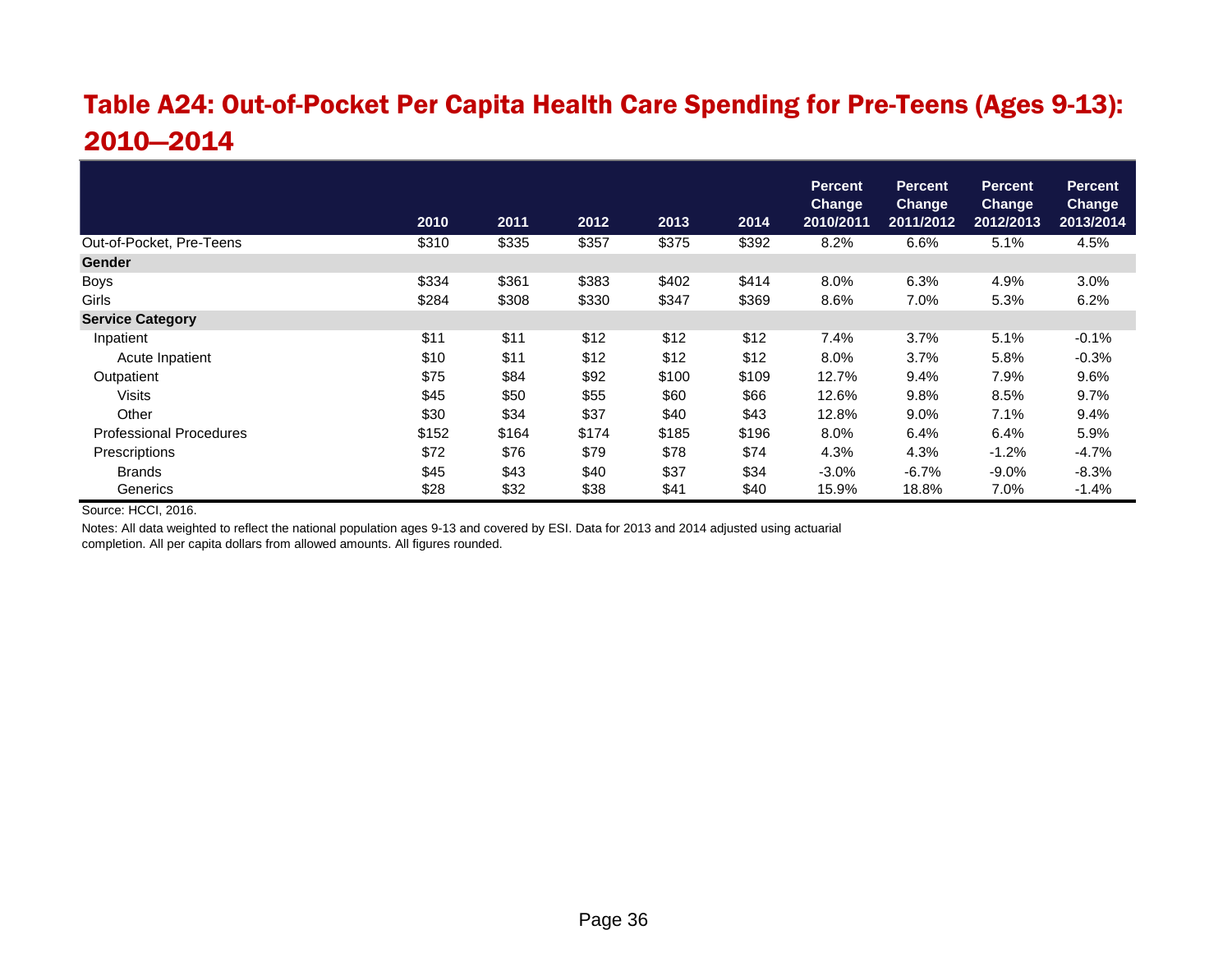### Table A24: Out-of-Pocket Per Capita Health Care Spending for Pre-Teens (Ages 9-13): 2010—2014

|                                |       |       |       |       |       | <b>Percent</b><br><b>Change</b> | <b>Percent</b><br><b>Change</b> | <b>Percent</b><br><b>Change</b> | <b>Percent</b><br><b>Change</b> |
|--------------------------------|-------|-------|-------|-------|-------|---------------------------------|---------------------------------|---------------------------------|---------------------------------|
|                                | 2010  | 2011  | 2012  | 2013  | 2014  | 2010/2011                       | 2011/2012                       | 2012/2013                       | 2013/2014                       |
| Out-of-Pocket, Pre-Teens       | \$310 | \$335 | \$357 | \$375 | \$392 | 8.2%                            | 6.6%                            | 5.1%                            | 4.5%                            |
| <b>Gender</b>                  |       |       |       |       |       |                                 |                                 |                                 |                                 |
| <b>Boys</b>                    | \$334 | \$361 | \$383 | \$402 | \$414 | 8.0%                            | 6.3%                            | 4.9%                            | 3.0%                            |
| Girls                          | \$284 | \$308 | \$330 | \$347 | \$369 | 8.6%                            | 7.0%                            | 5.3%                            | 6.2%                            |
| <b>Service Category</b>        |       |       |       |       |       |                                 |                                 |                                 |                                 |
| Inpatient                      | \$11  | \$11  | \$12  | \$12  | \$12  | 7.4%                            | 3.7%                            | 5.1%                            | $-0.1%$                         |
| Acute Inpatient                | \$10  | \$11  | \$12  | \$12  | \$12  | 8.0%                            | 3.7%                            | 5.8%                            | $-0.3%$                         |
| Outpatient                     | \$75  | \$84  | \$92  | \$100 | \$109 | 12.7%                           | 9.4%                            | 7.9%                            | 9.6%                            |
| <b>Visits</b>                  | \$45  | \$50  | \$55  | \$60  | \$66  | 12.6%                           | 9.8%                            | 8.5%                            | 9.7%                            |
| Other                          | \$30  | \$34  | \$37  | \$40  | \$43  | 12.8%                           | 9.0%                            | 7.1%                            | 9.4%                            |
| <b>Professional Procedures</b> | \$152 | \$164 | \$174 | \$185 | \$196 | 8.0%                            | 6.4%                            | 6.4%                            | 5.9%                            |
| Prescriptions                  | \$72  | \$76  | \$79  | \$78  | \$74  | 4.3%                            | 4.3%                            | $-1.2%$                         | $-4.7%$                         |
| <b>Brands</b>                  | \$45  | \$43  | \$40  | \$37  | \$34  | $-3.0%$                         | $-6.7%$                         | $-9.0%$                         | $-8.3%$                         |
| Generics                       | \$28  | \$32  | \$38  | \$41  | \$40  | 15.9%                           | 18.8%                           | 7.0%                            | $-1.4%$                         |

Source: HCCI, 2016.

Notes: All data weighted to reflect the national population ages 9-13 and covered by ESI. Data for 2013 and 2014 adjusted using actuarial

completion. All per capita dollars from allowed amounts. All figures rounded.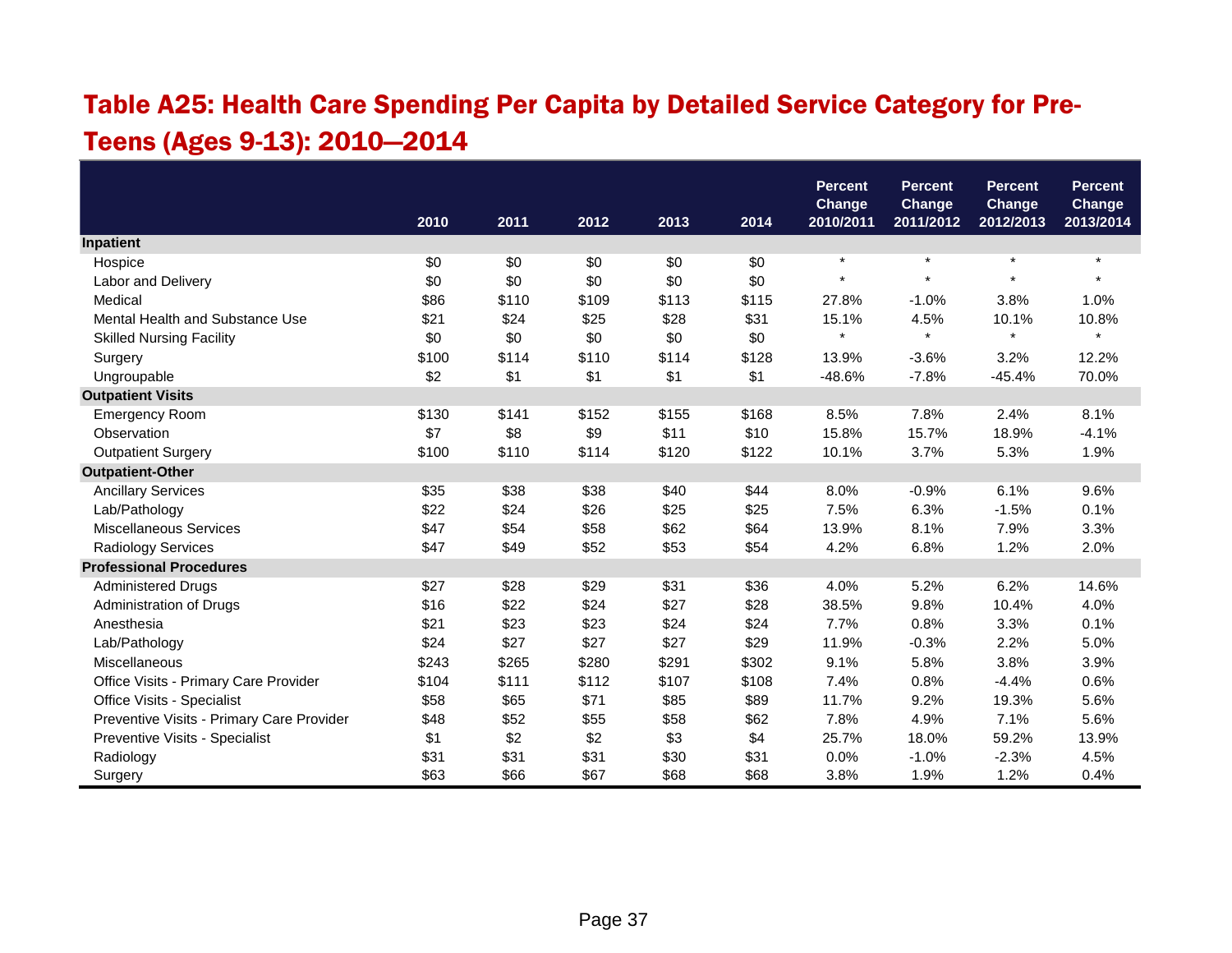## Table A25: Health Care Spending Per Capita by Detailed Service Category for Pre-Teens (Ages 9-13): 2010—2014

|                                           |       |       |       |       |       | <b>Percent</b>             | <b>Percent</b>      | <b>Percent</b>      | <b>Percent</b>             |
|-------------------------------------------|-------|-------|-------|-------|-------|----------------------------|---------------------|---------------------|----------------------------|
|                                           | 2010  | 2011  | 2012  | 2013  | 2014  | <b>Change</b><br>2010/2011 | Change<br>2011/2012 | Change<br>2012/2013 | <b>Change</b><br>2013/2014 |
| Inpatient                                 |       |       |       |       |       |                            |                     |                     |                            |
| Hospice                                   | \$0   | \$0   | \$0   | \$0   | \$0   | $\star$                    | $\star$             | $\star$             | $\star$                    |
| Labor and Delivery                        | \$0   | \$0   | \$0   | \$0   | \$0   | $\star$                    | $\star$             | $\star$             |                            |
| Medical                                   | \$86  | \$110 | \$109 | \$113 | \$115 | 27.8%                      | $-1.0%$             | 3.8%                | 1.0%                       |
| Mental Health and Substance Use           | \$21  | \$24  | \$25  | \$28  | \$31  | 15.1%                      | 4.5%                | 10.1%               | 10.8%                      |
| <b>Skilled Nursing Facility</b>           | \$0   | \$0   | \$0   | \$0   | \$0   | $\star$                    | $\star$             | $\star$             | $\star$                    |
| Surgery                                   | \$100 | \$114 | \$110 | \$114 | \$128 | 13.9%                      | $-3.6%$             | 3.2%                | 12.2%                      |
| Ungroupable                               | \$2   | \$1   | \$1   | \$1   | \$1   | $-48.6%$                   | $-7.8%$             | $-45.4%$            | 70.0%                      |
| <b>Outpatient Visits</b>                  |       |       |       |       |       |                            |                     |                     |                            |
| <b>Emergency Room</b>                     | \$130 | \$141 | \$152 | \$155 | \$168 | 8.5%                       | 7.8%                | 2.4%                | 8.1%                       |
| Observation                               | \$7   | \$8   | \$9   | \$11  | \$10  | 15.8%                      | 15.7%               | 18.9%               | $-4.1%$                    |
| <b>Outpatient Surgery</b>                 | \$100 | \$110 | \$114 | \$120 | \$122 | 10.1%                      | 3.7%                | 5.3%                | 1.9%                       |
| <b>Outpatient-Other</b>                   |       |       |       |       |       |                            |                     |                     |                            |
| <b>Ancillary Services</b>                 | \$35  | \$38  | \$38  | \$40  | \$44  | 8.0%                       | $-0.9%$             | 6.1%                | 9.6%                       |
| Lab/Pathology                             | \$22  | \$24  | \$26  | \$25  | \$25  | 7.5%                       | 6.3%                | $-1.5%$             | 0.1%                       |
| Miscellaneous Services                    | \$47  | \$54  | \$58  | \$62  | \$64  | 13.9%                      | 8.1%                | 7.9%                | 3.3%                       |
| <b>Radiology Services</b>                 | \$47  | \$49  | \$52  | \$53  | \$54  | 4.2%                       | 6.8%                | 1.2%                | 2.0%                       |
| <b>Professional Procedures</b>            |       |       |       |       |       |                            |                     |                     |                            |
| <b>Administered Drugs</b>                 | \$27  | \$28  | \$29  | \$31  | \$36  | 4.0%                       | 5.2%                | 6.2%                | 14.6%                      |
| Administration of Drugs                   | \$16  | \$22  | \$24  | \$27  | \$28  | 38.5%                      | 9.8%                | 10.4%               | 4.0%                       |
| Anesthesia                                | \$21  | \$23  | \$23  | \$24  | \$24  | 7.7%                       | 0.8%                | 3.3%                | 0.1%                       |
| Lab/Pathology                             | \$24  | \$27  | \$27  | \$27  | \$29  | 11.9%                      | $-0.3%$             | 2.2%                | 5.0%                       |
| Miscellaneous                             | \$243 | \$265 | \$280 | \$291 | \$302 | 9.1%                       | 5.8%                | 3.8%                | 3.9%                       |
| Office Visits - Primary Care Provider     | \$104 | \$111 | \$112 | \$107 | \$108 | 7.4%                       | 0.8%                | $-4.4%$             | 0.6%                       |
| Office Visits - Specialist                | \$58  | \$65  | \$71  | \$85  | \$89  | 11.7%                      | 9.2%                | 19.3%               | 5.6%                       |
| Preventive Visits - Primary Care Provider | \$48  | \$52  | \$55  | \$58  | \$62  | 7.8%                       | 4.9%                | 7.1%                | 5.6%                       |
| Preventive Visits - Specialist            | \$1   | \$2   | \$2   | \$3   | \$4   | 25.7%                      | 18.0%               | 59.2%               | 13.9%                      |
| Radiology                                 | \$31  | \$31  | \$31  | \$30  | \$31  | 0.0%                       | $-1.0%$             | $-2.3%$             | 4.5%                       |
| Surgery                                   | \$63  | \$66  | \$67  | \$68  | \$68  | 3.8%                       | 1.9%                | 1.2%                | 0.4%                       |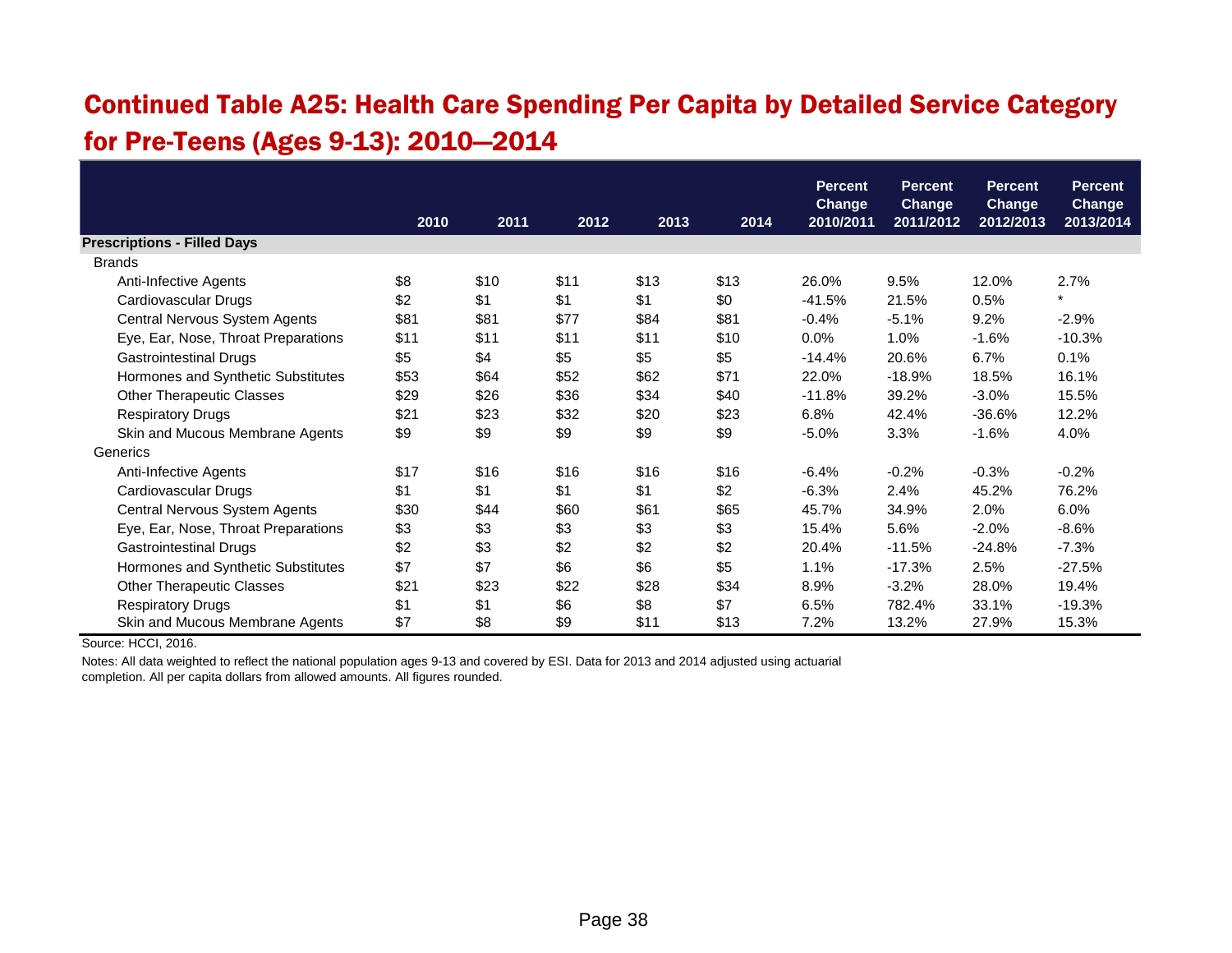### Continued Table A25: Health Care Spending Per Capita by Detailed Service Category for Pre-Teens (Ages 9-13): 2010—2014

|                                     |      |      |      |      |      | <b>Percent</b><br><b>Change</b> | <b>Percent</b><br><b>Change</b> | <b>Percent</b><br><b>Change</b> | <b>Percent</b><br><b>Change</b> |
|-------------------------------------|------|------|------|------|------|---------------------------------|---------------------------------|---------------------------------|---------------------------------|
|                                     | 2010 | 2011 | 2012 | 2013 | 2014 | 2010/2011                       | 2011/2012                       | 2012/2013                       | 2013/2014                       |
| <b>Prescriptions - Filled Days</b>  |      |      |      |      |      |                                 |                                 |                                 |                                 |
| <b>Brands</b>                       |      |      |      |      |      |                                 |                                 |                                 |                                 |
| Anti-Infective Agents               | \$8  | \$10 | \$11 | \$13 | \$13 | 26.0%                           | 9.5%                            | 12.0%                           | 2.7%                            |
| Cardiovascular Drugs                | \$2  | \$1  | \$1  | \$1  | \$0  | $-41.5%$                        | 21.5%                           | 0.5%                            | $\star$                         |
| Central Nervous System Agents       | \$81 | \$81 | \$77 | \$84 | \$81 | $-0.4%$                         | $-5.1%$                         | 9.2%                            | $-2.9%$                         |
| Eye, Ear, Nose, Throat Preparations | \$11 | \$11 | \$11 | \$11 | \$10 | $0.0\%$                         | 1.0%                            | $-1.6%$                         | $-10.3%$                        |
| <b>Gastrointestinal Drugs</b>       | \$5  | \$4  | \$5  | \$5  | \$5  | $-14.4%$                        | 20.6%                           | 6.7%                            | 0.1%                            |
| Hormones and Synthetic Substitutes  | \$53 | \$64 | \$52 | \$62 | \$71 | 22.0%                           | $-18.9%$                        | 18.5%                           | 16.1%                           |
| <b>Other Therapeutic Classes</b>    | \$29 | \$26 | \$36 | \$34 | \$40 | $-11.8%$                        | 39.2%                           | $-3.0\%$                        | 15.5%                           |
| <b>Respiratory Drugs</b>            | \$21 | \$23 | \$32 | \$20 | \$23 | 6.8%                            | 42.4%                           | $-36.6%$                        | 12.2%                           |
| Skin and Mucous Membrane Agents     | \$9  | \$9  | \$9  | \$9  | \$9  | $-5.0%$                         | 3.3%                            | $-1.6%$                         | 4.0%                            |
| Generics                            |      |      |      |      |      |                                 |                                 |                                 |                                 |
| Anti-Infective Agents               | \$17 | \$16 | \$16 | \$16 | \$16 | $-6.4%$                         | $-0.2%$                         | $-0.3%$                         | $-0.2%$                         |
| Cardiovascular Drugs                | \$1  | \$1  | \$1  | \$1  | \$2  | $-6.3%$                         | 2.4%                            | 45.2%                           | 76.2%                           |
| Central Nervous System Agents       | \$30 | \$44 | \$60 | \$61 | \$65 | 45.7%                           | 34.9%                           | 2.0%                            | 6.0%                            |
| Eye, Ear, Nose, Throat Preparations | \$3  | \$3  | \$3  | \$3  | \$3  | 15.4%                           | 5.6%                            | $-2.0%$                         | $-8.6%$                         |
| <b>Gastrointestinal Drugs</b>       | \$2  | \$3  | \$2  | \$2  | \$2  | 20.4%                           | $-11.5%$                        | $-24.8%$                        | $-7.3%$                         |
| Hormones and Synthetic Substitutes  | \$7  | \$7  | \$6  | \$6  | \$5  | 1.1%                            | $-17.3%$                        | 2.5%                            | $-27.5%$                        |
| <b>Other Therapeutic Classes</b>    | \$21 | \$23 | \$22 | \$28 | \$34 | 8.9%                            | $-3.2%$                         | 28.0%                           | 19.4%                           |
| <b>Respiratory Drugs</b>            | \$1  | \$1  | \$6  | \$8  | \$7  | 6.5%                            | 782.4%                          | 33.1%                           | $-19.3%$                        |
| Skin and Mucous Membrane Agents     | \$7  | \$8  | \$9  | \$11 | \$13 | 7.2%                            | 13.2%                           | 27.9%                           | 15.3%                           |

Source: HCCI, 2016.

Notes: All data weighted to reflect the national population ages 9-13 and covered by ESI. Data for 2013 and 2014 adjusted using actuarial completion. All per capita dollars from allowed amounts. All figures rounded.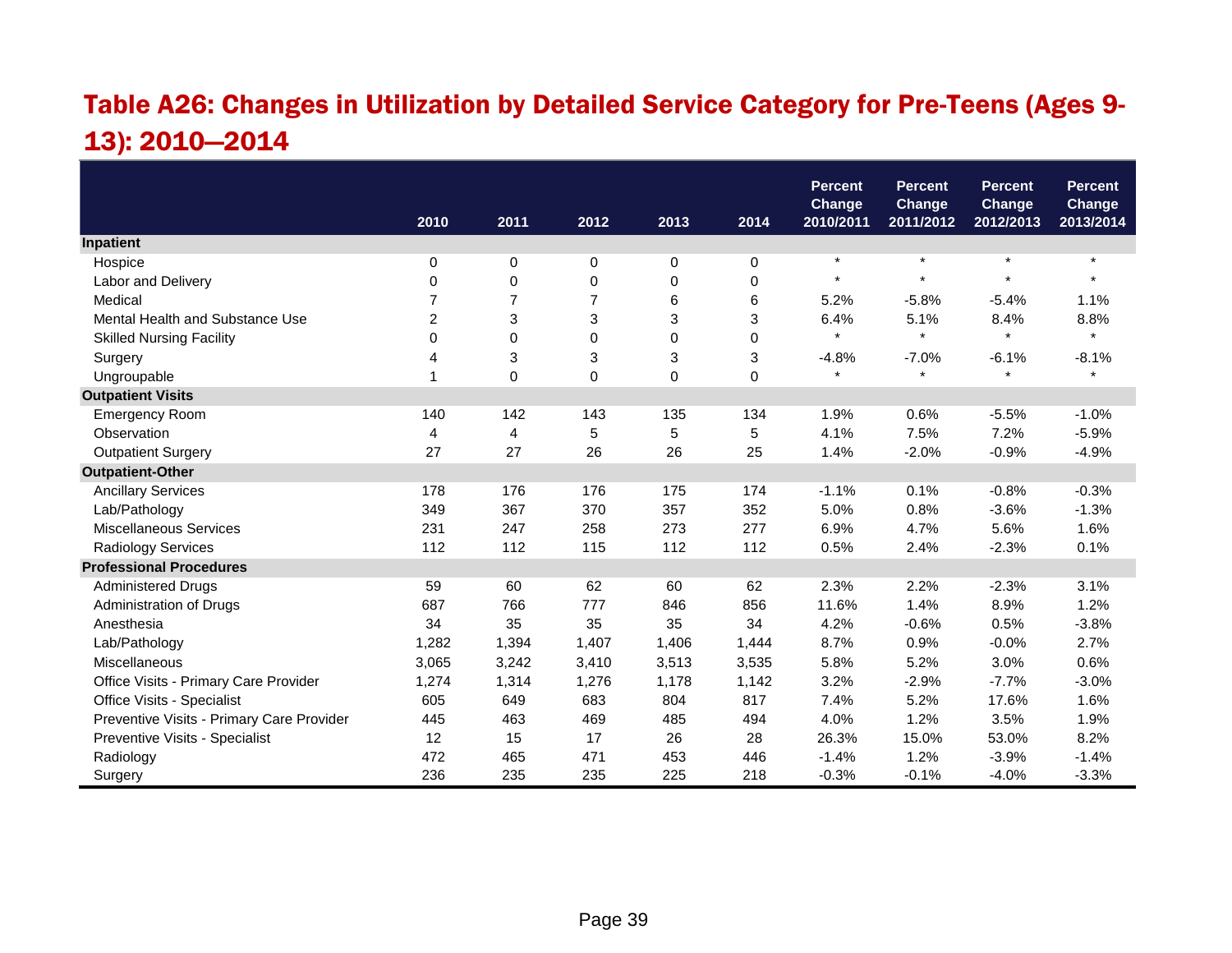## Table A26: Changes in Utilization by Detailed Service Category for Pre-Teens (Ages 9- 13): 2010—2014

|                                           |       |                |                |       |             | <b>Percent</b><br><b>Change</b> | <b>Percent</b><br><b>Change</b> | <b>Percent</b><br><b>Change</b> | <b>Percent</b><br>Change |
|-------------------------------------------|-------|----------------|----------------|-------|-------------|---------------------------------|---------------------------------|---------------------------------|--------------------------|
|                                           | 2010  | 2011           | 2012           | 2013  | 2014        | 2010/2011                       | 2011/2012                       | 2012/2013                       | 2013/2014                |
| Inpatient                                 |       |                |                |       |             |                                 |                                 |                                 |                          |
| Hospice                                   | 0     | 0              | 0              | 0     | 0           | $\star$                         | $\star$                         | $\star$                         | $\star$                  |
| Labor and Delivery                        | 0     | 0              | 0              | 0     | $\mathbf 0$ |                                 | $\star$                         | $\star$                         | $\star$                  |
| Medical                                   | 7     | $\overline{7}$ | $\overline{7}$ | 6     | 6           | 5.2%                            | $-5.8%$                         | $-5.4%$                         | 1.1%                     |
| Mental Health and Substance Use           | 2     | 3              | 3              | 3     | 3           | 6.4%                            | 5.1%                            | 8.4%                            | 8.8%                     |
| <b>Skilled Nursing Facility</b>           | 0     | $\Omega$       | 0              | 0     | $\Omega$    | $\star$                         | $\star$                         | $\star$                         | $\star$                  |
| Surgery                                   | 4     | 3              | 3              | 3     | 3           | $-4.8%$                         | $-7.0%$                         | $-6.1%$                         | $-8.1%$                  |
| Ungroupable                               | 1     | $\Omega$       | $\mathbf 0$    | 0     | $\Omega$    | $\star$                         | $\star$                         | $\star$                         | $\star$                  |
| <b>Outpatient Visits</b>                  |       |                |                |       |             |                                 |                                 |                                 |                          |
| <b>Emergency Room</b>                     | 140   | 142            | 143            | 135   | 134         | 1.9%                            | 0.6%                            | $-5.5%$                         | $-1.0%$                  |
| Observation                               | 4     | 4              | 5              | 5     | 5           | 4.1%                            | 7.5%                            | 7.2%                            | $-5.9%$                  |
| <b>Outpatient Surgery</b>                 | 27    | 27             | 26             | 26    | 25          | 1.4%                            | $-2.0%$                         | $-0.9%$                         | $-4.9%$                  |
| <b>Outpatient-Other</b>                   |       |                |                |       |             |                                 |                                 |                                 |                          |
| <b>Ancillary Services</b>                 | 178   | 176            | 176            | 175   | 174         | $-1.1%$                         | 0.1%                            | $-0.8%$                         | $-0.3%$                  |
| Lab/Pathology                             | 349   | 367            | 370            | 357   | 352         | 5.0%                            | 0.8%                            | $-3.6%$                         | $-1.3%$                  |
| <b>Miscellaneous Services</b>             | 231   | 247            | 258            | 273   | 277         | 6.9%                            | 4.7%                            | 5.6%                            | 1.6%                     |
| Radiology Services                        | 112   | 112            | 115            | 112   | 112         | 0.5%                            | 2.4%                            | $-2.3%$                         | 0.1%                     |
| <b>Professional Procedures</b>            |       |                |                |       |             |                                 |                                 |                                 |                          |
| <b>Administered Drugs</b>                 | 59    | 60             | 62             | 60    | 62          | 2.3%                            | 2.2%                            | $-2.3%$                         | 3.1%                     |
| Administration of Drugs                   | 687   | 766            | 777            | 846   | 856         | 11.6%                           | 1.4%                            | 8.9%                            | 1.2%                     |
| Anesthesia                                | 34    | 35             | 35             | 35    | 34          | 4.2%                            | $-0.6%$                         | 0.5%                            | $-3.8%$                  |
| Lab/Pathology                             | 1,282 | 1,394          | 1,407          | 1,406 | 1,444       | 8.7%                            | 0.9%                            | $-0.0%$                         | 2.7%                     |
| Miscellaneous                             | 3,065 | 3,242          | 3,410          | 3,513 | 3,535       | 5.8%                            | 5.2%                            | 3.0%                            | 0.6%                     |
| Office Visits - Primary Care Provider     | 1,274 | 1,314          | 1,276          | 1,178 | 1,142       | 3.2%                            | $-2.9%$                         | $-7.7%$                         | $-3.0%$                  |
| Office Visits - Specialist                | 605   | 649            | 683            | 804   | 817         | 7.4%                            | 5.2%                            | 17.6%                           | 1.6%                     |
| Preventive Visits - Primary Care Provider | 445   | 463            | 469            | 485   | 494         | 4.0%                            | 1.2%                            | 3.5%                            | 1.9%                     |
| Preventive Visits - Specialist            | 12    | 15             | 17             | 26    | 28          | 26.3%                           | 15.0%                           | 53.0%                           | 8.2%                     |
| Radiology                                 | 472   | 465            | 471            | 453   | 446         | $-1.4%$                         | 1.2%                            | $-3.9%$                         | $-1.4%$                  |
| Surgery                                   | 236   | 235            | 235            | 225   | 218         | $-0.3%$                         | $-0.1%$                         | $-4.0%$                         | $-3.3%$                  |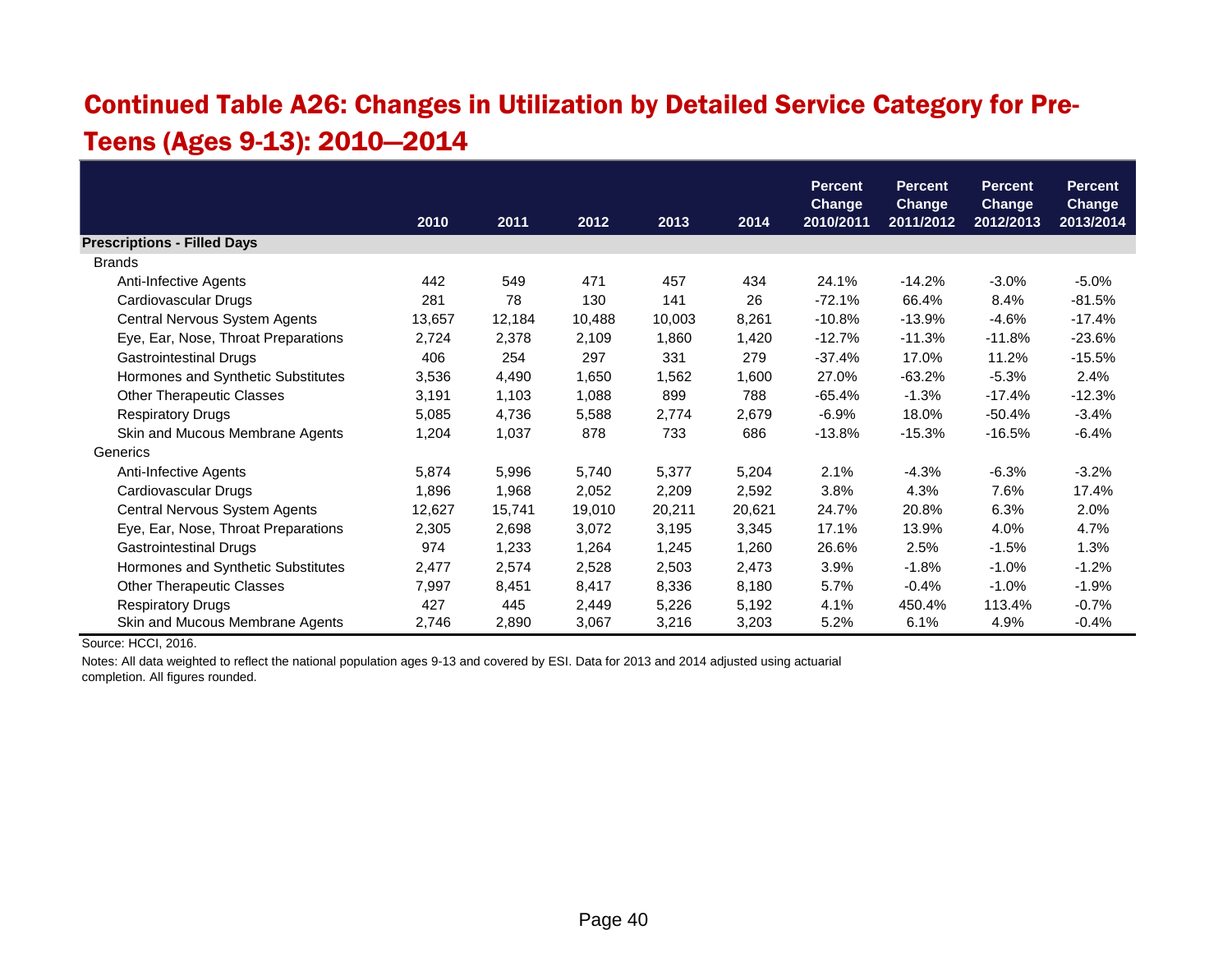#### Continued Table A26: Changes in Utilization by Detailed Service Category for Pre-Teens (Ages 9-13): 2010—2014

|                                     |        |        |        |        |        | <b>Percent</b>             | <b>Percent</b>             | <b>Percent</b>             | <b>Percent</b>      |
|-------------------------------------|--------|--------|--------|--------|--------|----------------------------|----------------------------|----------------------------|---------------------|
|                                     | 2010   | 2011   | 2012   | 2013   | 2014   | <b>Change</b><br>2010/2011 | <b>Change</b><br>2011/2012 | <b>Change</b><br>2012/2013 | Change<br>2013/2014 |
| <b>Prescriptions - Filled Days</b>  |        |        |        |        |        |                            |                            |                            |                     |
| <b>Brands</b>                       |        |        |        |        |        |                            |                            |                            |                     |
| Anti-Infective Agents               | 442    | 549    | 471    | 457    | 434    | 24.1%                      | $-14.2%$                   | $-3.0%$                    | $-5.0\%$            |
| Cardiovascular Drugs                | 281    | 78     | 130    | 141    | 26     | $-72.1%$                   | 66.4%                      | 8.4%                       | $-81.5%$            |
| Central Nervous System Agents       | 13,657 | 12,184 | 10,488 | 10,003 | 8,261  | $-10.8%$                   | $-13.9%$                   | $-4.6%$                    | $-17.4%$            |
| Eye, Ear, Nose, Throat Preparations | 2,724  | 2,378  | 2,109  | 1,860  | 1,420  | $-12.7%$                   | $-11.3%$                   | $-11.8%$                   | $-23.6%$            |
| <b>Gastrointestinal Drugs</b>       | 406    | 254    | 297    | 331    | 279    | $-37.4%$                   | 17.0%                      | 11.2%                      | $-15.5%$            |
| Hormones and Synthetic Substitutes  | 3,536  | 4,490  | 1,650  | 1,562  | 1,600  | 27.0%                      | $-63.2%$                   | $-5.3%$                    | 2.4%                |
| <b>Other Therapeutic Classes</b>    | 3,191  | 1,103  | 1,088  | 899    | 788    | $-65.4%$                   | $-1.3%$                    | $-17.4%$                   | $-12.3%$            |
| <b>Respiratory Drugs</b>            | 5,085  | 4,736  | 5,588  | 2,774  | 2,679  | $-6.9%$                    | 18.0%                      | $-50.4%$                   | $-3.4%$             |
| Skin and Mucous Membrane Agents     | 1,204  | 1,037  | 878    | 733    | 686    | $-13.8%$                   | $-15.3%$                   | $-16.5%$                   | $-6.4%$             |
| Generics                            |        |        |        |        |        |                            |                            |                            |                     |
| Anti-Infective Agents               | 5,874  | 5,996  | 5,740  | 5,377  | 5,204  | 2.1%                       | $-4.3%$                    | $-6.3%$                    | $-3.2%$             |
| Cardiovascular Drugs                | 1,896  | 1,968  | 2,052  | 2,209  | 2,592  | 3.8%                       | 4.3%                       | 7.6%                       | 17.4%               |
| Central Nervous System Agents       | 12,627 | 15,741 | 19,010 | 20,211 | 20,621 | 24.7%                      | 20.8%                      | 6.3%                       | 2.0%                |
| Eye, Ear, Nose, Throat Preparations | 2,305  | 2,698  | 3,072  | 3,195  | 3,345  | 17.1%                      | 13.9%                      | 4.0%                       | 4.7%                |
| <b>Gastrointestinal Drugs</b>       | 974    | 1,233  | 1,264  | 1,245  | 1,260  | 26.6%                      | 2.5%                       | $-1.5%$                    | 1.3%                |
| Hormones and Synthetic Substitutes  | 2,477  | 2,574  | 2,528  | 2,503  | 2,473  | 3.9%                       | $-1.8%$                    | $-1.0%$                    | $-1.2%$             |
| <b>Other Therapeutic Classes</b>    | 7,997  | 8,451  | 8,417  | 8,336  | 8,180  | 5.7%                       | $-0.4%$                    | $-1.0%$                    | $-1.9%$             |
| <b>Respiratory Drugs</b>            | 427    | 445    | 2,449  | 5,226  | 5,192  | 4.1%                       | 450.4%                     | 113.4%                     | $-0.7%$             |
| Skin and Mucous Membrane Agents     | 2,746  | 2,890  | 3,067  | 3,216  | 3,203  | 5.2%                       | 6.1%                       | 4.9%                       | $-0.4%$             |

Source: HCCI, 2016.

Notes: All data weighted to reflect the national population ages 9-13 and covered by ESI. Data for 2013 and 2014 adjusted using actuarial completion. All figures rounded.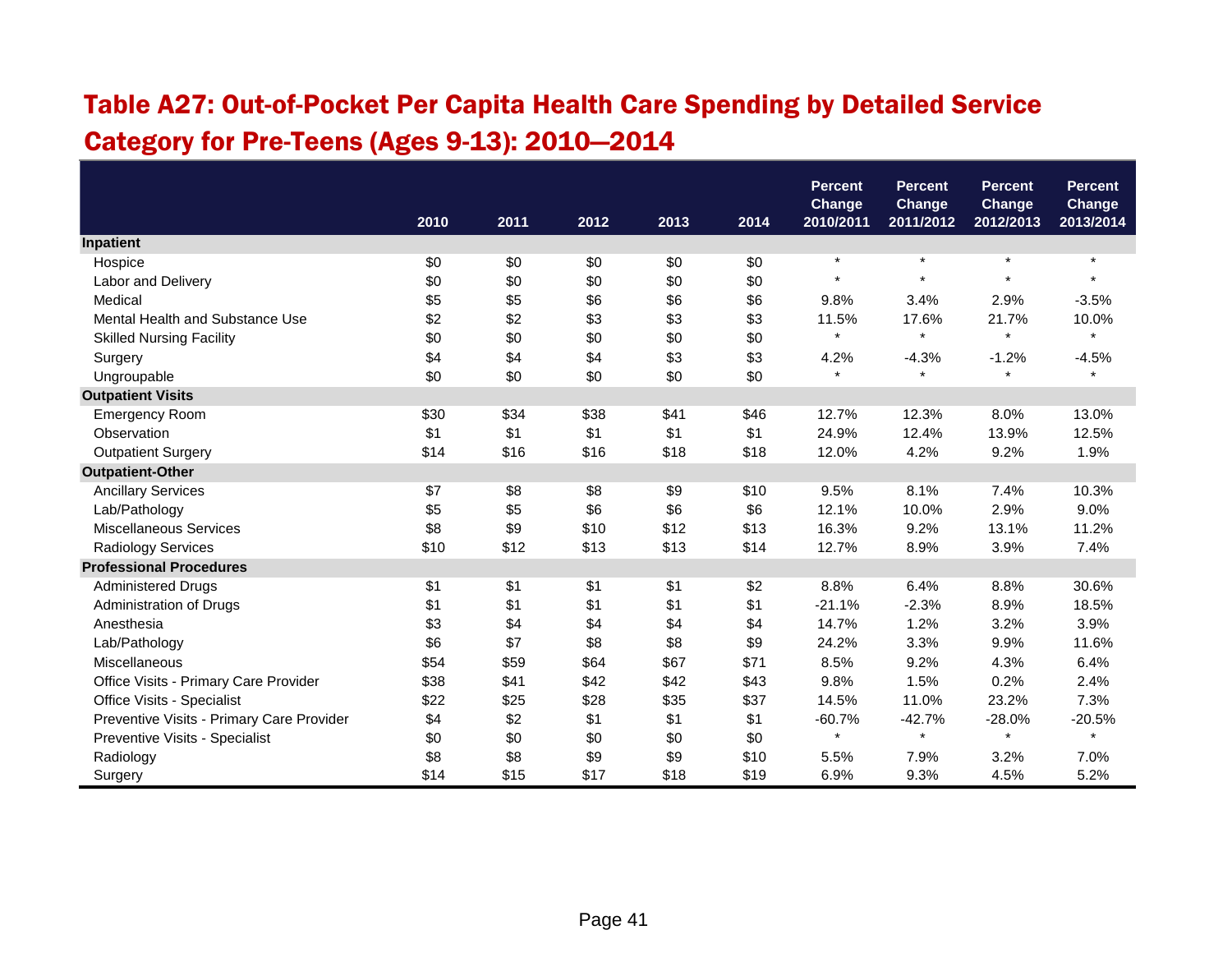## Table A27: Out-of-Pocket Per Capita Health Care Spending by Detailed Service Category for Pre-Teens (Ages 9-13): 2010—2014

|                                           |      |      | <b>Percent</b><br>Change |      | <b>Percent</b><br><b>Change</b> | <b>Percent</b><br>Change | <b>Percent</b><br>Change |           |           |
|-------------------------------------------|------|------|--------------------------|------|---------------------------------|--------------------------|--------------------------|-----------|-----------|
|                                           | 2010 | 2011 | 2012                     | 2013 | 2014                            | 2010/2011                | 2011/2012                | 2012/2013 | 2013/2014 |
| Inpatient                                 |      |      |                          |      |                                 |                          |                          |           |           |
| Hospice                                   | \$0  | \$0  | \$0                      | \$0  | \$0                             | $\star$                  | $\star$                  | $\star$   | $\star$   |
| Labor and Delivery                        | \$0  | \$0  | \$0                      | \$0  | \$0                             | $\star$                  | $\star$                  | $\star$   | $\star$   |
| Medical                                   | \$5  | \$5  | \$6                      | \$6  | \$6                             | 9.8%                     | 3.4%                     | 2.9%      | $-3.5%$   |
| Mental Health and Substance Use           | \$2  | \$2  | \$3                      | \$3  | \$3                             | 11.5%                    | 17.6%                    | 21.7%     | 10.0%     |
| <b>Skilled Nursing Facility</b>           | \$0  | \$0  | \$0                      | \$0  | \$0                             | $\star$                  | $\star$                  | $\star$   |           |
| Surgery                                   | \$4  | \$4  | \$4                      | \$3  | \$3                             | 4.2%                     | $-4.3%$                  | $-1.2%$   | $-4.5%$   |
| Ungroupable                               | \$0  | \$0  | \$0                      | \$0  | \$0                             | $\star$                  | $\star$                  | $\star$   | $\star$   |
| <b>Outpatient Visits</b>                  |      |      |                          |      |                                 |                          |                          |           |           |
| <b>Emergency Room</b>                     | \$30 | \$34 | \$38                     | \$41 | \$46                            | 12.7%                    | 12.3%                    | 8.0%      | 13.0%     |
| Observation                               | \$1  | \$1  | \$1                      | \$1  | \$1                             | 24.9%                    | 12.4%                    | 13.9%     | 12.5%     |
| <b>Outpatient Surgery</b>                 | \$14 | \$16 | \$16                     | \$18 | \$18                            | 12.0%                    | 4.2%                     | 9.2%      | 1.9%      |
| <b>Outpatient-Other</b>                   |      |      |                          |      |                                 |                          |                          |           |           |
| <b>Ancillary Services</b>                 | \$7  | \$8  | \$8                      | \$9  | \$10                            | 9.5%                     | 8.1%                     | 7.4%      | 10.3%     |
| Lab/Pathology                             | \$5  | \$5  | \$6                      | \$6  | \$6                             | 12.1%                    | 10.0%                    | 2.9%      | 9.0%      |
| <b>Miscellaneous Services</b>             | \$8  | \$9  | \$10                     | \$12 | \$13                            | 16.3%                    | 9.2%                     | 13.1%     | 11.2%     |
| <b>Radiology Services</b>                 | \$10 | \$12 | \$13                     | \$13 | \$14                            | 12.7%                    | 8.9%                     | 3.9%      | 7.4%      |
| <b>Professional Procedures</b>            |      |      |                          |      |                                 |                          |                          |           |           |
| <b>Administered Drugs</b>                 | \$1  | \$1  | \$1                      | \$1  | \$2                             | 8.8%                     | 6.4%                     | 8.8%      | 30.6%     |
| Administration of Drugs                   | \$1  | \$1  | \$1                      | \$1  | \$1                             | $-21.1%$                 | $-2.3%$                  | 8.9%      | 18.5%     |
| Anesthesia                                | \$3  | \$4  | \$4                      | \$4  | \$4                             | 14.7%                    | 1.2%                     | 3.2%      | 3.9%      |
| Lab/Pathology                             | \$6  | \$7  | \$8                      | \$8  | \$9                             | 24.2%                    | 3.3%                     | 9.9%      | 11.6%     |
| Miscellaneous                             | \$54 | \$59 | \$64                     | \$67 | \$71                            | 8.5%                     | 9.2%                     | 4.3%      | 6.4%      |
| Office Visits - Primary Care Provider     | \$38 | \$41 | \$42                     | \$42 | \$43                            | 9.8%                     | 1.5%                     | 0.2%      | 2.4%      |
| Office Visits - Specialist                | \$22 | \$25 | \$28                     | \$35 | \$37                            | 14.5%                    | 11.0%                    | 23.2%     | 7.3%      |
| Preventive Visits - Primary Care Provider | \$4  | \$2  | \$1                      | \$1  | \$1                             | $-60.7%$                 | $-42.7%$                 | $-28.0%$  | $-20.5%$  |
| Preventive Visits - Specialist            | \$0  | \$0  | \$0                      | \$0  | \$0                             | $\star$                  | $\star$                  | $\star$   |           |
| Radiology                                 | \$8  | \$8  | \$9                      | \$9  | \$10                            | 5.5%                     | 7.9%                     | 3.2%      | 7.0%      |
| Surgery                                   | \$14 | \$15 | \$17                     | \$18 | \$19                            | 6.9%                     | 9.3%                     | 4.5%      | 5.2%      |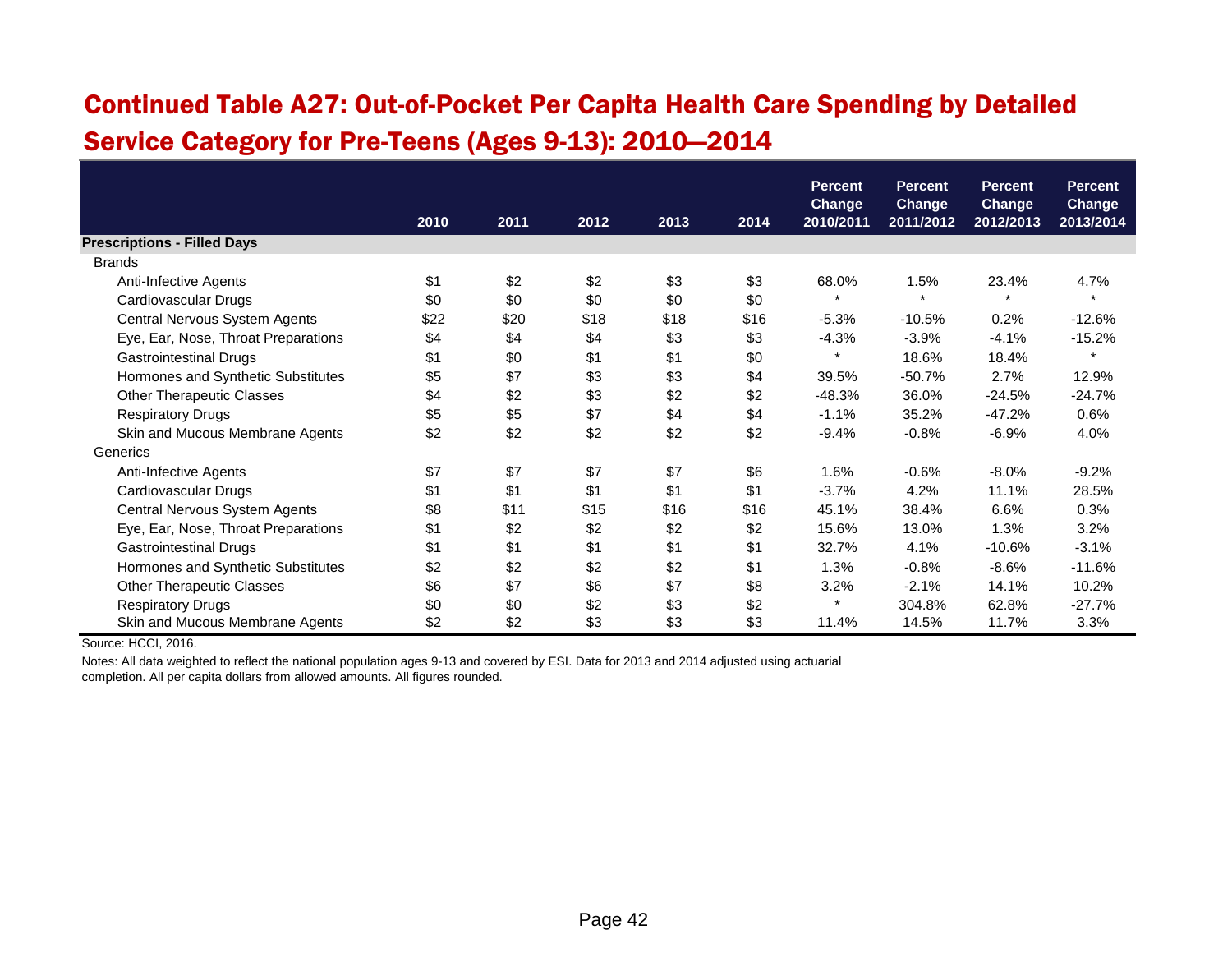## Continued Table A27: Out-of-Pocket Per Capita Health Care Spending by Detailed Service Category for Pre-Teens (Ages 9-13): 2010—2014

|                                     |      |      |      |      |      | <b>Percent</b>             | <b>Percent</b>             | <b>Percent</b>             | <b>Percent</b>             |
|-------------------------------------|------|------|------|------|------|----------------------------|----------------------------|----------------------------|----------------------------|
|                                     | 2010 | 2011 | 2012 | 2013 | 2014 | <b>Change</b><br>2010/2011 | <b>Change</b><br>2011/2012 | <b>Change</b><br>2012/2013 | <b>Change</b><br>2013/2014 |
| <b>Prescriptions - Filled Days</b>  |      |      |      |      |      |                            |                            |                            |                            |
| <b>Brands</b>                       |      |      |      |      |      |                            |                            |                            |                            |
| Anti-Infective Agents               | \$1  | \$2  | \$2  | \$3  | \$3  | 68.0%                      | 1.5%                       | 23.4%                      | 4.7%                       |
| Cardiovascular Drugs                | \$0  | \$0  | \$0  | \$0  | \$0  | $\star$                    | $\star$                    | $\star$                    | $\star$                    |
| Central Nervous System Agents       | \$22 | \$20 | \$18 | \$18 | \$16 | $-5.3%$                    | $-10.5%$                   | 0.2%                       | $-12.6%$                   |
| Eye, Ear, Nose, Throat Preparations | \$4  | \$4  | \$4  | \$3  | \$3  | $-4.3%$                    | $-3.9%$                    | $-4.1%$                    | $-15.2%$                   |
| <b>Gastrointestinal Drugs</b>       | \$1  | \$0  | \$1  | \$1  | \$0  | $\ast$                     | 18.6%                      | 18.4%                      | $\star$                    |
| Hormones and Synthetic Substitutes  | \$5  | \$7  | \$3  | \$3  | \$4  | 39.5%                      | $-50.7%$                   | 2.7%                       | 12.9%                      |
| <b>Other Therapeutic Classes</b>    | \$4  | \$2  | \$3  | \$2  | \$2  | $-48.3%$                   | 36.0%                      | $-24.5%$                   | $-24.7%$                   |
| <b>Respiratory Drugs</b>            | \$5  | \$5  | \$7  | \$4  | \$4  | $-1.1%$                    | 35.2%                      | $-47.2%$                   | 0.6%                       |
| Skin and Mucous Membrane Agents     | \$2  | \$2  | \$2  | \$2  | \$2  | $-9.4%$                    | $-0.8%$                    | $-6.9%$                    | 4.0%                       |
| Generics                            |      |      |      |      |      |                            |                            |                            |                            |
| Anti-Infective Agents               | \$7  | \$7  | \$7  | \$7  | \$6  | 1.6%                       | $-0.6%$                    | $-8.0\%$                   | $-9.2%$                    |
| Cardiovascular Drugs                | \$1  | \$1  | \$1  | \$1  | \$1  | $-3.7%$                    | 4.2%                       | 11.1%                      | 28.5%                      |
| Central Nervous System Agents       | \$8  | \$11 | \$15 | \$16 | \$16 | 45.1%                      | 38.4%                      | 6.6%                       | 0.3%                       |
| Eye, Ear, Nose, Throat Preparations | \$1  | \$2  | \$2  | \$2  | \$2  | 15.6%                      | 13.0%                      | 1.3%                       | 3.2%                       |
| <b>Gastrointestinal Drugs</b>       | \$1  | \$1  | \$1  | \$1  | \$1  | 32.7%                      | 4.1%                       | $-10.6%$                   | $-3.1%$                    |
| Hormones and Synthetic Substitutes  | \$2  | \$2  | \$2  | \$2  | \$1  | 1.3%                       | $-0.8%$                    | $-8.6%$                    | $-11.6%$                   |
| <b>Other Therapeutic Classes</b>    | \$6  | \$7  | \$6  | \$7  | \$8  | 3.2%                       | $-2.1%$                    | 14.1%                      | 10.2%                      |
| <b>Respiratory Drugs</b>            | \$0  | \$0  | \$2  | \$3  | \$2  | $\star$                    | 304.8%                     | 62.8%                      | $-27.7%$                   |
| Skin and Mucous Membrane Agents     | \$2  | \$2  | \$3  | \$3  | \$3  | 11.4%                      | 14.5%                      | 11.7%                      | 3.3%                       |

Source: HCCI, 2016.

Notes: All data weighted to reflect the national population ages 9-13 and covered by ESI. Data for 2013 and 2014 adjusted using actuarial

completion. All per capita dollars from allowed amounts. All figures rounded.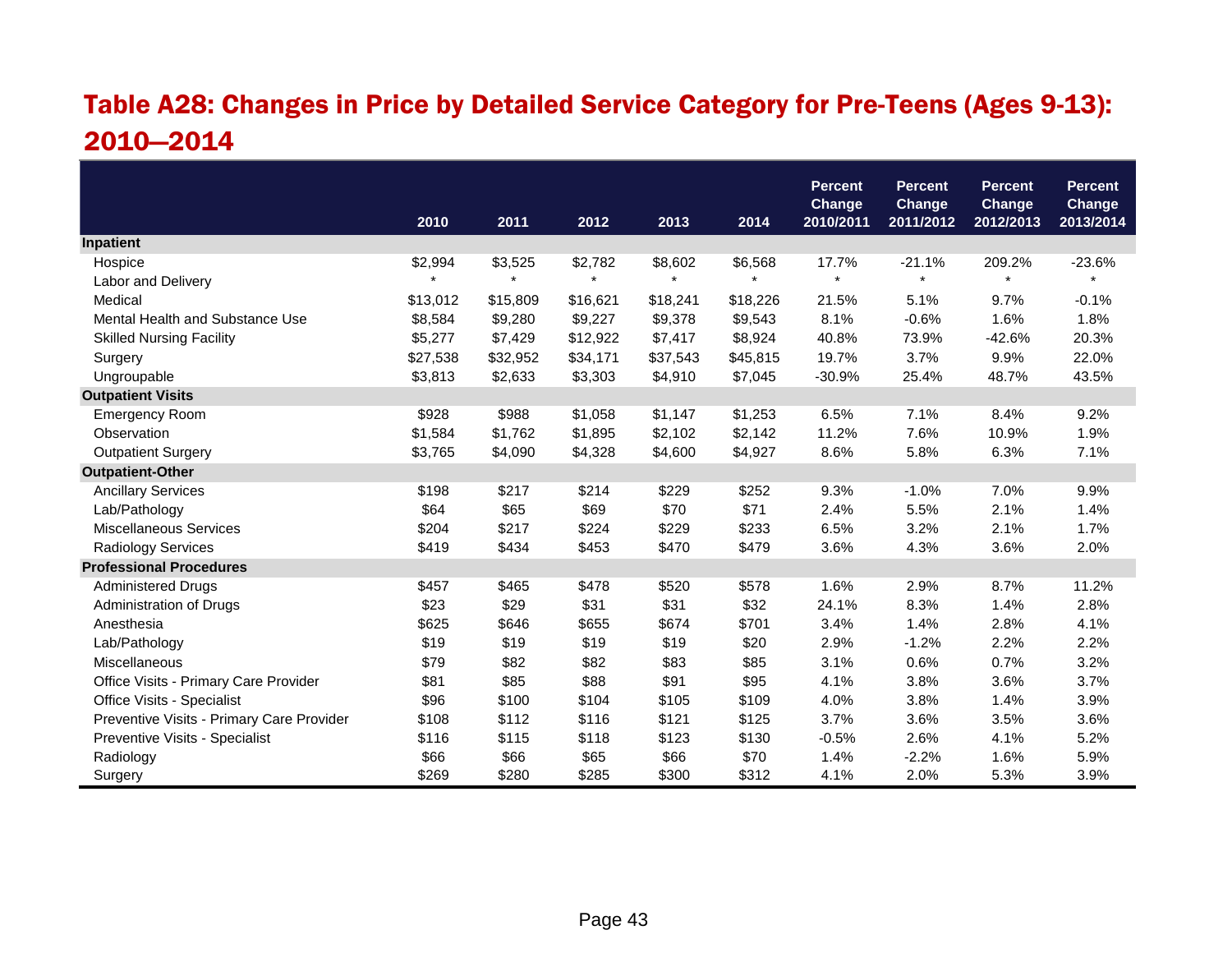### Table A28: Changes in Price by Detailed Service Category for Pre-Teens (Ages 9-13): 2010—2014

|                                           |          |          |          |          |          | <b>Percent</b>      | <b>Percent</b>      | <b>Percent</b>      | <b>Percent</b>      |
|-------------------------------------------|----------|----------|----------|----------|----------|---------------------|---------------------|---------------------|---------------------|
|                                           | 2010     | 2011     | 2012     | 2013     | 2014     | Change<br>2010/2011 | Change<br>2011/2012 | Change<br>2012/2013 | Change<br>2013/2014 |
| Inpatient                                 |          |          |          |          |          |                     |                     |                     |                     |
| Hospice                                   | \$2,994  | \$3,525  | \$2,782  | \$8,602  | \$6,568  | 17.7%               | $-21.1%$            | 209.2%              | $-23.6%$            |
| Labor and Delivery                        |          |          | $\star$  |          |          | $\star$             | $\star$             | $\star$             |                     |
| Medical                                   | \$13,012 | \$15,809 | \$16,621 | \$18,241 | \$18,226 | 21.5%               | 5.1%                | 9.7%                | $-0.1%$             |
| Mental Health and Substance Use           | \$8,584  | \$9,280  | \$9,227  | \$9,378  | \$9,543  | 8.1%                | $-0.6%$             | 1.6%                | 1.8%                |
| <b>Skilled Nursing Facility</b>           | \$5,277  | \$7,429  | \$12,922 | \$7,417  | \$8,924  | 40.8%               | 73.9%               | $-42.6%$            | 20.3%               |
| Surgery                                   | \$27,538 | \$32,952 | \$34,171 | \$37,543 | \$45,815 | 19.7%               | 3.7%                | 9.9%                | 22.0%               |
| Ungroupable                               | \$3,813  | \$2,633  | \$3,303  | \$4,910  | \$7,045  | $-30.9%$            | 25.4%               | 48.7%               | 43.5%               |
| <b>Outpatient Visits</b>                  |          |          |          |          |          |                     |                     |                     |                     |
| <b>Emergency Room</b>                     | \$928    | \$988    | \$1,058  | \$1,147  | \$1,253  | 6.5%                | 7.1%                | 8.4%                | 9.2%                |
| Observation                               | \$1,584  | \$1,762  | \$1,895  | \$2,102  | \$2,142  | 11.2%               | 7.6%                | 10.9%               | 1.9%                |
| <b>Outpatient Surgery</b>                 | \$3,765  | \$4,090  | \$4,328  | \$4,600  | \$4,927  | 8.6%                | 5.8%                | 6.3%                | 7.1%                |
| <b>Outpatient-Other</b>                   |          |          |          |          |          |                     |                     |                     |                     |
| <b>Ancillary Services</b>                 | \$198    | \$217    | \$214    | \$229    | \$252    | 9.3%                | $-1.0%$             | 7.0%                | 9.9%                |
| Lab/Pathology                             | \$64     | \$65     | \$69     | \$70     | \$71     | 2.4%                | 5.5%                | 2.1%                | 1.4%                |
| <b>Miscellaneous Services</b>             | \$204    | \$217    | \$224    | \$229    | \$233    | 6.5%                | 3.2%                | 2.1%                | 1.7%                |
| <b>Radiology Services</b>                 | \$419    | \$434    | \$453    | \$470    | \$479    | 3.6%                | 4.3%                | 3.6%                | 2.0%                |
| <b>Professional Procedures</b>            |          |          |          |          |          |                     |                     |                     |                     |
| <b>Administered Drugs</b>                 | \$457    | \$465    | \$478    | \$520    | \$578    | 1.6%                | 2.9%                | 8.7%                | 11.2%               |
| Administration of Drugs                   | \$23     | \$29     | \$31     | \$31     | \$32     | 24.1%               | 8.3%                | 1.4%                | 2.8%                |
| Anesthesia                                | \$625    | \$646    | \$655    | \$674    | \$701    | 3.4%                | 1.4%                | 2.8%                | 4.1%                |
| Lab/Pathology                             | \$19     | \$19     | \$19     | \$19     | \$20     | 2.9%                | $-1.2%$             | 2.2%                | 2.2%                |
| Miscellaneous                             | \$79     | \$82     | \$82     | \$83     | \$85     | 3.1%                | 0.6%                | 0.7%                | 3.2%                |
| Office Visits - Primary Care Provider     | \$81     | \$85     | \$88     | \$91     | \$95     | 4.1%                | 3.8%                | 3.6%                | 3.7%                |
| Office Visits - Specialist                | \$96     | \$100    | \$104    | \$105    | \$109    | 4.0%                | 3.8%                | 1.4%                | 3.9%                |
| Preventive Visits - Primary Care Provider | \$108    | \$112    | \$116    | \$121    | \$125    | 3.7%                | 3.6%                | 3.5%                | 3.6%                |
| Preventive Visits - Specialist            | \$116    | \$115    | \$118    | \$123    | \$130    | $-0.5%$             | 2.6%                | 4.1%                | 5.2%                |
| Radiology                                 | \$66     | \$66     | \$65     | \$66     | \$70     | 1.4%                | $-2.2%$             | 1.6%                | 5.9%                |
| Surgery                                   | \$269    | \$280    | \$285    | \$300    | \$312    | 4.1%                | 2.0%                | 5.3%                | 3.9%                |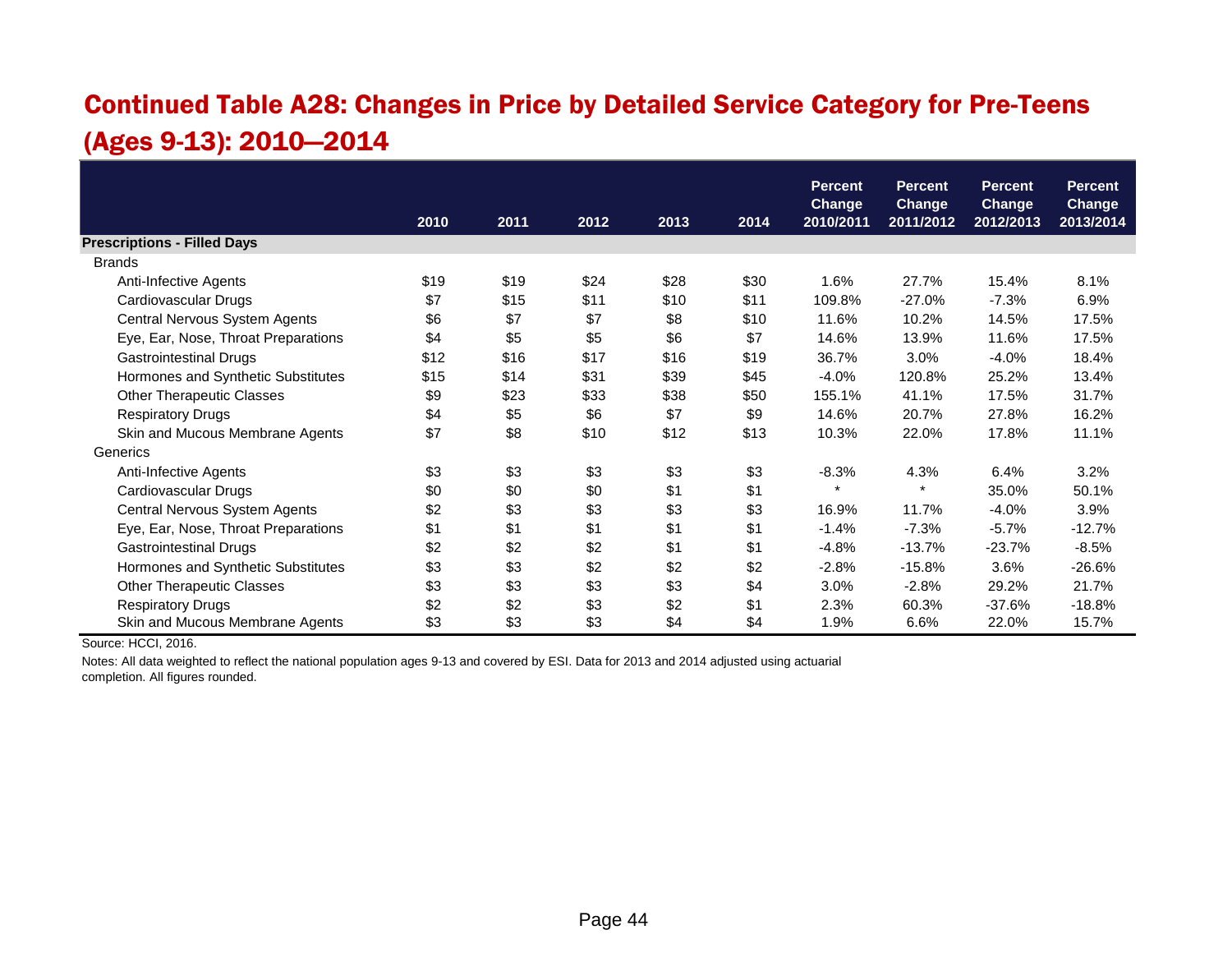### Continued Table A28: Changes in Price by Detailed Service Category for Pre-Teens (Ages 9-13): 2010—2014

|                                     |      |      |      |      |      | <b>Percent</b>             | <b>Percent</b>             | <b>Percent</b>             | <b>Percent</b>             |
|-------------------------------------|------|------|------|------|------|----------------------------|----------------------------|----------------------------|----------------------------|
|                                     | 2010 | 2011 | 2012 | 2013 | 2014 | <b>Change</b><br>2010/2011 | <b>Change</b><br>2011/2012 | <b>Change</b><br>2012/2013 | <b>Change</b><br>2013/2014 |
| <b>Prescriptions - Filled Days</b>  |      |      |      |      |      |                            |                            |                            |                            |
| <b>Brands</b>                       |      |      |      |      |      |                            |                            |                            |                            |
| Anti-Infective Agents               | \$19 | \$19 | \$24 | \$28 | \$30 | 1.6%                       | 27.7%                      | 15.4%                      | 8.1%                       |
| Cardiovascular Drugs                | \$7  | \$15 | \$11 | \$10 | \$11 | 109.8%                     | $-27.0%$                   | $-7.3%$                    | 6.9%                       |
| Central Nervous System Agents       | \$6  | \$7  | \$7  | \$8  | \$10 | 11.6%                      | 10.2%                      | 14.5%                      | 17.5%                      |
| Eye, Ear, Nose, Throat Preparations | \$4  | \$5  | \$5  | \$6  | \$7  | 14.6%                      | 13.9%                      | 11.6%                      | 17.5%                      |
| <b>Gastrointestinal Drugs</b>       | \$12 | \$16 | \$17 | \$16 | \$19 | 36.7%                      | 3.0%                       | $-4.0%$                    | 18.4%                      |
| Hormones and Synthetic Substitutes  | \$15 | \$14 | \$31 | \$39 | \$45 | $-4.0%$                    | 120.8%                     | 25.2%                      | 13.4%                      |
| <b>Other Therapeutic Classes</b>    | \$9  | \$23 | \$33 | \$38 | \$50 | 155.1%                     | 41.1%                      | 17.5%                      | 31.7%                      |
| <b>Respiratory Drugs</b>            | \$4  | \$5  | \$6  | \$7  | \$9  | 14.6%                      | 20.7%                      | 27.8%                      | 16.2%                      |
| Skin and Mucous Membrane Agents     | \$7  | \$8  | \$10 | \$12 | \$13 | 10.3%                      | 22.0%                      | 17.8%                      | 11.1%                      |
| Generics                            |      |      |      |      |      |                            |                            |                            |                            |
| Anti-Infective Agents               | \$3  | \$3  | \$3  | \$3  | \$3  | $-8.3%$                    | 4.3%                       | 6.4%                       | 3.2%                       |
| Cardiovascular Drugs                | \$0  | \$0  | \$0  | \$1  | \$1  | $\star$                    | $\star$                    | 35.0%                      | 50.1%                      |
| Central Nervous System Agents       | \$2  | \$3  | \$3  | \$3  | \$3  | 16.9%                      | 11.7%                      | $-4.0%$                    | 3.9%                       |
| Eye, Ear, Nose, Throat Preparations | \$1  | \$1  | \$1  | \$1  | \$1  | $-1.4%$                    | $-7.3%$                    | $-5.7%$                    | $-12.7%$                   |
| <b>Gastrointestinal Drugs</b>       | \$2  | \$2  | \$2  | \$1  | \$1  | $-4.8%$                    | $-13.7%$                   | $-23.7%$                   | $-8.5%$                    |
| Hormones and Synthetic Substitutes  | \$3  | \$3  | \$2  | \$2  | \$2  | $-2.8%$                    | $-15.8%$                   | 3.6%                       | $-26.6%$                   |
| <b>Other Therapeutic Classes</b>    | \$3  | \$3  | \$3  | \$3  | \$4  | 3.0%                       | $-2.8%$                    | 29.2%                      | 21.7%                      |
| <b>Respiratory Drugs</b>            | \$2  | \$2  | \$3  | \$2  | \$1  | 2.3%                       | 60.3%                      | $-37.6%$                   | $-18.8%$                   |
| Skin and Mucous Membrane Agents     | \$3  | \$3  | \$3  | \$4  | \$4  | 1.9%                       | 6.6%                       | 22.0%                      | 15.7%                      |

Source: HCCI, 2016.

Notes: All data weighted to reflect the national population ages 9-13 and covered by ESI. Data for 2013 and 2014 adjusted using actuarial completion. All figures rounded.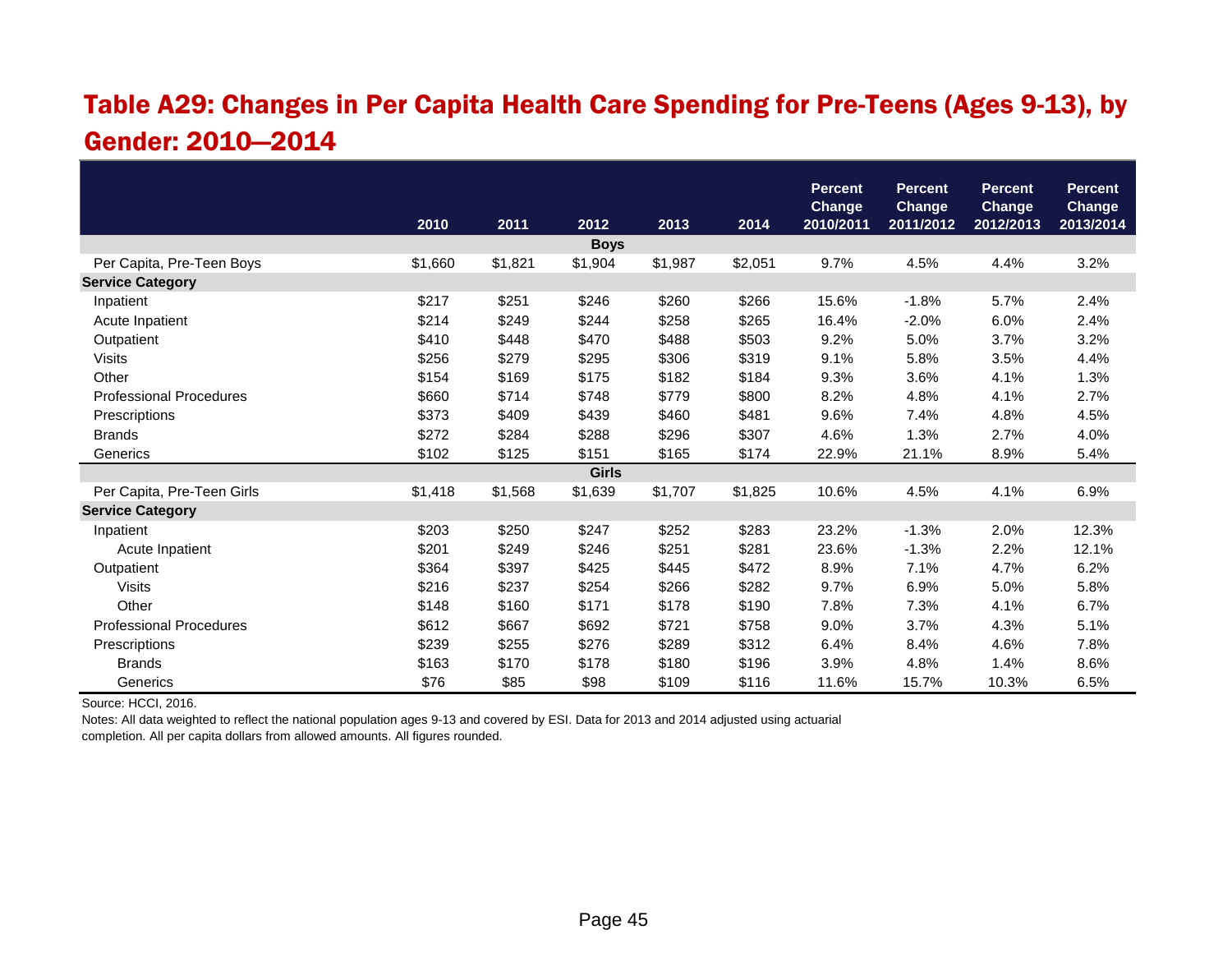#### Table A29: Changes in Per Capita Health Care Spending for Pre-Teens (Ages 9-13), by Gender: 2010—2014

|                                |         |         |              |         |         | <b>Percent</b><br><b>Change</b> | <b>Percent</b><br><b>Change</b> | <b>Percent</b><br><b>Change</b> | <b>Percent</b><br><b>Change</b> |
|--------------------------------|---------|---------|--------------|---------|---------|---------------------------------|---------------------------------|---------------------------------|---------------------------------|
|                                | 2010    | 2011    | 2012         | 2013    | 2014    | 2010/2011                       | 2011/2012                       | 2012/2013                       | 2013/2014                       |
|                                |         |         | <b>Boys</b>  |         |         |                                 |                                 |                                 |                                 |
| Per Capita, Pre-Teen Boys      | \$1,660 | \$1,821 | \$1,904      | \$1,987 | \$2,051 | 9.7%                            | 4.5%                            | 4.4%                            | 3.2%                            |
| <b>Service Category</b>        |         |         |              |         |         |                                 |                                 |                                 |                                 |
| Inpatient                      | \$217   | \$251   | \$246        | \$260   | \$266   | 15.6%                           | $-1.8%$                         | 5.7%                            | 2.4%                            |
| Acute Inpatient                | \$214   | \$249   | \$244        | \$258   | \$265   | 16.4%                           | $-2.0%$                         | 6.0%                            | 2.4%                            |
| Outpatient                     | \$410   | \$448   | \$470        | \$488   | \$503   | 9.2%                            | 5.0%                            | 3.7%                            | 3.2%                            |
| <b>Visits</b>                  | \$256   | \$279   | \$295        | \$306   | \$319   | 9.1%                            | 5.8%                            | 3.5%                            | 4.4%                            |
| Other                          | \$154   | \$169   | \$175        | \$182   | \$184   | 9.3%                            | 3.6%                            | 4.1%                            | 1.3%                            |
| <b>Professional Procedures</b> | \$660   | \$714   | \$748        | \$779   | \$800   | 8.2%                            | 4.8%                            | 4.1%                            | 2.7%                            |
| Prescriptions                  | \$373   | \$409   | \$439        | \$460   | \$481   | 9.6%                            | 7.4%                            | 4.8%                            | 4.5%                            |
| <b>Brands</b>                  | \$272   | \$284   | \$288        | \$296   | \$307   | 4.6%                            | 1.3%                            | 2.7%                            | 4.0%                            |
| Generics                       | \$102   | \$125   | \$151        | \$165   | \$174   | 22.9%                           | 21.1%                           | 8.9%                            | 5.4%                            |
|                                |         |         | <b>Girls</b> |         |         |                                 |                                 |                                 |                                 |
| Per Capita, Pre-Teen Girls     | \$1,418 | \$1,568 | \$1,639      | \$1,707 | \$1,825 | 10.6%                           | 4.5%                            | 4.1%                            | 6.9%                            |
| <b>Service Category</b>        |         |         |              |         |         |                                 |                                 |                                 |                                 |
| Inpatient                      | \$203   | \$250   | \$247        | \$252   | \$283   | 23.2%                           | $-1.3%$                         | 2.0%                            | 12.3%                           |
| Acute Inpatient                | \$201   | \$249   | \$246        | \$251   | \$281   | 23.6%                           | $-1.3%$                         | 2.2%                            | 12.1%                           |
| Outpatient                     | \$364   | \$397   | \$425        | \$445   | \$472   | 8.9%                            | 7.1%                            | 4.7%                            | 6.2%                            |
| <b>Visits</b>                  | \$216   | \$237   | \$254        | \$266   | \$282   | 9.7%                            | 6.9%                            | 5.0%                            | 5.8%                            |
| Other                          | \$148   | \$160   | \$171        | \$178   | \$190   | 7.8%                            | 7.3%                            | 4.1%                            | 6.7%                            |
| <b>Professional Procedures</b> | \$612   | \$667   | \$692        | \$721   | \$758   | 9.0%                            | 3.7%                            | 4.3%                            | 5.1%                            |
| Prescriptions                  | \$239   | \$255   | \$276        | \$289   | \$312   | 6.4%                            | 8.4%                            | 4.6%                            | 7.8%                            |
| <b>Brands</b>                  | \$163   | \$170   | \$178        | \$180   | \$196   | 3.9%                            | 4.8%                            | 1.4%                            | 8.6%                            |
| Generics                       | \$76    | \$85    | \$98         | \$109   | \$116   | 11.6%                           | 15.7%                           | 10.3%                           | 6.5%                            |

Source: HCCI, 2016.

Notes: All data weighted to reflect the national population ages 9-13 and covered by ESI. Data for 2013 and 2014 adjusted using actuarial

completion. All per capita dollars from allowed amounts. All figures rounded.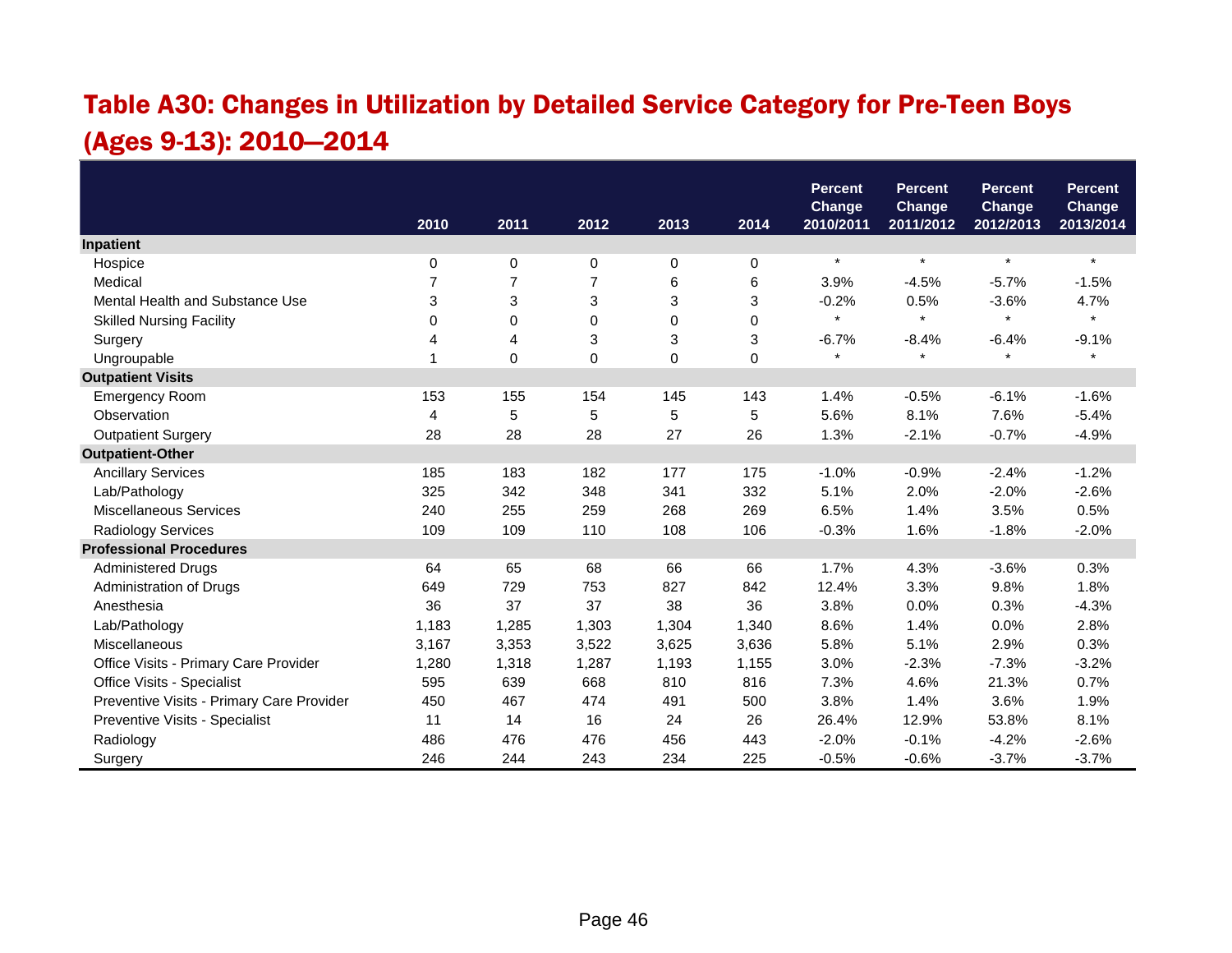## Table A30: Changes in Utilization by Detailed Service Category for Pre-Teen Boys (Ages 9-13): 2010—2014

|                                           |       |                |                |             |             | <b>Percent</b><br><b>Change</b> | <b>Percent</b><br><b>Change</b> | <b>Percent</b><br><b>Change</b> | <b>Percent</b><br><b>Change</b> |
|-------------------------------------------|-------|----------------|----------------|-------------|-------------|---------------------------------|---------------------------------|---------------------------------|---------------------------------|
|                                           | 2010  | 2011           | 2012           | 2013        | 2014        | 2010/2011                       | 2011/2012                       | 2012/2013                       | 2013/2014                       |
| Inpatient                                 |       |                |                |             |             |                                 |                                 |                                 |                                 |
| Hospice                                   | 0     | $\mathbf 0$    | 0              | 0           | $\mathbf 0$ | $\star$                         | $\star$                         | $\star$                         | $\star$                         |
| Medical                                   | 7     | $\overline{7}$ | $\overline{7}$ | 6           | 6           | 3.9%                            | $-4.5%$                         | $-5.7%$                         | $-1.5%$                         |
| Mental Health and Substance Use           | 3     | 3              | 3              | 3           | 3           | $-0.2%$                         | 0.5%                            | $-3.6%$                         | 4.7%                            |
| <b>Skilled Nursing Facility</b>           | 0     | 0              | 0              | $\mathbf 0$ | 0           | $\star$                         | $\star$                         | $\star$                         | $\star$                         |
| Surgery                                   | 4     | 4              | 3              | 3           | 3           | $-6.7%$                         | $-8.4%$                         | $-6.4%$                         | $-9.1%$                         |
| Ungroupable                               |       | $\mathbf 0$    | $\mathbf 0$    | 0           | $\mathbf 0$ | $\star$                         | $\star$                         | $\star$                         | $\star$                         |
| <b>Outpatient Visits</b>                  |       |                |                |             |             |                                 |                                 |                                 |                                 |
| <b>Emergency Room</b>                     | 153   | 155            | 154            | 145         | 143         | 1.4%                            | $-0.5%$                         | $-6.1%$                         | $-1.6%$                         |
| Observation                               | 4     | 5              | 5              | 5           | 5           | 5.6%                            | 8.1%                            | 7.6%                            | $-5.4%$                         |
| <b>Outpatient Surgery</b>                 | 28    | 28             | 28             | 27          | 26          | 1.3%                            | $-2.1%$                         | $-0.7%$                         | $-4.9%$                         |
| <b>Outpatient-Other</b>                   |       |                |                |             |             |                                 |                                 |                                 |                                 |
| <b>Ancillary Services</b>                 | 185   | 183            | 182            | 177         | 175         | $-1.0%$                         | $-0.9%$                         | $-2.4%$                         | $-1.2%$                         |
| Lab/Pathology                             | 325   | 342            | 348            | 341         | 332         | 5.1%                            | 2.0%                            | $-2.0%$                         | $-2.6%$                         |
| Miscellaneous Services                    | 240   | 255            | 259            | 268         | 269         | 6.5%                            | 1.4%                            | 3.5%                            | 0.5%                            |
| <b>Radiology Services</b>                 | 109   | 109            | 110            | 108         | 106         | $-0.3%$                         | 1.6%                            | $-1.8%$                         | $-2.0%$                         |
| <b>Professional Procedures</b>            |       |                |                |             |             |                                 |                                 |                                 |                                 |
| <b>Administered Drugs</b>                 | 64    | 65             | 68             | 66          | 66          | 1.7%                            | 4.3%                            | $-3.6%$                         | 0.3%                            |
| Administration of Drugs                   | 649   | 729            | 753            | 827         | 842         | 12.4%                           | 3.3%                            | 9.8%                            | 1.8%                            |
| Anesthesia                                | 36    | 37             | 37             | 38          | 36          | 3.8%                            | 0.0%                            | 0.3%                            | $-4.3%$                         |
| Lab/Pathology                             | 1,183 | 1,285          | 1,303          | 1,304       | 1,340       | 8.6%                            | 1.4%                            | 0.0%                            | 2.8%                            |
| Miscellaneous                             | 3,167 | 3,353          | 3,522          | 3,625       | 3,636       | 5.8%                            | 5.1%                            | 2.9%                            | 0.3%                            |
| Office Visits - Primary Care Provider     | 1,280 | 1,318          | 1,287          | 1,193       | 1,155       | 3.0%                            | $-2.3%$                         | $-7.3%$                         | $-3.2%$                         |
| Office Visits - Specialist                | 595   | 639            | 668            | 810         | 816         | 7.3%                            | 4.6%                            | 21.3%                           | 0.7%                            |
| Preventive Visits - Primary Care Provider | 450   | 467            | 474            | 491         | 500         | 3.8%                            | 1.4%                            | 3.6%                            | 1.9%                            |
| Preventive Visits - Specialist            | 11    | 14             | 16             | 24          | 26          | 26.4%                           | 12.9%                           | 53.8%                           | 8.1%                            |
| Radiology                                 | 486   | 476            | 476            | 456         | 443         | $-2.0%$                         | $-0.1%$                         | $-4.2%$                         | $-2.6%$                         |
| Surgery                                   | 246   | 244            | 243            | 234         | 225         | $-0.5%$                         | $-0.6%$                         | $-3.7%$                         | $-3.7%$                         |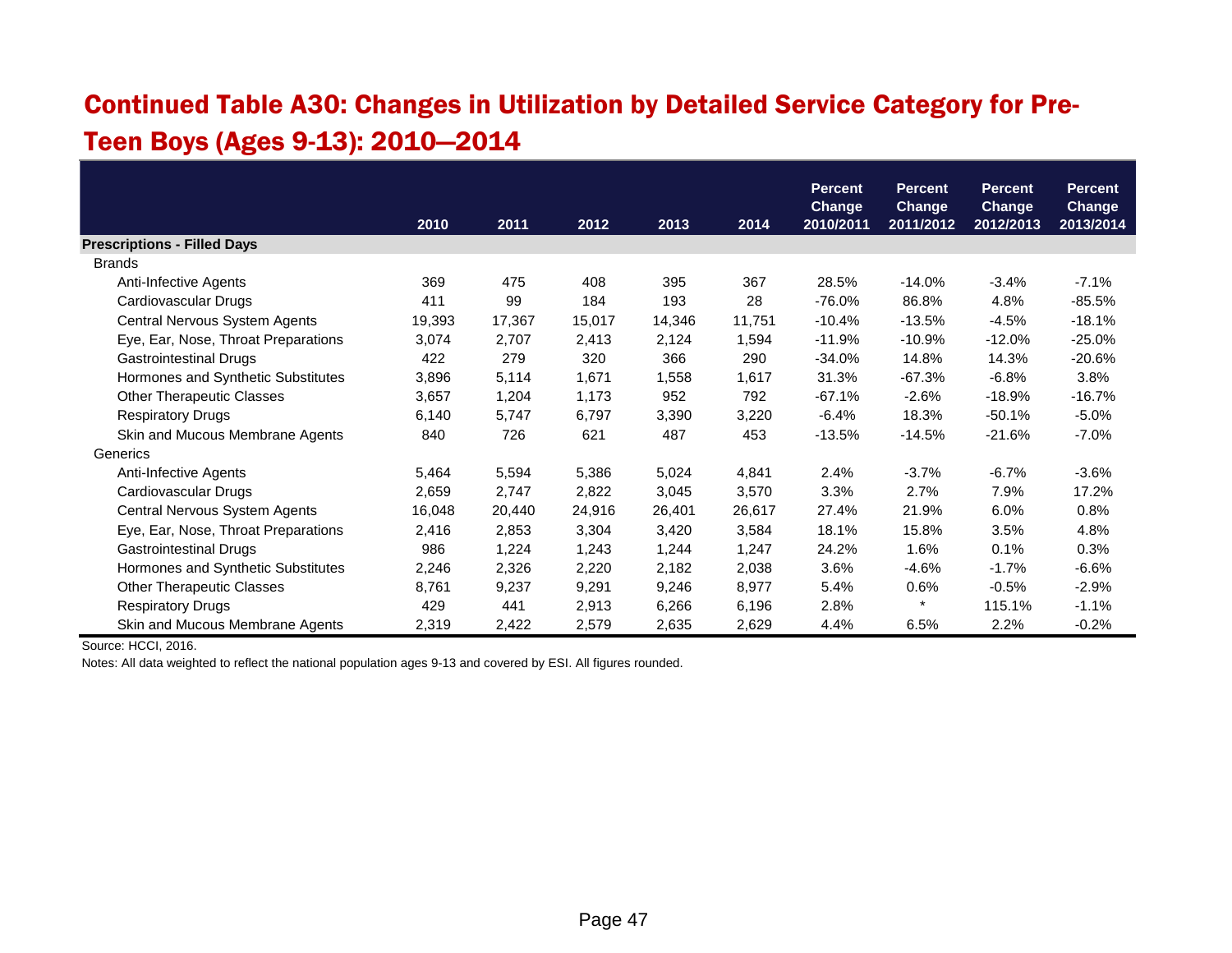## Continued Table A30: Changes in Utilization by Detailed Service Category for Pre-Teen Boys (Ages 9-13): 2010—2014

|                                     |        |        |        |        |        | <b>Percent</b> | <b>Percent</b> | <b>Percent</b> | <b>Percent</b> |
|-------------------------------------|--------|--------|--------|--------|--------|----------------|----------------|----------------|----------------|
|                                     |        |        |        |        |        | <b>Change</b>  | <b>Change</b>  | <b>Change</b>  | <b>Change</b>  |
|                                     | 2010   | 2011   | 2012   | 2013   | 2014   | 2010/2011      | 2011/2012      | 2012/2013      | 2013/2014      |
| <b>Prescriptions - Filled Days</b>  |        |        |        |        |        |                |                |                |                |
| <b>Brands</b>                       |        |        |        |        |        |                |                |                |                |
| Anti-Infective Agents               | 369    | 475    | 408    | 395    | 367    | 28.5%          | $-14.0%$       | $-3.4%$        | $-7.1%$        |
| Cardiovascular Drugs                | 411    | 99     | 184    | 193    | 28     | -76.0%         | 86.8%          | 4.8%           | $-85.5%$       |
| Central Nervous System Agents       | 19,393 | 17,367 | 15,017 | 14,346 | 11,751 | $-10.4%$       | $-13.5%$       | $-4.5%$        | $-18.1%$       |
| Eye, Ear, Nose, Throat Preparations | 3,074  | 2,707  | 2,413  | 2,124  | 1,594  | $-11.9%$       | $-10.9%$       | $-12.0%$       | $-25.0%$       |
| <b>Gastrointestinal Drugs</b>       | 422    | 279    | 320    | 366    | 290    | $-34.0%$       | 14.8%          | 14.3%          | $-20.6%$       |
| Hormones and Synthetic Substitutes  | 3,896  | 5,114  | 1,671  | 1,558  | 1,617  | 31.3%          | $-67.3%$       | $-6.8%$        | 3.8%           |
| <b>Other Therapeutic Classes</b>    | 3,657  | 1,204  | 1,173  | 952    | 792    | $-67.1%$       | $-2.6%$        | $-18.9%$       | $-16.7%$       |
| <b>Respiratory Drugs</b>            | 6,140  | 5,747  | 6,797  | 3,390  | 3,220  | $-6.4%$        | 18.3%          | $-50.1%$       | $-5.0%$        |
| Skin and Mucous Membrane Agents     | 840    | 726    | 621    | 487    | 453    | $-13.5%$       | $-14.5%$       | $-21.6%$       | $-7.0%$        |
| Generics                            |        |        |        |        |        |                |                |                |                |
| Anti-Infective Agents               | 5,464  | 5,594  | 5,386  | 5,024  | 4,841  | 2.4%           | $-3.7%$        | $-6.7%$        | $-3.6%$        |
| Cardiovascular Drugs                | 2,659  | 2,747  | 2,822  | 3,045  | 3,570  | 3.3%           | 2.7%           | 7.9%           | 17.2%          |
| Central Nervous System Agents       | 16,048 | 20,440 | 24,916 | 26,401 | 26,617 | 27.4%          | 21.9%          | 6.0%           | 0.8%           |
| Eye, Ear, Nose, Throat Preparations | 2,416  | 2,853  | 3,304  | 3,420  | 3,584  | 18.1%          | 15.8%          | 3.5%           | 4.8%           |
| <b>Gastrointestinal Drugs</b>       | 986    | 1,224  | 1,243  | 1,244  | 1,247  | 24.2%          | 1.6%           | 0.1%           | 0.3%           |
| Hormones and Synthetic Substitutes  | 2,246  | 2,326  | 2,220  | 2,182  | 2,038  | 3.6%           | $-4.6%$        | $-1.7%$        | $-6.6%$        |
| <b>Other Therapeutic Classes</b>    | 8,761  | 9,237  | 9,291  | 9,246  | 8,977  | 5.4%           | 0.6%           | $-0.5%$        | $-2.9%$        |
| <b>Respiratory Drugs</b>            | 429    | 441    | 2,913  | 6,266  | 6,196  | 2.8%           | $\ast$         | 115.1%         | $-1.1%$        |
| Skin and Mucous Membrane Agents     | 2,319  | 2,422  | 2,579  | 2,635  | 2,629  | 4.4%           | 6.5%           | 2.2%           | $-0.2%$        |

Source: HCCI, 2016.

Notes: All data weighted to reflect the national population ages 9-13 and covered by ESI. All figures rounded.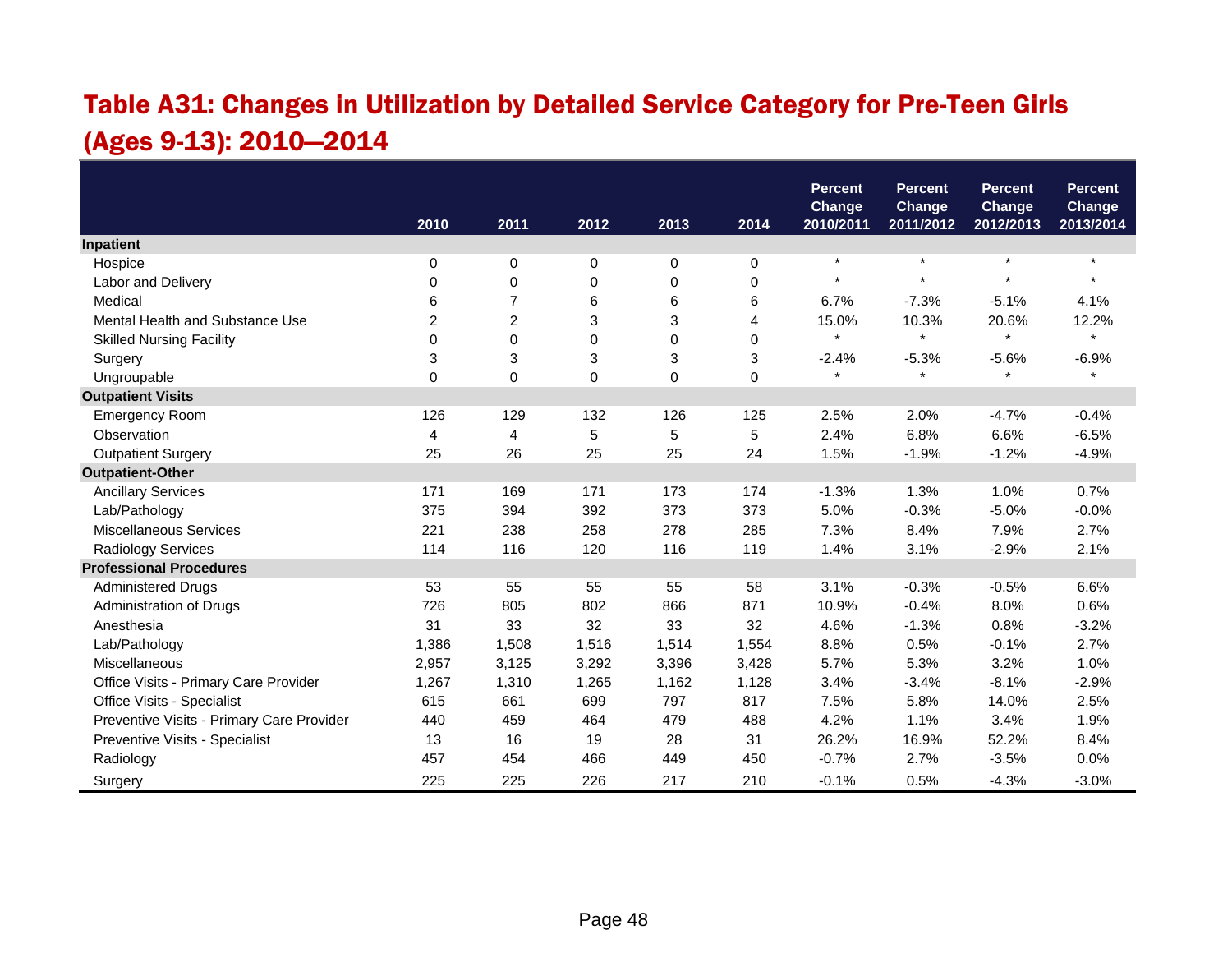## Table A31: Changes in Utilization by Detailed Service Category for Pre-Teen Girls (Ages 9-13): 2010—2014

|                                           |                |                |             |             |             | <b>Percent</b>             | <b>Percent</b>             | <b>Percent</b>             | <b>Percent</b>             |
|-------------------------------------------|----------------|----------------|-------------|-------------|-------------|----------------------------|----------------------------|----------------------------|----------------------------|
|                                           | 2010           | 2011           | 2012        | 2013        | 2014        | <b>Change</b><br>2010/2011 | <b>Change</b><br>2011/2012 | <b>Change</b><br>2012/2013 | <b>Change</b><br>2013/2014 |
| Inpatient                                 |                |                |             |             |             |                            |                            |                            |                            |
| Hospice                                   | 0              | 0              | 0           | 0           | 0           | $\star$                    | $\star$                    | $\star$                    | $\star$                    |
| Labor and Delivery                        | $\Omega$       | $\mathbf 0$    | 0           | 0           | 0           | $\star$                    | $\ddot{\phantom{1}}$       |                            |                            |
| Medical                                   | 6              | $\overline{7}$ | 6           | 6           | 6           | 6.7%                       | $-7.3%$                    | $-5.1%$                    | 4.1%                       |
| Mental Health and Substance Use           | $\overline{c}$ | $\overline{c}$ | 3           | 3           | 4           | 15.0%                      | 10.3%                      | 20.6%                      | 12.2%                      |
| <b>Skilled Nursing Facility</b>           | 0              | $\mathbf 0$    | $\mathbf 0$ | $\mathbf 0$ | $\mathbf 0$ | $\star$                    | $\star$                    | $\star$                    | $\star$                    |
| Surgery                                   | 3              | 3              | 3           | 3           | 3           | $-2.4%$                    | $-5.3%$                    | $-5.6%$                    | $-6.9%$                    |
| Ungroupable                               | $\Omega$       | $\Omega$       | $\mathbf 0$ | 0           | 0           | $\star$                    | $\star$                    | $\star$                    | $\star$                    |
| <b>Outpatient Visits</b>                  |                |                |             |             |             |                            |                            |                            |                            |
| <b>Emergency Room</b>                     | 126            | 129            | 132         | 126         | 125         | 2.5%                       | 2.0%                       | $-4.7%$                    | $-0.4%$                    |
| Observation                               | 4              | 4              | $\mathbf 5$ | 5           | 5           | 2.4%                       | 6.8%                       | 6.6%                       | $-6.5%$                    |
| <b>Outpatient Surgery</b>                 | 25             | 26             | 25          | 25          | 24          | 1.5%                       | $-1.9%$                    | $-1.2%$                    | $-4.9%$                    |
| <b>Outpatient-Other</b>                   |                |                |             |             |             |                            |                            |                            |                            |
| <b>Ancillary Services</b>                 | 171            | 169            | 171         | 173         | 174         | $-1.3%$                    | 1.3%                       | 1.0%                       | 0.7%                       |
| Lab/Pathology                             | 375            | 394            | 392         | 373         | 373         | 5.0%                       | $-0.3%$                    | $-5.0%$                    | $-0.0%$                    |
| <b>Miscellaneous Services</b>             | 221            | 238            | 258         | 278         | 285         | 7.3%                       | 8.4%                       | 7.9%                       | 2.7%                       |
| <b>Radiology Services</b>                 | 114            | 116            | 120         | 116         | 119         | 1.4%                       | 3.1%                       | $-2.9%$                    | 2.1%                       |
| <b>Professional Procedures</b>            |                |                |             |             |             |                            |                            |                            |                            |
| <b>Administered Drugs</b>                 | 53             | 55             | 55          | 55          | 58          | 3.1%                       | $-0.3%$                    | $-0.5%$                    | 6.6%                       |
| Administration of Drugs                   | 726            | 805            | 802         | 866         | 871         | 10.9%                      | $-0.4%$                    | 8.0%                       | 0.6%                       |
| Anesthesia                                | 31             | 33             | 32          | 33          | 32          | 4.6%                       | $-1.3%$                    | 0.8%                       | $-3.2%$                    |
| Lab/Pathology                             | 1,386          | 1,508          | 1,516       | 1,514       | 1,554       | 8.8%                       | 0.5%                       | $-0.1%$                    | 2.7%                       |
| Miscellaneous                             | 2,957          | 3,125          | 3,292       | 3,396       | 3,428       | 5.7%                       | 5.3%                       | 3.2%                       | 1.0%                       |
| Office Visits - Primary Care Provider     | 1,267          | 1,310          | 1,265       | 1,162       | 1,128       | 3.4%                       | $-3.4%$                    | $-8.1%$                    | $-2.9%$                    |
| Office Visits - Specialist                | 615            | 661            | 699         | 797         | 817         | 7.5%                       | 5.8%                       | 14.0%                      | 2.5%                       |
| Preventive Visits - Primary Care Provider | 440            | 459            | 464         | 479         | 488         | 4.2%                       | 1.1%                       | 3.4%                       | 1.9%                       |
| Preventive Visits - Specialist            | 13             | 16             | 19          | 28          | 31          | 26.2%                      | 16.9%                      | 52.2%                      | 8.4%                       |
| Radiology                                 | 457            | 454            | 466         | 449         | 450         | $-0.7%$                    | 2.7%                       | $-3.5%$                    | 0.0%                       |
| Surgery                                   | 225            | 225            | 226         | 217         | 210         | $-0.1%$                    | 0.5%                       | $-4.3%$                    | $-3.0%$                    |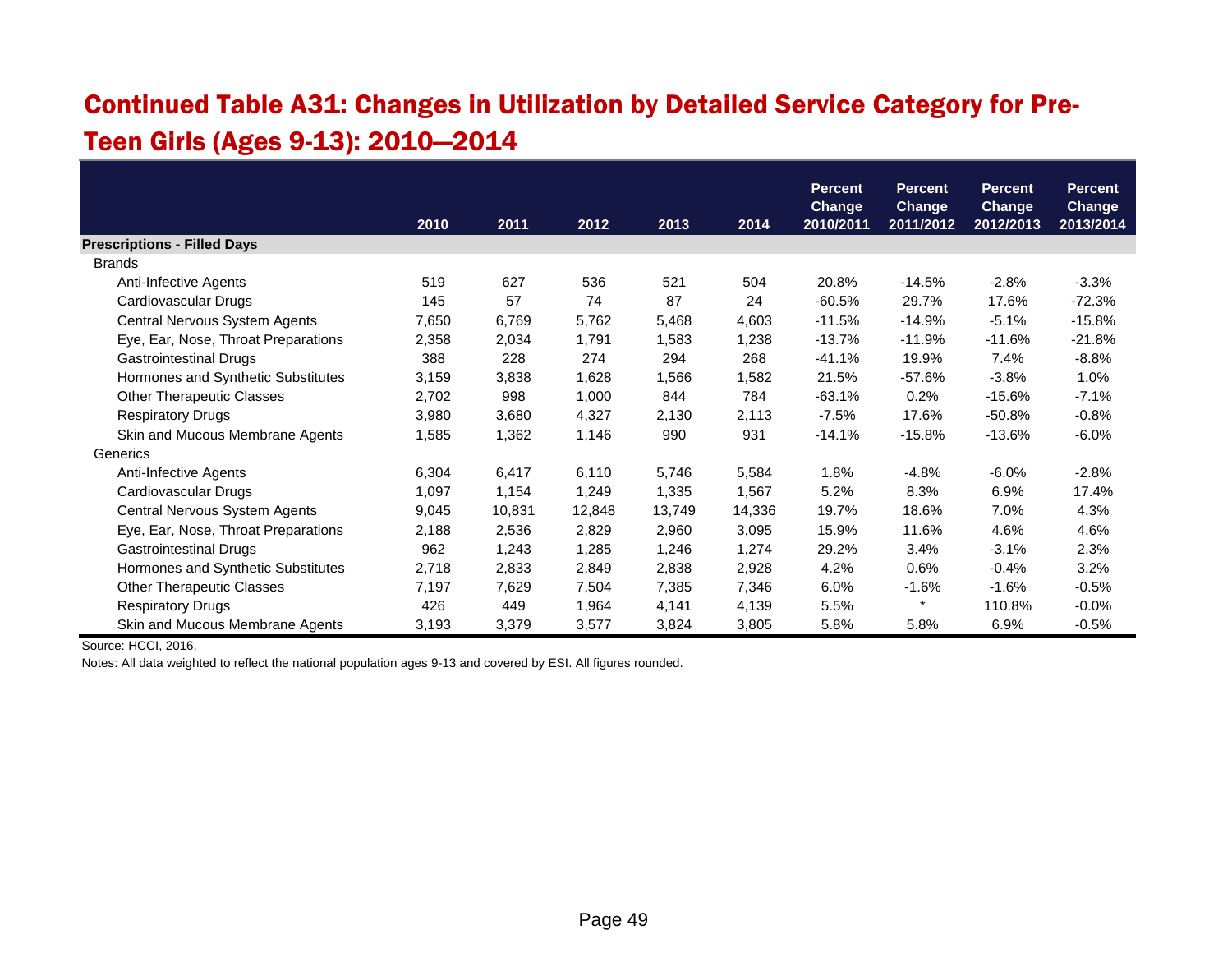### Continued Table A31: Changes in Utilization by Detailed Service Category for Pre-Teen Girls (Ages 9-13): 2010—2014

|                                     |       |        |        |        |        | <b>Percent</b> | <b>Percent</b> | <b>Percent</b> | <b>Percent</b> |
|-------------------------------------|-------|--------|--------|--------|--------|----------------|----------------|----------------|----------------|
|                                     |       |        |        |        |        | <b>Change</b>  | <b>Change</b>  | <b>Change</b>  | <b>Change</b>  |
|                                     | 2010  | 2011   | 2012   | 2013   | 2014   | 2010/2011      | 2011/2012      | 2012/2013      | 2013/2014      |
| <b>Prescriptions - Filled Days</b>  |       |        |        |        |        |                |                |                |                |
| <b>Brands</b>                       |       |        |        |        |        |                |                |                |                |
| Anti-Infective Agents               | 519   | 627    | 536    | 521    | 504    | 20.8%          | $-14.5%$       | $-2.8%$        | $-3.3%$        |
| Cardiovascular Drugs                | 145   | 57     | 74     | 87     | 24     | $-60.5%$       | 29.7%          | 17.6%          | $-72.3%$       |
| Central Nervous System Agents       | 7,650 | 6,769  | 5,762  | 5,468  | 4,603  | $-11.5%$       | $-14.9%$       | $-5.1%$        | $-15.8%$       |
| Eye, Ear, Nose, Throat Preparations | 2,358 | 2,034  | 1,791  | 1,583  | 1,238  | $-13.7%$       | $-11.9%$       | $-11.6%$       | $-21.8%$       |
| <b>Gastrointestinal Drugs</b>       | 388   | 228    | 274    | 294    | 268    | -41.1%         | 19.9%          | 7.4%           | $-8.8%$        |
| Hormones and Synthetic Substitutes  | 3,159 | 3,838  | 1,628  | 1,566  | 1,582  | 21.5%          | $-57.6%$       | $-3.8%$        | 1.0%           |
| <b>Other Therapeutic Classes</b>    | 2,702 | 998    | 1,000  | 844    | 784    | $-63.1%$       | 0.2%           | $-15.6%$       | $-7.1%$        |
| <b>Respiratory Drugs</b>            | 3,980 | 3,680  | 4,327  | 2,130  | 2,113  | $-7.5%$        | 17.6%          | $-50.8%$       | $-0.8%$        |
| Skin and Mucous Membrane Agents     | 1,585 | 1,362  | 1,146  | 990    | 931    | $-14.1%$       | $-15.8%$       | $-13.6%$       | $-6.0\%$       |
| Generics                            |       |        |        |        |        |                |                |                |                |
| Anti-Infective Agents               | 6,304 | 6,417  | 6,110  | 5,746  | 5,584  | 1.8%           | $-4.8%$        | $-6.0%$        | $-2.8%$        |
| Cardiovascular Drugs                | 1,097 | 1,154  | 1,249  | 1,335  | 1,567  | 5.2%           | 8.3%           | 6.9%           | 17.4%          |
| Central Nervous System Agents       | 9,045 | 10,831 | 12,848 | 13,749 | 14,336 | 19.7%          | 18.6%          | 7.0%           | 4.3%           |
| Eye, Ear, Nose, Throat Preparations | 2,188 | 2,536  | 2,829  | 2,960  | 3,095  | 15.9%          | 11.6%          | 4.6%           | 4.6%           |
| <b>Gastrointestinal Drugs</b>       | 962   | 1,243  | 1,285  | 1,246  | 1,274  | 29.2%          | 3.4%           | $-3.1%$        | 2.3%           |
| Hormones and Synthetic Substitutes  | 2,718 | 2,833  | 2,849  | 2,838  | 2,928  | 4.2%           | 0.6%           | $-0.4%$        | 3.2%           |
| <b>Other Therapeutic Classes</b>    | 7,197 | 7,629  | 7,504  | 7,385  | 7,346  | 6.0%           | $-1.6%$        | $-1.6%$        | $-0.5%$        |
| <b>Respiratory Drugs</b>            | 426   | 449    | 1,964  | 4,141  | 4,139  | 5.5%           | $\star$        | 110.8%         | $-0.0%$        |
| Skin and Mucous Membrane Agents     | 3,193 | 3,379  | 3,577  | 3,824  | 3,805  | 5.8%           | 5.8%           | 6.9%           | $-0.5%$        |

Source: HCCI, 2016.

Notes: All data weighted to reflect the national population ages 9-13 and covered by ESI. All figures rounded.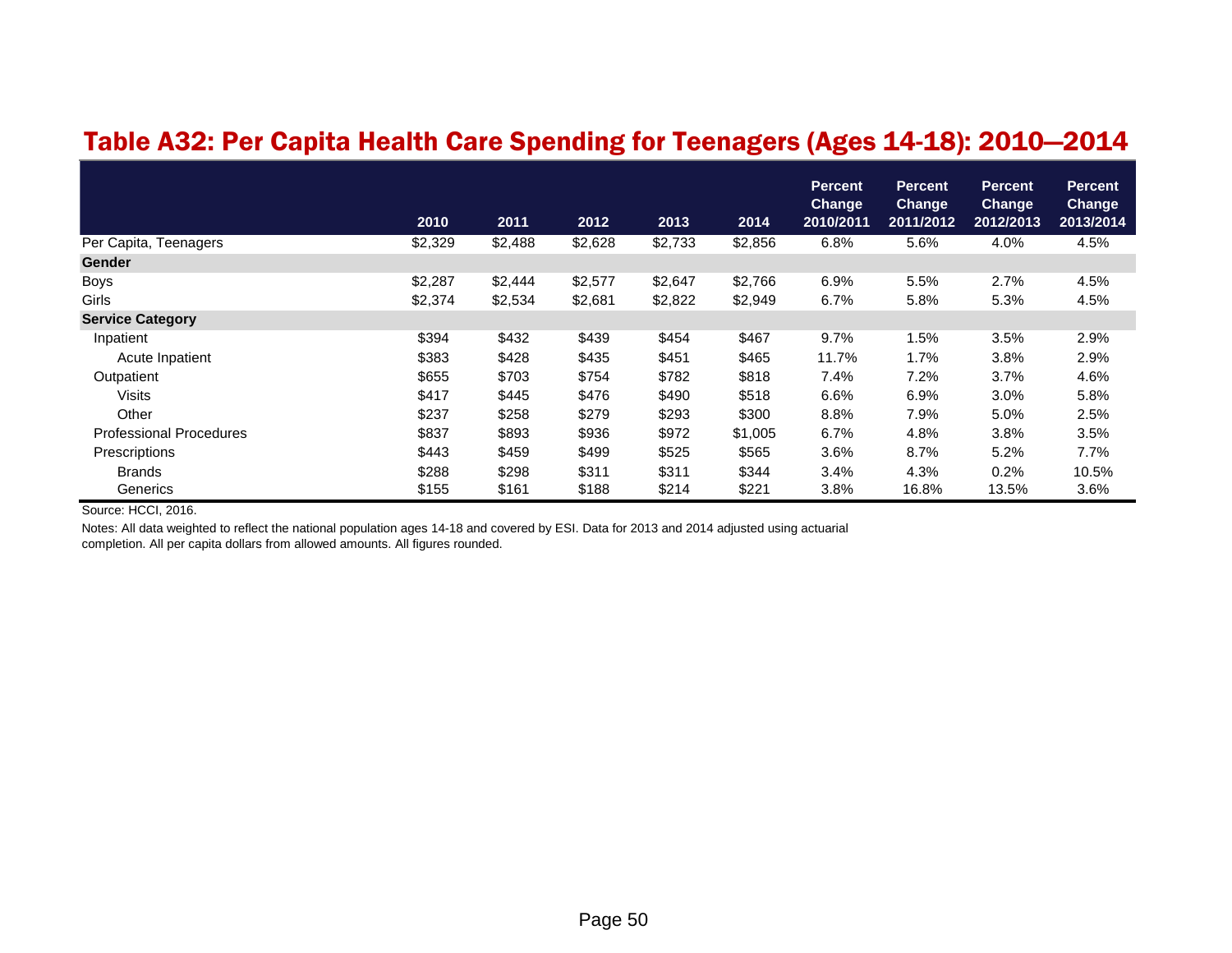#### Table A32: Per Capita Health Care Spending for Teenagers (Ages 14-18): 2010—2014

|                                | 2010    | 2011    | 2012    | 2013    | 2014    | <b>Percent</b><br>Change<br>2010/2011 | <b>Percent</b><br><b>Change</b><br>2011/2012 | <b>Percent</b><br><b>Change</b><br>2012/2013 | <b>Percent</b><br><b>Change</b><br>2013/2014 |
|--------------------------------|---------|---------|---------|---------|---------|---------------------------------------|----------------------------------------------|----------------------------------------------|----------------------------------------------|
| Per Capita, Teenagers          | \$2,329 | \$2,488 | \$2,628 | \$2,733 | \$2,856 | 6.8%                                  | 5.6%                                         | 4.0%                                         | 4.5%                                         |
| <b>Gender</b>                  |         |         |         |         |         |                                       |                                              |                                              |                                              |
| <b>Boys</b>                    | \$2,287 | \$2,444 | \$2,577 | \$2,647 | \$2,766 | 6.9%                                  | 5.5%                                         | 2.7%                                         | 4.5%                                         |
| Girls                          | \$2,374 | \$2,534 | \$2,681 | \$2,822 | \$2,949 | 6.7%                                  | 5.8%                                         | 5.3%                                         | 4.5%                                         |
| <b>Service Category</b>        |         |         |         |         |         |                                       |                                              |                                              |                                              |
| Inpatient                      | \$394   | \$432   | \$439   | \$454   | \$467   | 9.7%                                  | 1.5%                                         | 3.5%                                         | 2.9%                                         |
| Acute Inpatient                | \$383   | \$428   | \$435   | \$451   | \$465   | 11.7%                                 | 1.7%                                         | 3.8%                                         | 2.9%                                         |
| Outpatient                     | \$655   | \$703   | \$754   | \$782   | \$818   | 7.4%                                  | 7.2%                                         | 3.7%                                         | 4.6%                                         |
| <b>Visits</b>                  | \$417   | \$445   | \$476   | \$490   | \$518   | 6.6%                                  | 6.9%                                         | 3.0%                                         | 5.8%                                         |
| Other                          | \$237   | \$258   | \$279   | \$293   | \$300   | 8.8%                                  | 7.9%                                         | 5.0%                                         | 2.5%                                         |
| <b>Professional Procedures</b> | \$837   | \$893   | \$936   | \$972   | \$1,005 | 6.7%                                  | 4.8%                                         | 3.8%                                         | 3.5%                                         |
| Prescriptions                  | \$443   | \$459   | \$499   | \$525   | \$565   | 3.6%                                  | 8.7%                                         | 5.2%                                         | 7.7%                                         |
| <b>Brands</b>                  | \$288   | \$298   | \$311   | \$311   | \$344   | 3.4%                                  | 4.3%                                         | 0.2%                                         | 10.5%                                        |
| Generics                       | \$155   | \$161   | \$188   | \$214   | \$221   | 3.8%                                  | 16.8%                                        | 13.5%                                        | 3.6%                                         |

Source: HCCI, 2016.

Notes: All data weighted to reflect the national population ages 14-18 and covered by ESI. Data for 2013 and 2014 adjusted using actuarial completion. All per capita dollars from allowed amounts. All figures rounded.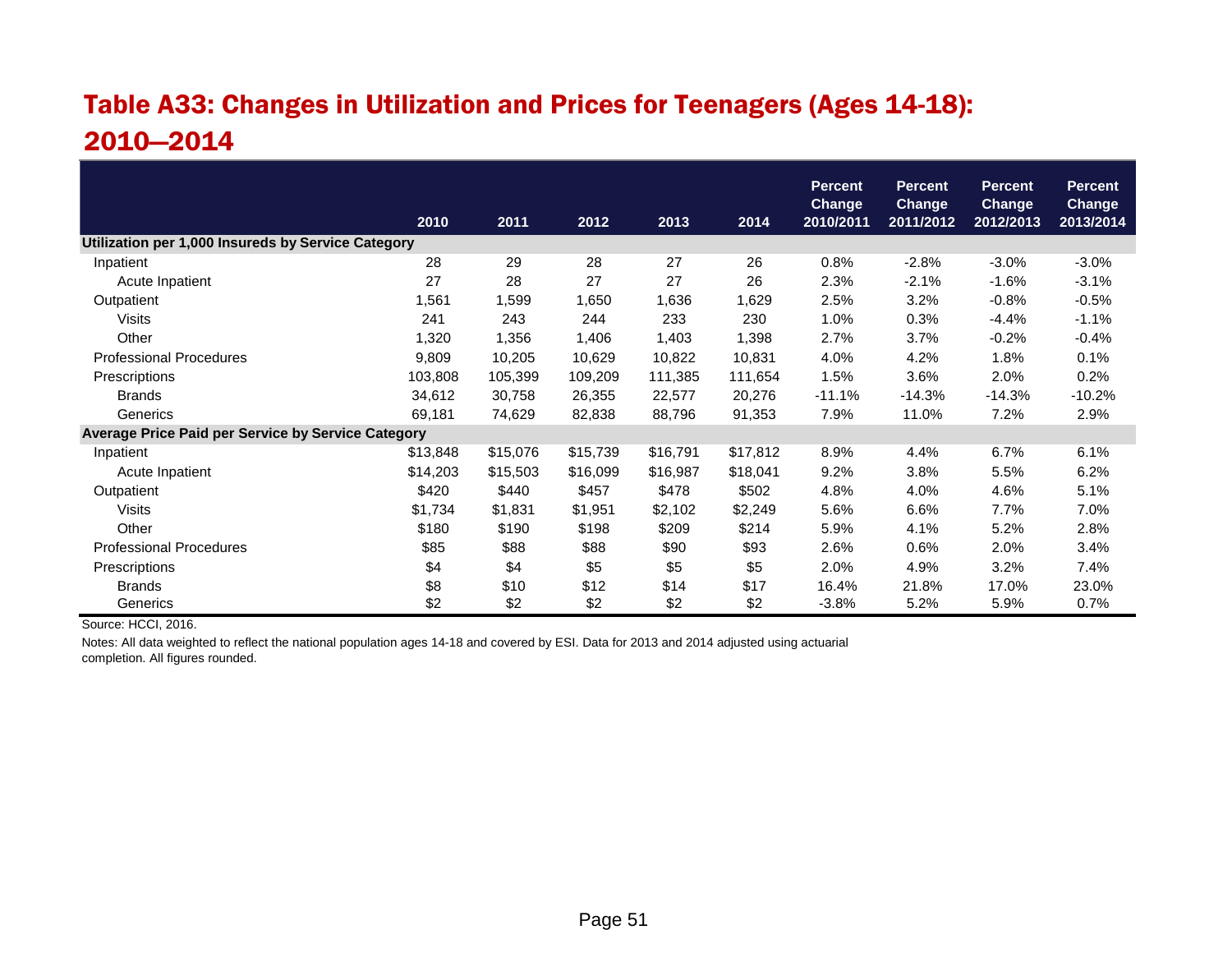## Table A33: Changes in Utilization and Prices for Teenagers (Ages 14-18): 2010—2014

|                                                    | 2010     | 2011     | 2012     | 2013     | 2014     | <b>Percent</b><br><b>Change</b><br>2010/2011 | <b>Percent</b><br><b>Change</b><br>2011/2012 | <b>Percent</b><br><b>Change</b><br>2012/2013 | <b>Percent</b><br>Change<br>2013/2014 |
|----------------------------------------------------|----------|----------|----------|----------|----------|----------------------------------------------|----------------------------------------------|----------------------------------------------|---------------------------------------|
| Utilization per 1,000 Insureds by Service Category |          |          |          |          |          |                                              |                                              |                                              |                                       |
| Inpatient                                          | 28       | 29       | 28       | 27       | 26       | 0.8%                                         | $-2.8%$                                      | $-3.0%$                                      | $-3.0%$                               |
| Acute Inpatient                                    | 27       | 28       | 27       | 27       | 26       | 2.3%                                         | $-2.1%$                                      | $-1.6%$                                      | $-3.1%$                               |
| Outpatient                                         | 1,561    | 1,599    | 1,650    | 1,636    | 1,629    | 2.5%                                         | 3.2%                                         | $-0.8%$                                      | $-0.5%$                               |
| <b>Visits</b>                                      | 241      | 243      | 244      | 233      | 230      | 1.0%                                         | 0.3%                                         | $-4.4%$                                      | $-1.1%$                               |
| Other                                              | 1,320    | 1,356    | 1,406    | 1,403    | 1,398    | 2.7%                                         | 3.7%                                         | $-0.2%$                                      | $-0.4%$                               |
| <b>Professional Procedures</b>                     | 9,809    | 10,205   | 10,629   | 10,822   | 10,831   | 4.0%                                         | 4.2%                                         | 1.8%                                         | 0.1%                                  |
| Prescriptions                                      | 103,808  | 105,399  | 109,209  | 111,385  | 111,654  | 1.5%                                         | 3.6%                                         | 2.0%                                         | 0.2%                                  |
| <b>Brands</b>                                      | 34,612   | 30,758   | 26,355   | 22,577   | 20,276   | $-11.1%$                                     | $-14.3%$                                     | $-14.3%$                                     | $-10.2%$                              |
| Generics                                           | 69,181   | 74,629   | 82,838   | 88,796   | 91,353   | 7.9%                                         | 11.0%                                        | 7.2%                                         | 2.9%                                  |
| Average Price Paid per Service by Service Category |          |          |          |          |          |                                              |                                              |                                              |                                       |
| Inpatient                                          | \$13,848 | \$15,076 | \$15,739 | \$16,791 | \$17,812 | 8.9%                                         | 4.4%                                         | 6.7%                                         | 6.1%                                  |
| Acute Inpatient                                    | \$14,203 | \$15,503 | \$16,099 | \$16,987 | \$18,041 | 9.2%                                         | 3.8%                                         | 5.5%                                         | 6.2%                                  |
| Outpatient                                         | \$420    | \$440    | \$457    | \$478    | \$502    | 4.8%                                         | 4.0%                                         | 4.6%                                         | 5.1%                                  |
| <b>Visits</b>                                      | \$1,734  | \$1,831  | \$1,951  | \$2,102  | \$2,249  | 5.6%                                         | 6.6%                                         | 7.7%                                         | 7.0%                                  |
| Other                                              | \$180    | \$190    | \$198    | \$209    | \$214    | 5.9%                                         | 4.1%                                         | 5.2%                                         | 2.8%                                  |
| <b>Professional Procedures</b>                     | \$85     | \$88     | \$88     | \$90     | \$93     | 2.6%                                         | 0.6%                                         | 2.0%                                         | 3.4%                                  |
| Prescriptions                                      | \$4      | \$4      | \$5      | \$5      | \$5      | 2.0%                                         | 4.9%                                         | 3.2%                                         | 7.4%                                  |
| <b>Brands</b>                                      | \$8      | \$10     | \$12     | \$14     | \$17     | 16.4%                                        | 21.8%                                        | 17.0%                                        | 23.0%                                 |
| Generics                                           | \$2      | \$2      | \$2      | \$2      | \$2      | $-3.8%$                                      | 5.2%                                         | 5.9%                                         | 0.7%                                  |

Source: HCCI, 2016.

Notes: All data weighted to reflect the national population ages 14-18 and covered by ESI. Data for 2013 and 2014 adjusted using actuarial completion. All figures rounded.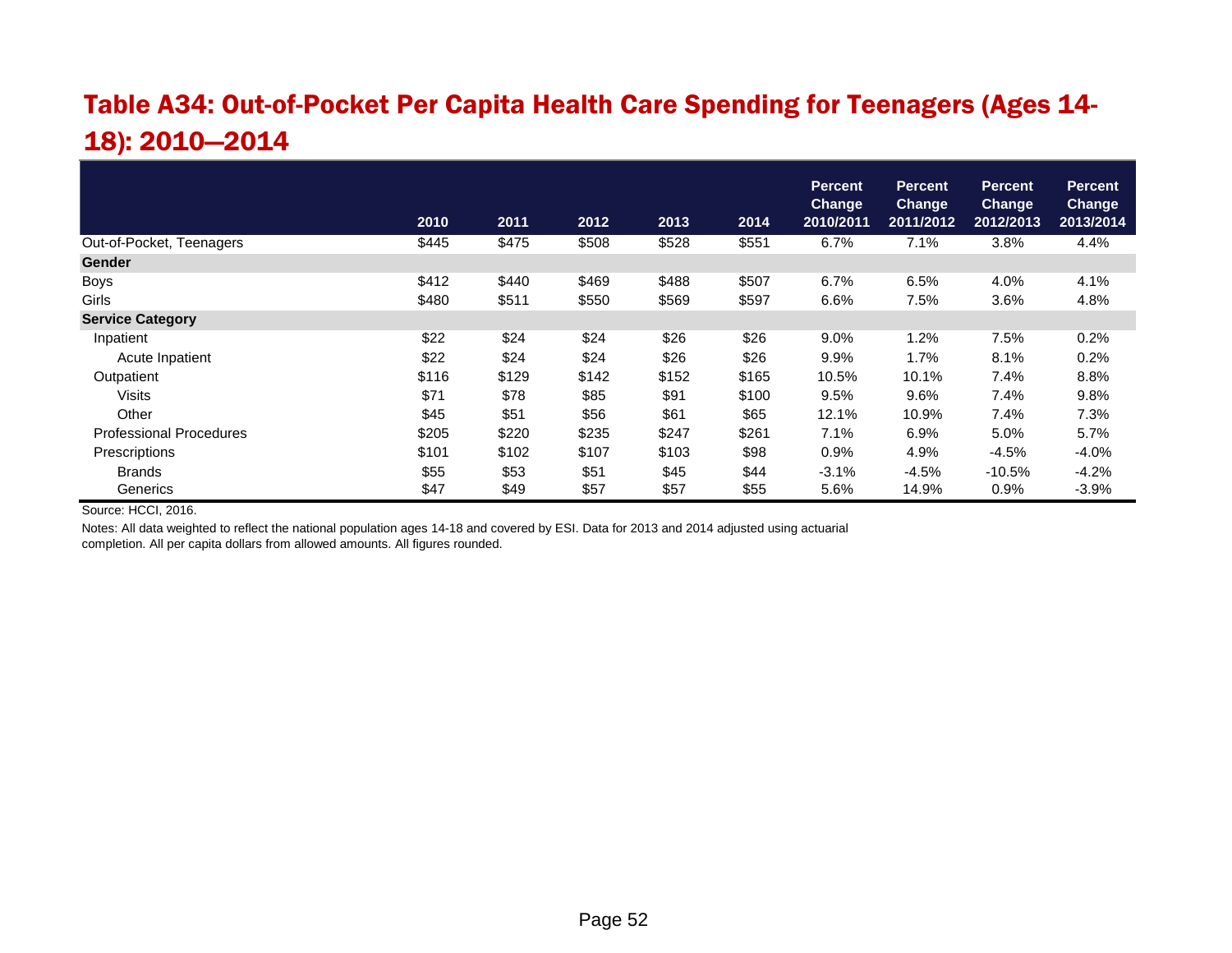## Table A34: Out-of-Pocket Per Capita Health Care Spending for Teenagers (Ages 14- 18): 2010—2014

|                                | 2010  | 2011  | 2012  | 2013  | 2014  | <b>Percent</b><br><b>Change</b><br>2010/2011 | <b>Percent</b><br><b>Change</b><br>2011/2012 | <b>Percent</b><br><b>Change</b><br>2012/2013 | <b>Percent</b><br><b>Change</b><br>2013/2014 |
|--------------------------------|-------|-------|-------|-------|-------|----------------------------------------------|----------------------------------------------|----------------------------------------------|----------------------------------------------|
|                                |       |       |       |       |       |                                              |                                              |                                              |                                              |
| Out-of-Pocket, Teenagers       | \$445 | \$475 | \$508 | \$528 | \$551 | 6.7%                                         | 7.1%                                         | 3.8%                                         | 4.4%                                         |
| <b>Gender</b>                  |       |       |       |       |       |                                              |                                              |                                              |                                              |
| <b>Boys</b>                    | \$412 | \$440 | \$469 | \$488 | \$507 | 6.7%                                         | 6.5%                                         | 4.0%                                         | 4.1%                                         |
| Girls                          | \$480 | \$511 | \$550 | \$569 | \$597 | 6.6%                                         | 7.5%                                         | 3.6%                                         | 4.8%                                         |
| <b>Service Category</b>        |       |       |       |       |       |                                              |                                              |                                              |                                              |
| Inpatient                      | \$22  | \$24  | \$24  | \$26  | \$26  | 9.0%                                         | 1.2%                                         | 7.5%                                         | 0.2%                                         |
| Acute Inpatient                | \$22  | \$24  | \$24  | \$26  | \$26  | 9.9%                                         | 1.7%                                         | 8.1%                                         | 0.2%                                         |
| Outpatient                     | \$116 | \$129 | \$142 | \$152 | \$165 | 10.5%                                        | 10.1%                                        | 7.4%                                         | 8.8%                                         |
| <b>Visits</b>                  | \$71  | \$78  | \$85  | \$91  | \$100 | 9.5%                                         | 9.6%                                         | 7.4%                                         | 9.8%                                         |
| Other                          | \$45  | \$51  | \$56  | \$61  | \$65  | 12.1%                                        | 10.9%                                        | 7.4%                                         | 7.3%                                         |
| <b>Professional Procedures</b> | \$205 | \$220 | \$235 | \$247 | \$261 | 7.1%                                         | 6.9%                                         | 5.0%                                         | 5.7%                                         |
| Prescriptions                  | \$101 | \$102 | \$107 | \$103 | \$98  | $0.9\%$                                      | 4.9%                                         | $-4.5%$                                      | $-4.0%$                                      |
| <b>Brands</b>                  | \$55  | \$53  | \$51  | \$45  | \$44  | $-3.1%$                                      | $-4.5%$                                      | $-10.5%$                                     | $-4.2%$                                      |
| Generics                       | \$47  | \$49  | \$57  | \$57  | \$55  | 5.6%                                         | 14.9%                                        | 0.9%                                         | $-3.9%$                                      |

Source: HCCI, 2016.

Notes: All data weighted to reflect the national population ages 14-18 and covered by ESI. Data for 2013 and 2014 adjusted using actuarial completion. All per capita dollars from allowed amounts. All figures rounded.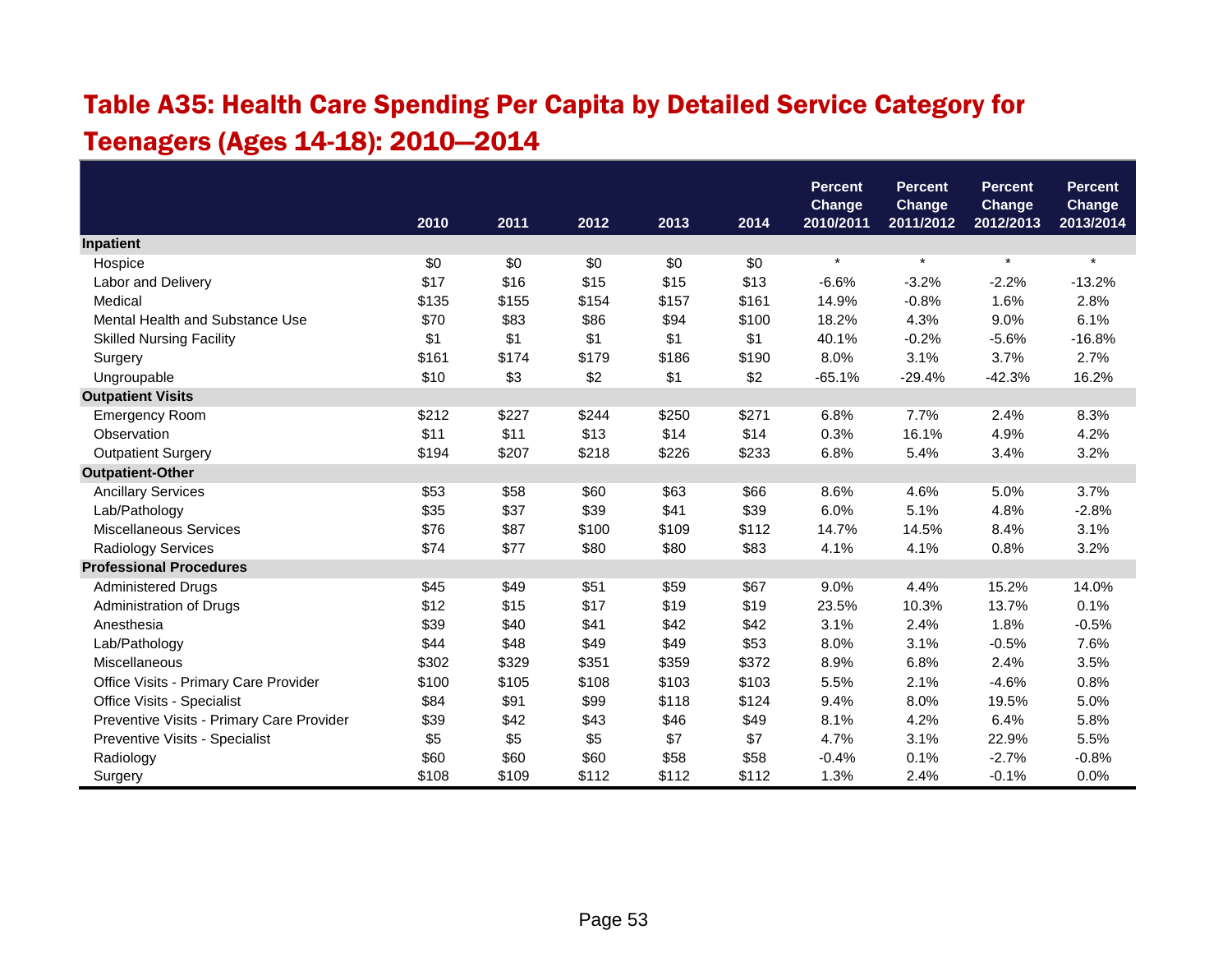# Table A35: Health Care Spending Per Capita by Detailed Service Category for Teenagers (Ages 14-18): 2010—2014

|                                           |       |       |       |       |       | <b>Percent</b><br><b>Change</b> | <b>Percent</b><br>Change | <b>Percent</b><br>Change | <b>Percent</b><br>Change |
|-------------------------------------------|-------|-------|-------|-------|-------|---------------------------------|--------------------------|--------------------------|--------------------------|
|                                           | 2010  | 2011  | 2012  | 2013  | 2014  | 2010/2011                       | 2011/2012                | 2012/2013                | 2013/2014                |
| Inpatient                                 |       |       |       |       |       |                                 |                          |                          |                          |
| Hospice                                   | \$0   | \$0   | \$0   | \$0   | \$0   | $\star$                         | $\star$                  | $\star$                  | $\star$                  |
| Labor and Delivery                        | \$17  | \$16  | \$15  | \$15  | \$13  | $-6.6%$                         | $-3.2%$                  | $-2.2%$                  | $-13.2%$                 |
| Medical                                   | \$135 | \$155 | \$154 | \$157 | \$161 | 14.9%                           | $-0.8%$                  | 1.6%                     | 2.8%                     |
| Mental Health and Substance Use           | \$70  | \$83  | \$86  | \$94  | \$100 | 18.2%                           | 4.3%                     | 9.0%                     | 6.1%                     |
| <b>Skilled Nursing Facility</b>           | \$1   | \$1   | \$1   | \$1   | \$1   | 40.1%                           | $-0.2%$                  | $-5.6%$                  | $-16.8%$                 |
| Surgery                                   | \$161 | \$174 | \$179 | \$186 | \$190 | 8.0%                            | 3.1%                     | 3.7%                     | 2.7%                     |
| Ungroupable                               | \$10  | \$3   | \$2   | \$1   | \$2   | $-65.1%$                        | $-29.4%$                 | $-42.3%$                 | 16.2%                    |
| <b>Outpatient Visits</b>                  |       |       |       |       |       |                                 |                          |                          |                          |
| <b>Emergency Room</b>                     | \$212 | \$227 | \$244 | \$250 | \$271 | 6.8%                            | 7.7%                     | 2.4%                     | 8.3%                     |
| Observation                               | \$11  | \$11  | \$13  | \$14  | \$14  | 0.3%                            | 16.1%                    | 4.9%                     | 4.2%                     |
| <b>Outpatient Surgery</b>                 | \$194 | \$207 | \$218 | \$226 | \$233 | 6.8%                            | 5.4%                     | 3.4%                     | 3.2%                     |
| <b>Outpatient-Other</b>                   |       |       |       |       |       |                                 |                          |                          |                          |
| <b>Ancillary Services</b>                 | \$53  | \$58  | \$60  | \$63  | \$66  | 8.6%                            | 4.6%                     | 5.0%                     | 3.7%                     |
| Lab/Pathology                             | \$35  | \$37  | \$39  | \$41  | \$39  | 6.0%                            | 5.1%                     | 4.8%                     | $-2.8%$                  |
| <b>Miscellaneous Services</b>             | \$76  | \$87  | \$100 | \$109 | \$112 | 14.7%                           | 14.5%                    | 8.4%                     | 3.1%                     |
| Radiology Services                        | \$74  | \$77  | \$80  | \$80  | \$83  | 4.1%                            | 4.1%                     | 0.8%                     | 3.2%                     |
| <b>Professional Procedures</b>            |       |       |       |       |       |                                 |                          |                          |                          |
| <b>Administered Drugs</b>                 | \$45  | \$49  | \$51  | \$59  | \$67  | 9.0%                            | 4.4%                     | 15.2%                    | 14.0%                    |
| Administration of Drugs                   | \$12  | \$15  | \$17  | \$19  | \$19  | 23.5%                           | 10.3%                    | 13.7%                    | 0.1%                     |
| Anesthesia                                | \$39  | \$40  | \$41  | \$42  | \$42  | 3.1%                            | 2.4%                     | 1.8%                     | $-0.5%$                  |
| Lab/Pathology                             | \$44  | \$48  | \$49  | \$49  | \$53  | 8.0%                            | 3.1%                     | $-0.5%$                  | 7.6%                     |
| Miscellaneous                             | \$302 | \$329 | \$351 | \$359 | \$372 | 8.9%                            | 6.8%                     | 2.4%                     | 3.5%                     |
| Office Visits - Primary Care Provider     | \$100 | \$105 | \$108 | \$103 | \$103 | 5.5%                            | 2.1%                     | $-4.6%$                  | 0.8%                     |
| Office Visits - Specialist                | \$84  | \$91  | \$99  | \$118 | \$124 | 9.4%                            | 8.0%                     | 19.5%                    | 5.0%                     |
| Preventive Visits - Primary Care Provider | \$39  | \$42  | \$43  | \$46  | \$49  | 8.1%                            | 4.2%                     | 6.4%                     | 5.8%                     |
| Preventive Visits - Specialist            | \$5   | \$5   | \$5   | \$7   | \$7   | 4.7%                            | 3.1%                     | 22.9%                    | 5.5%                     |
| Radiology                                 | \$60  | \$60  | \$60  | \$58  | \$58  | $-0.4%$                         | 0.1%                     | $-2.7%$                  | $-0.8%$                  |
| Surgery                                   | \$108 | \$109 | \$112 | \$112 | \$112 | 1.3%                            | 2.4%                     | $-0.1%$                  | 0.0%                     |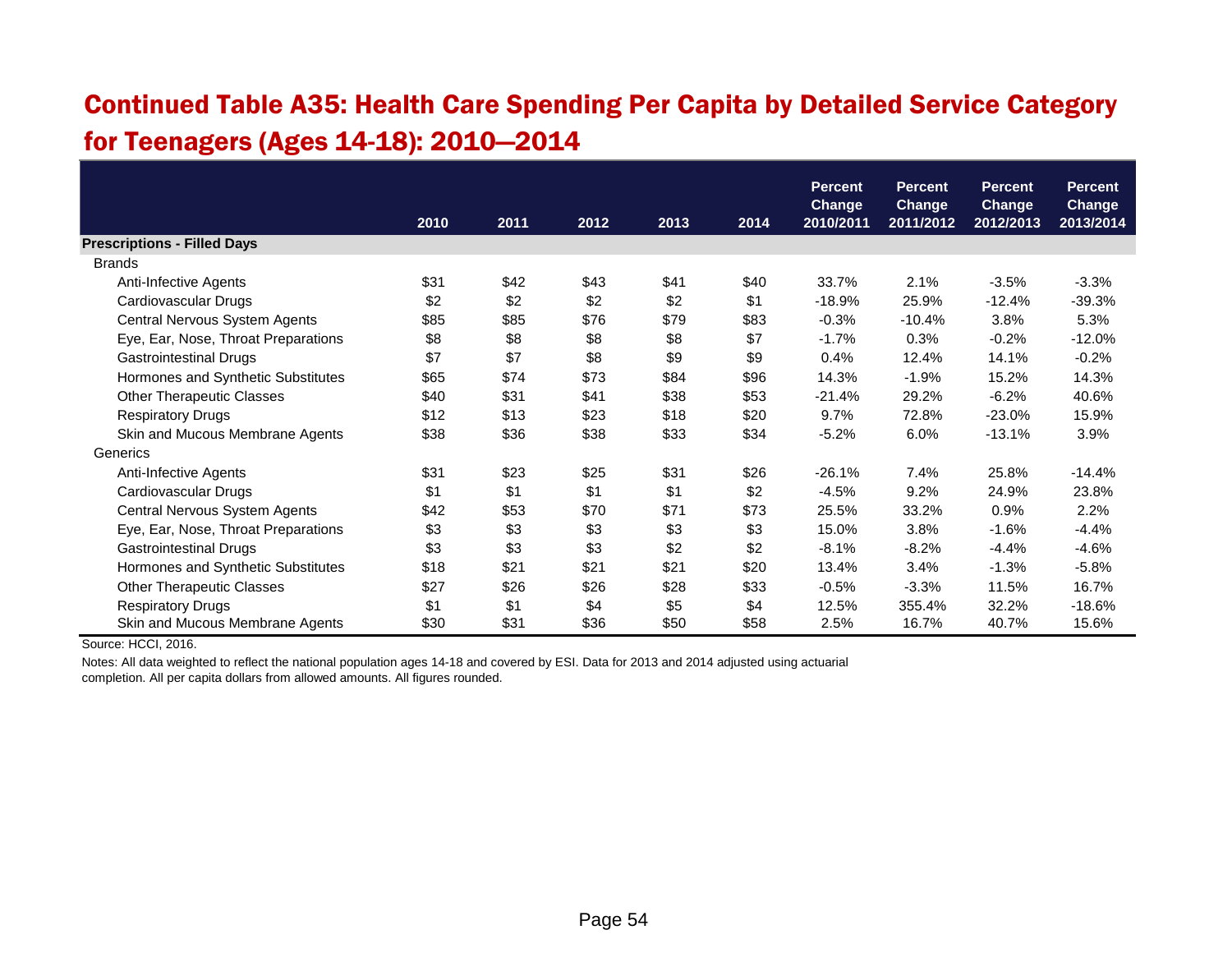### Continued Table A35: Health Care Spending Per Capita by Detailed Service Category for Teenagers (Ages 14-18): 2010—2014

|                                     |      |      |      |      |      | <b>Percent</b>             | <b>Percent</b>             | <b>Percent</b>             | <b>Percent</b>             |
|-------------------------------------|------|------|------|------|------|----------------------------|----------------------------|----------------------------|----------------------------|
|                                     | 2010 | 2011 | 2012 | 2013 | 2014 | <b>Change</b><br>2010/2011 | <b>Change</b><br>2011/2012 | <b>Change</b><br>2012/2013 | <b>Change</b><br>2013/2014 |
| <b>Prescriptions - Filled Days</b>  |      |      |      |      |      |                            |                            |                            |                            |
| <b>Brands</b>                       |      |      |      |      |      |                            |                            |                            |                            |
| Anti-Infective Agents               | \$31 | \$42 | \$43 | \$41 | \$40 | 33.7%                      | 2.1%                       | $-3.5%$                    | $-3.3%$                    |
| Cardiovascular Drugs                | \$2  | \$2  | \$2  | \$2  | \$1  | $-18.9%$                   | 25.9%                      | $-12.4%$                   | $-39.3%$                   |
| Central Nervous System Agents       | \$85 | \$85 | \$76 | \$79 | \$83 | $-0.3%$                    | $-10.4%$                   | 3.8%                       | 5.3%                       |
| Eye, Ear, Nose, Throat Preparations | \$8  | \$8  | \$8  | \$8  | \$7  | $-1.7%$                    | 0.3%                       | $-0.2%$                    | $-12.0%$                   |
| <b>Gastrointestinal Drugs</b>       | \$7  | \$7  | \$8  | \$9  | \$9  | 0.4%                       | 12.4%                      | 14.1%                      | $-0.2%$                    |
| Hormones and Synthetic Substitutes  | \$65 | \$74 | \$73 | \$84 | \$96 | 14.3%                      | $-1.9%$                    | 15.2%                      | 14.3%                      |
| <b>Other Therapeutic Classes</b>    | \$40 | \$31 | \$41 | \$38 | \$53 | $-21.4%$                   | 29.2%                      | $-6.2%$                    | 40.6%                      |
| <b>Respiratory Drugs</b>            | \$12 | \$13 | \$23 | \$18 | \$20 | 9.7%                       | 72.8%                      | $-23.0%$                   | 15.9%                      |
| Skin and Mucous Membrane Agents     | \$38 | \$36 | \$38 | \$33 | \$34 | $-5.2%$                    | 6.0%                       | $-13.1%$                   | 3.9%                       |
| Generics                            |      |      |      |      |      |                            |                            |                            |                            |
| Anti-Infective Agents               | \$31 | \$23 | \$25 | \$31 | \$26 | $-26.1%$                   | 7.4%                       | 25.8%                      | $-14.4%$                   |
| Cardiovascular Drugs                | \$1  | \$1  | \$1  | \$1  | \$2  | $-4.5%$                    | 9.2%                       | 24.9%                      | 23.8%                      |
| Central Nervous System Agents       | \$42 | \$53 | \$70 | \$71 | \$73 | 25.5%                      | 33.2%                      | 0.9%                       | 2.2%                       |
| Eye, Ear, Nose, Throat Preparations | \$3  | \$3  | \$3  | \$3  | \$3  | 15.0%                      | 3.8%                       | $-1.6%$                    | $-4.4%$                    |
| <b>Gastrointestinal Drugs</b>       | \$3  | \$3  | \$3  | \$2  | \$2  | $-8.1%$                    | $-8.2%$                    | $-4.4%$                    | $-4.6%$                    |
| Hormones and Synthetic Substitutes  | \$18 | \$21 | \$21 | \$21 | \$20 | 13.4%                      | 3.4%                       | $-1.3%$                    | $-5.8%$                    |
| <b>Other Therapeutic Classes</b>    | \$27 | \$26 | \$26 | \$28 | \$33 | $-0.5%$                    | $-3.3%$                    | 11.5%                      | 16.7%                      |
| <b>Respiratory Drugs</b>            | \$1  | \$1  | \$4  | \$5  | \$4  | 12.5%                      | 355.4%                     | 32.2%                      | $-18.6%$                   |
| Skin and Mucous Membrane Agents     | \$30 | \$31 | \$36 | \$50 | \$58 | 2.5%                       | 16.7%                      | 40.7%                      | 15.6%                      |

Source: HCCI, 2016.

Notes: All data weighted to reflect the national population ages 14-18 and covered by ESI. Data for 2013 and 2014 adjusted using actuarial

completion. All per capita dollars from allowed amounts. All figures rounded.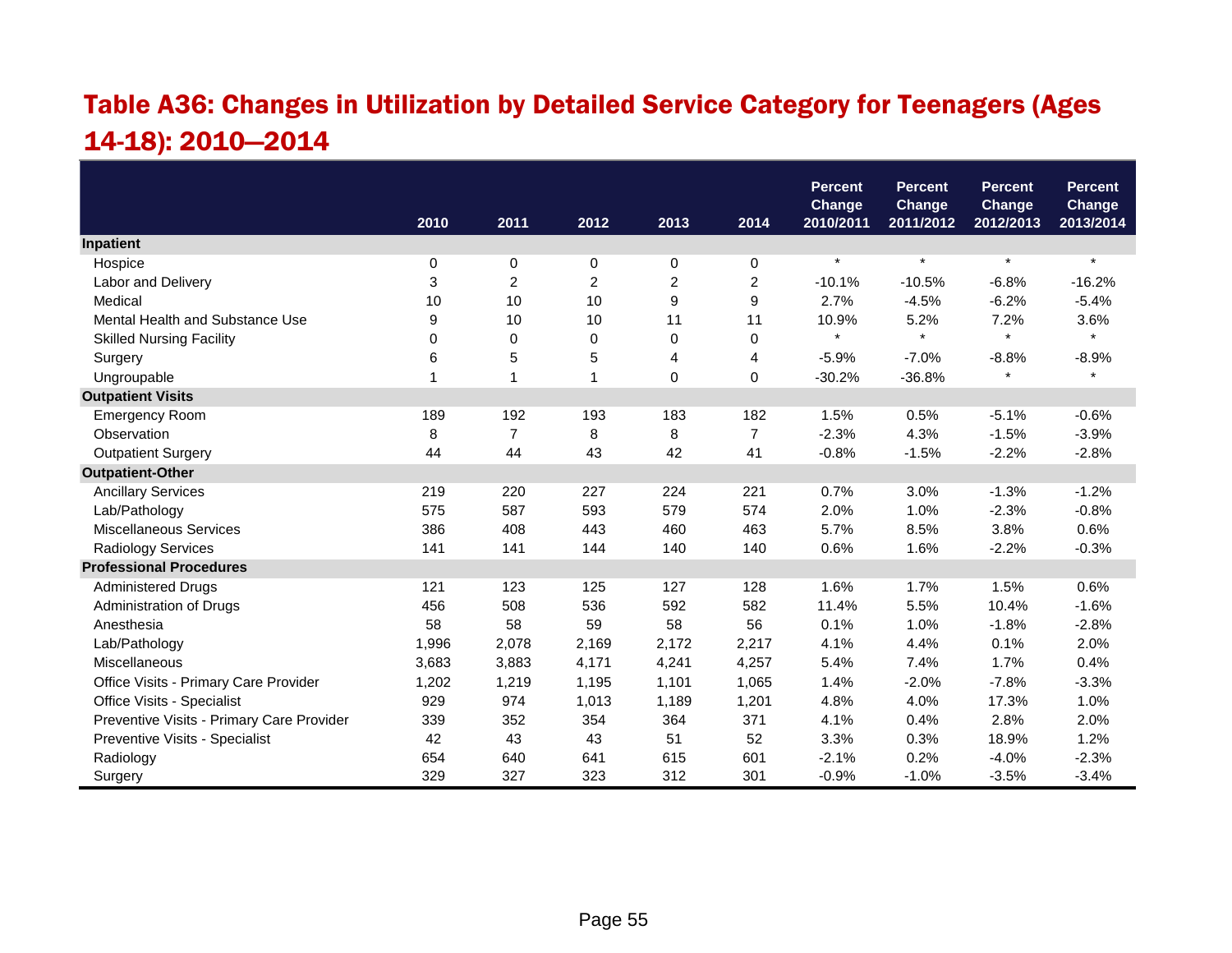## Table A36: Changes in Utilization by Detailed Service Category for Teenagers (Ages 14-18): 2010—2014

|                                           |          |                |                |                |                  | <b>Percent</b><br><b>Change</b> | <b>Percent</b><br><b>Change</b> | <b>Percent</b><br><b>Change</b> | <b>Percent</b><br><b>Change</b> |
|-------------------------------------------|----------|----------------|----------------|----------------|------------------|---------------------------------|---------------------------------|---------------------------------|---------------------------------|
|                                           | 2010     | 2011           | 2012           | 2013           | 2014             | 2010/2011                       | 2011/2012                       | 2012/2013                       | 2013/2014                       |
| Inpatient                                 |          |                |                |                |                  |                                 |                                 |                                 |                                 |
| Hospice                                   | 0        | 0              | 0              | 0              | 0                | $\star$                         | $\star$                         | $\star$                         | $\star$                         |
| Labor and Delivery                        | 3        | $\overline{c}$ | $\overline{c}$ | $\overline{c}$ | $\overline{c}$   | $-10.1%$                        | $-10.5%$                        | $-6.8%$                         | $-16.2%$                        |
| Medical                                   | 10       | 10             | 10             | 9              | $\boldsymbol{9}$ | 2.7%                            | $-4.5%$                         | $-6.2%$                         | $-5.4%$                         |
| Mental Health and Substance Use           | 9        | 10             | 10             | 11             | 11               | 10.9%                           | 5.2%                            | 7.2%                            | 3.6%                            |
| <b>Skilled Nursing Facility</b>           | $\Omega$ | 0              | 0              | 0              | 0                | $\star$                         | $\star$                         | $\star$                         | $\star$                         |
| Surgery                                   | 6        | 5              | 5              | 4              | 4                | $-5.9%$                         | $-7.0%$                         | $-8.8%$                         | $-8.9%$                         |
| Ungroupable                               | 1        | $\overline{1}$ | 1              | 0              | 0                | $-30.2%$                        | $-36.8%$                        | $\star$                         | $\star$                         |
| <b>Outpatient Visits</b>                  |          |                |                |                |                  |                                 |                                 |                                 |                                 |
| <b>Emergency Room</b>                     | 189      | 192            | 193            | 183            | 182              | 1.5%                            | 0.5%                            | $-5.1%$                         | $-0.6%$                         |
| Observation                               | 8        | $\overline{7}$ | 8              | 8              | $\overline{7}$   | $-2.3%$                         | 4.3%                            | $-1.5%$                         | $-3.9%$                         |
| <b>Outpatient Surgery</b>                 | 44       | 44             | 43             | 42             | 41               | $-0.8%$                         | $-1.5%$                         | $-2.2%$                         | $-2.8%$                         |
| <b>Outpatient-Other</b>                   |          |                |                |                |                  |                                 |                                 |                                 |                                 |
| <b>Ancillary Services</b>                 | 219      | 220            | 227            | 224            | 221              | 0.7%                            | 3.0%                            | $-1.3%$                         | $-1.2%$                         |
| Lab/Pathology                             | 575      | 587            | 593            | 579            | 574              | 2.0%                            | 1.0%                            | $-2.3%$                         | $-0.8%$                         |
| <b>Miscellaneous Services</b>             | 386      | 408            | 443            | 460            | 463              | 5.7%                            | 8.5%                            | 3.8%                            | 0.6%                            |
| Radiology Services                        | 141      | 141            | 144            | 140            | 140              | 0.6%                            | 1.6%                            | $-2.2%$                         | $-0.3%$                         |
| <b>Professional Procedures</b>            |          |                |                |                |                  |                                 |                                 |                                 |                                 |
| <b>Administered Drugs</b>                 | 121      | 123            | 125            | 127            | 128              | 1.6%                            | 1.7%                            | 1.5%                            | 0.6%                            |
| Administration of Drugs                   | 456      | 508            | 536            | 592            | 582              | 11.4%                           | 5.5%                            | 10.4%                           | $-1.6%$                         |
| Anesthesia                                | 58       | 58             | 59             | 58             | 56               | 0.1%                            | 1.0%                            | $-1.8%$                         | $-2.8%$                         |
| Lab/Pathology                             | 1,996    | 2,078          | 2,169          | 2,172          | 2,217            | 4.1%                            | 4.4%                            | 0.1%                            | 2.0%                            |
| Miscellaneous                             | 3,683    | 3,883          | 4,171          | 4,241          | 4,257            | 5.4%                            | 7.4%                            | 1.7%                            | 0.4%                            |
| Office Visits - Primary Care Provider     | 1,202    | 1,219          | 1,195          | 1,101          | 1,065            | 1.4%                            | $-2.0%$                         | $-7.8%$                         | $-3.3%$                         |
| Office Visits - Specialist                | 929      | 974            | 1,013          | 1,189          | 1,201            | 4.8%                            | 4.0%                            | 17.3%                           | 1.0%                            |
| Preventive Visits - Primary Care Provider | 339      | 352            | 354            | 364            | 371              | 4.1%                            | 0.4%                            | 2.8%                            | 2.0%                            |
| Preventive Visits - Specialist            | 42       | 43             | 43             | 51             | 52               | 3.3%                            | 0.3%                            | 18.9%                           | 1.2%                            |
| Radiology                                 | 654      | 640            | 641            | 615            | 601              | $-2.1%$                         | 0.2%                            | $-4.0%$                         | $-2.3%$                         |
| Surgery                                   | 329      | 327            | 323            | 312            | 301              | $-0.9%$                         | $-1.0%$                         | $-3.5%$                         | $-3.4%$                         |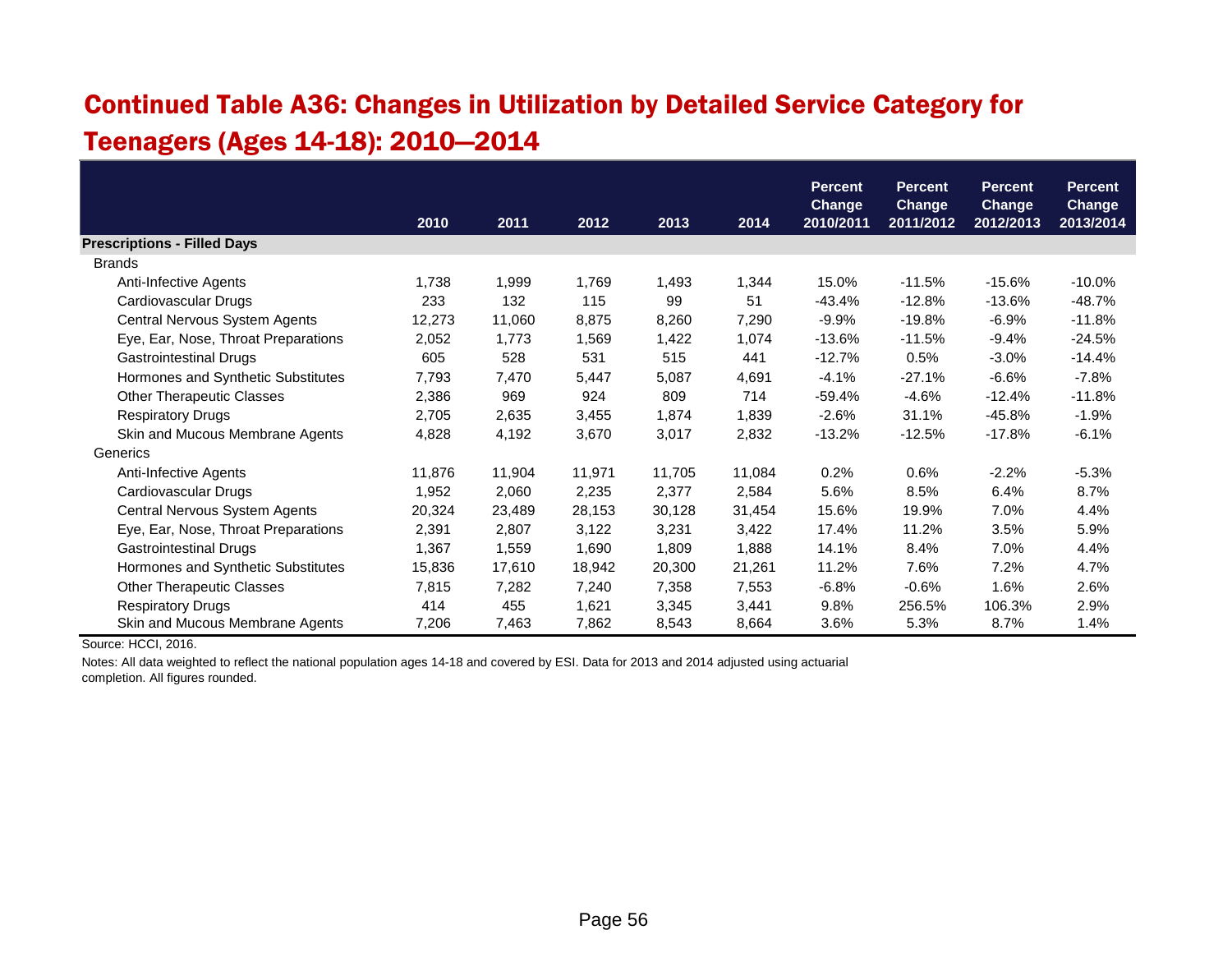## Continued Table A36: Changes in Utilization by Detailed Service Category for Teenagers (Ages 14-18): 2010—2014

|                                     |        |        |        |        |        | <b>Percent</b>             | <b>Percent</b>             | <b>Percent</b>             | <b>Percent</b>             |
|-------------------------------------|--------|--------|--------|--------|--------|----------------------------|----------------------------|----------------------------|----------------------------|
|                                     | 2010   | 2011   | 2012   | 2013   | 2014   | <b>Change</b><br>2010/2011 | <b>Change</b><br>2011/2012 | <b>Change</b><br>2012/2013 | <b>Change</b><br>2013/2014 |
| <b>Prescriptions - Filled Days</b>  |        |        |        |        |        |                            |                            |                            |                            |
| <b>Brands</b>                       |        |        |        |        |        |                            |                            |                            |                            |
| Anti-Infective Agents               | 1,738  | 1,999  | 1,769  | 1,493  | 1,344  | 15.0%                      | $-11.5%$                   | $-15.6%$                   | $-10.0\%$                  |
| Cardiovascular Drugs                | 233    | 132    | 115    | 99     | 51     | -43.4%                     | $-12.8%$                   | $-13.6%$                   | $-48.7%$                   |
| Central Nervous System Agents       | 12,273 | 11,060 | 8,875  | 8,260  | 7,290  | $-9.9%$                    | $-19.8%$                   | $-6.9%$                    | $-11.8%$                   |
| Eye, Ear, Nose, Throat Preparations | 2,052  | 1,773  | 1,569  | 1,422  | 1,074  | $-13.6%$                   | $-11.5%$                   | $-9.4%$                    | $-24.5%$                   |
| <b>Gastrointestinal Drugs</b>       | 605    | 528    | 531    | 515    | 441    | $-12.7%$                   | 0.5%                       | $-3.0%$                    | $-14.4%$                   |
| Hormones and Synthetic Substitutes  | 7,793  | 7,470  | 5,447  | 5,087  | 4,691  | $-4.1%$                    | $-27.1%$                   | $-6.6%$                    | $-7.8%$                    |
| <b>Other Therapeutic Classes</b>    | 2,386  | 969    | 924    | 809    | 714    | $-59.4%$                   | $-4.6%$                    | $-12.4%$                   | $-11.8%$                   |
| <b>Respiratory Drugs</b>            | 2,705  | 2,635  | 3,455  | 1,874  | 1,839  | $-2.6%$                    | 31.1%                      | $-45.8%$                   | $-1.9%$                    |
| Skin and Mucous Membrane Agents     | 4,828  | 4,192  | 3,670  | 3,017  | 2,832  | $-13.2%$                   | $-12.5%$                   | $-17.8%$                   | $-6.1%$                    |
| Generics                            |        |        |        |        |        |                            |                            |                            |                            |
| Anti-Infective Agents               | 11,876 | 11,904 | 11,971 | 11,705 | 11,084 | 0.2%                       | 0.6%                       | $-2.2%$                    | $-5.3%$                    |
| Cardiovascular Drugs                | 1,952  | 2,060  | 2,235  | 2,377  | 2,584  | 5.6%                       | 8.5%                       | 6.4%                       | 8.7%                       |
| Central Nervous System Agents       | 20,324 | 23,489 | 28,153 | 30,128 | 31,454 | 15.6%                      | 19.9%                      | 7.0%                       | 4.4%                       |
| Eye, Ear, Nose, Throat Preparations | 2,391  | 2,807  | 3,122  | 3,231  | 3,422  | 17.4%                      | 11.2%                      | 3.5%                       | 5.9%                       |
| Gastrointestinal Drugs              | 1,367  | 1,559  | 1,690  | 1,809  | 1,888  | 14.1%                      | 8.4%                       | 7.0%                       | 4.4%                       |
| Hormones and Synthetic Substitutes  | 15,836 | 17,610 | 18,942 | 20,300 | 21,261 | 11.2%                      | 7.6%                       | 7.2%                       | 4.7%                       |
| <b>Other Therapeutic Classes</b>    | 7,815  | 7,282  | 7,240  | 7,358  | 7,553  | $-6.8%$                    | $-0.6%$                    | 1.6%                       | 2.6%                       |
| <b>Respiratory Drugs</b>            | 414    | 455    | 1,621  | 3,345  | 3,441  | 9.8%                       | 256.5%                     | 106.3%                     | 2.9%                       |
| Skin and Mucous Membrane Agents     | 7,206  | 7,463  | 7,862  | 8,543  | 8,664  | 3.6%                       | 5.3%                       | 8.7%                       | 1.4%                       |

Source: HCCI, 2016.

Notes: All data weighted to reflect the national population ages 14-18 and covered by ESI. Data for 2013 and 2014 adjusted using actuarial

completion. All figures rounded.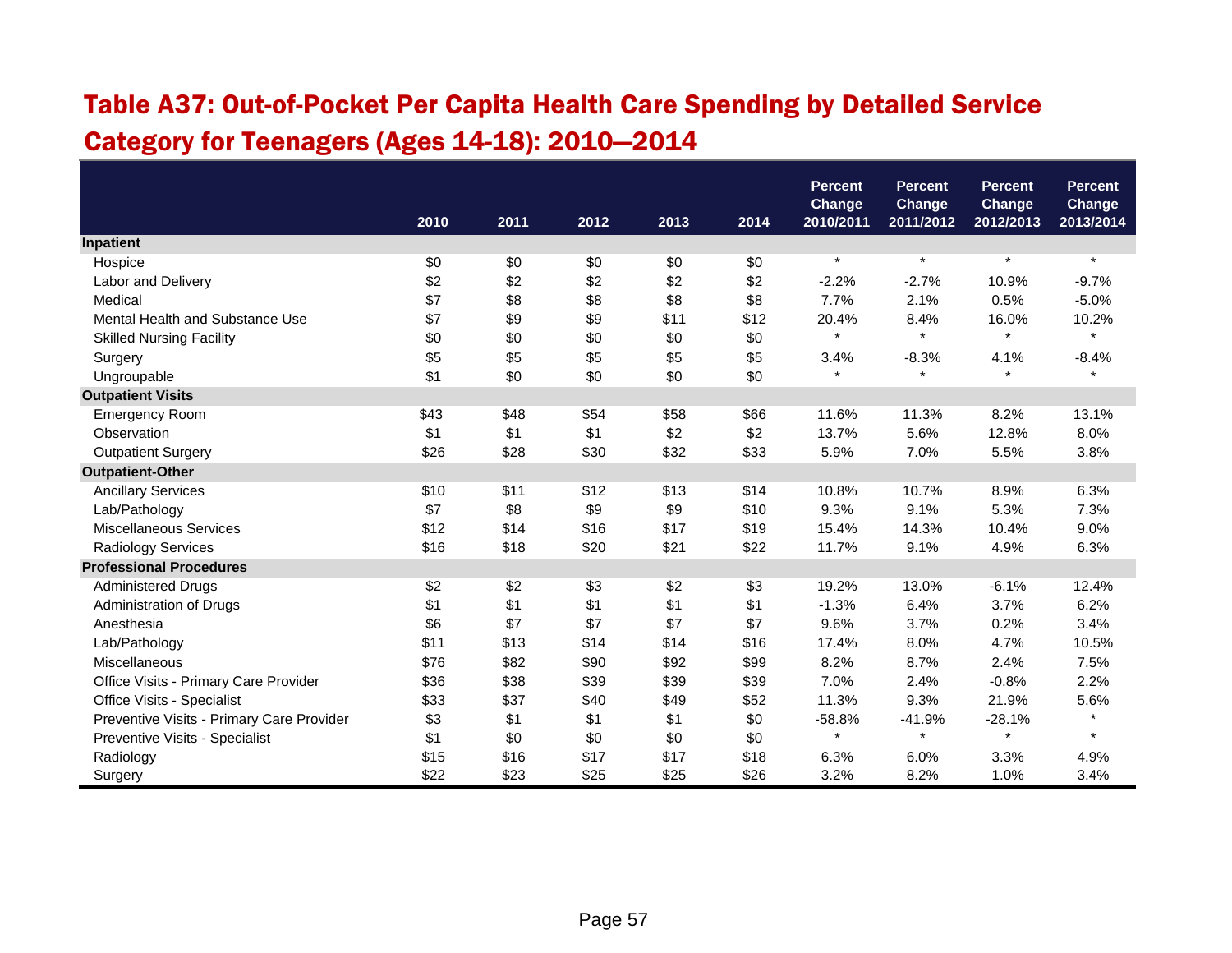## Table A37: Out-of-Pocket Per Capita Health Care Spending by Detailed Service Category for Teenagers (Ages 14-18): 2010—2014

|                                           |      |      |      |      |      | <b>Percent</b><br>Change | <b>Percent</b><br><b>Change</b> | <b>Percent</b><br>Change | <b>Percent</b><br>Change |
|-------------------------------------------|------|------|------|------|------|--------------------------|---------------------------------|--------------------------|--------------------------|
|                                           | 2010 | 2011 | 2012 | 2013 | 2014 | 2010/2011                | 2011/2012                       | 2012/2013                | 2013/2014                |
| Inpatient                                 |      |      |      |      |      |                          |                                 |                          |                          |
| Hospice                                   | \$0  | \$0  | \$0  | \$0  | \$0  | $\star$                  | $\star$                         | $\ast$                   | $\star$                  |
| Labor and Delivery                        | \$2  | \$2  | \$2  | \$2  | \$2  | $-2.2%$                  | $-2.7%$                         | 10.9%                    | $-9.7%$                  |
| Medical                                   | \$7  | \$8  | \$8  | \$8  | \$8  | 7.7%                     | 2.1%                            | 0.5%                     | $-5.0%$                  |
| Mental Health and Substance Use           | \$7  | \$9  | \$9  | \$11 | \$12 | 20.4%                    | 8.4%                            | 16.0%                    | 10.2%                    |
| <b>Skilled Nursing Facility</b>           | \$0  | \$0  | \$0  | \$0  | \$0  | $\star$                  | $\star$                         | $\star$                  |                          |
| Surgery                                   | \$5  | \$5  | \$5  | \$5  | \$5  | 3.4%                     | $-8.3%$                         | 4.1%                     | $-8.4%$                  |
| Ungroupable                               | \$1  | \$0  | \$0  | \$0  | \$0  | $\star$                  | $\star$                         | $\star$                  | $\star$                  |
| <b>Outpatient Visits</b>                  |      |      |      |      |      |                          |                                 |                          |                          |
| <b>Emergency Room</b>                     | \$43 | \$48 | \$54 | \$58 | \$66 | 11.6%                    | 11.3%                           | 8.2%                     | 13.1%                    |
| Observation                               | \$1  | \$1  | \$1  | \$2  | \$2  | 13.7%                    | 5.6%                            | 12.8%                    | 8.0%                     |
| <b>Outpatient Surgery</b>                 | \$26 | \$28 | \$30 | \$32 | \$33 | 5.9%                     | 7.0%                            | 5.5%                     | 3.8%                     |
| <b>Outpatient-Other</b>                   |      |      |      |      |      |                          |                                 |                          |                          |
| <b>Ancillary Services</b>                 | \$10 | \$11 | \$12 | \$13 | \$14 | 10.8%                    | 10.7%                           | 8.9%                     | 6.3%                     |
| Lab/Pathology                             | \$7  | \$8  | \$9  | \$9  | \$10 | 9.3%                     | 9.1%                            | 5.3%                     | 7.3%                     |
| <b>Miscellaneous Services</b>             | \$12 | \$14 | \$16 | \$17 | \$19 | 15.4%                    | 14.3%                           | 10.4%                    | 9.0%                     |
| <b>Radiology Services</b>                 | \$16 | \$18 | \$20 | \$21 | \$22 | 11.7%                    | 9.1%                            | 4.9%                     | 6.3%                     |
| <b>Professional Procedures</b>            |      |      |      |      |      |                          |                                 |                          |                          |
| <b>Administered Drugs</b>                 | \$2  | \$2  | \$3  | \$2  | \$3  | 19.2%                    | 13.0%                           | $-6.1%$                  | 12.4%                    |
| Administration of Drugs                   | \$1  | \$1  | \$1  | \$1  | \$1  | $-1.3%$                  | 6.4%                            | 3.7%                     | 6.2%                     |
| Anesthesia                                | \$6  | \$7  | \$7  | \$7  | \$7  | 9.6%                     | 3.7%                            | 0.2%                     | 3.4%                     |
| Lab/Pathology                             | \$11 | \$13 | \$14 | \$14 | \$16 | 17.4%                    | 8.0%                            | 4.7%                     | 10.5%                    |
| Miscellaneous                             | \$76 | \$82 | \$90 | \$92 | \$99 | 8.2%                     | 8.7%                            | 2.4%                     | 7.5%                     |
| Office Visits - Primary Care Provider     | \$36 | \$38 | \$39 | \$39 | \$39 | 7.0%                     | 2.4%                            | $-0.8%$                  | 2.2%                     |
| Office Visits - Specialist                | \$33 | \$37 | \$40 | \$49 | \$52 | 11.3%                    | 9.3%                            | 21.9%                    | 5.6%                     |
| Preventive Visits - Primary Care Provider | \$3  | \$1  | \$1  | \$1  | \$0  | $-58.8%$                 | $-41.9%$                        | $-28.1%$                 | $\star$                  |
| Preventive Visits - Specialist            | \$1  | \$0  | \$0  | \$0  | \$0  | $\star$                  | $\star$                         |                          | $\star$                  |
| Radiology                                 | \$15 | \$16 | \$17 | \$17 | \$18 | 6.3%                     | 6.0%                            | 3.3%                     | 4.9%                     |
| Surgery                                   | \$22 | \$23 | \$25 | \$25 | \$26 | 3.2%                     | 8.2%                            | 1.0%                     | 3.4%                     |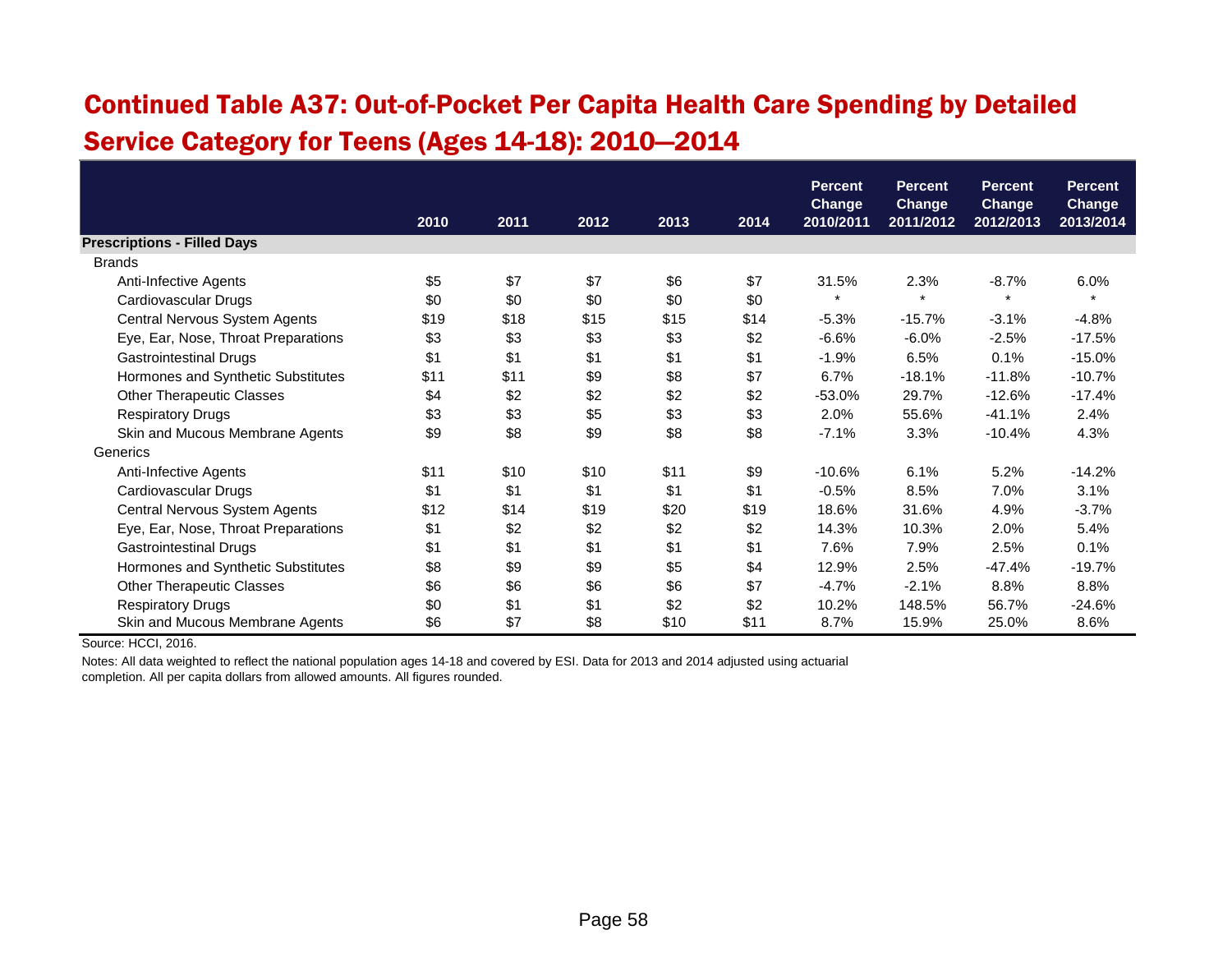## Continued Table A37: Out-of-Pocket Per Capita Health Care Spending by Detailed Service Category for Teens (Ages 14-18): 2010—2014

|                                     |      |      |      |      |      | <b>Percent</b>             | <b>Percent</b>             | <b>Percent</b>             | <b>Percent</b>             |
|-------------------------------------|------|------|------|------|------|----------------------------|----------------------------|----------------------------|----------------------------|
|                                     | 2010 | 2011 | 2012 | 2013 | 2014 | <b>Change</b><br>2010/2011 | <b>Change</b><br>2011/2012 | <b>Change</b><br>2012/2013 | <b>Change</b><br>2013/2014 |
| <b>Prescriptions - Filled Days</b>  |      |      |      |      |      |                            |                            |                            |                            |
| <b>Brands</b>                       |      |      |      |      |      |                            |                            |                            |                            |
| Anti-Infective Agents               | \$5  | \$7  | \$7  | \$6  | \$7  | 31.5%                      | 2.3%                       | $-8.7%$                    | 6.0%                       |
| Cardiovascular Drugs                | \$0  | \$0  | \$0  | \$0  | \$0  | $\star$                    | $\star$                    | $\star$                    | $\star$                    |
| Central Nervous System Agents       | \$19 | \$18 | \$15 | \$15 | \$14 | $-5.3%$                    | $-15.7%$                   | $-3.1%$                    | $-4.8%$                    |
| Eye, Ear, Nose, Throat Preparations | \$3  | \$3  | \$3  | \$3  | \$2  | $-6.6%$                    | $-6.0%$                    | $-2.5%$                    | $-17.5%$                   |
| <b>Gastrointestinal Drugs</b>       | \$1  | \$1  | \$1  | \$1  | \$1  | $-1.9%$                    | 6.5%                       | 0.1%                       | $-15.0%$                   |
| Hormones and Synthetic Substitutes  | \$11 | \$11 | \$9  | \$8  | \$7  | 6.7%                       | $-18.1%$                   | $-11.8%$                   | $-10.7%$                   |
| <b>Other Therapeutic Classes</b>    | \$4  | \$2  | \$2  | \$2  | \$2  | $-53.0%$                   | 29.7%                      | $-12.6%$                   | $-17.4%$                   |
| <b>Respiratory Drugs</b>            | \$3  | \$3  | \$5  | \$3  | \$3  | 2.0%                       | 55.6%                      | $-41.1%$                   | 2.4%                       |
| Skin and Mucous Membrane Agents     | \$9  | \$8  | \$9  | \$8  | \$8  | $-7.1%$                    | 3.3%                       | $-10.4%$                   | 4.3%                       |
| Generics                            |      |      |      |      |      |                            |                            |                            |                            |
| Anti-Infective Agents               | \$11 | \$10 | \$10 | \$11 | \$9  | $-10.6%$                   | 6.1%                       | 5.2%                       | $-14.2%$                   |
| Cardiovascular Drugs                | \$1  | \$1  | \$1  | \$1  | \$1  | $-0.5%$                    | 8.5%                       | 7.0%                       | 3.1%                       |
| Central Nervous System Agents       | \$12 | \$14 | \$19 | \$20 | \$19 | 18.6%                      | 31.6%                      | 4.9%                       | $-3.7%$                    |
| Eye, Ear, Nose, Throat Preparations | \$1  | \$2  | \$2  | \$2  | \$2  | 14.3%                      | 10.3%                      | 2.0%                       | 5.4%                       |
| <b>Gastrointestinal Drugs</b>       | \$1  | \$1  | \$1  | \$1  | \$1  | 7.6%                       | 7.9%                       | 2.5%                       | 0.1%                       |
| Hormones and Synthetic Substitutes  | \$8  | \$9  | \$9  | \$5  | \$4  | 12.9%                      | 2.5%                       | $-47.4%$                   | $-19.7%$                   |
| <b>Other Therapeutic Classes</b>    | \$6  | \$6  | \$6  | \$6  | \$7  | $-4.7%$                    | $-2.1%$                    | 8.8%                       | 8.8%                       |
| <b>Respiratory Drugs</b>            | \$0  | \$1  | \$1  | \$2  | \$2  | 10.2%                      | 148.5%                     | 56.7%                      | $-24.6%$                   |
| Skin and Mucous Membrane Agents     | \$6  | \$7  | \$8  | \$10 | \$11 | 8.7%                       | 15.9%                      | 25.0%                      | 8.6%                       |

Source: HCCI, 2016.

Notes: All data weighted to reflect the national population ages 14-18 and covered by ESI. Data for 2013 and 2014 adjusted using actuarial completion. All per capita dollars from allowed amounts. All figures rounded.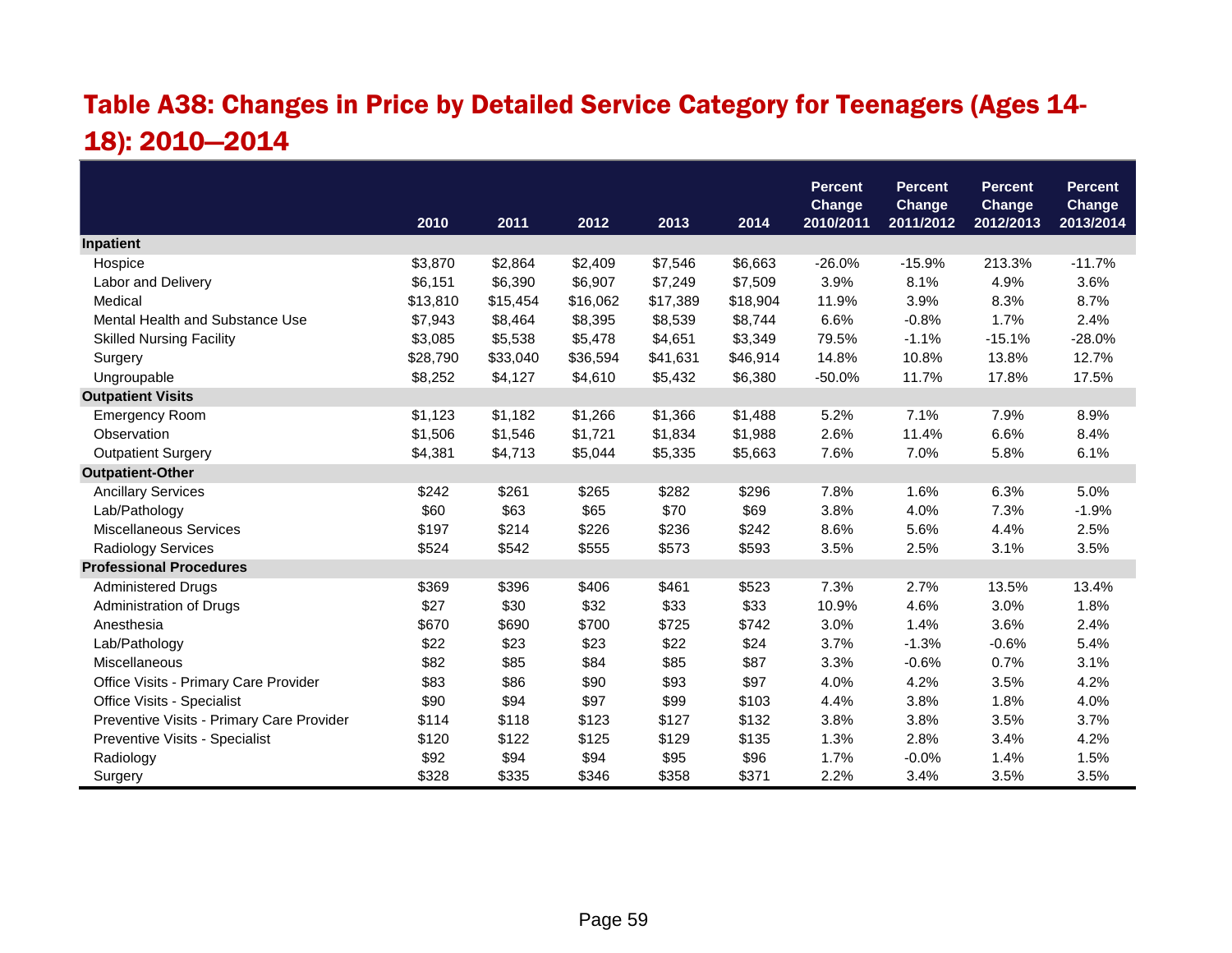## Table A38: Changes in Price by Detailed Service Category for Teenagers (Ages 14- 18): 2010—2014

|                                           |          |          |          |          |          | <b>Percent</b>             | <b>Percent</b>             | <b>Percent</b>             | <b>Percent</b>      |
|-------------------------------------------|----------|----------|----------|----------|----------|----------------------------|----------------------------|----------------------------|---------------------|
|                                           | 2010     | 2011     | 2012     | 2013     | 2014     | <b>Change</b><br>2010/2011 | <b>Change</b><br>2011/2012 | <b>Change</b><br>2012/2013 | Change<br>2013/2014 |
| Inpatient                                 |          |          |          |          |          |                            |                            |                            |                     |
| Hospice                                   | \$3,870  | \$2,864  | \$2,409  | \$7,546  | \$6,663  | $-26.0%$                   | $-15.9%$                   | 213.3%                     | $-11.7%$            |
| Labor and Delivery                        | \$6,151  | \$6,390  | \$6,907  | \$7,249  | \$7,509  | 3.9%                       | 8.1%                       | 4.9%                       | 3.6%                |
| Medical                                   | \$13,810 | \$15,454 | \$16,062 | \$17,389 | \$18,904 | 11.9%                      | 3.9%                       | 8.3%                       | 8.7%                |
| Mental Health and Substance Use           | \$7,943  | \$8,464  | \$8,395  | \$8,539  | \$8,744  | 6.6%                       | $-0.8%$                    | 1.7%                       | 2.4%                |
| <b>Skilled Nursing Facility</b>           | \$3,085  | \$5,538  | \$5,478  | \$4,651  | \$3,349  | 79.5%                      | $-1.1%$                    | $-15.1%$                   | $-28.0%$            |
| Surgery                                   | \$28,790 | \$33,040 | \$36,594 | \$41,631 | \$46,914 | 14.8%                      | 10.8%                      | 13.8%                      | 12.7%               |
| Ungroupable                               | \$8,252  | \$4,127  | \$4,610  | \$5,432  | \$6,380  | $-50.0%$                   | 11.7%                      | 17.8%                      | 17.5%               |
| <b>Outpatient Visits</b>                  |          |          |          |          |          |                            |                            |                            |                     |
| <b>Emergency Room</b>                     | \$1,123  | \$1,182  | \$1,266  | \$1,366  | \$1,488  | 5.2%                       | 7.1%                       | 7.9%                       | 8.9%                |
| Observation                               | \$1,506  | \$1,546  | \$1,721  | \$1,834  | \$1,988  | 2.6%                       | 11.4%                      | 6.6%                       | 8.4%                |
| <b>Outpatient Surgery</b>                 | \$4,381  | \$4,713  | \$5,044  | \$5,335  | \$5,663  | 7.6%                       | 7.0%                       | 5.8%                       | 6.1%                |
| <b>Outpatient-Other</b>                   |          |          |          |          |          |                            |                            |                            |                     |
| <b>Ancillary Services</b>                 | \$242    | \$261    | \$265    | \$282    | \$296    | 7.8%                       | 1.6%                       | 6.3%                       | 5.0%                |
| Lab/Pathology                             | \$60     | \$63     | \$65     | \$70     | \$69     | 3.8%                       | 4.0%                       | 7.3%                       | $-1.9%$             |
| <b>Miscellaneous Services</b>             | \$197    | \$214    | \$226    | \$236    | \$242    | 8.6%                       | 5.6%                       | 4.4%                       | 2.5%                |
| <b>Radiology Services</b>                 | \$524    | \$542    | \$555    | \$573    | \$593    | 3.5%                       | 2.5%                       | 3.1%                       | 3.5%                |
| <b>Professional Procedures</b>            |          |          |          |          |          |                            |                            |                            |                     |
| <b>Administered Drugs</b>                 | \$369    | \$396    | \$406    | \$461    | \$523    | 7.3%                       | 2.7%                       | 13.5%                      | 13.4%               |
| Administration of Drugs                   | \$27     | \$30     | \$32     | \$33     | \$33     | 10.9%                      | 4.6%                       | 3.0%                       | 1.8%                |
| Anesthesia                                | \$670    | \$690    | \$700    | \$725    | \$742    | 3.0%                       | 1.4%                       | 3.6%                       | 2.4%                |
| Lab/Pathology                             | \$22     | \$23     | \$23     | \$22     | \$24     | 3.7%                       | $-1.3%$                    | $-0.6%$                    | 5.4%                |
| Miscellaneous                             | \$82     | \$85     | \$84     | \$85     | \$87     | 3.3%                       | $-0.6%$                    | 0.7%                       | 3.1%                |
| Office Visits - Primary Care Provider     | \$83     | \$86     | \$90     | \$93     | \$97     | 4.0%                       | 4.2%                       | 3.5%                       | 4.2%                |
| Office Visits - Specialist                | \$90     | \$94     | \$97     | \$99     | \$103    | 4.4%                       | 3.8%                       | 1.8%                       | 4.0%                |
| Preventive Visits - Primary Care Provider | \$114    | \$118    | \$123    | \$127    | \$132    | 3.8%                       | 3.8%                       | 3.5%                       | 3.7%                |
| Preventive Visits - Specialist            | \$120    | \$122    | \$125    | \$129    | \$135    | 1.3%                       | 2.8%                       | 3.4%                       | 4.2%                |
| Radiology                                 | \$92     | \$94     | \$94     | \$95     | \$96     | 1.7%                       | $-0.0%$                    | 1.4%                       | 1.5%                |
| Surgery                                   | \$328    | \$335    | \$346    | \$358    | \$371    | 2.2%                       | 3.4%                       | 3.5%                       | 3.5%                |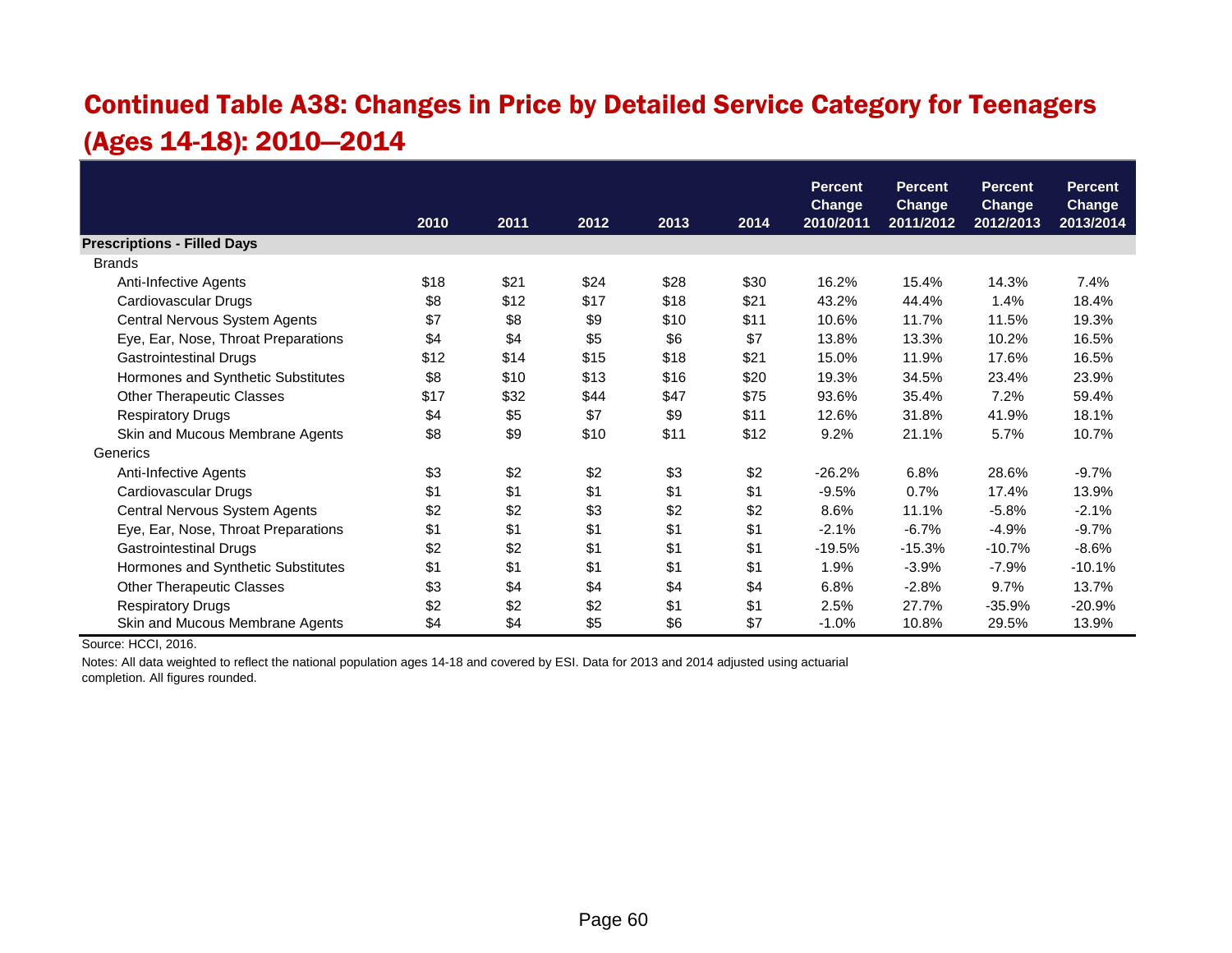### Continued Table A38: Changes in Price by Detailed Service Category for Teenagers (Ages 14-18): 2010—2014

|                                     |      |      |      |      |      | <b>Percent</b>             | <b>Percent</b>             | <b>Percent</b>             | <b>Percent</b>             |
|-------------------------------------|------|------|------|------|------|----------------------------|----------------------------|----------------------------|----------------------------|
|                                     | 2010 | 2011 | 2012 | 2013 | 2014 | <b>Change</b><br>2010/2011 | <b>Change</b><br>2011/2012 | <b>Change</b><br>2012/2013 | <b>Change</b><br>2013/2014 |
| <b>Prescriptions - Filled Days</b>  |      |      |      |      |      |                            |                            |                            |                            |
| <b>Brands</b>                       |      |      |      |      |      |                            |                            |                            |                            |
| Anti-Infective Agents               | \$18 | \$21 | \$24 | \$28 | \$30 | 16.2%                      | 15.4%                      | 14.3%                      | 7.4%                       |
| Cardiovascular Drugs                | \$8  | \$12 | \$17 | \$18 | \$21 | 43.2%                      | 44.4%                      | 1.4%                       | 18.4%                      |
| Central Nervous System Agents       | \$7  | \$8  | \$9  | \$10 | \$11 | 10.6%                      | 11.7%                      | 11.5%                      | 19.3%                      |
| Eye, Ear, Nose, Throat Preparations | \$4  | \$4  | \$5  | \$6  | \$7  | 13.8%                      | 13.3%                      | 10.2%                      | 16.5%                      |
| <b>Gastrointestinal Drugs</b>       | \$12 | \$14 | \$15 | \$18 | \$21 | 15.0%                      | 11.9%                      | 17.6%                      | 16.5%                      |
| Hormones and Synthetic Substitutes  | \$8  | \$10 | \$13 | \$16 | \$20 | 19.3%                      | 34.5%                      | 23.4%                      | 23.9%                      |
| <b>Other Therapeutic Classes</b>    | \$17 | \$32 | \$44 | \$47 | \$75 | 93.6%                      | 35.4%                      | 7.2%                       | 59.4%                      |
| <b>Respiratory Drugs</b>            | \$4  | \$5  | \$7  | \$9  | \$11 | 12.6%                      | 31.8%                      | 41.9%                      | 18.1%                      |
| Skin and Mucous Membrane Agents     | \$8  | \$9  | \$10 | \$11 | \$12 | 9.2%                       | 21.1%                      | 5.7%                       | 10.7%                      |
| Generics                            |      |      |      |      |      |                            |                            |                            |                            |
| Anti-Infective Agents               | \$3  | \$2  | \$2  | \$3  | \$2  | $-26.2%$                   | 6.8%                       | 28.6%                      | $-9.7%$                    |
| Cardiovascular Drugs                | \$1  | \$1  | \$1  | \$1  | \$1  | $-9.5%$                    | 0.7%                       | 17.4%                      | 13.9%                      |
| Central Nervous System Agents       | \$2  | \$2  | \$3  | \$2  | \$2  | 8.6%                       | 11.1%                      | $-5.8%$                    | $-2.1%$                    |
| Eye, Ear, Nose, Throat Preparations | \$1  | \$1  | \$1  | \$1  | \$1  | $-2.1%$                    | $-6.7%$                    | $-4.9%$                    | $-9.7%$                    |
| <b>Gastrointestinal Drugs</b>       | \$2  | \$2  | \$1  | \$1  | \$1  | $-19.5%$                   | $-15.3%$                   | $-10.7%$                   | $-8.6%$                    |
| Hormones and Synthetic Substitutes  | \$1  | \$1  | \$1  | \$1  | \$1  | 1.9%                       | $-3.9%$                    | $-7.9%$                    | $-10.1%$                   |
| <b>Other Therapeutic Classes</b>    | \$3  | \$4  | \$4  | \$4  | \$4  | 6.8%                       | $-2.8%$                    | 9.7%                       | 13.7%                      |
| <b>Respiratory Drugs</b>            | \$2  | \$2  | \$2  | \$1  | \$1  | 2.5%                       | 27.7%                      | $-35.9%$                   | $-20.9%$                   |
| Skin and Mucous Membrane Agents     | \$4  | \$4  | \$5  | \$6  | \$7  | $-1.0%$                    | 10.8%                      | 29.5%                      | 13.9%                      |

Source: HCCI, 2016.

Notes: All data weighted to reflect the national population ages 14-18 and covered by ESI. Data for 2013 and 2014 adjusted using actuarial

completion. All figures rounded.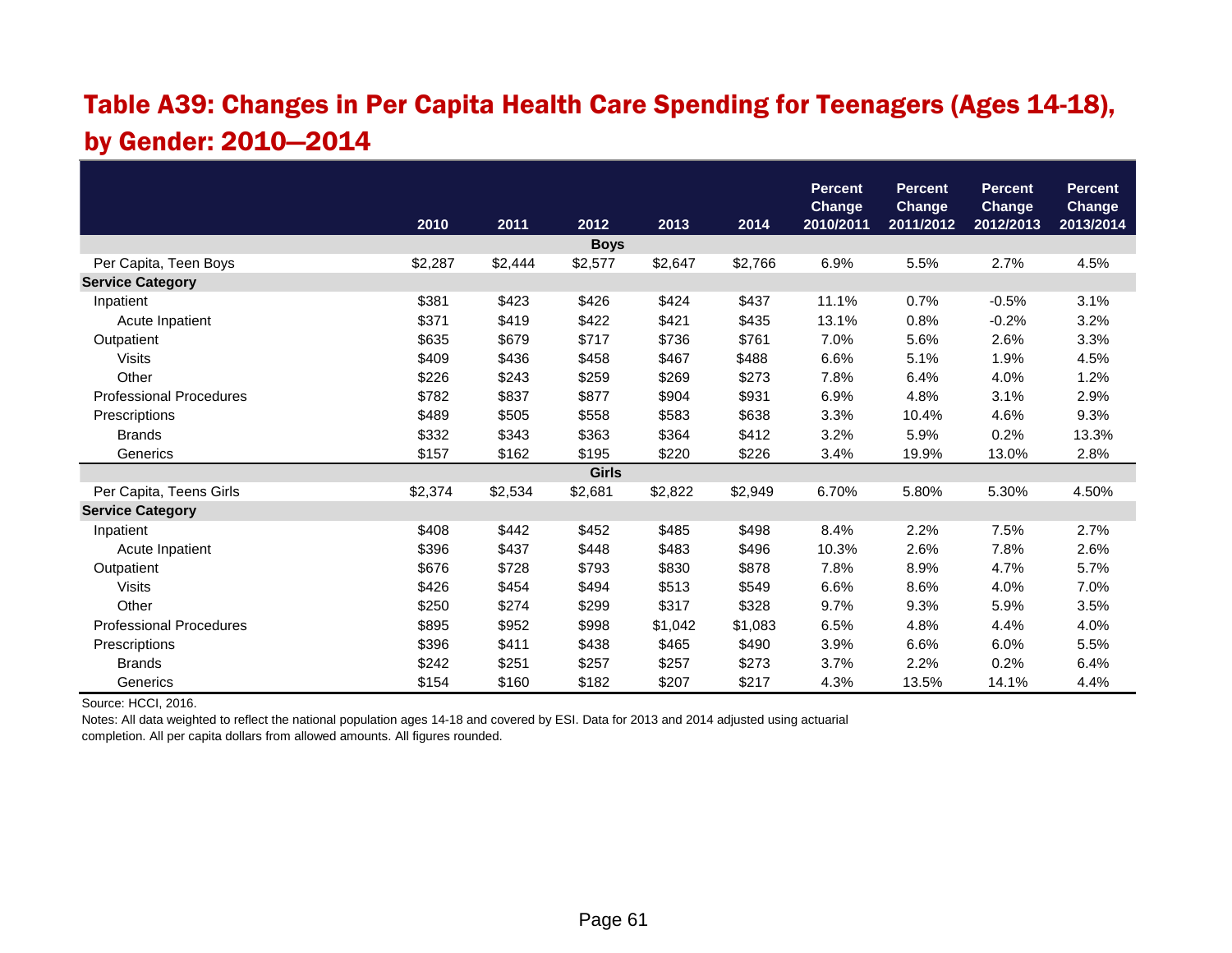#### Table A39: Changes in Per Capita Health Care Spending for Teenagers (Ages 14-18), by Gender: 2010—2014

|                                |         |         |              |         |         | <b>Percent</b><br><b>Change</b> | <b>Percent</b><br><b>Change</b> | <b>Percent</b><br><b>Change</b> | <b>Percent</b><br><b>Change</b> |
|--------------------------------|---------|---------|--------------|---------|---------|---------------------------------|---------------------------------|---------------------------------|---------------------------------|
|                                | 2010    | 2011    | 2012         | 2013    | 2014    | 2010/2011                       | 2011/2012                       | 2012/2013                       | 2013/2014                       |
|                                |         |         | <b>Boys</b>  |         |         |                                 |                                 |                                 |                                 |
| Per Capita, Teen Boys          | \$2,287 | \$2,444 | \$2,577      | \$2,647 | \$2,766 | 6.9%                            | 5.5%                            | 2.7%                            | 4.5%                            |
| <b>Service Category</b>        |         |         |              |         |         |                                 |                                 |                                 |                                 |
| Inpatient                      | \$381   | \$423   | \$426        | \$424   | \$437   | 11.1%                           | 0.7%                            | $-0.5%$                         | 3.1%                            |
| Acute Inpatient                | \$371   | \$419   | \$422        | \$421   | \$435   | 13.1%                           | 0.8%                            | $-0.2%$                         | 3.2%                            |
| Outpatient                     | \$635   | \$679   | \$717        | \$736   | \$761   | 7.0%                            | 5.6%                            | 2.6%                            | 3.3%                            |
| <b>Visits</b>                  | \$409   | \$436   | \$458        | \$467   | \$488   | 6.6%                            | 5.1%                            | 1.9%                            | 4.5%                            |
| Other                          | \$226   | \$243   | \$259        | \$269   | \$273   | 7.8%                            | 6.4%                            | 4.0%                            | 1.2%                            |
| <b>Professional Procedures</b> | \$782   | \$837   | \$877        | \$904   | \$931   | 6.9%                            | 4.8%                            | 3.1%                            | 2.9%                            |
| Prescriptions                  | \$489   | \$505   | \$558        | \$583   | \$638   | 3.3%                            | 10.4%                           | 4.6%                            | 9.3%                            |
| <b>Brands</b>                  | \$332   | \$343   | \$363        | \$364   | \$412   | 3.2%                            | 5.9%                            | 0.2%                            | 13.3%                           |
| Generics                       | \$157   | \$162   | \$195        | \$220   | \$226   | 3.4%                            | 19.9%                           | 13.0%                           | 2.8%                            |
|                                |         |         | <b>Girls</b> |         |         |                                 |                                 |                                 |                                 |
| Per Capita, Teens Girls        | \$2,374 | \$2,534 | \$2,681      | \$2,822 | \$2,949 | 6.70%                           | 5.80%                           | 5.30%                           | 4.50%                           |
| <b>Service Category</b>        |         |         |              |         |         |                                 |                                 |                                 |                                 |
| Inpatient                      | \$408   | \$442   | \$452        | \$485   | \$498   | 8.4%                            | 2.2%                            | 7.5%                            | 2.7%                            |
| Acute Inpatient                | \$396   | \$437   | \$448        | \$483   | \$496   | 10.3%                           | 2.6%                            | 7.8%                            | 2.6%                            |
| Outpatient                     | \$676   | \$728   | \$793        | \$830   | \$878   | 7.8%                            | 8.9%                            | 4.7%                            | 5.7%                            |
| <b>Visits</b>                  | \$426   | \$454   | \$494        | \$513   | \$549   | 6.6%                            | 8.6%                            | 4.0%                            | 7.0%                            |
| Other                          | \$250   | \$274   | \$299        | \$317   | \$328   | 9.7%                            | 9.3%                            | 5.9%                            | 3.5%                            |
| <b>Professional Procedures</b> | \$895   | \$952   | \$998        | \$1,042 | \$1,083 | 6.5%                            | 4.8%                            | 4.4%                            | 4.0%                            |
| Prescriptions                  | \$396   | \$411   | \$438        | \$465   | \$490   | 3.9%                            | 6.6%                            | 6.0%                            | 5.5%                            |
| <b>Brands</b>                  | \$242   | \$251   | \$257        | \$257   | \$273   | 3.7%                            | 2.2%                            | 0.2%                            | 6.4%                            |
| Generics                       | \$154   | \$160   | \$182        | \$207   | \$217   | 4.3%                            | 13.5%                           | 14.1%                           | 4.4%                            |

Source: HCCI, 2016.

Notes: All data weighted to reflect the national population ages 14-18 and covered by ESI. Data for 2013 and 2014 adjusted using actuarial completion. All per capita dollars from allowed amounts. All figures rounded.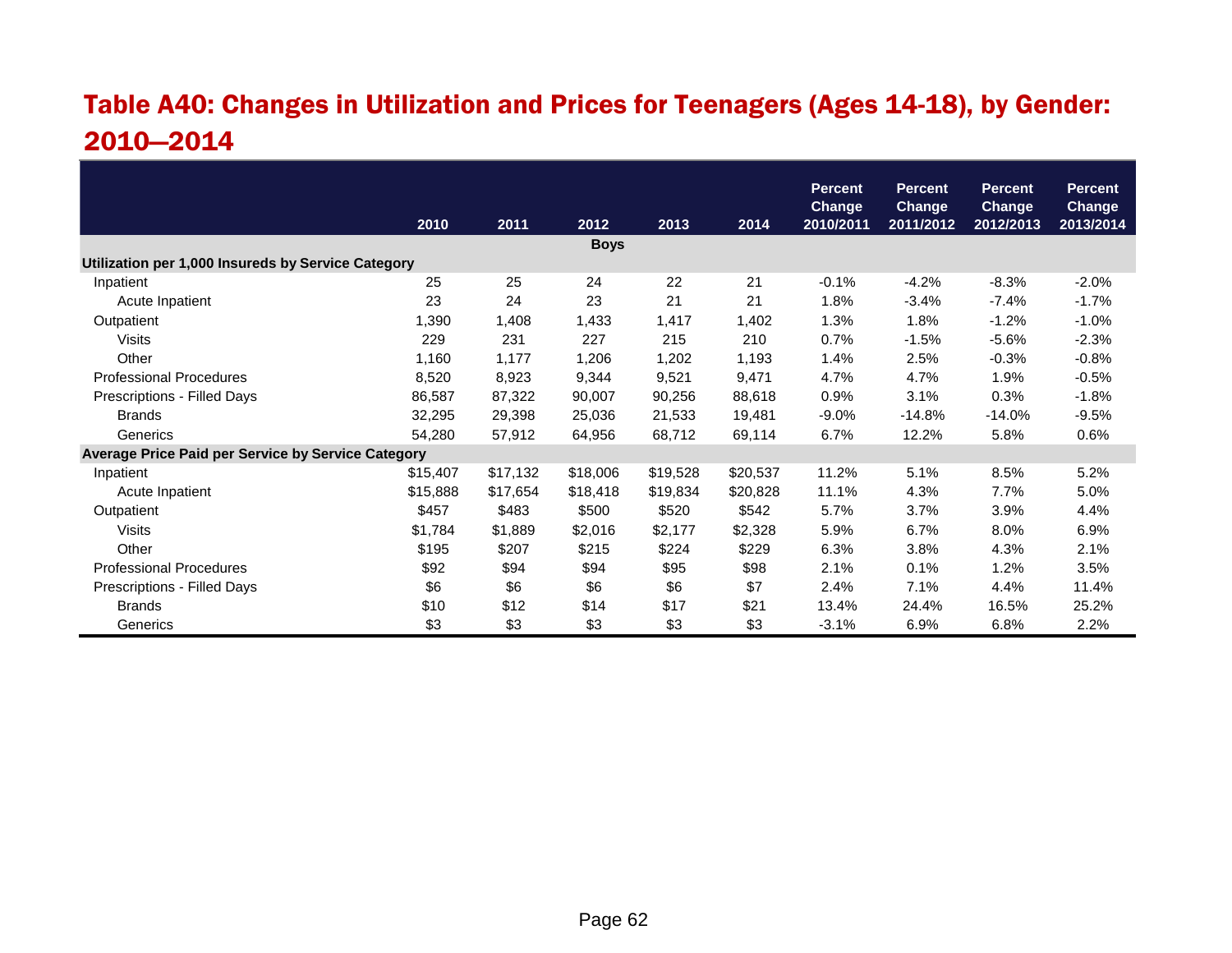## Table A40: Changes in Utilization and Prices for Teenagers (Ages 14-18), by Gender: 2010—2014

|                                                    |          |          |             |          |          | <b>Percent</b><br><b>Change</b> | <b>Percent</b><br><b>Change</b> | <b>Percent</b><br>Change | <b>Percent</b><br><b>Change</b> |
|----------------------------------------------------|----------|----------|-------------|----------|----------|---------------------------------|---------------------------------|--------------------------|---------------------------------|
|                                                    | 2010     | 2011     | 2012        | 2013     | 2014     | 2010/2011                       | 2011/2012                       | 2012/2013                | 2013/2014                       |
|                                                    |          |          | <b>Boys</b> |          |          |                                 |                                 |                          |                                 |
| Utilization per 1,000 Insureds by Service Category |          |          |             |          |          |                                 |                                 |                          |                                 |
| Inpatient                                          | 25       | 25       | 24          | 22       | 21       | $-0.1%$                         | $-4.2%$                         | $-8.3%$                  | $-2.0%$                         |
| Acute Inpatient                                    | 23       | 24       | 23          | 21       | 21       | 1.8%                            | $-3.4%$                         | $-7.4%$                  | $-1.7%$                         |
| Outpatient                                         | 1,390    | 1,408    | 1,433       | 1,417    | 1,402    | 1.3%                            | 1.8%                            | $-1.2%$                  | $-1.0%$                         |
| <b>Visits</b>                                      | 229      | 231      | 227         | 215      | 210      | 0.7%                            | $-1.5%$                         | $-5.6%$                  | $-2.3%$                         |
| Other                                              | 1,160    | 1,177    | 1,206       | 1,202    | 1,193    | 1.4%                            | 2.5%                            | $-0.3%$                  | $-0.8%$                         |
| <b>Professional Procedures</b>                     | 8,520    | 8,923    | 9,344       | 9,521    | 9,471    | 4.7%                            | 4.7%                            | 1.9%                     | $-0.5%$                         |
| Prescriptions - Filled Days                        | 86,587   | 87,322   | 90,007      | 90,256   | 88,618   | 0.9%                            | 3.1%                            | 0.3%                     | $-1.8%$                         |
| <b>Brands</b>                                      | 32,295   | 29,398   | 25,036      | 21,533   | 19,481   | $-9.0%$                         | $-14.8%$                        | $-14.0%$                 | $-9.5%$                         |
| Generics                                           | 54,280   | 57,912   | 64,956      | 68,712   | 69,114   | 6.7%                            | 12.2%                           | 5.8%                     | 0.6%                            |
| Average Price Paid per Service by Service Category |          |          |             |          |          |                                 |                                 |                          |                                 |
| Inpatient                                          | \$15,407 | \$17,132 | \$18,006    | \$19,528 | \$20,537 | 11.2%                           | 5.1%                            | 8.5%                     | 5.2%                            |
| Acute Inpatient                                    | \$15,888 | \$17,654 | \$18,418    | \$19,834 | \$20,828 | 11.1%                           | 4.3%                            | 7.7%                     | 5.0%                            |
| Outpatient                                         | \$457    | \$483    | \$500       | \$520    | \$542    | 5.7%                            | 3.7%                            | 3.9%                     | 4.4%                            |
| <b>Visits</b>                                      | \$1,784  | \$1,889  | \$2,016     | \$2,177  | \$2,328  | 5.9%                            | 6.7%                            | 8.0%                     | 6.9%                            |
| Other                                              | \$195    | \$207    | \$215       | \$224    | \$229    | 6.3%                            | 3.8%                            | 4.3%                     | 2.1%                            |
| <b>Professional Procedures</b>                     | \$92     | \$94     | \$94        | \$95     | \$98     | 2.1%                            | 0.1%                            | 1.2%                     | 3.5%                            |
| Prescriptions - Filled Days                        | \$6      | \$6      | \$6         | \$6      | \$7      | 2.4%                            | 7.1%                            | 4.4%                     | 11.4%                           |
| <b>Brands</b>                                      | \$10     | \$12     | \$14        | \$17     | \$21     | 13.4%                           | 24.4%                           | 16.5%                    | 25.2%                           |
| Generics                                           | \$3      | \$3      | \$3         | \$3      | \$3      | $-3.1%$                         | 6.9%                            | 6.8%                     | 2.2%                            |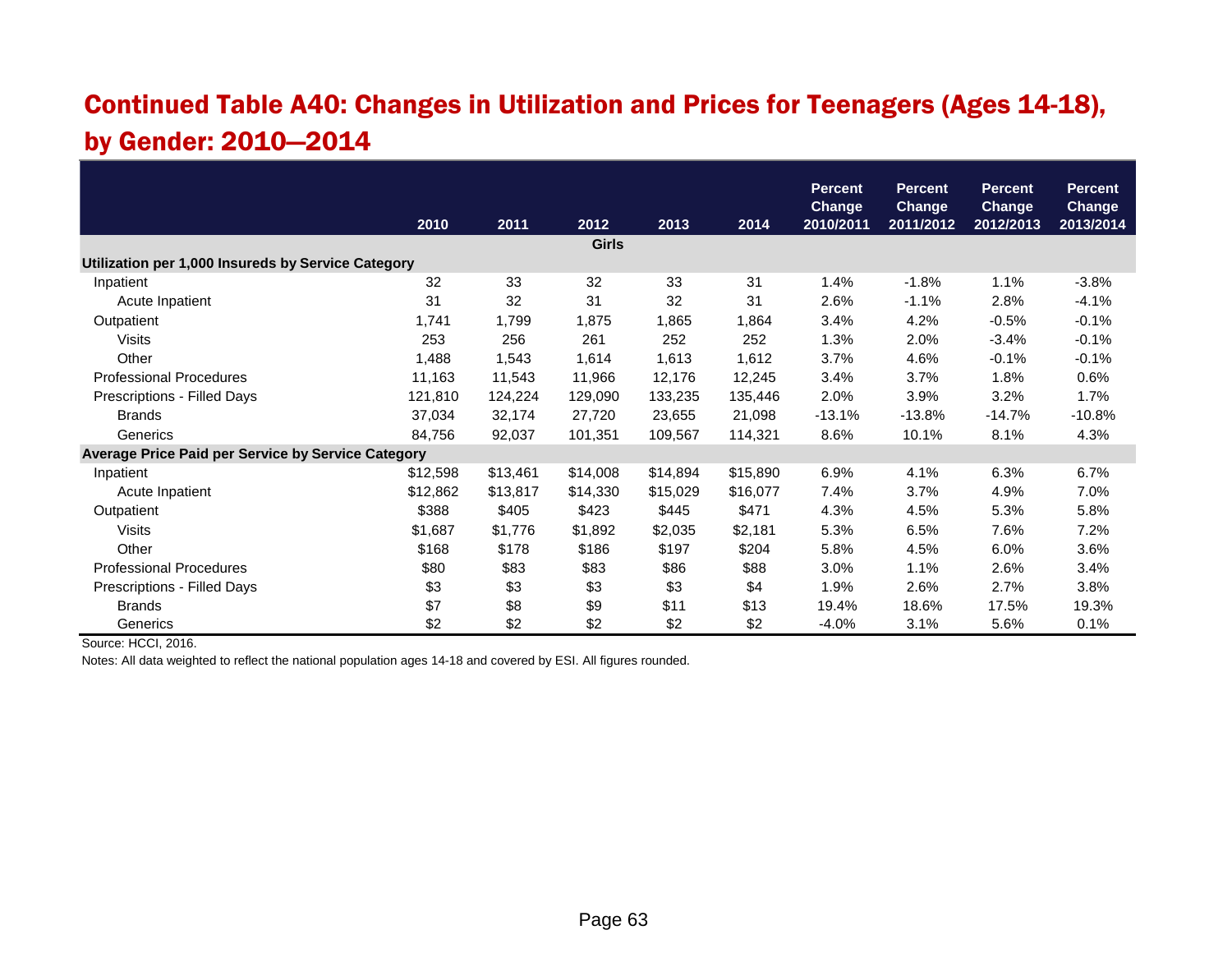### Continued Table A40: Changes in Utilization and Prices for Teenagers (Ages 14-18), by Gender: 2010—2014

|                                                    |          |          |              |          |          | <b>Percent</b> | Percent       | <b>Percent</b> | <b>Percent</b> |
|----------------------------------------------------|----------|----------|--------------|----------|----------|----------------|---------------|----------------|----------------|
|                                                    |          |          |              |          |          | <b>Change</b>  | <b>Change</b> | <b>Change</b>  | <b>Change</b>  |
|                                                    | 2010     | 2011     | 2012         | 2013     | 2014     | 2010/2011      | 2011/2012     | 2012/2013      | 2013/2014      |
|                                                    |          |          | <b>Girls</b> |          |          |                |               |                |                |
| Utilization per 1,000 Insureds by Service Category |          |          |              |          |          |                |               |                |                |
| Inpatient                                          | 32       | 33       | 32           | 33       | 31       | 1.4%           | $-1.8%$       | 1.1%           | $-3.8%$        |
| Acute Inpatient                                    | 31       | 32       | 31           | 32       | 31       | 2.6%           | $-1.1%$       | 2.8%           | $-4.1%$        |
| Outpatient                                         | 1,741    | 1,799    | 1,875        | 1,865    | 1,864    | 3.4%           | 4.2%          | $-0.5%$        | $-0.1%$        |
| <b>Visits</b>                                      | 253      | 256      | 261          | 252      | 252      | 1.3%           | 2.0%          | $-3.4%$        | $-0.1%$        |
| Other                                              | 1,488    | 1,543    | 1,614        | 1,613    | 1,612    | 3.7%           | 4.6%          | $-0.1%$        | $-0.1%$        |
| <b>Professional Procedures</b>                     | 11,163   | 11,543   | 11,966       | 12,176   | 12,245   | 3.4%           | 3.7%          | 1.8%           | 0.6%           |
| Prescriptions - Filled Days                        | 121,810  | 124,224  | 129,090      | 133,235  | 135,446  | 2.0%           | 3.9%          | 3.2%           | 1.7%           |
| <b>Brands</b>                                      | 37,034   | 32,174   | 27,720       | 23,655   | 21,098   | $-13.1%$       | $-13.8%$      | $-14.7%$       | $-10.8%$       |
| Generics                                           | 84,756   | 92,037   | 101,351      | 109,567  | 114,321  | 8.6%           | 10.1%         | 8.1%           | 4.3%           |
| Average Price Paid per Service by Service Category |          |          |              |          |          |                |               |                |                |
| Inpatient                                          | \$12,598 | \$13,461 | \$14,008     | \$14,894 | \$15,890 | 6.9%           | 4.1%          | 6.3%           | 6.7%           |
| Acute Inpatient                                    | \$12,862 | \$13,817 | \$14,330     | \$15,029 | \$16,077 | 7.4%           | 3.7%          | 4.9%           | 7.0%           |
| Outpatient                                         | \$388    | \$405    | \$423        | \$445    | \$471    | 4.3%           | 4.5%          | 5.3%           | 5.8%           |
| <b>Visits</b>                                      | \$1,687  | \$1,776  | \$1,892      | \$2,035  | \$2,181  | 5.3%           | 6.5%          | 7.6%           | 7.2%           |
| Other                                              | \$168    | \$178    | \$186        | \$197    | \$204    | 5.8%           | 4.5%          | 6.0%           | 3.6%           |
| <b>Professional Procedures</b>                     | \$80     | \$83     | \$83         | \$86     | \$88     | 3.0%           | 1.1%          | 2.6%           | 3.4%           |
| Prescriptions - Filled Days                        | \$3      | \$3      | \$3          | \$3      | \$4      | 1.9%           | 2.6%          | 2.7%           | 3.8%           |
| <b>Brands</b>                                      | \$7      | \$8      | \$9          | \$11     | \$13     | 19.4%          | 18.6%         | 17.5%          | 19.3%          |
| Generics                                           | \$2      | \$2      | \$2          | \$2      | \$2      | $-4.0%$        | 3.1%          | 5.6%           | 0.1%           |

Source: HCCI, 2016.

Notes: All data weighted to reflect the national population ages 14-18 and covered by ESI. All figures rounded.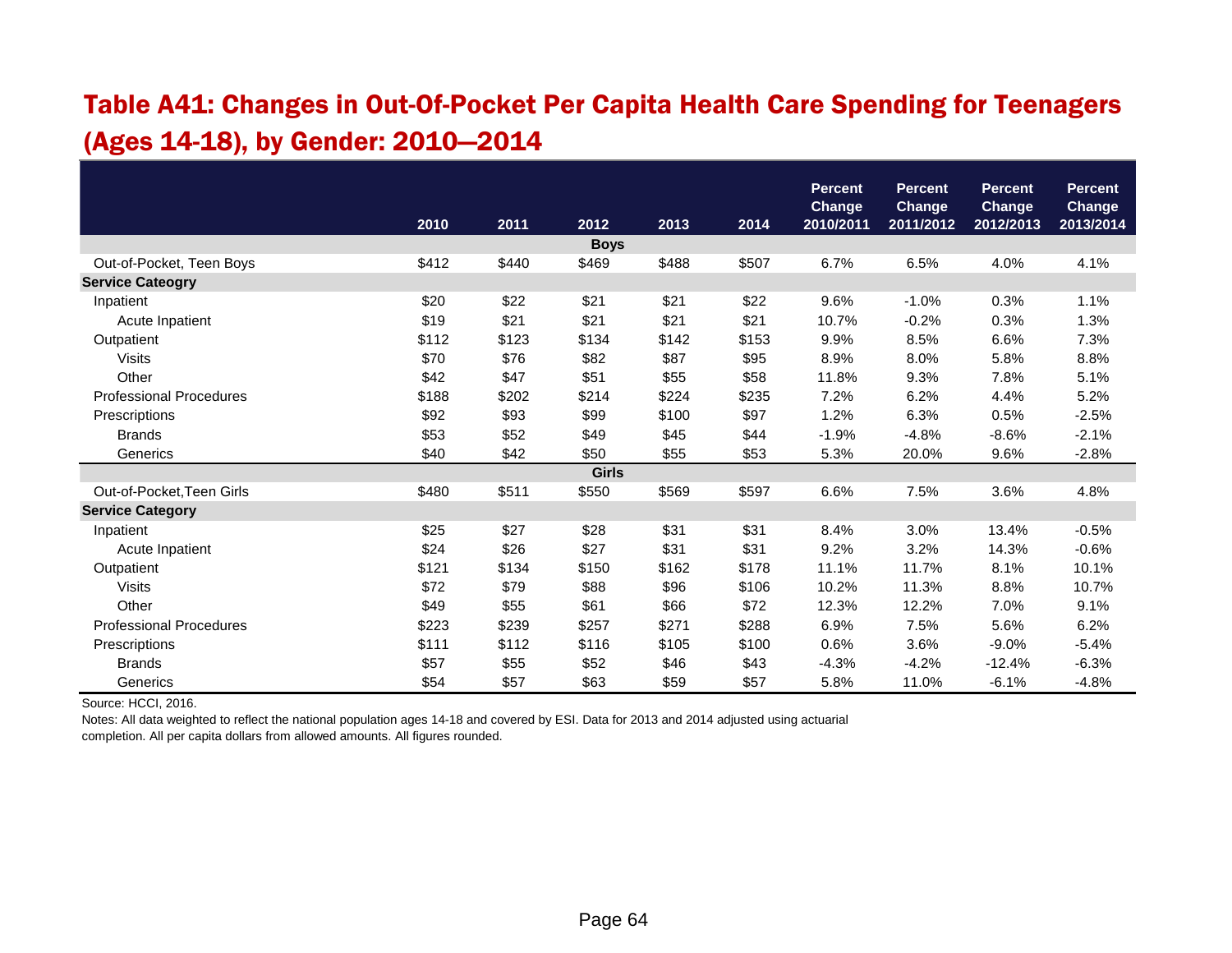#### Table A41: Changes in Out-Of-Pocket Per Capita Health Care Spending for Teenagers (Ages 14-18), by Gender: 2010—2014

|                                |       |       |              |       |       | <b>Percent</b> | <b>Percent</b> | <b>Percent</b> | <b>Percent</b> |
|--------------------------------|-------|-------|--------------|-------|-------|----------------|----------------|----------------|----------------|
|                                |       |       |              |       |       | Change         | <b>Change</b>  | <b>Change</b>  | <b>Change</b>  |
|                                | 2010  | 2011  | 2012         | 2013  | 2014  | 2010/2011      | 2011/2012      | 2012/2013      | 2013/2014      |
|                                |       |       | <b>Boys</b>  |       |       |                |                |                |                |
| Out-of-Pocket, Teen Boys       | \$412 | \$440 | \$469        | \$488 | \$507 | 6.7%           | 6.5%           | 4.0%           | 4.1%           |
| <b>Service Cateogry</b>        |       |       |              |       |       |                |                |                |                |
| Inpatient                      | \$20  | \$22  | \$21         | \$21  | \$22  | 9.6%           | $-1.0%$        | 0.3%           | 1.1%           |
| Acute Inpatient                | \$19  | \$21  | \$21         | \$21  | \$21  | 10.7%          | $-0.2%$        | 0.3%           | 1.3%           |
| Outpatient                     | \$112 | \$123 | \$134        | \$142 | \$153 | 9.9%           | 8.5%           | 6.6%           | 7.3%           |
| <b>Visits</b>                  | \$70  | \$76  | \$82         | \$87  | \$95  | 8.9%           | 8.0%           | 5.8%           | 8.8%           |
| Other                          | \$42  | \$47  | \$51         | \$55  | \$58  | 11.8%          | 9.3%           | 7.8%           | 5.1%           |
| <b>Professional Procedures</b> | \$188 | \$202 | \$214        | \$224 | \$235 | 7.2%           | 6.2%           | 4.4%           | 5.2%           |
| Prescriptions                  | \$92  | \$93  | \$99         | \$100 | \$97  | 1.2%           | 6.3%           | 0.5%           | $-2.5%$        |
| <b>Brands</b>                  | \$53  | \$52  | \$49         | \$45  | \$44  | $-1.9%$        | $-4.8%$        | $-8.6%$        | $-2.1%$        |
| Generics                       | \$40  | \$42  | \$50         | \$55  | \$53  | 5.3%           | 20.0%          | 9.6%           | $-2.8%$        |
|                                |       |       | <b>Girls</b> |       |       |                |                |                |                |
| Out-of-Pocket, Teen Girls      | \$480 | \$511 | \$550        | \$569 | \$597 | 6.6%           | 7.5%           | 3.6%           | 4.8%           |
| <b>Service Category</b>        |       |       |              |       |       |                |                |                |                |
| Inpatient                      | \$25  | \$27  | \$28         | \$31  | \$31  | 8.4%           | 3.0%           | 13.4%          | $-0.5%$        |
| Acute Inpatient                | \$24  | \$26  | \$27         | \$31  | \$31  | 9.2%           | 3.2%           | 14.3%          | $-0.6%$        |
| Outpatient                     | \$121 | \$134 | \$150        | \$162 | \$178 | 11.1%          | 11.7%          | 8.1%           | 10.1%          |
| <b>Visits</b>                  | \$72  | \$79  | \$88         | \$96  | \$106 | 10.2%          | 11.3%          | 8.8%           | 10.7%          |
| Other                          | \$49  | \$55  | \$61         | \$66  | \$72  | 12.3%          | 12.2%          | 7.0%           | 9.1%           |
| <b>Professional Procedures</b> | \$223 | \$239 | \$257        | \$271 | \$288 | 6.9%           | 7.5%           | 5.6%           | 6.2%           |
| Prescriptions                  | \$111 | \$112 | \$116        | \$105 | \$100 | 0.6%           | 3.6%           | $-9.0%$        | $-5.4%$        |
| <b>Brands</b>                  | \$57  | \$55  | \$52         | \$46  | \$43  | $-4.3%$        | $-4.2%$        | $-12.4%$       | $-6.3%$        |
| Generics                       | \$54  | \$57  | \$63         | \$59  | \$57  | 5.8%           | 11.0%          | $-6.1%$        | $-4.8%$        |

Source: HCCI, 2016.

Notes: All data weighted to reflect the national population ages 14-18 and covered by ESI. Data for 2013 and 2014 adjusted using actuarial completion. All per capita dollars from allowed amounts. All figures rounded.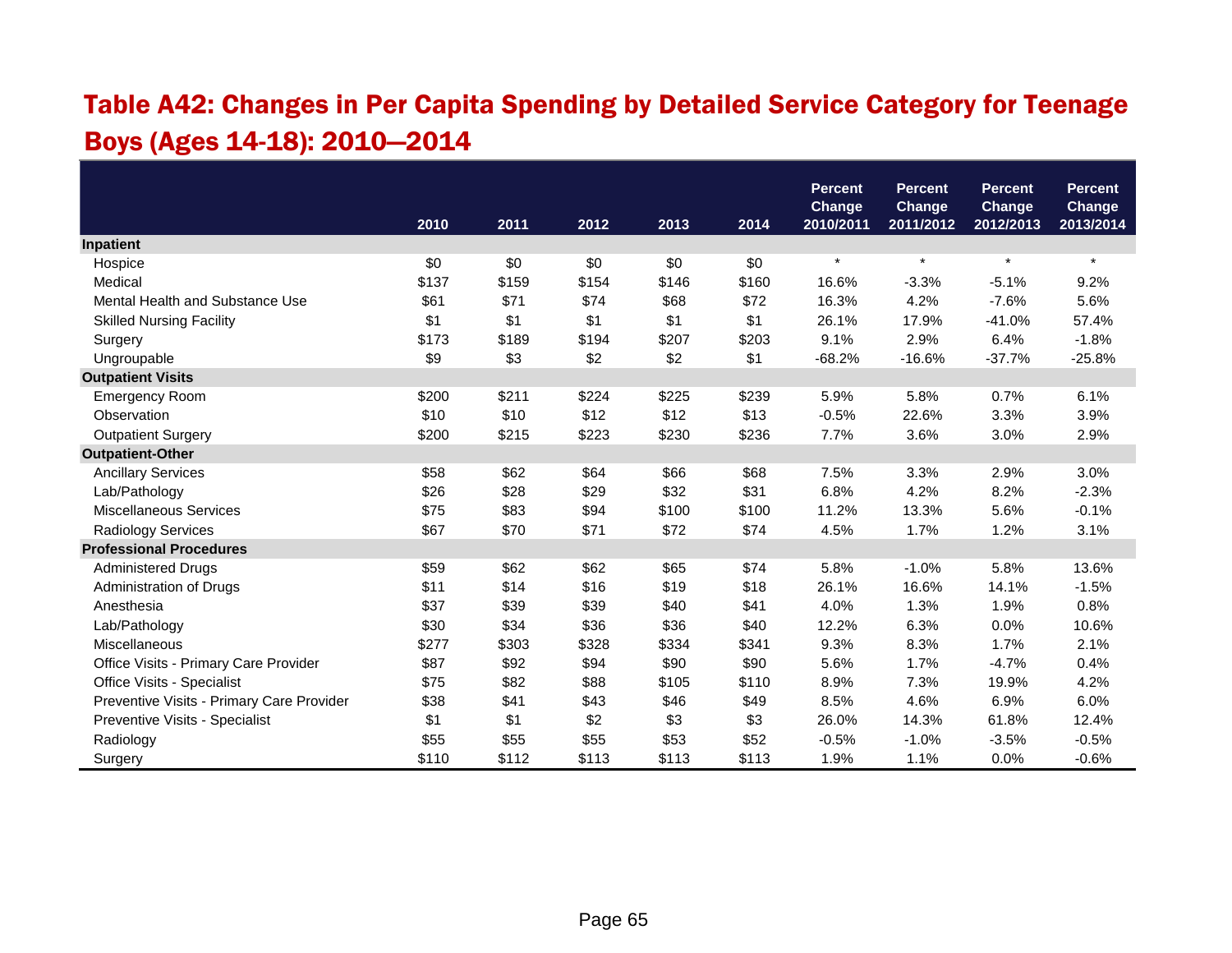### Table A42: Changes in Per Capita Spending by Detailed Service Category for Teenage Boys (Ages 14-18): 2010—2014

|                                           |       |       |       |       |       | <b>Percent</b>             | <b>Percent</b>             | <b>Percent</b>             | <b>Percent</b>             |
|-------------------------------------------|-------|-------|-------|-------|-------|----------------------------|----------------------------|----------------------------|----------------------------|
|                                           | 2010  | 2011  | 2012  | 2013  | 2014  | <b>Change</b><br>2010/2011 | <b>Change</b><br>2011/2012 | <b>Change</b><br>2012/2013 | <b>Change</b><br>2013/2014 |
| Inpatient                                 |       |       |       |       |       |                            |                            |                            |                            |
| Hospice                                   | \$0   | \$0   | \$0   | \$0   | \$0   | $\star$                    | $\star$                    | $\star$                    | $\star$                    |
| Medical                                   | \$137 | \$159 | \$154 | \$146 | \$160 | 16.6%                      | $-3.3%$                    | $-5.1%$                    | 9.2%                       |
| Mental Health and Substance Use           | \$61  | \$71  | \$74  | \$68  | \$72  | 16.3%                      | 4.2%                       | $-7.6%$                    | 5.6%                       |
| <b>Skilled Nursing Facility</b>           | \$1   | \$1   | \$1   | \$1   | \$1   | 26.1%                      | 17.9%                      | $-41.0%$                   | 57.4%                      |
| Surgery                                   | \$173 | \$189 | \$194 | \$207 | \$203 | 9.1%                       | 2.9%                       | 6.4%                       | $-1.8%$                    |
| Ungroupable                               | \$9   | \$3   | \$2   | \$2   | \$1   | $-68.2%$                   | $-16.6%$                   | $-37.7%$                   | $-25.8%$                   |
| <b>Outpatient Visits</b>                  |       |       |       |       |       |                            |                            |                            |                            |
| <b>Emergency Room</b>                     | \$200 | \$211 | \$224 | \$225 | \$239 | 5.9%                       | 5.8%                       | 0.7%                       | 6.1%                       |
| Observation                               | \$10  | \$10  | \$12  | \$12  | \$13  | $-0.5%$                    | 22.6%                      | 3.3%                       | 3.9%                       |
| <b>Outpatient Surgery</b>                 | \$200 | \$215 | \$223 | \$230 | \$236 | 7.7%                       | 3.6%                       | 3.0%                       | 2.9%                       |
| <b>Outpatient-Other</b>                   |       |       |       |       |       |                            |                            |                            |                            |
| <b>Ancillary Services</b>                 | \$58  | \$62  | \$64  | \$66  | \$68  | 7.5%                       | 3.3%                       | 2.9%                       | 3.0%                       |
| Lab/Pathology                             | \$26  | \$28  | \$29  | \$32  | \$31  | 6.8%                       | 4.2%                       | 8.2%                       | $-2.3%$                    |
| <b>Miscellaneous Services</b>             | \$75  | \$83  | \$94  | \$100 | \$100 | 11.2%                      | 13.3%                      | 5.6%                       | $-0.1%$                    |
| Radiology Services                        | \$67  | \$70  | \$71  | \$72  | \$74  | 4.5%                       | 1.7%                       | 1.2%                       | 3.1%                       |
| <b>Professional Procedures</b>            |       |       |       |       |       |                            |                            |                            |                            |
| <b>Administered Drugs</b>                 | \$59  | \$62  | \$62  | \$65  | \$74  | 5.8%                       | $-1.0%$                    | 5.8%                       | 13.6%                      |
| Administration of Drugs                   | \$11  | \$14  | \$16  | \$19  | \$18  | 26.1%                      | 16.6%                      | 14.1%                      | $-1.5%$                    |
| Anesthesia                                | \$37  | \$39  | \$39  | \$40  | \$41  | 4.0%                       | 1.3%                       | 1.9%                       | 0.8%                       |
| Lab/Pathology                             | \$30  | \$34  | \$36  | \$36  | \$40  | 12.2%                      | 6.3%                       | 0.0%                       | 10.6%                      |
| Miscellaneous                             | \$277 | \$303 | \$328 | \$334 | \$341 | 9.3%                       | 8.3%                       | 1.7%                       | 2.1%                       |
| Office Visits - Primary Care Provider     | \$87  | \$92  | \$94  | \$90  | \$90  | 5.6%                       | 1.7%                       | $-4.7%$                    | 0.4%                       |
| Office Visits - Specialist                | \$75  | \$82  | \$88  | \$105 | \$110 | 8.9%                       | 7.3%                       | 19.9%                      | 4.2%                       |
| Preventive Visits - Primary Care Provider | \$38  | \$41  | \$43  | \$46  | \$49  | 8.5%                       | 4.6%                       | 6.9%                       | 6.0%                       |
| Preventive Visits - Specialist            | \$1   | \$1   | \$2   | \$3   | \$3   | 26.0%                      | 14.3%                      | 61.8%                      | 12.4%                      |
| Radiology                                 | \$55  | \$55  | \$55  | \$53  | \$52  | $-0.5%$                    | $-1.0%$                    | $-3.5%$                    | $-0.5%$                    |
| Surgery                                   | \$110 | \$112 | \$113 | \$113 | \$113 | 1.9%                       | 1.1%                       | 0.0%                       | $-0.6%$                    |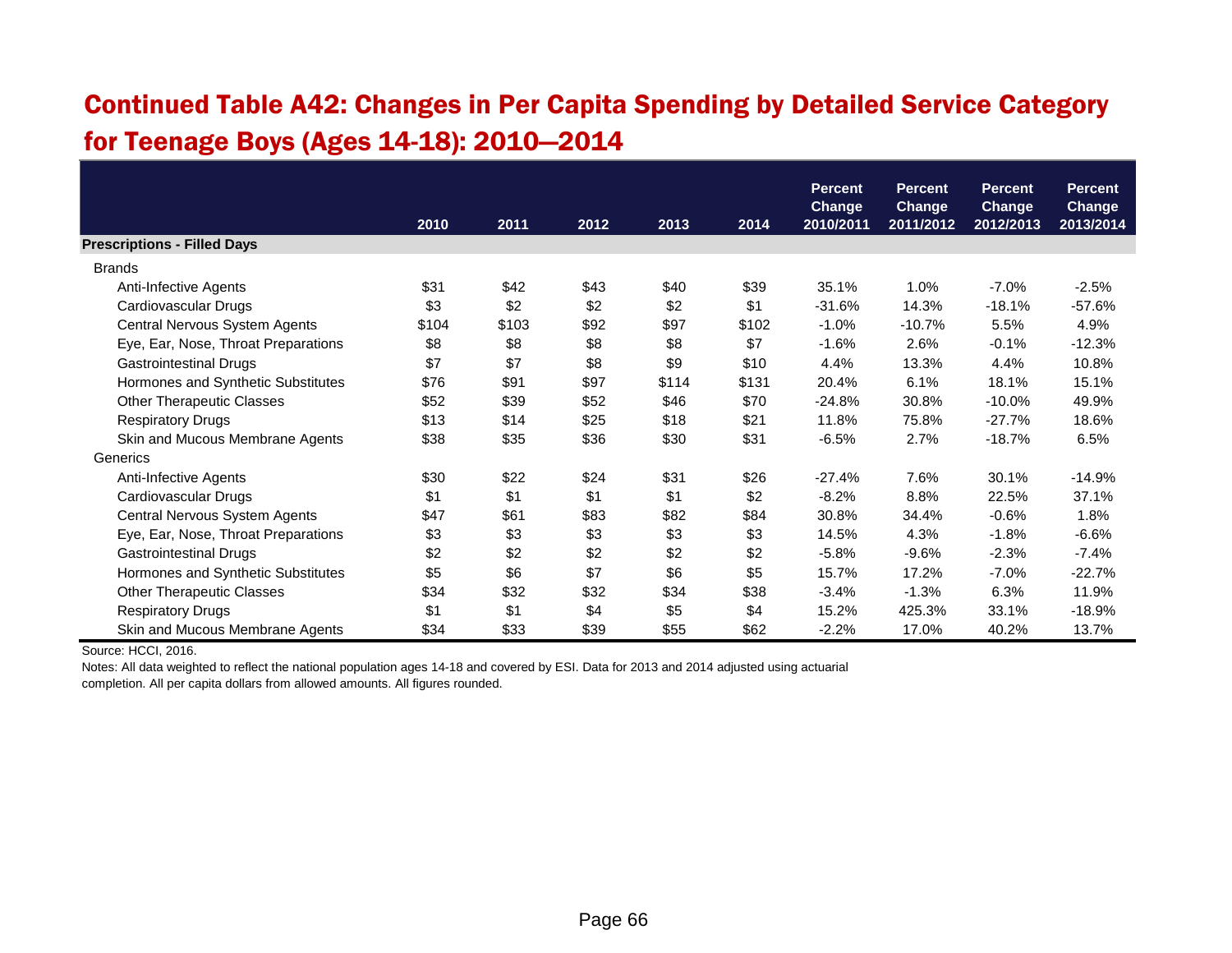### Continued Table A42: Changes in Per Capita Spending by Detailed Service Category for Teenage Boys (Ages 14-18): 2010—2014

|                                     |       |       |      |       |       | <b>Percent</b>             | <b>Percent</b>             | <b>Percent</b>             | <b>Percent</b>      |
|-------------------------------------|-------|-------|------|-------|-------|----------------------------|----------------------------|----------------------------|---------------------|
|                                     | 2010  | 2011  | 2012 | 2013  | 2014  | <b>Change</b><br>2010/2011 | <b>Change</b><br>2011/2012 | <b>Change</b><br>2012/2013 | Change<br>2013/2014 |
| <b>Prescriptions - Filled Days</b>  |       |       |      |       |       |                            |                            |                            |                     |
| <b>Brands</b>                       |       |       |      |       |       |                            |                            |                            |                     |
| Anti-Infective Agents               | \$31  | \$42  | \$43 | \$40  | \$39  | 35.1%                      | 1.0%                       | $-7.0%$                    | $-2.5%$             |
| Cardiovascular Drugs                | \$3   | \$2   | \$2  | \$2   | \$1   | $-31.6%$                   | 14.3%                      | $-18.1%$                   | $-57.6%$            |
| Central Nervous System Agents       | \$104 | \$103 | \$92 | \$97  | \$102 | $-1.0%$                    | $-10.7%$                   | 5.5%                       | 4.9%                |
| Eye, Ear, Nose, Throat Preparations | \$8   | \$8   | \$8  | \$8   | \$7   | $-1.6%$                    | 2.6%                       | $-0.1%$                    | $-12.3%$            |
| <b>Gastrointestinal Drugs</b>       | \$7   | \$7   | \$8  | \$9   | \$10  | 4.4%                       | 13.3%                      | 4.4%                       | 10.8%               |
| Hormones and Synthetic Substitutes  | \$76  | \$91  | \$97 | \$114 | \$131 | 20.4%                      | 6.1%                       | 18.1%                      | 15.1%               |
| <b>Other Therapeutic Classes</b>    | \$52  | \$39  | \$52 | \$46  | \$70  | $-24.8%$                   | 30.8%                      | $-10.0\%$                  | 49.9%               |
| <b>Respiratory Drugs</b>            | \$13  | \$14  | \$25 | \$18  | \$21  | 11.8%                      | 75.8%                      | $-27.7%$                   | 18.6%               |
| Skin and Mucous Membrane Agents     | \$38  | \$35  | \$36 | \$30  | \$31  | $-6.5%$                    | 2.7%                       | $-18.7%$                   | 6.5%                |
| Generics                            |       |       |      |       |       |                            |                            |                            |                     |
| Anti-Infective Agents               | \$30  | \$22  | \$24 | \$31  | \$26  | $-27.4%$                   | 7.6%                       | 30.1%                      | $-14.9%$            |
| Cardiovascular Drugs                | \$1   | \$1   | \$1  | \$1   | \$2   | $-8.2%$                    | 8.8%                       | 22.5%                      | 37.1%               |
| Central Nervous System Agents       | \$47  | \$61  | \$83 | \$82  | \$84  | 30.8%                      | 34.4%                      | $-0.6%$                    | 1.8%                |
| Eye, Ear, Nose, Throat Preparations | \$3   | \$3   | \$3  | \$3   | \$3   | 14.5%                      | 4.3%                       | $-1.8%$                    | $-6.6%$             |
| <b>Gastrointestinal Drugs</b>       | \$2   | \$2   | \$2  | \$2   | \$2   | $-5.8%$                    | $-9.6%$                    | $-2.3%$                    | $-7.4%$             |
| Hormones and Synthetic Substitutes  | \$5   | \$6   | \$7  | \$6   | \$5   | 15.7%                      | 17.2%                      | $-7.0%$                    | $-22.7%$            |
| <b>Other Therapeutic Classes</b>    | \$34  | \$32  | \$32 | \$34  | \$38  | $-3.4%$                    | $-1.3%$                    | 6.3%                       | 11.9%               |
| <b>Respiratory Drugs</b>            | \$1   | \$1   | \$4  | \$5   | \$4   | 15.2%                      | 425.3%                     | 33.1%                      | $-18.9%$            |
| Skin and Mucous Membrane Agents     | \$34  | \$33  | \$39 | \$55  | \$62  | $-2.2%$                    | 17.0%                      | 40.2%                      | 13.7%               |

Source: HCCI, 2016.

Notes: All data weighted to reflect the national population ages 14-18 and covered by ESI. Data for 2013 and 2014 adjusted using actuarial completion. All per capita dollars from allowed amounts. All figures rounded.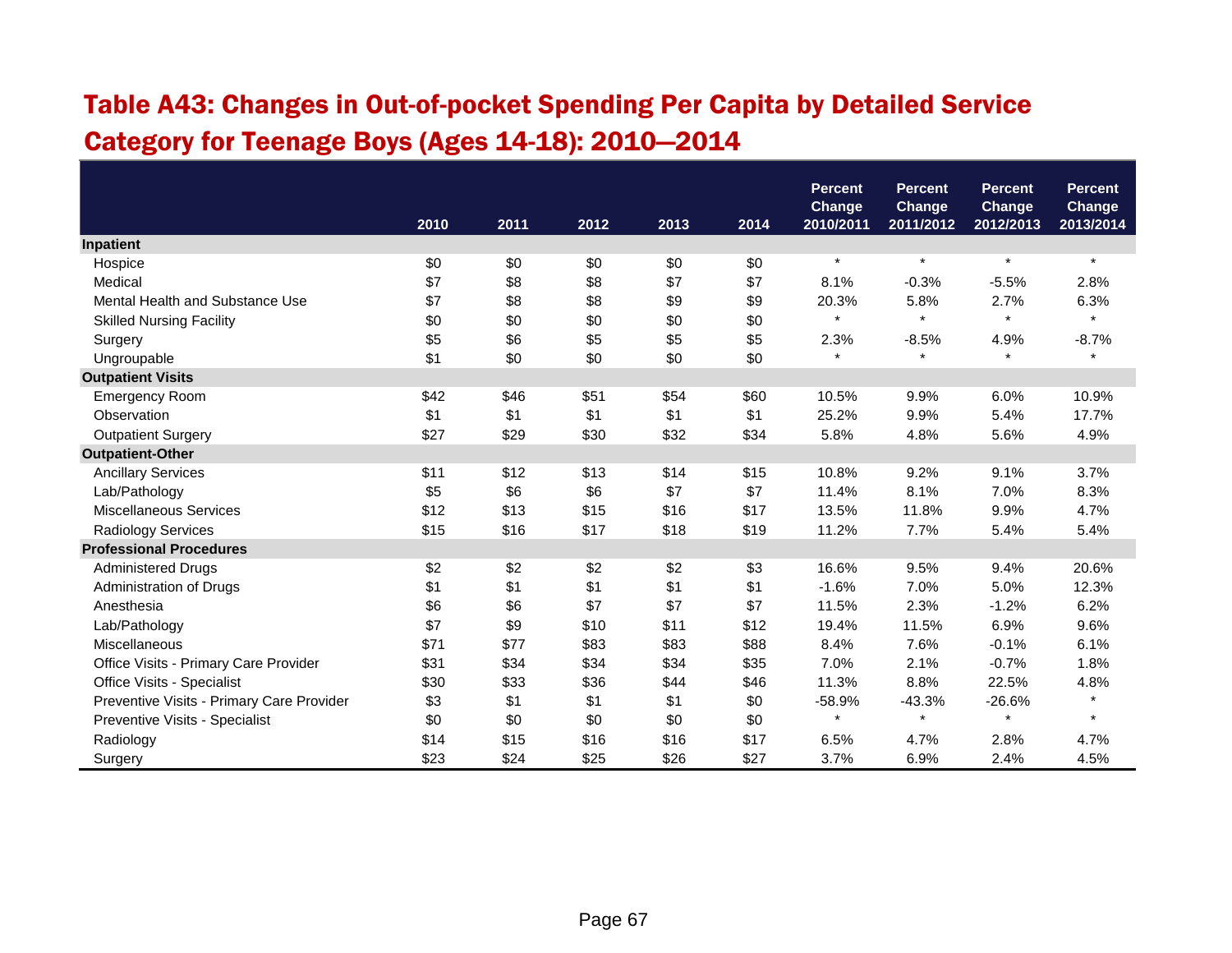## Table A43: Changes in Out-of-pocket Spending Per Capita by Detailed Service Category for Teenage Boys (Ages 14-18): 2010—2014

|                                           |      |      |      |      |      | <b>Percent</b>      | <b>Percent</b>             | <b>Percent</b>             | <b>Percent</b>             |
|-------------------------------------------|------|------|------|------|------|---------------------|----------------------------|----------------------------|----------------------------|
|                                           | 2010 | 2011 | 2012 | 2013 | 2014 | Change<br>2010/2011 | <b>Change</b><br>2011/2012 | <b>Change</b><br>2012/2013 | <b>Change</b><br>2013/2014 |
| Inpatient                                 |      |      |      |      |      |                     |                            |                            |                            |
| Hospice                                   | \$0  | \$0  | \$0  | \$0  | \$0  | $\star$             | $\star$                    | $\star$                    | $\star$                    |
| Medical                                   | \$7  | \$8  | \$8  | \$7  | \$7  | 8.1%                | $-0.3%$                    | $-5.5%$                    | 2.8%                       |
| Mental Health and Substance Use           | \$7  | \$8  | \$8  | \$9  | \$9  | 20.3%               | 5.8%                       | 2.7%                       | 6.3%                       |
| <b>Skilled Nursing Facility</b>           | \$0  | \$0  | \$0  | \$0  | \$0  | $\star$             | $\star$                    | $\star$                    | $\pmb{\star}$              |
| Surgery                                   | \$5  | \$6  | \$5  | \$5  | \$5  | 2.3%                | $-8.5%$                    | 4.9%                       | $-8.7%$                    |
| Ungroupable                               | \$1  | \$0  | \$0  | \$0  | \$0  | $\star$             | $\star$                    | $\star$                    | $\star$                    |
| <b>Outpatient Visits</b>                  |      |      |      |      |      |                     |                            |                            |                            |
| <b>Emergency Room</b>                     | \$42 | \$46 | \$51 | \$54 | \$60 | 10.5%               | 9.9%                       | 6.0%                       | 10.9%                      |
| Observation                               | \$1  | \$1  | \$1  | \$1  | \$1  | 25.2%               | 9.9%                       | 5.4%                       | 17.7%                      |
| <b>Outpatient Surgery</b>                 | \$27 | \$29 | \$30 | \$32 | \$34 | 5.8%                | 4.8%                       | 5.6%                       | 4.9%                       |
| <b>Outpatient-Other</b>                   |      |      |      |      |      |                     |                            |                            |                            |
| <b>Ancillary Services</b>                 | \$11 | \$12 | \$13 | \$14 | \$15 | 10.8%               | 9.2%                       | 9.1%                       | 3.7%                       |
| Lab/Pathology                             | \$5  | \$6  | \$6  | \$7  | \$7  | 11.4%               | 8.1%                       | 7.0%                       | 8.3%                       |
| Miscellaneous Services                    | \$12 | \$13 | \$15 | \$16 | \$17 | 13.5%               | 11.8%                      | 9.9%                       | 4.7%                       |
| Radiology Services                        | \$15 | \$16 | \$17 | \$18 | \$19 | 11.2%               | 7.7%                       | 5.4%                       | 5.4%                       |
| <b>Professional Procedures</b>            |      |      |      |      |      |                     |                            |                            |                            |
| <b>Administered Drugs</b>                 | \$2  | \$2  | \$2  | \$2  | \$3  | 16.6%               | 9.5%                       | 9.4%                       | 20.6%                      |
| Administration of Drugs                   | \$1  | \$1  | \$1  | \$1  | \$1  | $-1.6%$             | 7.0%                       | 5.0%                       | 12.3%                      |
| Anesthesia                                | \$6  | \$6  | \$7  | \$7  | \$7  | 11.5%               | 2.3%                       | $-1.2%$                    | 6.2%                       |
| Lab/Pathology                             | \$7  | \$9  | \$10 | \$11 | \$12 | 19.4%               | 11.5%                      | 6.9%                       | 9.6%                       |
| Miscellaneous                             | \$71 | \$77 | \$83 | \$83 | \$88 | 8.4%                | 7.6%                       | $-0.1%$                    | 6.1%                       |
| Office Visits - Primary Care Provider     | \$31 | \$34 | \$34 | \$34 | \$35 | 7.0%                | 2.1%                       | $-0.7%$                    | 1.8%                       |
| Office Visits - Specialist                | \$30 | \$33 | \$36 | \$44 | \$46 | 11.3%               | 8.8%                       | 22.5%                      | 4.8%                       |
| Preventive Visits - Primary Care Provider | \$3  | \$1  | \$1  | \$1  | \$0  | $-58.9%$            | $-43.3%$                   | $-26.6%$                   | $\star$                    |
| Preventive Visits - Specialist            | \$0  | \$0  | \$0  | \$0  | \$0  | $\star$             | $\star$                    |                            | $\star$                    |
| Radiology                                 | \$14 | \$15 | \$16 | \$16 | \$17 | 6.5%                | 4.7%                       | 2.8%                       | 4.7%                       |
| Surgery                                   | \$23 | \$24 | \$25 | \$26 | \$27 | 3.7%                | 6.9%                       | 2.4%                       | 4.5%                       |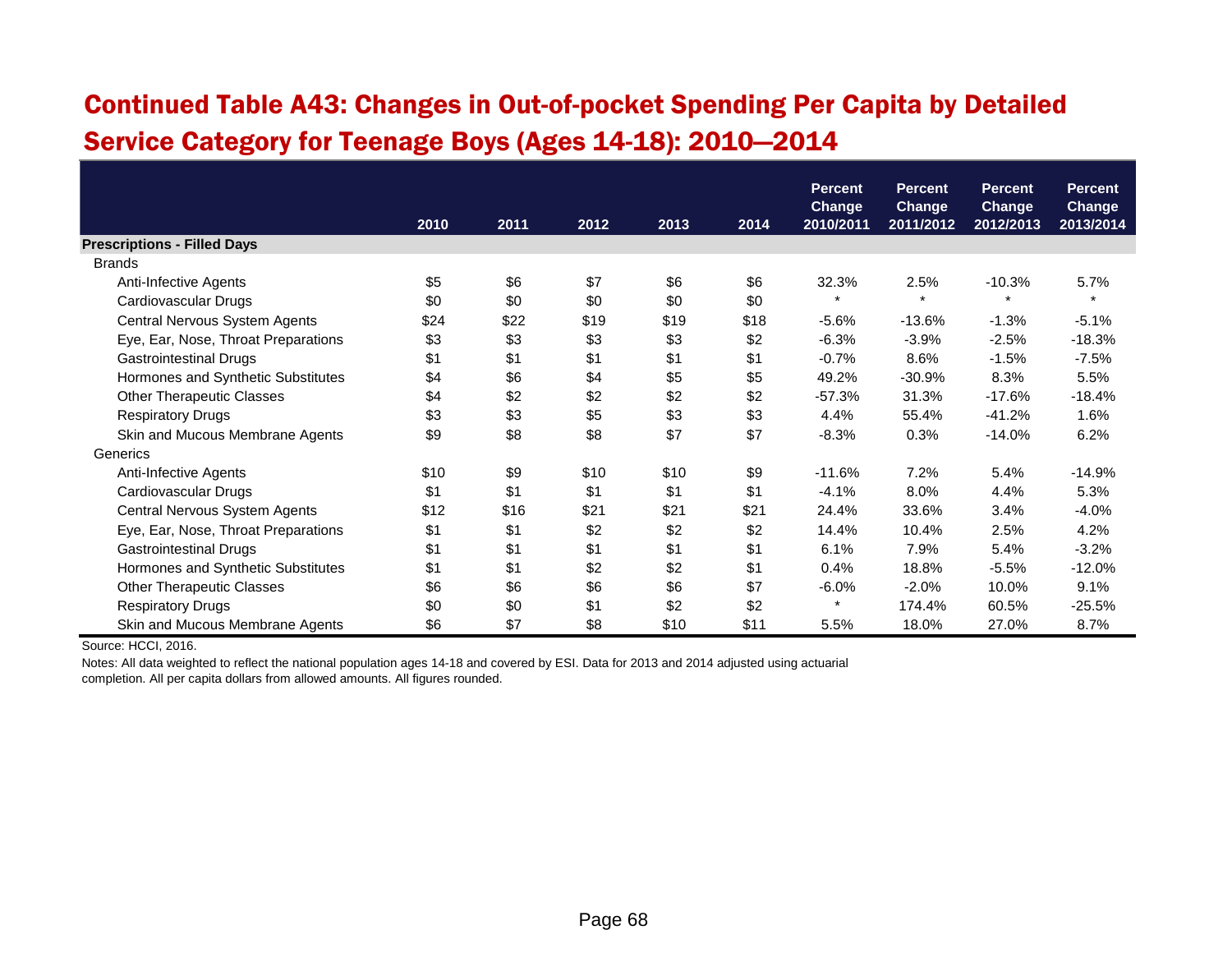### Continued Table A43: Changes in Out-of-pocket Spending Per Capita by Detailed Service Category for Teenage Boys (Ages 14-18): 2010—2014

|                                     |      |      |      |      |      | <b>Percent</b><br><b>Change</b> | <b>Percent</b><br><b>Change</b> | <b>Percent</b><br><b>Change</b> | <b>Percent</b><br><b>Change</b> |
|-------------------------------------|------|------|------|------|------|---------------------------------|---------------------------------|---------------------------------|---------------------------------|
|                                     | 2010 | 2011 | 2012 | 2013 | 2014 | 2010/2011                       | 2011/2012                       | 2012/2013                       | 2013/2014                       |
| <b>Prescriptions - Filled Days</b>  |      |      |      |      |      |                                 |                                 |                                 |                                 |
| <b>Brands</b>                       |      |      |      |      |      |                                 |                                 |                                 |                                 |
| Anti-Infective Agents               | \$5  | \$6  | \$7  | \$6  | \$6  | 32.3%                           | 2.5%                            | $-10.3%$                        | 5.7%                            |
| Cardiovascular Drugs                | \$0  | \$0  | \$0  | \$0  | \$0  | $\star$                         | $\star$                         | $\star$                         | $\star$                         |
| Central Nervous System Agents       | \$24 | \$22 | \$19 | \$19 | \$18 | $-5.6%$                         | $-13.6%$                        | $-1.3%$                         | $-5.1%$                         |
| Eye, Ear, Nose, Throat Preparations | \$3  | \$3  | \$3  | \$3  | \$2  | $-6.3%$                         | $-3.9%$                         | $-2.5%$                         | $-18.3%$                        |
| <b>Gastrointestinal Drugs</b>       | \$1  | \$1  | \$1  | \$1  | \$1  | $-0.7%$                         | 8.6%                            | $-1.5%$                         | $-7.5%$                         |
| Hormones and Synthetic Substitutes  | \$4  | \$6  | \$4  | \$5  | \$5  | 49.2%                           | $-30.9%$                        | 8.3%                            | 5.5%                            |
| <b>Other Therapeutic Classes</b>    | \$4  | \$2  | \$2  | \$2  | \$2  | $-57.3%$                        | 31.3%                           | $-17.6%$                        | $-18.4%$                        |
| <b>Respiratory Drugs</b>            | \$3  | \$3  | \$5  | \$3  | \$3  | 4.4%                            | 55.4%                           | $-41.2%$                        | 1.6%                            |
| Skin and Mucous Membrane Agents     | \$9  | \$8  | \$8  | \$7  | \$7  | $-8.3%$                         | 0.3%                            | $-14.0%$                        | 6.2%                            |
| Generics                            |      |      |      |      |      |                                 |                                 |                                 |                                 |
| Anti-Infective Agents               | \$10 | \$9  | \$10 | \$10 | \$9  | $-11.6%$                        | 7.2%                            | 5.4%                            | $-14.9%$                        |
| Cardiovascular Drugs                | \$1  | \$1  | \$1  | \$1  | \$1  | $-4.1%$                         | 8.0%                            | 4.4%                            | 5.3%                            |
| Central Nervous System Agents       | \$12 | \$16 | \$21 | \$21 | \$21 | 24.4%                           | 33.6%                           | 3.4%                            | $-4.0%$                         |
| Eye, Ear, Nose, Throat Preparations | \$1  | \$1  | \$2  | \$2  | \$2  | 14.4%                           | 10.4%                           | 2.5%                            | 4.2%                            |
| <b>Gastrointestinal Drugs</b>       | \$1  | \$1  | \$1  | \$1  | \$1  | 6.1%                            | 7.9%                            | 5.4%                            | $-3.2%$                         |
| Hormones and Synthetic Substitutes  | \$1  | \$1  | \$2  | \$2  | \$1  | 0.4%                            | 18.8%                           | $-5.5%$                         | $-12.0%$                        |
| <b>Other Therapeutic Classes</b>    | \$6  | \$6  | \$6  | \$6  | \$7  | $-6.0%$                         | $-2.0%$                         | 10.0%                           | 9.1%                            |
| <b>Respiratory Drugs</b>            | \$0  | \$0  | \$1  | \$2  | \$2  | $\star$                         | 174.4%                          | 60.5%                           | $-25.5%$                        |
| Skin and Mucous Membrane Agents     | \$6  | \$7  | \$8  | \$10 | \$11 | 5.5%                            | 18.0%                           | 27.0%                           | 8.7%                            |

Source: HCCI, 2016.

Notes: All data weighted to reflect the national population ages 14-18 and covered by ESI. Data for 2013 and 2014 adjusted using actuarial completion. All per capita dollars from allowed amounts. All figures rounded.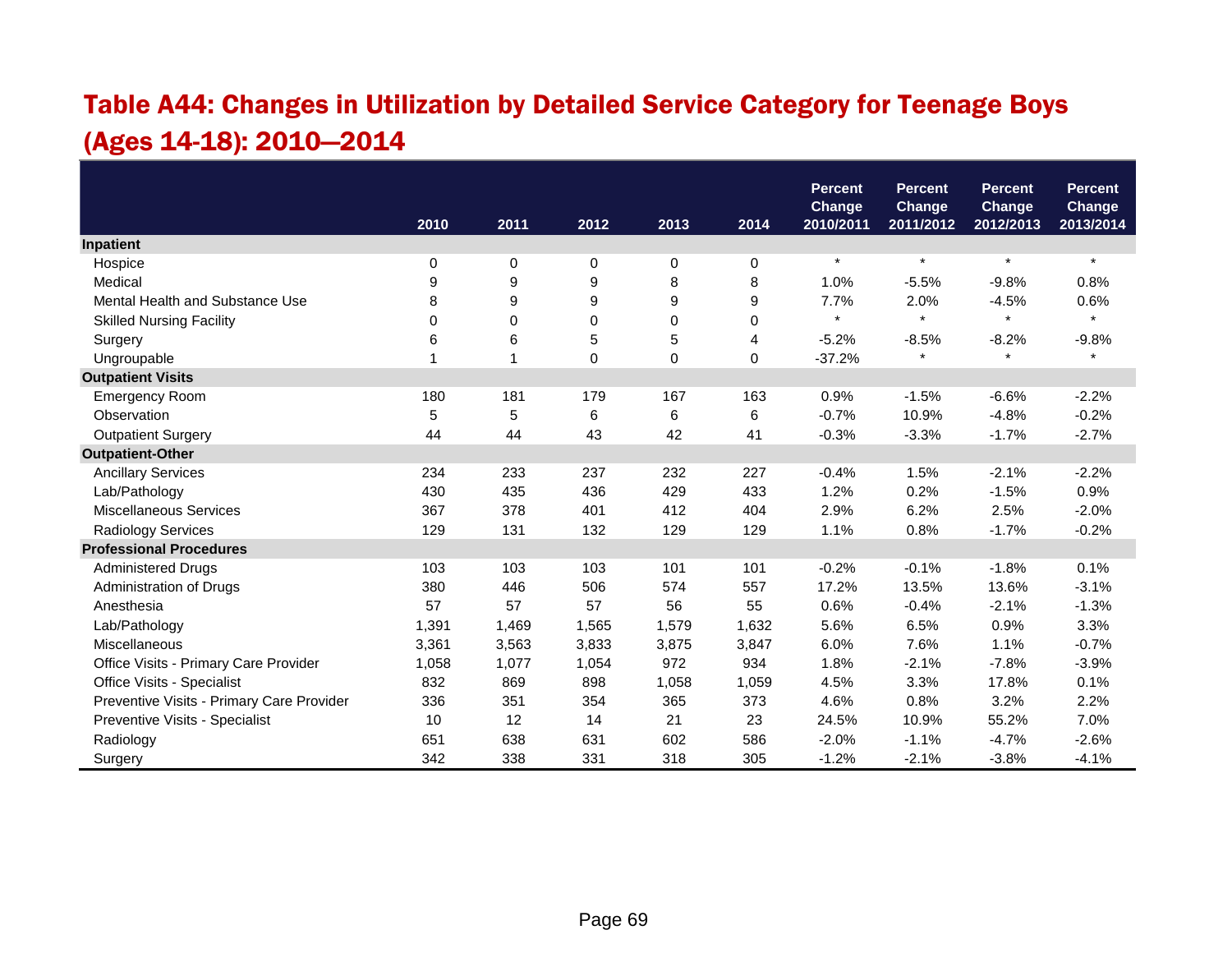# Table A44: Changes in Utilization by Detailed Service Category for Teenage Boys (Ages 14-18): 2010—2014

|                                           |       |                |       |       |       | <b>Percent</b><br><b>Change</b> | <b>Percent</b><br><b>Change</b> | <b>Percent</b><br><b>Change</b> | <b>Percent</b><br><b>Change</b> |
|-------------------------------------------|-------|----------------|-------|-------|-------|---------------------------------|---------------------------------|---------------------------------|---------------------------------|
|                                           | 2010  | 2011           | 2012  | 2013  | 2014  | 2010/2011                       | 2011/2012                       | 2012/2013                       | 2013/2014                       |
| Inpatient                                 |       |                |       |       |       |                                 |                                 |                                 |                                 |
| Hospice                                   | 0     | 0              | 0     | 0     | 0     | $\star$                         | $\star$                         | $\star$                         | $\star$                         |
| Medical                                   | 9     | 9              | 9     | 8     | 8     | 1.0%                            | $-5.5%$                         | $-9.8%$                         | 0.8%                            |
| Mental Health and Substance Use           | 8     | 9              | 9     | 9     | 9     | 7.7%                            | 2.0%                            | $-4.5%$                         | 0.6%                            |
| <b>Skilled Nursing Facility</b>           | 0     | 0              | 0     | 0     | 0     | $\star$                         | $\star$                         | $\star$                         | $\star$                         |
| Surgery                                   | 6     | 6              | 5     | 5     | 4     | $-5.2%$                         | $-8.5%$                         | $-8.2%$                         | $-9.8%$                         |
| Ungroupable                               | 1     | $\overline{1}$ | 0     | 0     | 0     | $-37.2%$                        |                                 | $\star$                         | $\pmb{\star}$                   |
| <b>Outpatient Visits</b>                  |       |                |       |       |       |                                 |                                 |                                 |                                 |
| <b>Emergency Room</b>                     | 180   | 181            | 179   | 167   | 163   | 0.9%                            | $-1.5%$                         | $-6.6%$                         | $-2.2%$                         |
| Observation                               | 5     | 5              | 6     | 6     | 6     | $-0.7%$                         | 10.9%                           | $-4.8%$                         | $-0.2%$                         |
| <b>Outpatient Surgery</b>                 | 44    | 44             | 43    | 42    | 41    | $-0.3%$                         | $-3.3%$                         | $-1.7%$                         | $-2.7%$                         |
| <b>Outpatient-Other</b>                   |       |                |       |       |       |                                 |                                 |                                 |                                 |
| <b>Ancillary Services</b>                 | 234   | 233            | 237   | 232   | 227   | $-0.4%$                         | 1.5%                            | $-2.1%$                         | $-2.2%$                         |
| Lab/Pathology                             | 430   | 435            | 436   | 429   | 433   | 1.2%                            | 0.2%                            | $-1.5%$                         | 0.9%                            |
| Miscellaneous Services                    | 367   | 378            | 401   | 412   | 404   | 2.9%                            | 6.2%                            | 2.5%                            | $-2.0%$                         |
| <b>Radiology Services</b>                 | 129   | 131            | 132   | 129   | 129   | 1.1%                            | 0.8%                            | $-1.7%$                         | $-0.2%$                         |
| <b>Professional Procedures</b>            |       |                |       |       |       |                                 |                                 |                                 |                                 |
| <b>Administered Drugs</b>                 | 103   | 103            | 103   | 101   | 101   | $-0.2%$                         | $-0.1%$                         | $-1.8%$                         | 0.1%                            |
| Administration of Drugs                   | 380   | 446            | 506   | 574   | 557   | 17.2%                           | 13.5%                           | 13.6%                           | $-3.1%$                         |
| Anesthesia                                | 57    | 57             | 57    | 56    | 55    | 0.6%                            | $-0.4%$                         | $-2.1%$                         | $-1.3%$                         |
| Lab/Pathology                             | 1,391 | 1,469          | 1,565 | 1,579 | 1,632 | 5.6%                            | 6.5%                            | 0.9%                            | 3.3%                            |
| Miscellaneous                             | 3,361 | 3,563          | 3,833 | 3,875 | 3,847 | 6.0%                            | 7.6%                            | 1.1%                            | $-0.7%$                         |
| Office Visits - Primary Care Provider     | 1,058 | 1,077          | 1,054 | 972   | 934   | 1.8%                            | $-2.1%$                         | $-7.8%$                         | $-3.9%$                         |
| Office Visits - Specialist                | 832   | 869            | 898   | 1,058 | 1,059 | 4.5%                            | 3.3%                            | 17.8%                           | 0.1%                            |
| Preventive Visits - Primary Care Provider | 336   | 351            | 354   | 365   | 373   | 4.6%                            | 0.8%                            | 3.2%                            | 2.2%                            |
| Preventive Visits - Specialist            | 10    | 12             | 14    | 21    | 23    | 24.5%                           | 10.9%                           | 55.2%                           | 7.0%                            |
| Radiology                                 | 651   | 638            | 631   | 602   | 586   | $-2.0%$                         | $-1.1%$                         | $-4.7%$                         | $-2.6%$                         |
| Surgery                                   | 342   | 338            | 331   | 318   | 305   | $-1.2%$                         | $-2.1%$                         | $-3.8%$                         | $-4.1%$                         |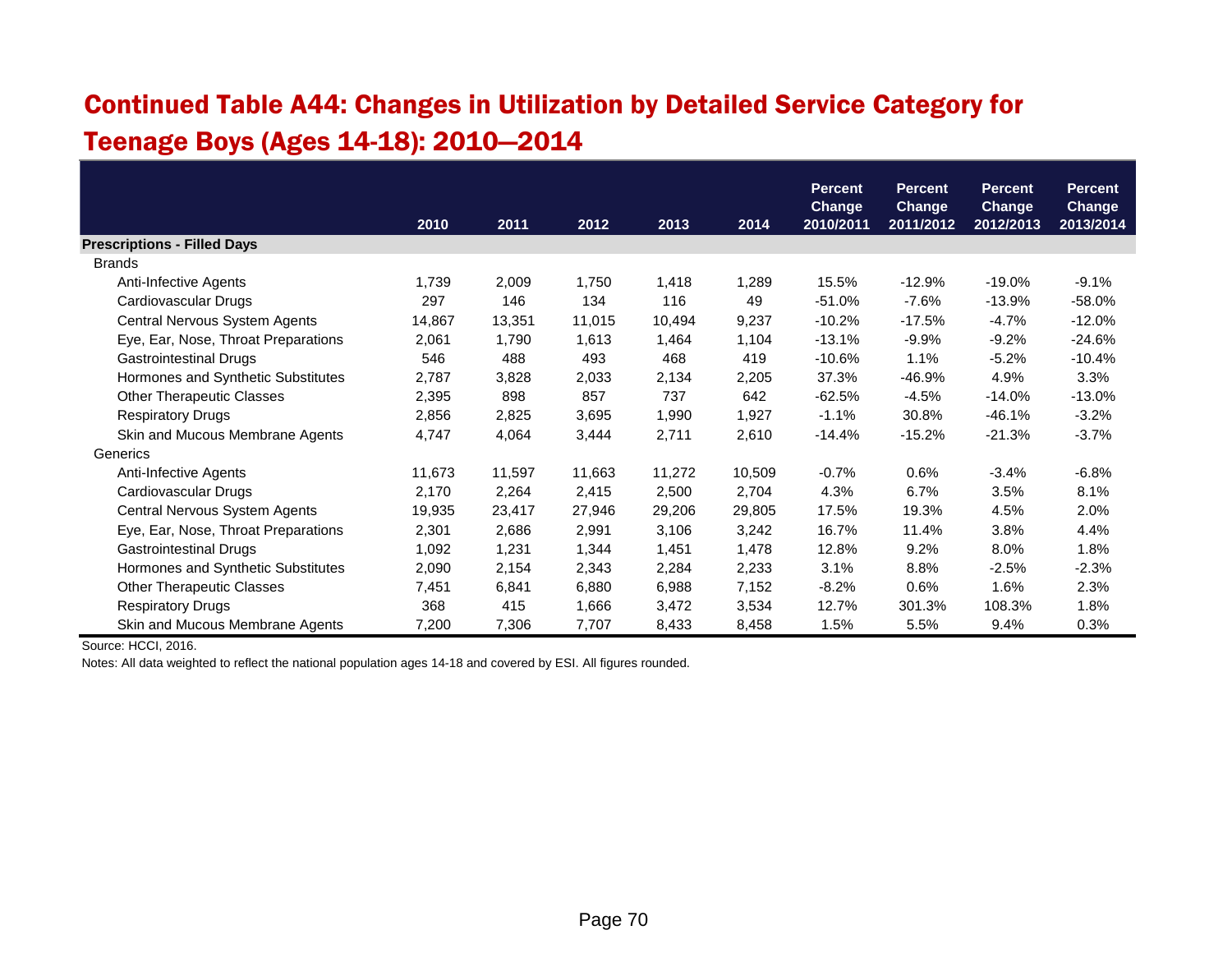## Continued Table A44: Changes in Utilization by Detailed Service Category for Teenage Boys (Ages 14-18): 2010—2014

|                                     |        |        |        |        |        | <b>Percent</b>             | <b>Percent</b>             | <b>Percent</b>             | <b>Percent</b>      |
|-------------------------------------|--------|--------|--------|--------|--------|----------------------------|----------------------------|----------------------------|---------------------|
|                                     | 2010   | 2011   | 2012   | 2013   | 2014   | <b>Change</b><br>2010/2011 | <b>Change</b><br>2011/2012 | <b>Change</b><br>2012/2013 | Change<br>2013/2014 |
| <b>Prescriptions - Filled Days</b>  |        |        |        |        |        |                            |                            |                            |                     |
| <b>Brands</b>                       |        |        |        |        |        |                            |                            |                            |                     |
| Anti-Infective Agents               | 1,739  | 2,009  | 1,750  | 1,418  | 1,289  | 15.5%                      | $-12.9%$                   | $-19.0\%$                  | $-9.1%$             |
| Cardiovascular Drugs                | 297    | 146    | 134    | 116    | 49     | $-51.0%$                   | $-7.6%$                    | $-13.9%$                   | $-58.0%$            |
| Central Nervous System Agents       | 14,867 | 13,351 | 11,015 | 10,494 | 9,237  | $-10.2%$                   | $-17.5%$                   | $-4.7%$                    | $-12.0%$            |
| Eye, Ear, Nose, Throat Preparations | 2,061  | 1,790  | 1,613  | 1,464  | 1,104  | $-13.1%$                   | $-9.9%$                    | $-9.2%$                    | $-24.6%$            |
| <b>Gastrointestinal Drugs</b>       | 546    | 488    | 493    | 468    | 419    | $-10.6%$                   | 1.1%                       | $-5.2%$                    | $-10.4%$            |
| Hormones and Synthetic Substitutes  | 2,787  | 3,828  | 2,033  | 2,134  | 2,205  | 37.3%                      | -46.9%                     | 4.9%                       | 3.3%                |
| <b>Other Therapeutic Classes</b>    | 2,395  | 898    | 857    | 737    | 642    | $-62.5%$                   | $-4.5%$                    | $-14.0\%$                  | $-13.0%$            |
| <b>Respiratory Drugs</b>            | 2,856  | 2,825  | 3,695  | 1,990  | 1,927  | $-1.1%$                    | 30.8%                      | $-46.1%$                   | $-3.2%$             |
| Skin and Mucous Membrane Agents     | 4,747  | 4,064  | 3,444  | 2,711  | 2,610  | $-14.4%$                   | $-15.2%$                   | $-21.3%$                   | $-3.7%$             |
| Generics                            |        |        |        |        |        |                            |                            |                            |                     |
| Anti-Infective Agents               | 11,673 | 11,597 | 11,663 | 11,272 | 10,509 | $-0.7%$                    | 0.6%                       | $-3.4%$                    | $-6.8%$             |
| Cardiovascular Drugs                | 2,170  | 2,264  | 2,415  | 2,500  | 2,704  | 4.3%                       | 6.7%                       | 3.5%                       | 8.1%                |
| Central Nervous System Agents       | 19,935 | 23,417 | 27,946 | 29,206 | 29,805 | 17.5%                      | 19.3%                      | 4.5%                       | 2.0%                |
| Eye, Ear, Nose, Throat Preparations | 2,301  | 2,686  | 2,991  | 3,106  | 3,242  | 16.7%                      | 11.4%                      | 3.8%                       | 4.4%                |
| <b>Gastrointestinal Drugs</b>       | 1,092  | 1,231  | 1,344  | 1,451  | 1,478  | 12.8%                      | 9.2%                       | 8.0%                       | 1.8%                |
| Hormones and Synthetic Substitutes  | 2,090  | 2,154  | 2,343  | 2,284  | 2,233  | 3.1%                       | 8.8%                       | $-2.5%$                    | $-2.3%$             |
| <b>Other Therapeutic Classes</b>    | 7,451  | 6,841  | 6,880  | 6,988  | 7,152  | $-8.2%$                    | 0.6%                       | 1.6%                       | 2.3%                |
| <b>Respiratory Drugs</b>            | 368    | 415    | 1,666  | 3,472  | 3,534  | 12.7%                      | 301.3%                     | 108.3%                     | 1.8%                |
| Skin and Mucous Membrane Agents     | 7,200  | 7,306  | 7,707  | 8,433  | 8,458  | 1.5%                       | 5.5%                       | 9.4%                       | 0.3%                |

Source: HCCI, 2016.

Notes: All data weighted to reflect the national population ages 14-18 and covered by ESI. All figures rounded.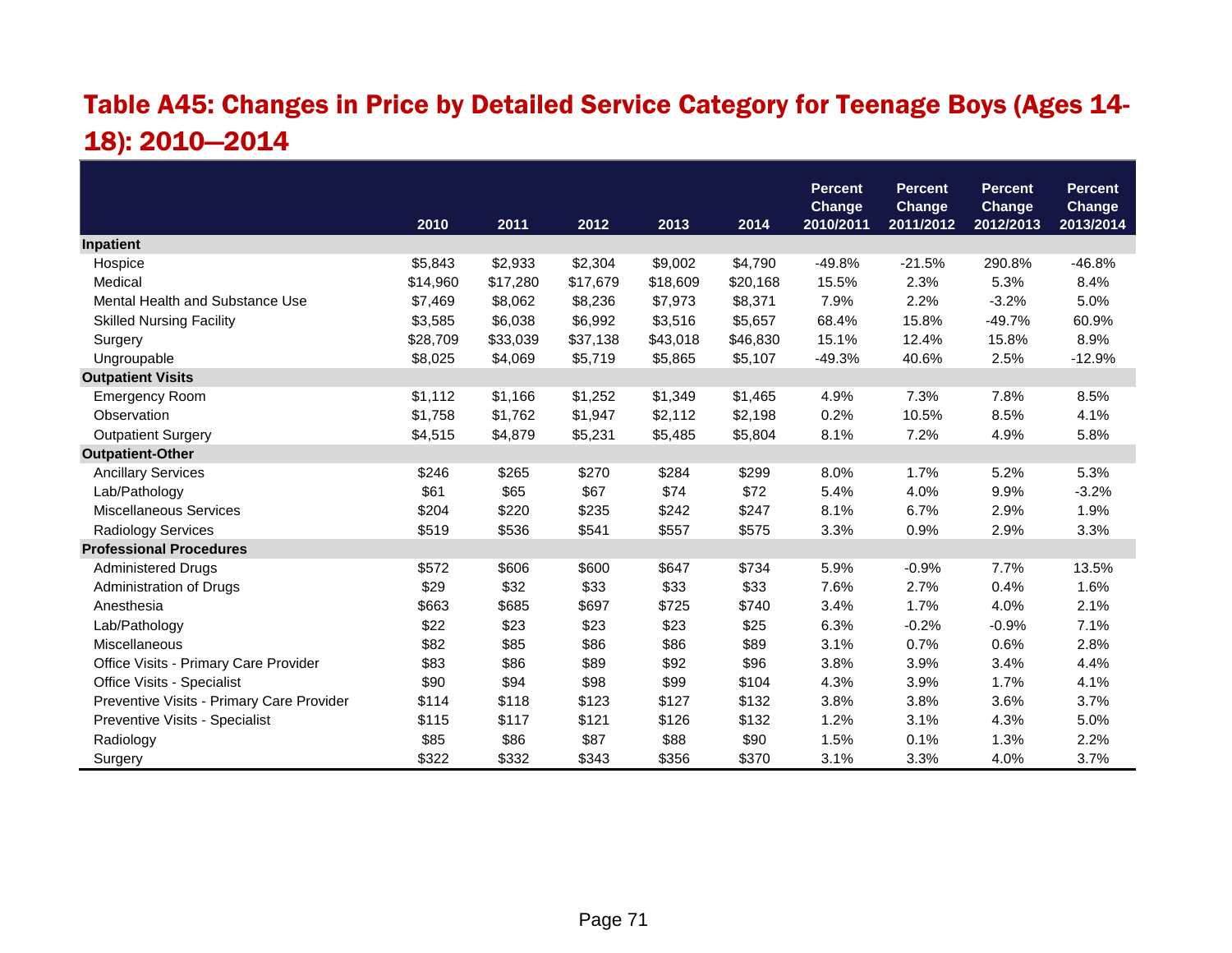## Table A45: Changes in Price by Detailed Service Category for Teenage Boys (Ages 14- 18): 2010—2014

|                                           |          |          |          |          |          | <b>Percent</b><br>Change | <b>Percent</b><br>Change | <b>Percent</b><br><b>Change</b> | <b>Percent</b><br>Change |
|-------------------------------------------|----------|----------|----------|----------|----------|--------------------------|--------------------------|---------------------------------|--------------------------|
|                                           | 2010     | 2011     | 2012     | 2013     | 2014     | 2010/2011                | 2011/2012                | 2012/2013                       | 2013/2014                |
| Inpatient                                 |          |          |          |          |          |                          |                          |                                 |                          |
| Hospice                                   | \$5,843  | \$2,933  | \$2,304  | \$9,002  | \$4,790  | $-49.8%$                 | $-21.5%$                 | 290.8%                          | $-46.8%$                 |
| Medical                                   | \$14,960 | \$17,280 | \$17,679 | \$18,609 | \$20,168 | 15.5%                    | 2.3%                     | 5.3%                            | 8.4%                     |
| Mental Health and Substance Use           | \$7,469  | \$8,062  | \$8,236  | \$7,973  | \$8,371  | 7.9%                     | 2.2%                     | $-3.2%$                         | 5.0%                     |
| <b>Skilled Nursing Facility</b>           | \$3,585  | \$6,038  | \$6,992  | \$3,516  | \$5,657  | 68.4%                    | 15.8%                    | $-49.7%$                        | 60.9%                    |
| Surgery                                   | \$28,709 | \$33,039 | \$37,138 | \$43,018 | \$46,830 | 15.1%                    | 12.4%                    | 15.8%                           | 8.9%                     |
| Ungroupable                               | \$8,025  | \$4,069  | \$5,719  | \$5,865  | \$5,107  | $-49.3%$                 | 40.6%                    | 2.5%                            | $-12.9%$                 |
| <b>Outpatient Visits</b>                  |          |          |          |          |          |                          |                          |                                 |                          |
| <b>Emergency Room</b>                     | \$1,112  | \$1,166  | \$1,252  | \$1,349  | \$1,465  | 4.9%                     | 7.3%                     | 7.8%                            | 8.5%                     |
| Observation                               | \$1,758  | \$1,762  | \$1,947  | \$2,112  | \$2,198  | 0.2%                     | 10.5%                    | 8.5%                            | 4.1%                     |
| <b>Outpatient Surgery</b>                 | \$4,515  | \$4,879  | \$5,231  | \$5,485  | \$5,804  | 8.1%                     | 7.2%                     | 4.9%                            | 5.8%                     |
| <b>Outpatient-Other</b>                   |          |          |          |          |          |                          |                          |                                 |                          |
| <b>Ancillary Services</b>                 | \$246    | \$265    | \$270    | \$284    | \$299    | 8.0%                     | 1.7%                     | 5.2%                            | 5.3%                     |
| Lab/Pathology                             | \$61     | \$65     | \$67     | \$74     | \$72     | 5.4%                     | 4.0%                     | 9.9%                            | $-3.2%$                  |
| Miscellaneous Services                    | \$204    | \$220    | \$235    | \$242    | \$247    | 8.1%                     | 6.7%                     | 2.9%                            | 1.9%                     |
| <b>Radiology Services</b>                 | \$519    | \$536    | \$541    | \$557    | \$575    | 3.3%                     | 0.9%                     | 2.9%                            | 3.3%                     |
| <b>Professional Procedures</b>            |          |          |          |          |          |                          |                          |                                 |                          |
| <b>Administered Drugs</b>                 | \$572    | \$606    | \$600    | \$647    | \$734    | 5.9%                     | $-0.9%$                  | 7.7%                            | 13.5%                    |
| Administration of Drugs                   | \$29     | \$32     | \$33     | \$33     | \$33     | 7.6%                     | 2.7%                     | 0.4%                            | 1.6%                     |
| Anesthesia                                | \$663    | \$685    | \$697    | \$725    | \$740    | 3.4%                     | 1.7%                     | 4.0%                            | 2.1%                     |
| Lab/Pathology                             | \$22     | \$23     | \$23     | \$23     | \$25     | 6.3%                     | $-0.2%$                  | $-0.9%$                         | 7.1%                     |
| Miscellaneous                             | \$82     | \$85     | \$86     | \$86     | \$89     | 3.1%                     | 0.7%                     | 0.6%                            | 2.8%                     |
| Office Visits - Primary Care Provider     | \$83     | \$86     | \$89     | \$92     | \$96     | 3.8%                     | 3.9%                     | 3.4%                            | 4.4%                     |
| Office Visits - Specialist                | \$90     | \$94     | \$98     | \$99     | \$104    | 4.3%                     | 3.9%                     | 1.7%                            | 4.1%                     |
| Preventive Visits - Primary Care Provider | \$114    | \$118    | \$123    | \$127    | \$132    | 3.8%                     | 3.8%                     | 3.6%                            | 3.7%                     |
| Preventive Visits - Specialist            | \$115    | \$117    | \$121    | \$126    | \$132    | 1.2%                     | 3.1%                     | 4.3%                            | 5.0%                     |
| Radiology                                 | \$85     | \$86     | \$87     | \$88     | \$90     | 1.5%                     | 0.1%                     | 1.3%                            | 2.2%                     |
| Surgery                                   | \$322    | \$332    | \$343    | \$356    | \$370    | 3.1%                     | 3.3%                     | 4.0%                            | 3.7%                     |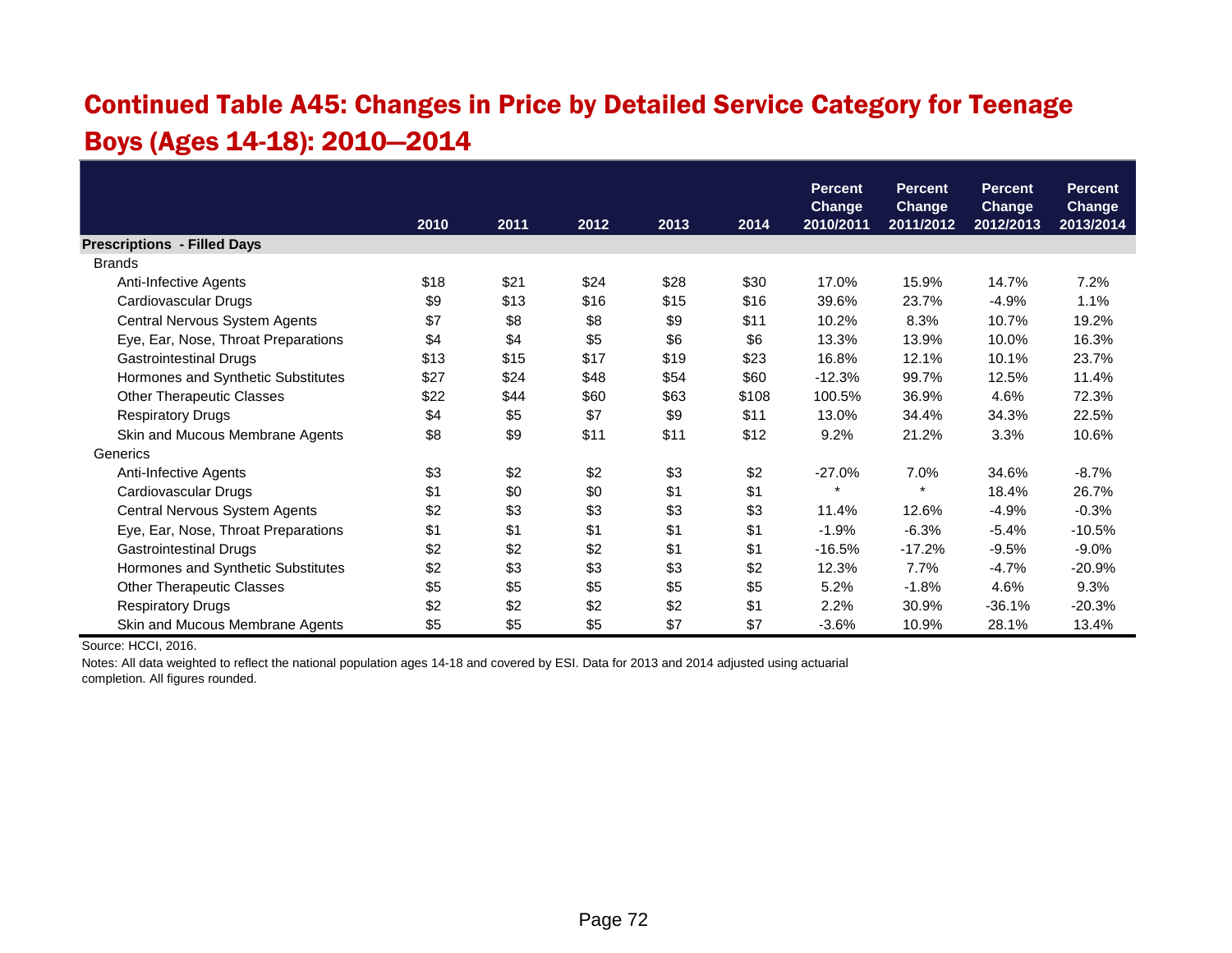#### Continued Table A45: Changes in Price by Detailed Service Category for Teenage Boys (Ages 14-18): 2010—2014

|                                     |      |      |      |      |       | <b>Percent</b> | <b>Percent</b> | <b>Percent</b> | <b>Percent</b> |
|-------------------------------------|------|------|------|------|-------|----------------|----------------|----------------|----------------|
|                                     |      |      |      |      |       | <b>Change</b>  | <b>Change</b>  | <b>Change</b>  | <b>Change</b>  |
|                                     | 2010 | 2011 | 2012 | 2013 | 2014  | 2010/2011      | 2011/2012      | 2012/2013      | 2013/2014      |
| <b>Prescriptions - Filled Days</b>  |      |      |      |      |       |                |                |                |                |
| <b>Brands</b>                       |      |      |      |      |       |                |                |                |                |
| Anti-Infective Agents               | \$18 | \$21 | \$24 | \$28 | \$30  | 17.0%          | 15.9%          | 14.7%          | 7.2%           |
| Cardiovascular Drugs                | \$9  | \$13 | \$16 | \$15 | \$16  | 39.6%          | 23.7%          | $-4.9%$        | 1.1%           |
| Central Nervous System Agents       | \$7  | \$8  | \$8  | \$9  | \$11  | 10.2%          | 8.3%           | 10.7%          | 19.2%          |
| Eye, Ear, Nose, Throat Preparations | \$4  | \$4  | \$5  | \$6  | \$6   | 13.3%          | 13.9%          | 10.0%          | 16.3%          |
| <b>Gastrointestinal Drugs</b>       | \$13 | \$15 | \$17 | \$19 | \$23  | 16.8%          | 12.1%          | 10.1%          | 23.7%          |
| Hormones and Synthetic Substitutes  | \$27 | \$24 | \$48 | \$54 | \$60  | $-12.3%$       | 99.7%          | 12.5%          | 11.4%          |
| <b>Other Therapeutic Classes</b>    | \$22 | \$44 | \$60 | \$63 | \$108 | 100.5%         | 36.9%          | 4.6%           | 72.3%          |
| <b>Respiratory Drugs</b>            | \$4  | \$5  | \$7  | \$9  | \$11  | 13.0%          | 34.4%          | 34.3%          | 22.5%          |
| Skin and Mucous Membrane Agents     | \$8  | \$9  | \$11 | \$11 | \$12  | 9.2%           | 21.2%          | 3.3%           | 10.6%          |
| Generics                            |      |      |      |      |       |                |                |                |                |
| Anti-Infective Agents               | \$3  | \$2  | \$2  | \$3  | \$2   | $-27.0%$       | 7.0%           | 34.6%          | $-8.7%$        |
| Cardiovascular Drugs                | \$1  | \$0  | \$0  | \$1  | \$1   | $\star$        | $\star$        | 18.4%          | 26.7%          |
| Central Nervous System Agents       | \$2  | \$3  | \$3  | \$3  | \$3   | 11.4%          | 12.6%          | $-4.9%$        | $-0.3%$        |
| Eye, Ear, Nose, Throat Preparations | \$1  | \$1  | \$1  | \$1  | \$1   | $-1.9%$        | $-6.3%$        | $-5.4%$        | $-10.5%$       |
| Gastrointestinal Drugs              | \$2  | \$2  | \$2  | \$1  | \$1   | $-16.5%$       | $-17.2%$       | $-9.5%$        | $-9.0\%$       |
| Hormones and Synthetic Substitutes  | \$2  | \$3  | \$3  | \$3  | \$2   | 12.3%          | 7.7%           | $-4.7%$        | $-20.9%$       |
| <b>Other Therapeutic Classes</b>    | \$5  | \$5  | \$5  | \$5  | \$5   | 5.2%           | $-1.8%$        | 4.6%           | 9.3%           |
| <b>Respiratory Drugs</b>            | \$2  | \$2  | \$2  | \$2  | \$1   | 2.2%           | 30.9%          | $-36.1%$       | $-20.3%$       |
| Skin and Mucous Membrane Agents     | \$5  | \$5  | \$5  | \$7  | \$7   | $-3.6%$        | 10.9%          | 28.1%          | 13.4%          |

Source: HCCI, 2016.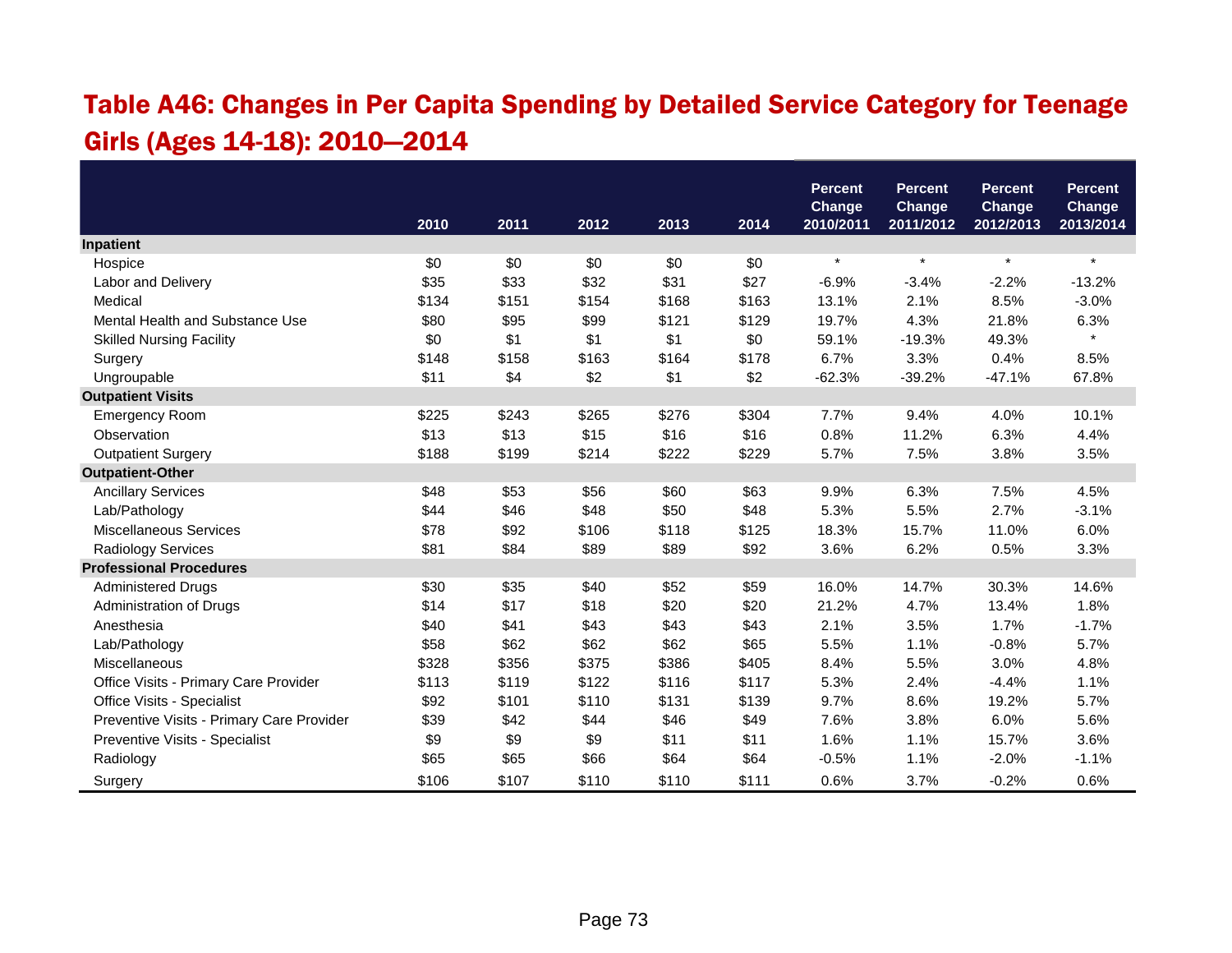#### Table A46: Changes in Per Capita Spending by Detailed Service Category for Teenage Girls (Ages 14-18): 2010—2014

|                                           |       |       |       |       |       | <b>Percent</b>      | <b>Percent</b>             | <b>Percent</b>      | <b>Percent</b>      |
|-------------------------------------------|-------|-------|-------|-------|-------|---------------------|----------------------------|---------------------|---------------------|
|                                           | 2010  | 2011  | 2012  | 2013  | 2014  | Change<br>2010/2011 | <b>Change</b><br>2011/2012 | Change<br>2012/2013 | Change<br>2013/2014 |
| Inpatient                                 |       |       |       |       |       |                     |                            |                     |                     |
| Hospice                                   | \$0   | \$0   | \$0   | \$0   | \$0   | $\star$             | $\star$                    | $\star$             | $\star$             |
| Labor and Delivery                        | \$35  | \$33  | \$32  | \$31  | \$27  | $-6.9%$             | $-3.4%$                    | $-2.2%$             | $-13.2%$            |
| Medical                                   | \$134 | \$151 | \$154 | \$168 | \$163 | 13.1%               | 2.1%                       | 8.5%                | $-3.0%$             |
| Mental Health and Substance Use           | \$80  | \$95  | \$99  | \$121 | \$129 | 19.7%               | 4.3%                       | 21.8%               | 6.3%                |
| <b>Skilled Nursing Facility</b>           | \$0   | \$1   | \$1   | \$1   | \$0   | 59.1%               | $-19.3%$                   | 49.3%               | $\star$             |
| Surgery                                   | \$148 | \$158 | \$163 | \$164 | \$178 | 6.7%                | 3.3%                       | 0.4%                | 8.5%                |
| Ungroupable                               | \$11  | \$4   | \$2   | \$1   | \$2   | $-62.3%$            | $-39.2%$                   | $-47.1%$            | 67.8%               |
| <b>Outpatient Visits</b>                  |       |       |       |       |       |                     |                            |                     |                     |
| <b>Emergency Room</b>                     | \$225 | \$243 | \$265 | \$276 | \$304 | 7.7%                | 9.4%                       | 4.0%                | 10.1%               |
| Observation                               | \$13  | \$13  | \$15  | \$16  | \$16  | 0.8%                | 11.2%                      | 6.3%                | 4.4%                |
| <b>Outpatient Surgery</b>                 | \$188 | \$199 | \$214 | \$222 | \$229 | 5.7%                | 7.5%                       | 3.8%                | 3.5%                |
| <b>Outpatient-Other</b>                   |       |       |       |       |       |                     |                            |                     |                     |
| <b>Ancillary Services</b>                 | \$48  | \$53  | \$56  | \$60  | \$63  | 9.9%                | 6.3%                       | 7.5%                | 4.5%                |
| Lab/Pathology                             | \$44  | \$46  | \$48  | \$50  | \$48  | 5.3%                | 5.5%                       | 2.7%                | $-3.1%$             |
| <b>Miscellaneous Services</b>             | \$78  | \$92  | \$106 | \$118 | \$125 | 18.3%               | 15.7%                      | 11.0%               | 6.0%                |
| Radiology Services                        | \$81  | \$84  | \$89  | \$89  | \$92  | 3.6%                | 6.2%                       | 0.5%                | 3.3%                |
| <b>Professional Procedures</b>            |       |       |       |       |       |                     |                            |                     |                     |
| <b>Administered Drugs</b>                 | \$30  | \$35  | \$40  | \$52  | \$59  | 16.0%               | 14.7%                      | 30.3%               | 14.6%               |
| Administration of Drugs                   | \$14  | \$17  | \$18  | \$20  | \$20  | 21.2%               | 4.7%                       | 13.4%               | 1.8%                |
| Anesthesia                                | \$40  | \$41  | \$43  | \$43  | \$43  | 2.1%                | 3.5%                       | 1.7%                | $-1.7%$             |
| Lab/Pathology                             | \$58  | \$62  | \$62  | \$62  | \$65  | 5.5%                | 1.1%                       | $-0.8%$             | 5.7%                |
| Miscellaneous                             | \$328 | \$356 | \$375 | \$386 | \$405 | 8.4%                | 5.5%                       | 3.0%                | 4.8%                |
| Office Visits - Primary Care Provider     | \$113 | \$119 | \$122 | \$116 | \$117 | 5.3%                | 2.4%                       | $-4.4%$             | 1.1%                |
| Office Visits - Specialist                | \$92  | \$101 | \$110 | \$131 | \$139 | 9.7%                | 8.6%                       | 19.2%               | 5.7%                |
| Preventive Visits - Primary Care Provider | \$39  | \$42  | \$44  | \$46  | \$49  | 7.6%                | 3.8%                       | 6.0%                | 5.6%                |
| Preventive Visits - Specialist            | \$9   | \$9   | \$9   | \$11  | \$11  | 1.6%                | 1.1%                       | 15.7%               | 3.6%                |
| Radiology                                 | \$65  | \$65  | \$66  | \$64  | \$64  | $-0.5%$             | 1.1%                       | $-2.0%$             | $-1.1%$             |
| Surgery                                   | \$106 | \$107 | \$110 | \$110 | \$111 | 0.6%                | 3.7%                       | $-0.2%$             | 0.6%                |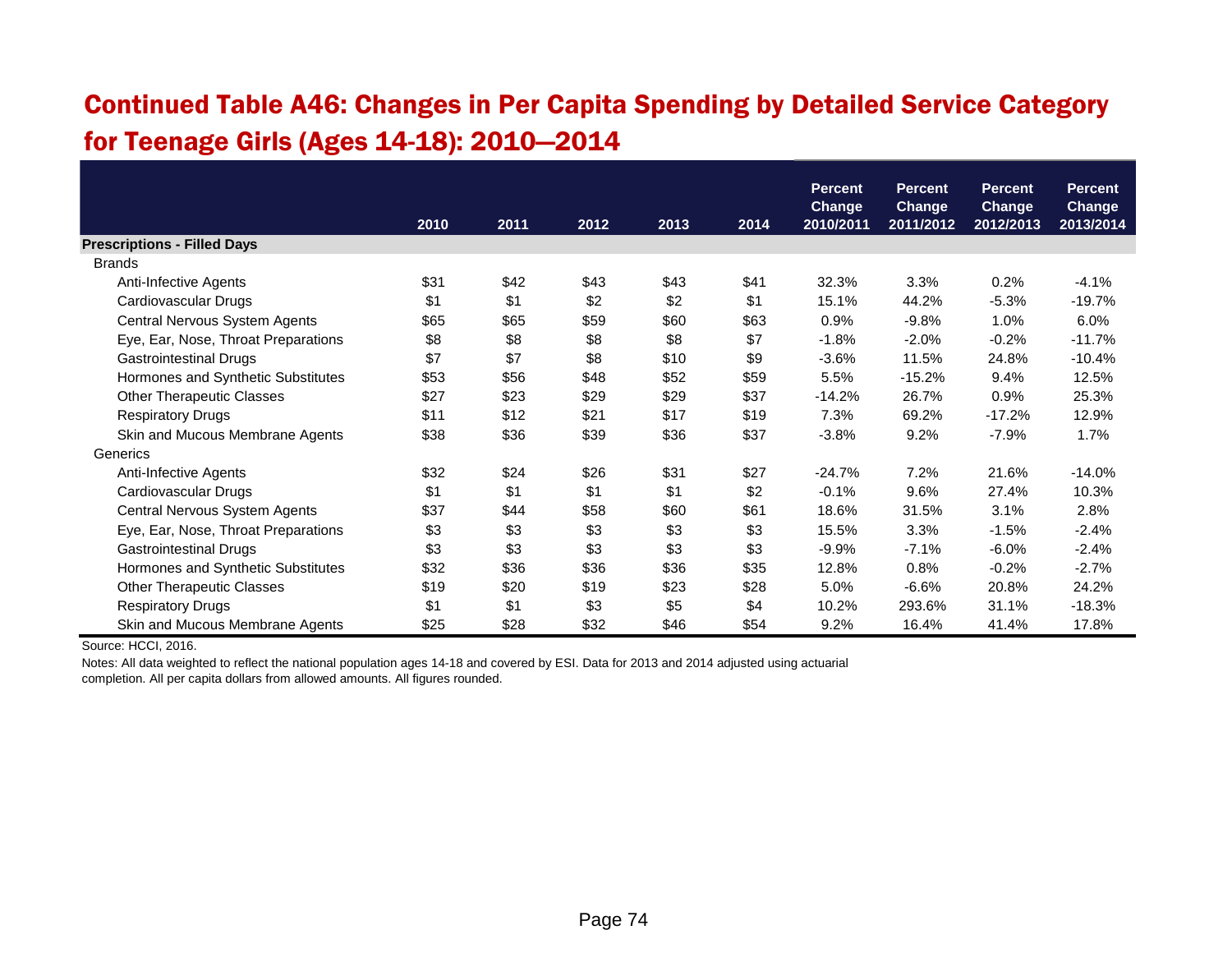#### Continued Table A46: Changes in Per Capita Spending by Detailed Service Category for Teenage Girls (Ages 14-18): 2010—2014

|                                     |      |      |      |      |      | <b>Percent</b><br><b>Change</b> | <b>Percent</b><br><b>Change</b> | Percent,<br><b>Change</b> | <b>Percent</b><br><b>Change</b> |
|-------------------------------------|------|------|------|------|------|---------------------------------|---------------------------------|---------------------------|---------------------------------|
|                                     | 2010 | 2011 | 2012 | 2013 | 2014 | 2010/2011                       | 2011/2012                       | 2012/2013                 | 2013/2014                       |
| <b>Prescriptions - Filled Days</b>  |      |      |      |      |      |                                 |                                 |                           |                                 |
| <b>Brands</b>                       |      |      |      |      |      |                                 |                                 |                           |                                 |
| Anti-Infective Agents               | \$31 | \$42 | \$43 | \$43 | \$41 | 32.3%                           | 3.3%                            | 0.2%                      | $-4.1%$                         |
| Cardiovascular Drugs                | \$1  | \$1  | \$2  | \$2  | \$1  | 15.1%                           | 44.2%                           | $-5.3%$                   | $-19.7%$                        |
| Central Nervous System Agents       | \$65 | \$65 | \$59 | \$60 | \$63 | 0.9%                            | $-9.8%$                         | 1.0%                      | 6.0%                            |
| Eye, Ear, Nose, Throat Preparations | \$8  | \$8  | \$8  | \$8  | \$7  | $-1.8%$                         | $-2.0%$                         | $-0.2%$                   | $-11.7%$                        |
| <b>Gastrointestinal Drugs</b>       | \$7  | \$7  | \$8  | \$10 | \$9  | $-3.6%$                         | 11.5%                           | 24.8%                     | $-10.4%$                        |
| Hormones and Synthetic Substitutes  | \$53 | \$56 | \$48 | \$52 | \$59 | 5.5%                            | $-15.2%$                        | 9.4%                      | 12.5%                           |
| <b>Other Therapeutic Classes</b>    | \$27 | \$23 | \$29 | \$29 | \$37 | $-14.2%$                        | 26.7%                           | 0.9%                      | 25.3%                           |
| <b>Respiratory Drugs</b>            | \$11 | \$12 | \$21 | \$17 | \$19 | 7.3%                            | 69.2%                           | $-17.2%$                  | 12.9%                           |
| Skin and Mucous Membrane Agents     | \$38 | \$36 | \$39 | \$36 | \$37 | $-3.8%$                         | 9.2%                            | $-7.9%$                   | 1.7%                            |
| Generics                            |      |      |      |      |      |                                 |                                 |                           |                                 |
| Anti-Infective Agents               | \$32 | \$24 | \$26 | \$31 | \$27 | $-24.7%$                        | 7.2%                            | 21.6%                     | $-14.0%$                        |
| Cardiovascular Drugs                | \$1  | \$1  | \$1  | \$1  | \$2  | $-0.1%$                         | 9.6%                            | 27.4%                     | 10.3%                           |
| Central Nervous System Agents       | \$37 | \$44 | \$58 | \$60 | \$61 | 18.6%                           | 31.5%                           | 3.1%                      | 2.8%                            |
| Eye, Ear, Nose, Throat Preparations | \$3  | \$3  | \$3  | \$3  | \$3  | 15.5%                           | 3.3%                            | $-1.5%$                   | $-2.4%$                         |
| <b>Gastrointestinal Drugs</b>       | \$3  | \$3  | \$3  | \$3  | \$3  | $-9.9%$                         | $-7.1%$                         | $-6.0%$                   | $-2.4%$                         |
| Hormones and Synthetic Substitutes  | \$32 | \$36 | \$36 | \$36 | \$35 | 12.8%                           | 0.8%                            | $-0.2%$                   | $-2.7%$                         |
| <b>Other Therapeutic Classes</b>    | \$19 | \$20 | \$19 | \$23 | \$28 | 5.0%                            | $-6.6%$                         | 20.8%                     | 24.2%                           |
| <b>Respiratory Drugs</b>            | \$1  | \$1  | \$3  | \$5  | \$4  | 10.2%                           | 293.6%                          | 31.1%                     | $-18.3%$                        |
| Skin and Mucous Membrane Agents     | \$25 | \$28 | \$32 | \$46 | \$54 | 9.2%                            | 16.4%                           | 41.4%                     | 17.8%                           |

Source: HCCI, 2016.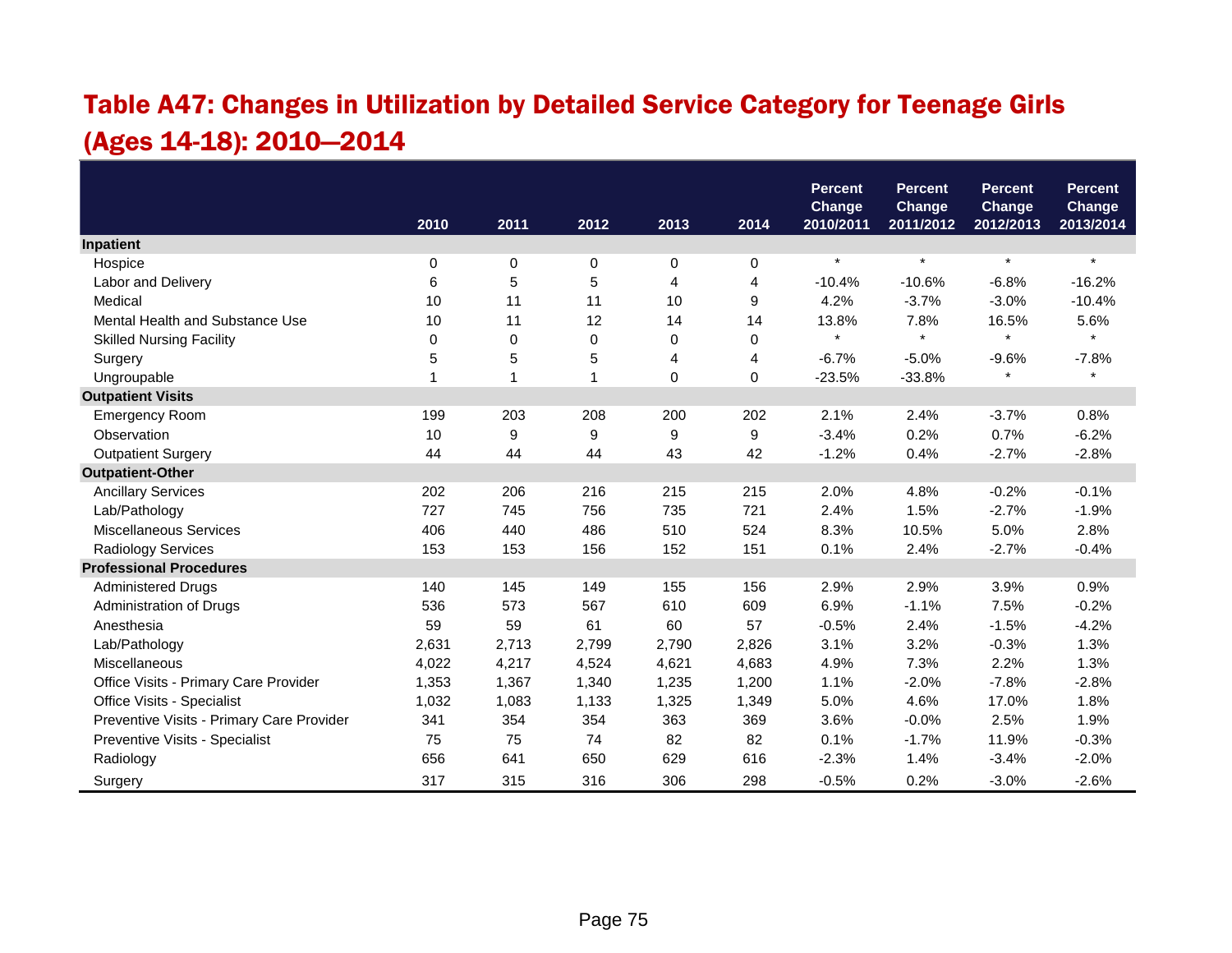# Table A47: Changes in Utilization by Detailed Service Category for Teenage Girls (Ages 14-18): 2010—2014

|                                           |       |             |             |       |             | <b>Percent</b>             | <b>Percent</b>             | <b>Percent</b>             | <b>Percent</b>             |
|-------------------------------------------|-------|-------------|-------------|-------|-------------|----------------------------|----------------------------|----------------------------|----------------------------|
|                                           | 2010  | 2011        | 2012        | 2013  | 2014        | <b>Change</b><br>2010/2011 | <b>Change</b><br>2011/2012 | <b>Change</b><br>2012/2013 | <b>Change</b><br>2013/2014 |
| Inpatient                                 |       |             |             |       |             |                            |                            |                            |                            |
| Hospice                                   | 0     | $\mathbf 0$ | 0           | 0     | $\mathbf 0$ | $\star$                    | $\star$                    | $\star$                    | $\star$                    |
| Labor and Delivery                        | 6     | 5           | 5           | 4     | 4           | $-10.4%$                   | $-10.6%$                   | $-6.8%$                    | $-16.2%$                   |
| Medical                                   | 10    | 11          | 11          | 10    | 9           | 4.2%                       | $-3.7%$                    | $-3.0%$                    | $-10.4%$                   |
| Mental Health and Substance Use           | 10    | 11          | 12          | 14    | 14          | 13.8%                      | 7.8%                       | 16.5%                      | 5.6%                       |
| <b>Skilled Nursing Facility</b>           | 0     | 0           | 0           | 0     | $\mathbf 0$ |                            | $\star$                    | $\star$                    | $\star$                    |
| Surgery                                   | 5     | 5           | 5           | 4     | 4           | $-6.7%$                    | $-5.0%$                    | $-9.6%$                    | $-7.8%$                    |
| Ungroupable                               |       | 1           | $\mathbf 1$ | 0     | 0           | $-23.5%$                   | $-33.8%$                   | $\star$                    | $\star$                    |
| <b>Outpatient Visits</b>                  |       |             |             |       |             |                            |                            |                            |                            |
| <b>Emergency Room</b>                     | 199   | 203         | 208         | 200   | 202         | 2.1%                       | 2.4%                       | $-3.7%$                    | 0.8%                       |
| Observation                               | 10    | 9           | 9           | 9     | 9           | $-3.4%$                    | 0.2%                       | 0.7%                       | $-6.2%$                    |
| <b>Outpatient Surgery</b>                 | 44    | 44          | 44          | 43    | 42          | $-1.2%$                    | 0.4%                       | $-2.7%$                    | $-2.8%$                    |
| <b>Outpatient-Other</b>                   |       |             |             |       |             |                            |                            |                            |                            |
| <b>Ancillary Services</b>                 | 202   | 206         | 216         | 215   | 215         | 2.0%                       | 4.8%                       | $-0.2%$                    | $-0.1%$                    |
| Lab/Pathology                             | 727   | 745         | 756         | 735   | 721         | 2.4%                       | 1.5%                       | $-2.7%$                    | $-1.9%$                    |
| <b>Miscellaneous Services</b>             | 406   | 440         | 486         | 510   | 524         | 8.3%                       | 10.5%                      | 5.0%                       | 2.8%                       |
| Radiology Services                        | 153   | 153         | 156         | 152   | 151         | 0.1%                       | 2.4%                       | $-2.7%$                    | $-0.4%$                    |
| <b>Professional Procedures</b>            |       |             |             |       |             |                            |                            |                            |                            |
| <b>Administered Drugs</b>                 | 140   | 145         | 149         | 155   | 156         | 2.9%                       | 2.9%                       | 3.9%                       | 0.9%                       |
| Administration of Drugs                   | 536   | 573         | 567         | 610   | 609         | 6.9%                       | $-1.1%$                    | 7.5%                       | $-0.2%$                    |
| Anesthesia                                | 59    | 59          | 61          | 60    | 57          | $-0.5%$                    | 2.4%                       | $-1.5%$                    | $-4.2%$                    |
| Lab/Pathology                             | 2,631 | 2,713       | 2,799       | 2,790 | 2,826       | 3.1%                       | 3.2%                       | $-0.3%$                    | 1.3%                       |
| Miscellaneous                             | 4,022 | 4,217       | 4,524       | 4,621 | 4,683       | 4.9%                       | 7.3%                       | 2.2%                       | 1.3%                       |
| Office Visits - Primary Care Provider     | 1,353 | 1,367       | 1,340       | 1,235 | 1,200       | 1.1%                       | $-2.0%$                    | $-7.8%$                    | $-2.8%$                    |
| Office Visits - Specialist                | 1,032 | 1,083       | 1,133       | 1,325 | 1,349       | 5.0%                       | 4.6%                       | 17.0%                      | 1.8%                       |
| Preventive Visits - Primary Care Provider | 341   | 354         | 354         | 363   | 369         | 3.6%                       | $-0.0%$                    | 2.5%                       | 1.9%                       |
| Preventive Visits - Specialist            | 75    | 75          | 74          | 82    | 82          | 0.1%                       | $-1.7%$                    | 11.9%                      | $-0.3%$                    |
| Radiology                                 | 656   | 641         | 650         | 629   | 616         | $-2.3%$                    | 1.4%                       | $-3.4%$                    | $-2.0%$                    |
| Surgery                                   | 317   | 315         | 316         | 306   | 298         | $-0.5%$                    | 0.2%                       | $-3.0%$                    | $-2.6%$                    |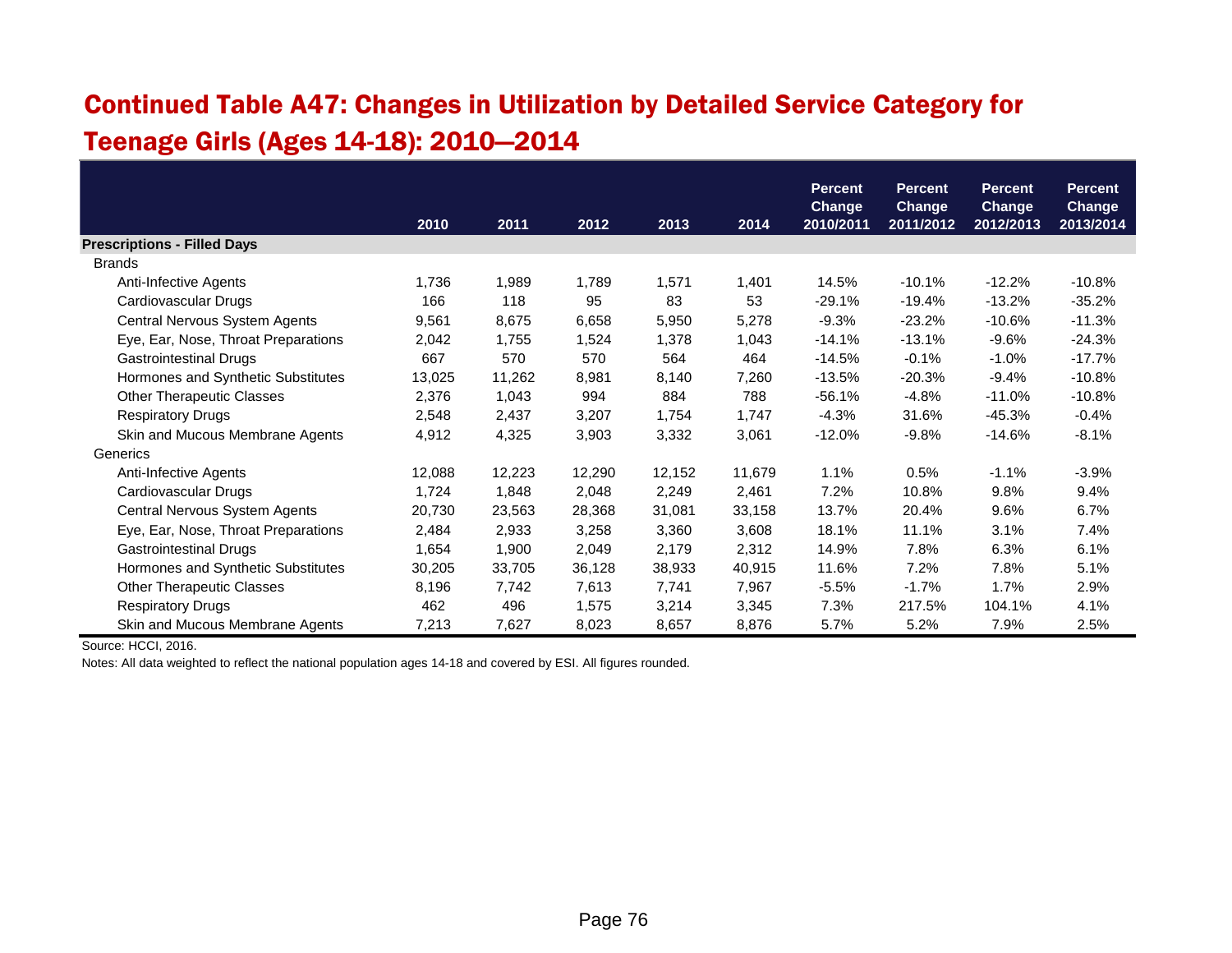# Continued Table A47: Changes in Utilization by Detailed Service Category for Teenage Girls (Ages 14-18): 2010—2014

|                                     |        |        |        |        |        | <b>Percent</b>             | <b>Percent</b>             | <b>Percent</b>             | <b>Percent</b>             |
|-------------------------------------|--------|--------|--------|--------|--------|----------------------------|----------------------------|----------------------------|----------------------------|
|                                     | 2010   | 2011   | 2012   | 2013   | 2014   | <b>Change</b><br>2010/2011 | <b>Change</b><br>2011/2012 | <b>Change</b><br>2012/2013 | <b>Change</b><br>2013/2014 |
| <b>Prescriptions - Filled Days</b>  |        |        |        |        |        |                            |                            |                            |                            |
| <b>Brands</b>                       |        |        |        |        |        |                            |                            |                            |                            |
| Anti-Infective Agents               | 1,736  | 1,989  | 1,789  | 1,571  | 1,401  | 14.5%                      | $-10.1%$                   | $-12.2%$                   | $-10.8%$                   |
| Cardiovascular Drugs                | 166    | 118    | 95     | 83     | 53     | $-29.1%$                   | $-19.4%$                   | $-13.2%$                   | $-35.2%$                   |
| Central Nervous System Agents       | 9,561  | 8,675  | 6,658  | 5,950  | 5,278  | $-9.3%$                    | $-23.2%$                   | $-10.6%$                   | $-11.3%$                   |
| Eye, Ear, Nose, Throat Preparations | 2,042  | 1,755  | 1,524  | 1,378  | 1,043  | $-14.1%$                   | $-13.1%$                   | $-9.6%$                    | $-24.3%$                   |
| <b>Gastrointestinal Drugs</b>       | 667    | 570    | 570    | 564    | 464    | $-14.5%$                   | $-0.1%$                    | $-1.0%$                    | $-17.7%$                   |
| Hormones and Synthetic Substitutes  | 13,025 | 11,262 | 8,981  | 8,140  | 7,260  | $-13.5%$                   | $-20.3%$                   | $-9.4%$                    | $-10.8%$                   |
| <b>Other Therapeutic Classes</b>    | 2,376  | 1,043  | 994    | 884    | 788    | $-56.1%$                   | $-4.8%$                    | $-11.0%$                   | $-10.8%$                   |
| <b>Respiratory Drugs</b>            | 2,548  | 2,437  | 3,207  | 1,754  | 1,747  | $-4.3%$                    | 31.6%                      | $-45.3%$                   | $-0.4%$                    |
| Skin and Mucous Membrane Agents     | 4,912  | 4,325  | 3,903  | 3,332  | 3,061  | $-12.0%$                   | $-9.8%$                    | $-14.6%$                   | $-8.1%$                    |
| Generics                            |        |        |        |        |        |                            |                            |                            |                            |
| Anti-Infective Agents               | 12,088 | 12,223 | 12,290 | 12,152 | 11,679 | 1.1%                       | 0.5%                       | $-1.1%$                    | $-3.9%$                    |
| Cardiovascular Drugs                | 1,724  | 1,848  | 2,048  | 2,249  | 2,461  | 7.2%                       | 10.8%                      | 9.8%                       | 9.4%                       |
| Central Nervous System Agents       | 20,730 | 23,563 | 28,368 | 31,081 | 33,158 | 13.7%                      | 20.4%                      | 9.6%                       | 6.7%                       |
| Eye, Ear, Nose, Throat Preparations | 2,484  | 2,933  | 3,258  | 3,360  | 3,608  | 18.1%                      | 11.1%                      | 3.1%                       | 7.4%                       |
| Gastrointestinal Drugs              | 1,654  | 1,900  | 2,049  | 2,179  | 2,312  | 14.9%                      | 7.8%                       | 6.3%                       | 6.1%                       |
| Hormones and Synthetic Substitutes  | 30,205 | 33,705 | 36,128 | 38,933 | 40,915 | 11.6%                      | 7.2%                       | 7.8%                       | 5.1%                       |
| <b>Other Therapeutic Classes</b>    | 8,196  | 7,742  | 7,613  | 7,741  | 7,967  | $-5.5%$                    | $-1.7%$                    | 1.7%                       | 2.9%                       |
| <b>Respiratory Drugs</b>            | 462    | 496    | 1,575  | 3,214  | 3,345  | 7.3%                       | 217.5%                     | 104.1%                     | 4.1%                       |
| Skin and Mucous Membrane Agents     | 7,213  | 7,627  | 8,023  | 8,657  | 8,876  | 5.7%                       | 5.2%                       | 7.9%                       | 2.5%                       |

Source: HCCI, 2016.

Notes: All data weighted to reflect the national population ages 14-18 and covered by ESI. All figures rounded.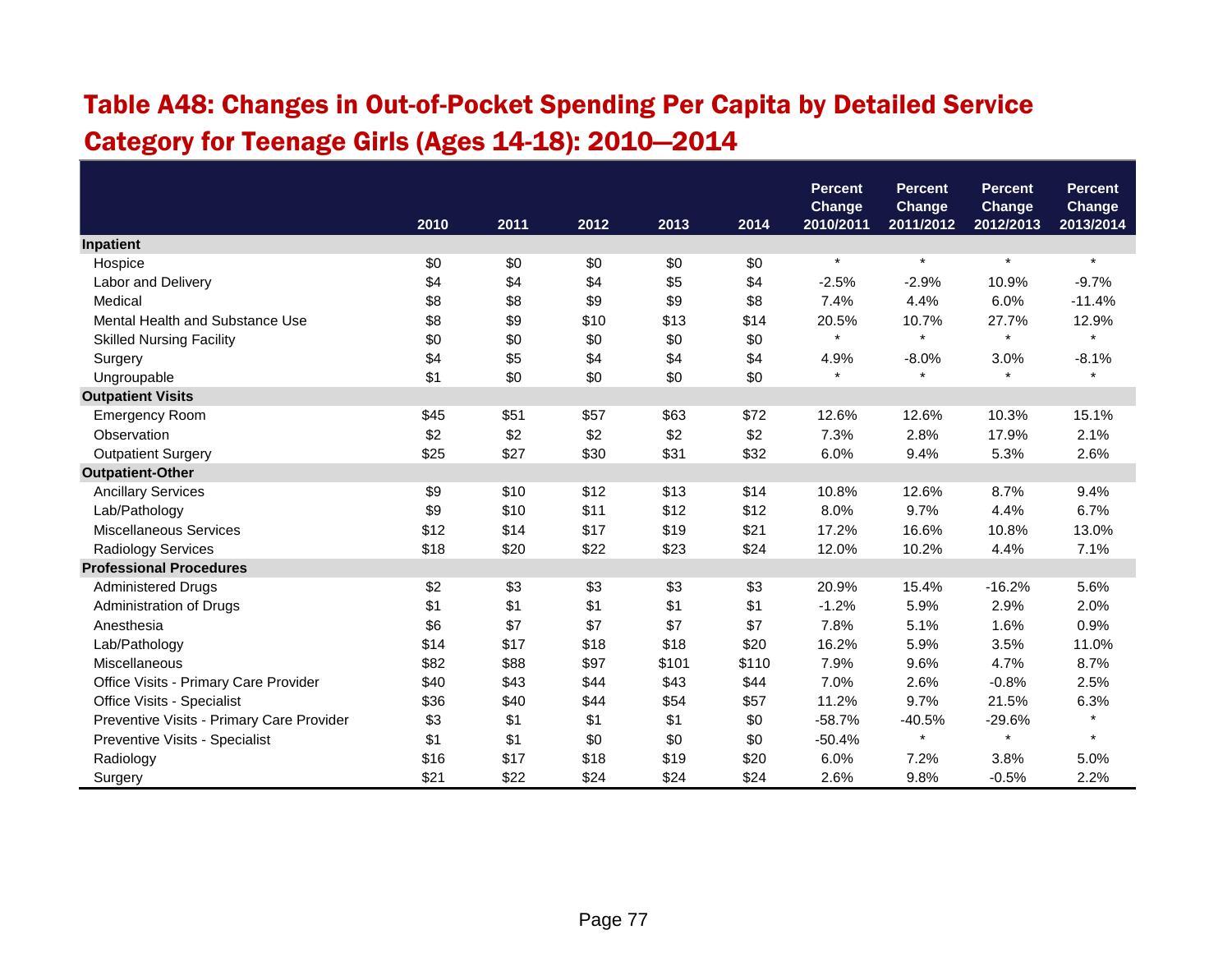# Table A48: Changes in Out-of-Pocket Spending Per Capita by Detailed Service Category for Teenage Girls (Ages 14-18): 2010—2014

|                                           |      |      |      |       |       | <b>Percent</b><br><b>Change</b> | <b>Percent</b><br><b>Change</b> | <b>Percent</b><br><b>Change</b> | <b>Percent</b><br>Change |
|-------------------------------------------|------|------|------|-------|-------|---------------------------------|---------------------------------|---------------------------------|--------------------------|
|                                           | 2010 | 2011 | 2012 | 2013  | 2014  | 2010/2011                       | 2011/2012                       | 2012/2013                       | 2013/2014                |
| Inpatient                                 |      |      |      |       |       |                                 |                                 |                                 |                          |
| Hospice                                   | \$0  | \$0  | \$0  | \$0   | \$0   | $\star$                         | $\star$                         | $\star$                         | $\star$                  |
| Labor and Delivery                        | \$4  | \$4  | \$4  | \$5   | \$4   | $-2.5%$                         | $-2.9%$                         | 10.9%                           | $-9.7%$                  |
| Medical                                   | \$8  | \$8  | \$9  | \$9   | \$8   | 7.4%                            | 4.4%                            | 6.0%                            | $-11.4%$                 |
| Mental Health and Substance Use           | \$8  | \$9  | \$10 | \$13  | \$14  | 20.5%                           | 10.7%                           | 27.7%                           | 12.9%                    |
| <b>Skilled Nursing Facility</b>           | \$0  | \$0  | \$0  | \$0   | \$0   | $\pmb{\ast}$                    | $\star$                         | $\star$                         | $\star$                  |
| Surgery                                   | \$4  | \$5  | \$4  | \$4   | \$4   | 4.9%                            | $-8.0%$                         | 3.0%                            | $-8.1%$                  |
| Ungroupable                               | \$1  | \$0  | \$0  | \$0   | \$0   | $\star$                         | $\star$                         | $\star$                         | $\star$                  |
| <b>Outpatient Visits</b>                  |      |      |      |       |       |                                 |                                 |                                 |                          |
| <b>Emergency Room</b>                     | \$45 | \$51 | \$57 | \$63  | \$72  | 12.6%                           | 12.6%                           | 10.3%                           | 15.1%                    |
| Observation                               | \$2  | \$2  | \$2  | \$2   | \$2   | 7.3%                            | 2.8%                            | 17.9%                           | 2.1%                     |
| <b>Outpatient Surgery</b>                 | \$25 | \$27 | \$30 | \$31  | \$32  | 6.0%                            | 9.4%                            | 5.3%                            | 2.6%                     |
| <b>Outpatient-Other</b>                   |      |      |      |       |       |                                 |                                 |                                 |                          |
| <b>Ancillary Services</b>                 | \$9  | \$10 | \$12 | \$13  | \$14  | 10.8%                           | 12.6%                           | 8.7%                            | 9.4%                     |
| Lab/Pathology                             | \$9  | \$10 | \$11 | \$12  | \$12  | 8.0%                            | 9.7%                            | 4.4%                            | 6.7%                     |
| <b>Miscellaneous Services</b>             | \$12 | \$14 | \$17 | \$19  | \$21  | 17.2%                           | 16.6%                           | 10.8%                           | 13.0%                    |
| Radiology Services                        | \$18 | \$20 | \$22 | \$23  | \$24  | 12.0%                           | 10.2%                           | 4.4%                            | 7.1%                     |
| <b>Professional Procedures</b>            |      |      |      |       |       |                                 |                                 |                                 |                          |
| <b>Administered Drugs</b>                 | \$2  | \$3  | \$3  | \$3   | \$3   | 20.9%                           | 15.4%                           | $-16.2%$                        | 5.6%                     |
| Administration of Drugs                   | \$1  | \$1  | \$1  | \$1   | \$1   | $-1.2%$                         | 5.9%                            | 2.9%                            | 2.0%                     |
| Anesthesia                                | \$6  | \$7  | \$7  | \$7   | \$7   | 7.8%                            | 5.1%                            | 1.6%                            | 0.9%                     |
| Lab/Pathology                             | \$14 | \$17 | \$18 | \$18  | \$20  | 16.2%                           | 5.9%                            | 3.5%                            | 11.0%                    |
| Miscellaneous                             | \$82 | \$88 | \$97 | \$101 | \$110 | 7.9%                            | 9.6%                            | 4.7%                            | 8.7%                     |
| Office Visits - Primary Care Provider     | \$40 | \$43 | \$44 | \$43  | \$44  | 7.0%                            | 2.6%                            | $-0.8%$                         | 2.5%                     |
| Office Visits - Specialist                | \$36 | \$40 | \$44 | \$54  | \$57  | 11.2%                           | 9.7%                            | 21.5%                           | 6.3%                     |
| Preventive Visits - Primary Care Provider | \$3  | \$1  | \$1  | \$1   | \$0   | $-58.7%$                        | $-40.5%$                        | $-29.6%$                        |                          |
| Preventive Visits - Specialist            | \$1  | \$1  | \$0  | \$0   | \$0   | $-50.4%$                        | $\star$                         | $\star$                         | $\star$                  |
| Radiology                                 | \$16 | \$17 | \$18 | \$19  | \$20  | 6.0%                            | 7.2%                            | 3.8%                            | 5.0%                     |
| Surgery                                   | \$21 | \$22 | \$24 | \$24  | \$24  | 2.6%                            | 9.8%                            | $-0.5%$                         | 2.2%                     |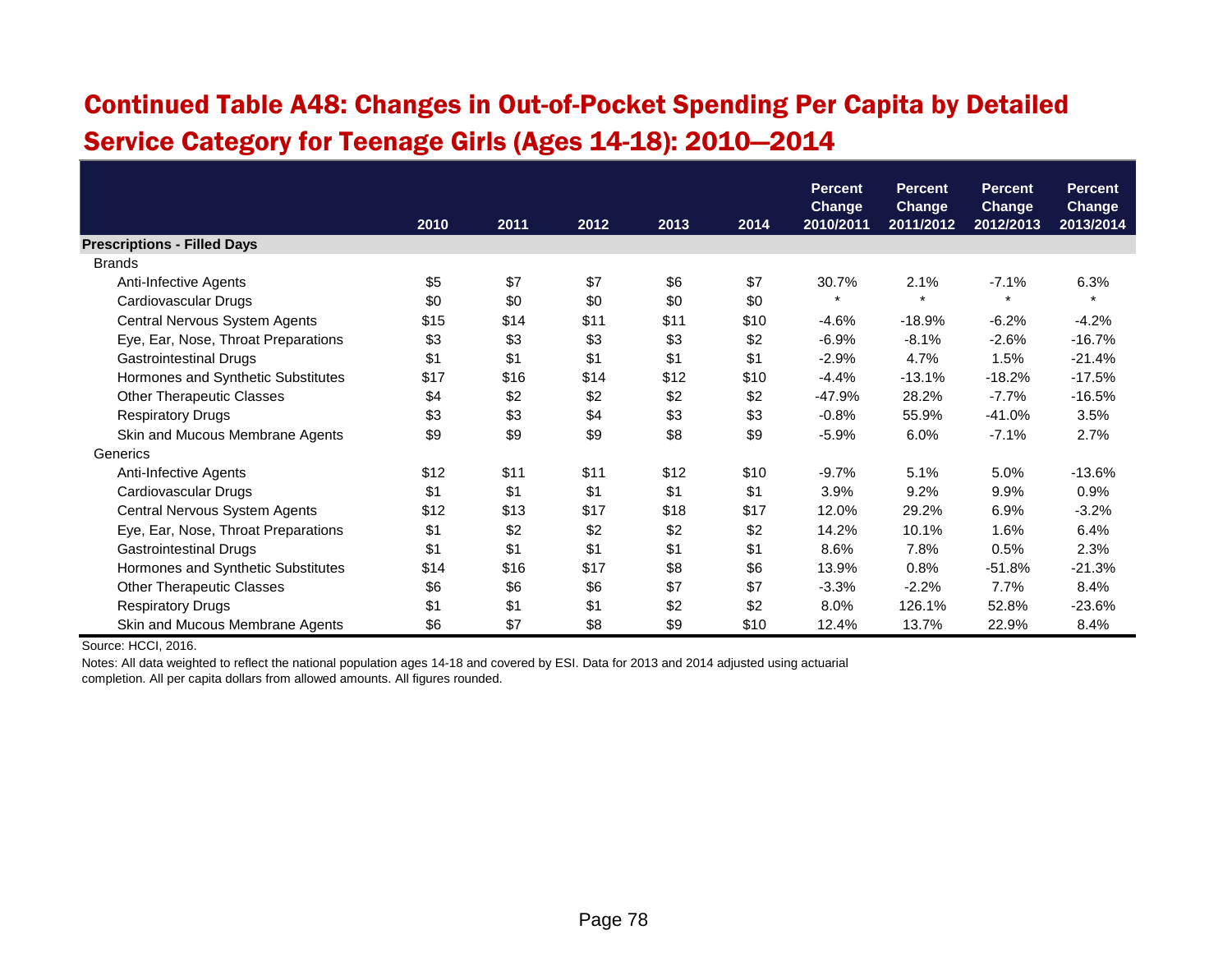#### Continued Table A48: Changes in Out-of-Pocket Spending Per Capita by Detailed Service Category for Teenage Girls (Ages 14-18): 2010—2014

|                                     |      |      |      |      |      | <b>Percent</b><br><b>Change</b> | <b>Percent</b><br><b>Change</b> | <b>Percent</b><br><b>Change</b> | <b>Percent</b><br>Change |
|-------------------------------------|------|------|------|------|------|---------------------------------|---------------------------------|---------------------------------|--------------------------|
|                                     | 2010 | 2011 | 2012 | 2013 | 2014 | 2010/2011                       | 2011/2012                       | 2012/2013                       | 2013/2014                |
| <b>Prescriptions - Filled Days</b>  |      |      |      |      |      |                                 |                                 |                                 |                          |
| <b>Brands</b>                       |      |      |      |      |      |                                 |                                 |                                 |                          |
| Anti-Infective Agents               | \$5  | \$7  | \$7  | \$6  | \$7  | 30.7%                           | 2.1%                            | $-7.1%$                         | 6.3%                     |
| Cardiovascular Drugs                | \$0  | \$0  | \$0  | \$0  | \$0  | $\star$                         | $\star$                         | $\star$                         | $\star$                  |
| Central Nervous System Agents       | \$15 | \$14 | \$11 | \$11 | \$10 | $-4.6%$                         | $-18.9%$                        | $-6.2%$                         | $-4.2%$                  |
| Eye, Ear, Nose, Throat Preparations | \$3  | \$3  | \$3  | \$3  | \$2  | $-6.9%$                         | $-8.1%$                         | $-2.6%$                         | $-16.7%$                 |
| <b>Gastrointestinal Drugs</b>       | \$1  | \$1  | \$1  | \$1  | \$1  | $-2.9%$                         | 4.7%                            | 1.5%                            | $-21.4%$                 |
| Hormones and Synthetic Substitutes  | \$17 | \$16 | \$14 | \$12 | \$10 | $-4.4%$                         | $-13.1%$                        | $-18.2%$                        | $-17.5%$                 |
| <b>Other Therapeutic Classes</b>    | \$4  | \$2  | \$2  | \$2  | \$2  | $-47.9%$                        | 28.2%                           | $-7.7%$                         | $-16.5%$                 |
| <b>Respiratory Drugs</b>            | \$3  | \$3  | \$4  | \$3  | \$3  | $-0.8%$                         | 55.9%                           | $-41.0%$                        | 3.5%                     |
| Skin and Mucous Membrane Agents     | \$9  | \$9  | \$9  | \$8  | \$9  | $-5.9%$                         | 6.0%                            | $-7.1\%$                        | 2.7%                     |
| Generics                            |      |      |      |      |      |                                 |                                 |                                 |                          |
| Anti-Infective Agents               | \$12 | \$11 | \$11 | \$12 | \$10 | $-9.7%$                         | 5.1%                            | 5.0%                            | $-13.6%$                 |
| Cardiovascular Drugs                | \$1  | \$1  | \$1  | \$1  | \$1  | 3.9%                            | 9.2%                            | 9.9%                            | 0.9%                     |
| Central Nervous System Agents       | \$12 | \$13 | \$17 | \$18 | \$17 | 12.0%                           | 29.2%                           | 6.9%                            | $-3.2%$                  |
| Eye, Ear, Nose, Throat Preparations | \$1  | \$2  | \$2  | \$2  | \$2  | 14.2%                           | 10.1%                           | 1.6%                            | 6.4%                     |
| <b>Gastrointestinal Drugs</b>       | \$1  | \$1  | \$1  | \$1  | \$1  | 8.6%                            | 7.8%                            | 0.5%                            | 2.3%                     |
| Hormones and Synthetic Substitutes  | \$14 | \$16 | \$17 | \$8  | \$6  | 13.9%                           | 0.8%                            | $-51.8%$                        | $-21.3%$                 |
| <b>Other Therapeutic Classes</b>    | \$6  | \$6  | \$6  | \$7  | \$7  | $-3.3%$                         | $-2.2%$                         | 7.7%                            | 8.4%                     |
| <b>Respiratory Drugs</b>            | \$1  | \$1  | \$1  | \$2  | \$2  | 8.0%                            | 126.1%                          | 52.8%                           | $-23.6%$                 |
| Skin and Mucous Membrane Agents     | \$6  | \$7  | \$8  | \$9  | \$10 | 12.4%                           | 13.7%                           | 22.9%                           | 8.4%                     |

Source: HCCI, 2016.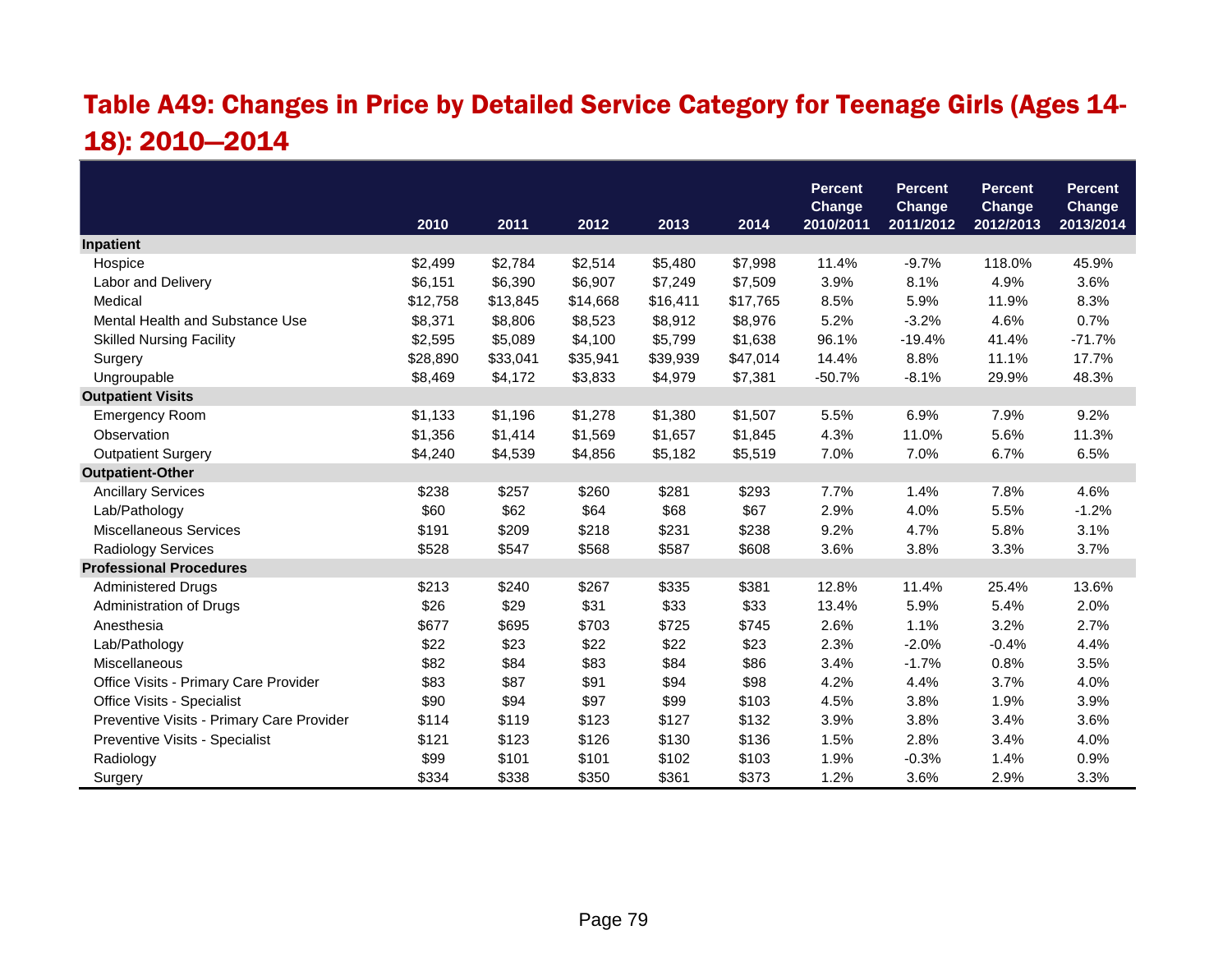# Table A49: Changes in Price by Detailed Service Category for Teenage Girls (Ages 14- 18): 2010—2014

|                                           |          |          |          |          |          | <b>Percent</b>      | <b>Percent</b>      | <b>Percent</b>      | <b>Percent</b>             |
|-------------------------------------------|----------|----------|----------|----------|----------|---------------------|---------------------|---------------------|----------------------------|
|                                           | 2010     | 2011     | 2012     | 2013     | 2014     | Change<br>2010/2011 | Change<br>2011/2012 | Change<br>2012/2013 | <b>Change</b><br>2013/2014 |
| Inpatient                                 |          |          |          |          |          |                     |                     |                     |                            |
| Hospice                                   | \$2,499  | \$2,784  | \$2,514  | \$5,480  | \$7,998  | 11.4%               | $-9.7%$             | 118.0%              | 45.9%                      |
| Labor and Delivery                        | \$6,151  | \$6,390  | \$6,907  | \$7,249  | \$7,509  | 3.9%                | 8.1%                | 4.9%                | 3.6%                       |
| Medical                                   | \$12,758 | \$13,845 | \$14,668 | \$16,411 | \$17,765 | 8.5%                | 5.9%                | 11.9%               | 8.3%                       |
| Mental Health and Substance Use           | \$8,371  | \$8,806  | \$8,523  | \$8,912  | \$8,976  | 5.2%                | $-3.2%$             | 4.6%                | 0.7%                       |
| <b>Skilled Nursing Facility</b>           | \$2,595  | \$5,089  | \$4,100  | \$5,799  | \$1,638  | 96.1%               | $-19.4%$            | 41.4%               | $-71.7%$                   |
| Surgery                                   | \$28,890 | \$33,041 | \$35,941 | \$39,939 | \$47,014 | 14.4%               | 8.8%                | 11.1%               | 17.7%                      |
| Ungroupable                               | \$8,469  | \$4,172  | \$3,833  | \$4,979  | \$7,381  | $-50.7%$            | $-8.1%$             | 29.9%               | 48.3%                      |
| <b>Outpatient Visits</b>                  |          |          |          |          |          |                     |                     |                     |                            |
| <b>Emergency Room</b>                     | \$1,133  | \$1,196  | \$1,278  | \$1,380  | \$1,507  | 5.5%                | 6.9%                | 7.9%                | 9.2%                       |
| Observation                               | \$1,356  | \$1,414  | \$1,569  | \$1,657  | \$1,845  | 4.3%                | 11.0%               | 5.6%                | 11.3%                      |
| <b>Outpatient Surgery</b>                 | \$4,240  | \$4,539  | \$4,856  | \$5,182  | \$5,519  | 7.0%                | 7.0%                | 6.7%                | 6.5%                       |
| <b>Outpatient-Other</b>                   |          |          |          |          |          |                     |                     |                     |                            |
| <b>Ancillary Services</b>                 | \$238    | \$257    | \$260    | \$281    | \$293    | 7.7%                | 1.4%                | 7.8%                | 4.6%                       |
| Lab/Pathology                             | \$60     | \$62     | \$64     | \$68     | \$67     | 2.9%                | 4.0%                | 5.5%                | $-1.2%$                    |
| <b>Miscellaneous Services</b>             | \$191    | \$209    | \$218    | \$231    | \$238    | 9.2%                | 4.7%                | 5.8%                | 3.1%                       |
| <b>Radiology Services</b>                 | \$528    | \$547    | \$568    | \$587    | \$608    | 3.6%                | 3.8%                | 3.3%                | 3.7%                       |
| <b>Professional Procedures</b>            |          |          |          |          |          |                     |                     |                     |                            |
| <b>Administered Drugs</b>                 | \$213    | \$240    | \$267    | \$335    | \$381    | 12.8%               | 11.4%               | 25.4%               | 13.6%                      |
| Administration of Drugs                   | \$26     | \$29     | \$31     | \$33     | \$33     | 13.4%               | 5.9%                | 5.4%                | 2.0%                       |
| Anesthesia                                | \$677    | \$695    | \$703    | \$725    | \$745    | 2.6%                | 1.1%                | 3.2%                | 2.7%                       |
| Lab/Pathology                             | \$22     | \$23     | \$22     | \$22     | \$23     | 2.3%                | $-2.0%$             | $-0.4%$             | 4.4%                       |
| Miscellaneous                             | \$82     | \$84     | \$83     | \$84     | \$86     | 3.4%                | $-1.7%$             | 0.8%                | 3.5%                       |
| Office Visits - Primary Care Provider     | \$83     | \$87     | \$91     | \$94     | \$98     | 4.2%                | 4.4%                | 3.7%                | 4.0%                       |
| Office Visits - Specialist                | \$90     | \$94     | \$97     | \$99     | \$103    | 4.5%                | 3.8%                | 1.9%                | 3.9%                       |
| Preventive Visits - Primary Care Provider | \$114    | \$119    | \$123    | \$127    | \$132    | 3.9%                | 3.8%                | 3.4%                | 3.6%                       |
| Preventive Visits - Specialist            | \$121    | \$123    | \$126    | \$130    | \$136    | 1.5%                | 2.8%                | 3.4%                | 4.0%                       |
| Radiology                                 | \$99     | \$101    | \$101    | \$102    | \$103    | 1.9%                | $-0.3%$             | 1.4%                | 0.9%                       |
| Surgery                                   | \$334    | \$338    | \$350    | \$361    | \$373    | 1.2%                | 3.6%                | 2.9%                | 3.3%                       |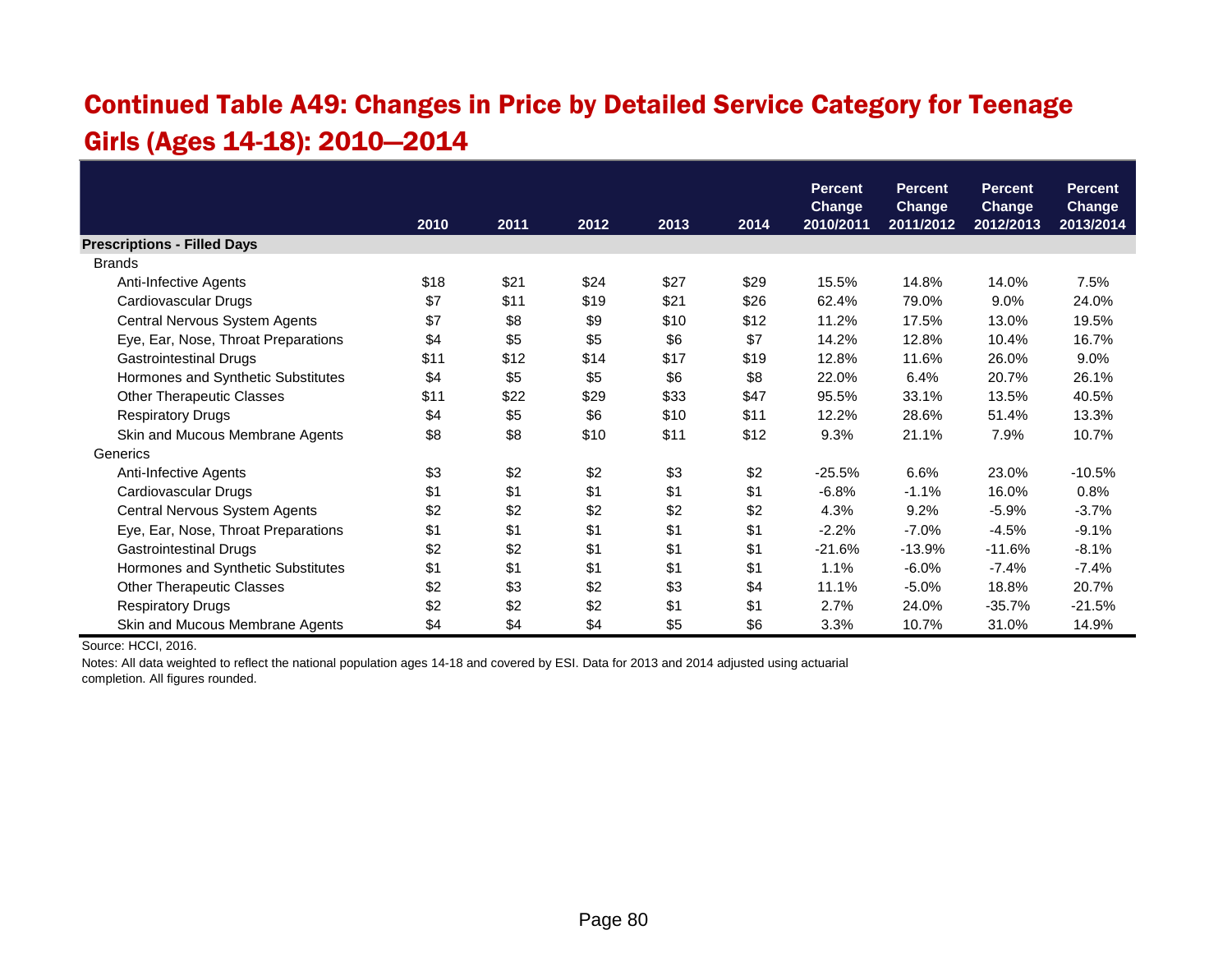#### Continued Table A49: Changes in Price by Detailed Service Category for Teenage Girls (Ages 14-18): 2010—2014

|                                     |      |      |      |      |      | <b>Percent</b>             | <b>Percent</b>             | <b>Percent</b>             | <b>Percent</b>             |
|-------------------------------------|------|------|------|------|------|----------------------------|----------------------------|----------------------------|----------------------------|
|                                     | 2010 | 2011 | 2012 | 2013 | 2014 | <b>Change</b><br>2010/2011 | <b>Change</b><br>2011/2012 | <b>Change</b><br>2012/2013 | <b>Change</b><br>2013/2014 |
| <b>Prescriptions - Filled Days</b>  |      |      |      |      |      |                            |                            |                            |                            |
| <b>Brands</b>                       |      |      |      |      |      |                            |                            |                            |                            |
| Anti-Infective Agents               | \$18 | \$21 | \$24 | \$27 | \$29 | 15.5%                      | 14.8%                      | 14.0%                      | 7.5%                       |
| Cardiovascular Drugs                | \$7  | \$11 | \$19 | \$21 | \$26 | 62.4%                      | 79.0%                      | 9.0%                       | 24.0%                      |
| Central Nervous System Agents       | \$7  | \$8  | \$9  | \$10 | \$12 | 11.2%                      | 17.5%                      | 13.0%                      | 19.5%                      |
| Eye, Ear, Nose, Throat Preparations | \$4  | \$5  | \$5  | \$6  | \$7  | 14.2%                      | 12.8%                      | 10.4%                      | 16.7%                      |
| <b>Gastrointestinal Drugs</b>       | \$11 | \$12 | \$14 | \$17 | \$19 | 12.8%                      | 11.6%                      | 26.0%                      | 9.0%                       |
| Hormones and Synthetic Substitutes  | \$4  | \$5  | \$5  | \$6  | \$8  | 22.0%                      | 6.4%                       | 20.7%                      | 26.1%                      |
| <b>Other Therapeutic Classes</b>    | \$11 | \$22 | \$29 | \$33 | \$47 | 95.5%                      | 33.1%                      | 13.5%                      | 40.5%                      |
| <b>Respiratory Drugs</b>            | \$4  | \$5  | \$6  | \$10 | \$11 | 12.2%                      | 28.6%                      | 51.4%                      | 13.3%                      |
| Skin and Mucous Membrane Agents     | \$8  | \$8  | \$10 | \$11 | \$12 | 9.3%                       | 21.1%                      | 7.9%                       | 10.7%                      |
| Generics                            |      |      |      |      |      |                            |                            |                            |                            |
| Anti-Infective Agents               | \$3  | \$2  | \$2  | \$3  | \$2  | $-25.5%$                   | 6.6%                       | 23.0%                      | $-10.5%$                   |
| Cardiovascular Drugs                | \$1  | \$1  | \$1  | \$1  | \$1  | $-6.8%$                    | $-1.1%$                    | 16.0%                      | 0.8%                       |
| Central Nervous System Agents       | \$2  | \$2  | \$2  | \$2  | \$2  | 4.3%                       | 9.2%                       | $-5.9%$                    | $-3.7%$                    |
| Eye, Ear, Nose, Throat Preparations | \$1  | \$1  | \$1  | \$1  | \$1  | $-2.2%$                    | $-7.0%$                    | $-4.5%$                    | $-9.1%$                    |
| <b>Gastrointestinal Drugs</b>       | \$2  | \$2  | \$1  | \$1  | \$1  | $-21.6%$                   | $-13.9%$                   | $-11.6%$                   | $-8.1%$                    |
| Hormones and Synthetic Substitutes  | \$1  | \$1  | \$1  | \$1  | \$1  | 1.1%                       | $-6.0%$                    | $-7.4%$                    | $-7.4%$                    |
| <b>Other Therapeutic Classes</b>    | \$2  | \$3  | \$2  | \$3  | \$4  | 11.1%                      | $-5.0%$                    | 18.8%                      | 20.7%                      |
| <b>Respiratory Drugs</b>            | \$2  | \$2  | \$2  | \$1  | \$1  | 2.7%                       | 24.0%                      | $-35.7%$                   | $-21.5%$                   |
| Skin and Mucous Membrane Agents     | \$4  | \$4  | \$4  | \$5  | \$6  | 3.3%                       | 10.7%                      | 31.0%                      | 14.9%                      |

Source: HCCI, 2016.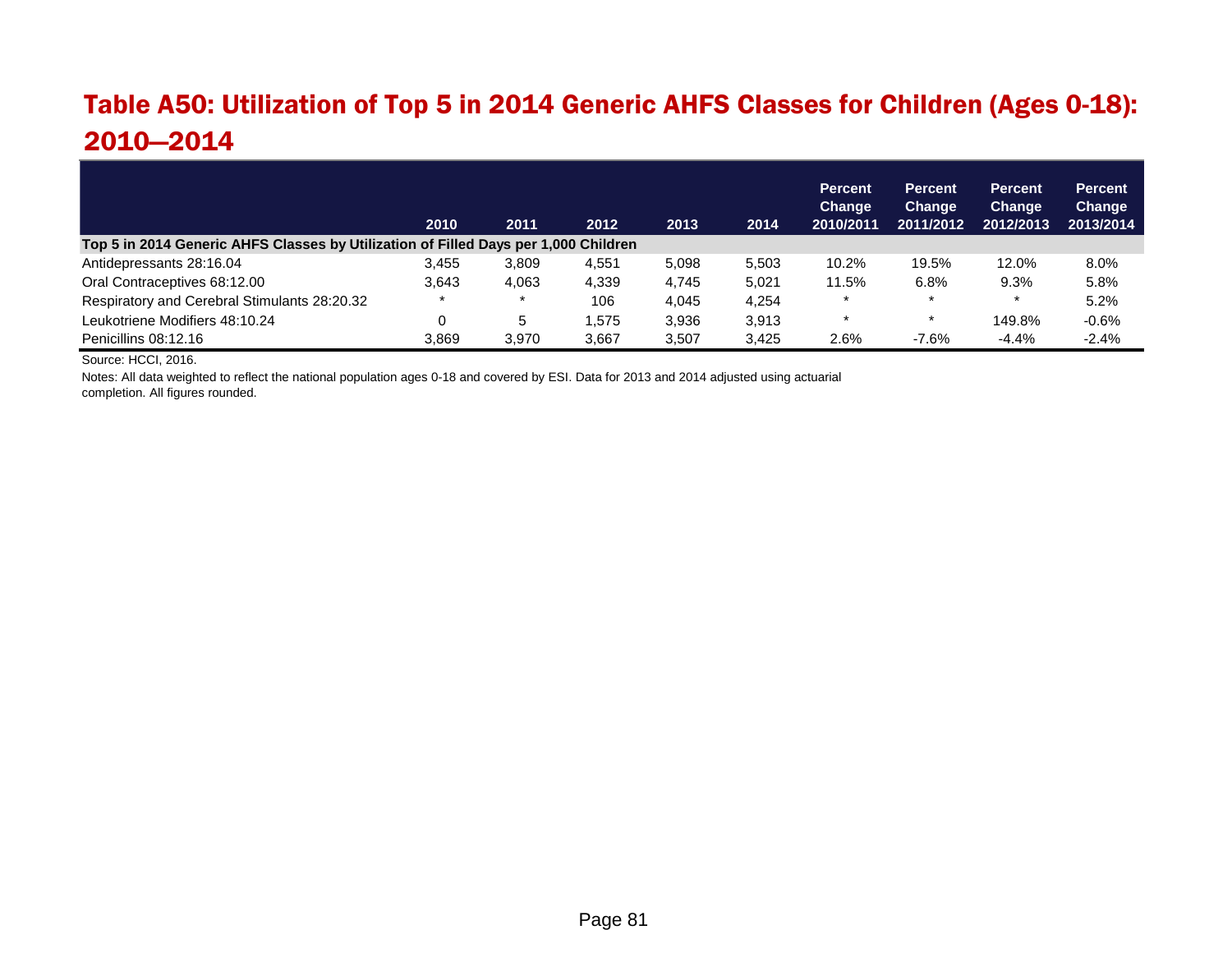#### Table A50: Utilization of Top 5 in 2014 Generic AHFS Classes for Children (Ages 0-18): 2010—2014

|                                                                                     | 2010  | 2011  | 2012  | 2013  | 2014  | <b>Percent</b><br>Change<br>2010/2011 | <b>Percent</b><br><b>Change</b><br>2011/2012 | <b>Percent</b><br>Change<br>2012/2013 | <b>Percent</b><br>Change<br>2013/2014 |
|-------------------------------------------------------------------------------------|-------|-------|-------|-------|-------|---------------------------------------|----------------------------------------------|---------------------------------------|---------------------------------------|
| Top 5 in 2014 Generic AHFS Classes by Utilization of Filled Days per 1,000 Children |       |       |       |       |       |                                       |                                              |                                       |                                       |
| Antidepressants 28:16.04                                                            | 3.455 | 3.809 | 4,551 | 5.098 | 5.503 | 10.2%                                 | 19.5%                                        | 12.0%                                 | 8.0%                                  |
| Oral Contraceptives 68:12.00                                                        | 3.643 | 4.063 | 4,339 | 4.745 | 5.021 | 11.5%                                 | 6.8%                                         | 9.3%                                  | 5.8%                                  |
| Respiratory and Cerebral Stimulants 28:20.32                                        |       |       | 106   | 4.045 | 4.254 | $\star$                               | $\star$                                      |                                       | 5.2%                                  |
| Leukotriene Modifiers 48:10.24                                                      |       | 5     | .575  | 3,936 | 3,913 | $\star$                               | $\star$                                      | 149.8%                                | $-0.6%$                               |
| Penicillins 08:12.16                                                                | 3.869 | 3.970 | 3.667 | 3.507 | 3.425 | 2.6%                                  | $-7.6%$                                      | $-4.4%$                               | $-2.4%$                               |

Source: HCCI, 2016.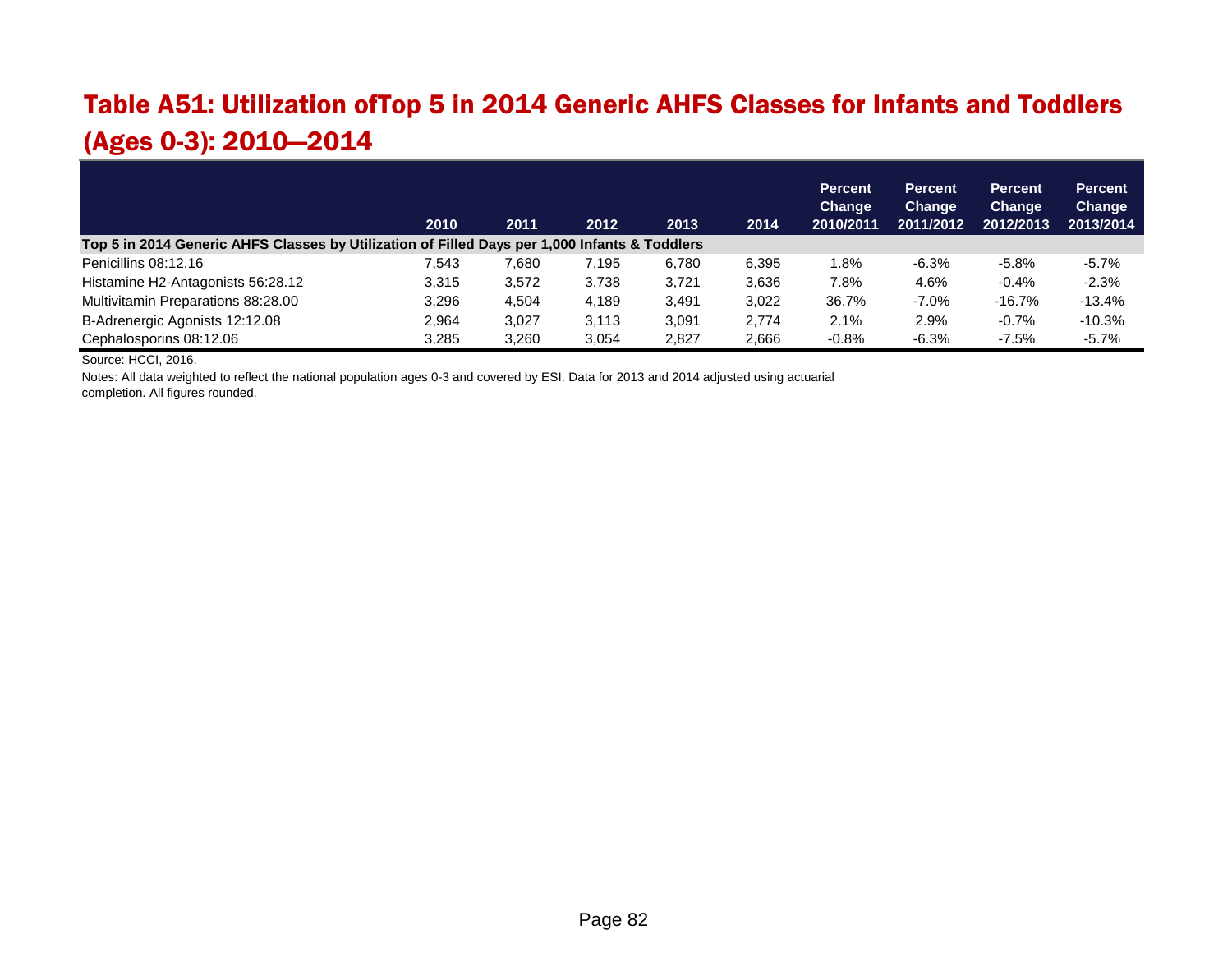#### Table A51: Utilization ofTop 5 in 2014 Generic AHFS Classes for Infants and Toddlers (Ages 0-3): 2010—2014

|                                                                                               | 2010  | 2011  | 2012  | 2013  | 2014  | <b>Percent</b><br>Change<br>2010/2011 | <b>Percent</b><br>Change<br>2011/2012 | <b>Percent</b><br><b>Change</b><br>2012/2013 | <b>Percent</b><br><b>Change</b><br>2013/2014 |
|-----------------------------------------------------------------------------------------------|-------|-------|-------|-------|-------|---------------------------------------|---------------------------------------|----------------------------------------------|----------------------------------------------|
| Top 5 in 2014 Generic AHFS Classes by Utilization of Filled Days per 1,000 Infants & Toddlers |       |       |       |       |       |                                       |                                       |                                              |                                              |
| Penicillins 08:12.16                                                                          | 7.543 | 7,680 | 7.195 | 6.780 | 6.395 | 1.8%                                  | $-6.3%$                               | $-5.8%$                                      | $-5.7%$                                      |
| Histamine H2-Antagonists 56:28.12                                                             | 3.315 | 3,572 | 3,738 | 3.721 | 3,636 | 7.8%                                  | 4.6%                                  | $-0.4%$                                      | $-2.3%$                                      |
| Multivitamin Preparations 88:28.00                                                            | 3.296 | 4.504 | 4,189 | 3.491 | 3,022 | 36.7%                                 | $-7.0%$                               | $-16.7%$                                     | $-13.4%$                                     |
| B-Adrenergic Agonists 12:12.08                                                                | 2,964 | 3,027 | 3,113 | 3,091 | 2,774 | 2.1%                                  | 2.9%                                  | $-0.7%$                                      | $-10.3%$                                     |
| Cephalosporins 08:12.06                                                                       | 3.285 | 3.260 | 3.054 | 2.827 | 2.666 | $-0.8%$                               | $-6.3%$                               | $-7.5%$                                      | $-5.7%$                                      |

Source: HCCI, 2016.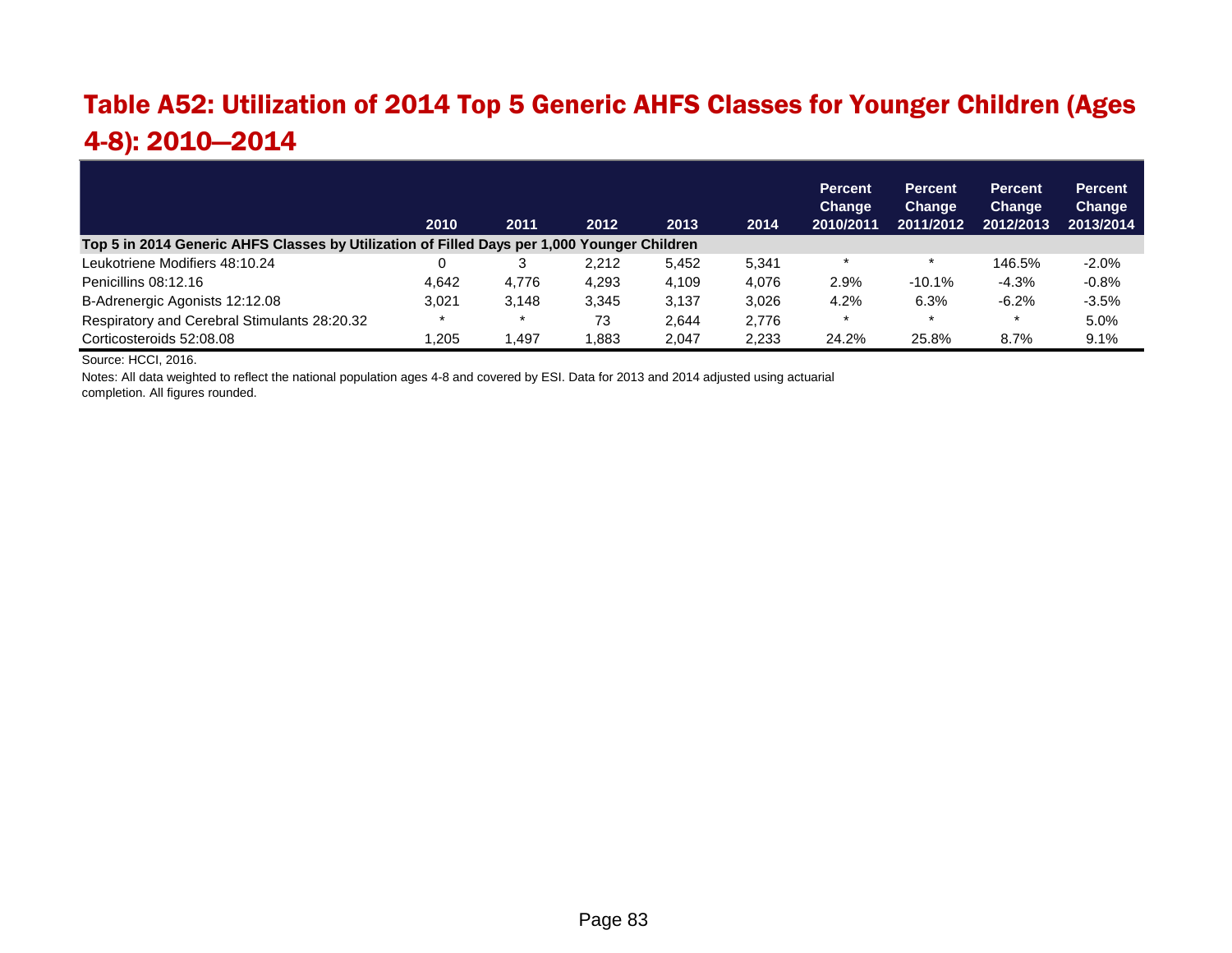#### Table A52: Utilization of 2014 Top 5 Generic AHFS Classes for Younger Children (Ages 4-8): 2010—2014

|                                                                                             | 2010  | 2011  | 2012  | 2013  | 2014  | <b>Percent</b><br>Change<br>2010/2011 | <b>Percent</b><br>Change<br>2011/2012 | <b>Percent</b><br><b>Change</b><br>2012/2013 | <b>Percent</b><br>Change<br>2013/2014 |
|---------------------------------------------------------------------------------------------|-------|-------|-------|-------|-------|---------------------------------------|---------------------------------------|----------------------------------------------|---------------------------------------|
| Top 5 in 2014 Generic AHFS Classes by Utilization of Filled Days per 1,000 Younger Children |       |       |       |       |       |                                       |                                       |                                              |                                       |
| Leukotriene Modifiers 48:10.24                                                              |       |       | 2.212 | 5.452 | 5,341 |                                       |                                       | 146.5%                                       | $-2.0%$                               |
| Penicillins 08:12.16                                                                        | 4.642 | 4.776 | 4.293 | 4.109 | 4.076 | 2.9%                                  | $-10.1%$                              | $-4.3%$                                      | $-0.8%$                               |
| B-Adrenergic Agonists 12:12.08                                                              | 3.021 | 3.148 | 3.345 | 3.137 | 3.026 | 4.2%                                  | 6.3%                                  | $-6.2%$                                      | $-3.5%$                               |
| Respiratory and Cerebral Stimulants 28:20.32                                                |       |       | 73    | 2.644 | 2,776 |                                       | $\star$                               |                                              | 5.0%                                  |
| Corticosteroids 52:08.08                                                                    | .205  | .497  | 1.883 | 2.047 | 2.233 | 24.2%                                 | 25.8%                                 | 8.7%                                         | 9.1%                                  |

Source: HCCI, 2016.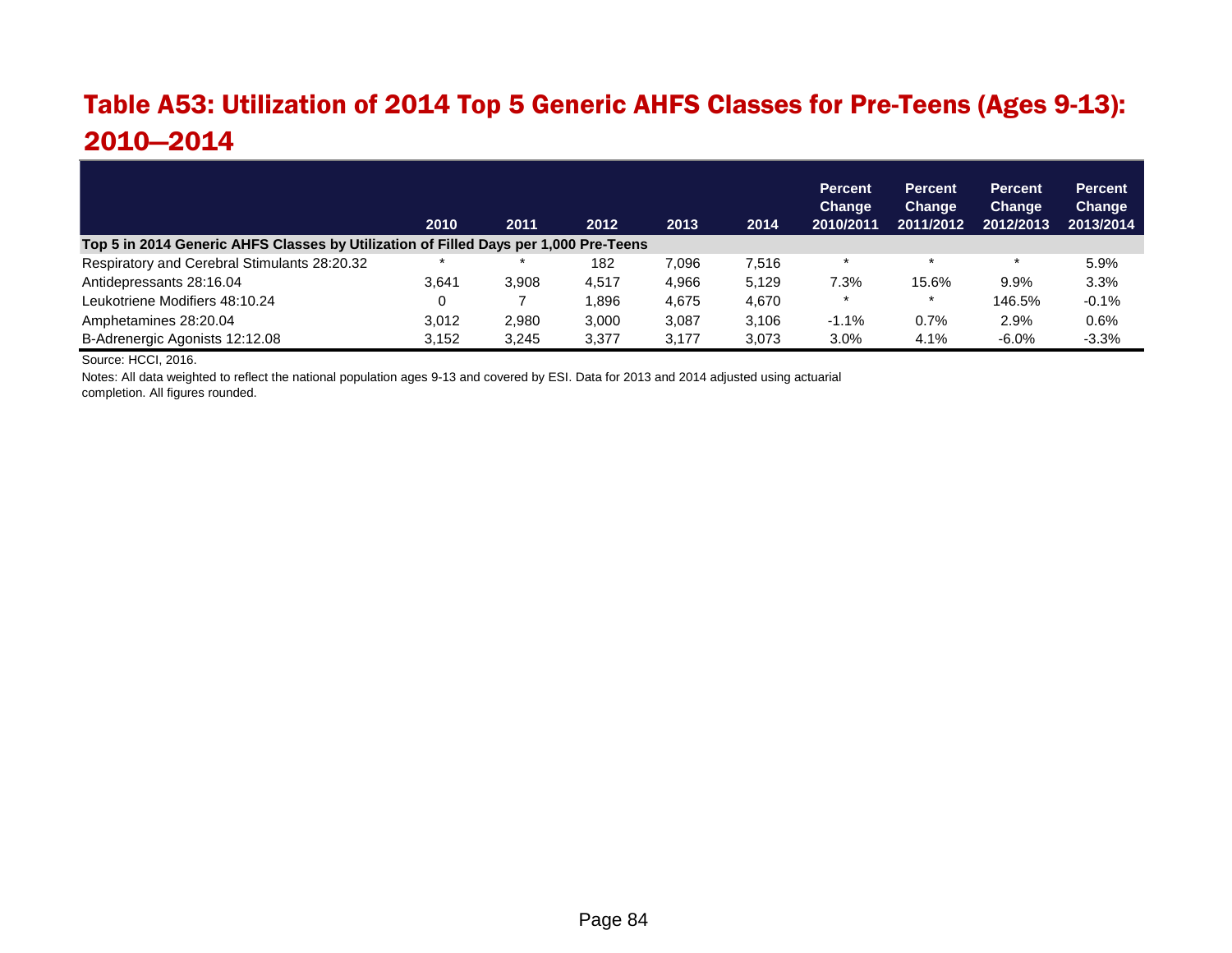#### Table A53: Utilization of 2014 Top 5 Generic AHFS Classes for Pre-Teens (Ages 9-13): 2010—2014

|                                                                                      | 2010  | 2011  | 2012  | 2013  | 2014  | <b>Percent</b><br><b>Change</b><br>2010/2011 | <b>Percent</b><br>Change<br>2011/2012 | <b>Percent</b><br><b>Change</b><br>2012/2013 | <b>Percent</b><br>Change<br>2013/2014 |
|--------------------------------------------------------------------------------------|-------|-------|-------|-------|-------|----------------------------------------------|---------------------------------------|----------------------------------------------|---------------------------------------|
| Top 5 in 2014 Generic AHFS Classes by Utilization of Filled Days per 1,000 Pre-Teens |       |       |       |       |       |                                              |                                       |                                              |                                       |
| Respiratory and Cerebral Stimulants 28:20.32                                         |       |       | 182   | 7.096 | 7.516 | $\star$                                      | $\rightarrow$                         | $\star$                                      | 5.9%                                  |
| Antidepressants 28:16.04                                                             | 3.641 | 3.908 | 4.517 | 4.966 | 5.129 | 7.3%                                         | 15.6%                                 | 9.9%                                         | 3.3%                                  |
| Leukotriene Modifiers 48:10.24                                                       |       |       | .896  | 4,675 | 4.670 |                                              |                                       | 146.5%                                       | $-0.1%$                               |
| Amphetamines 28:20.04                                                                | 3.012 | 2.980 | 3.000 | 3.087 | 3.106 | $-1.1%$                                      | 0.7%                                  | 2.9%                                         | 0.6%                                  |
| B-Adrenergic Agonists 12:12.08                                                       | 3,152 | 3.245 | 3,377 | 3.177 | 3.073 | 3.0%                                         | 4.1%                                  | $-6.0%$                                      | $-3.3%$                               |

Source: HCCI, 2016.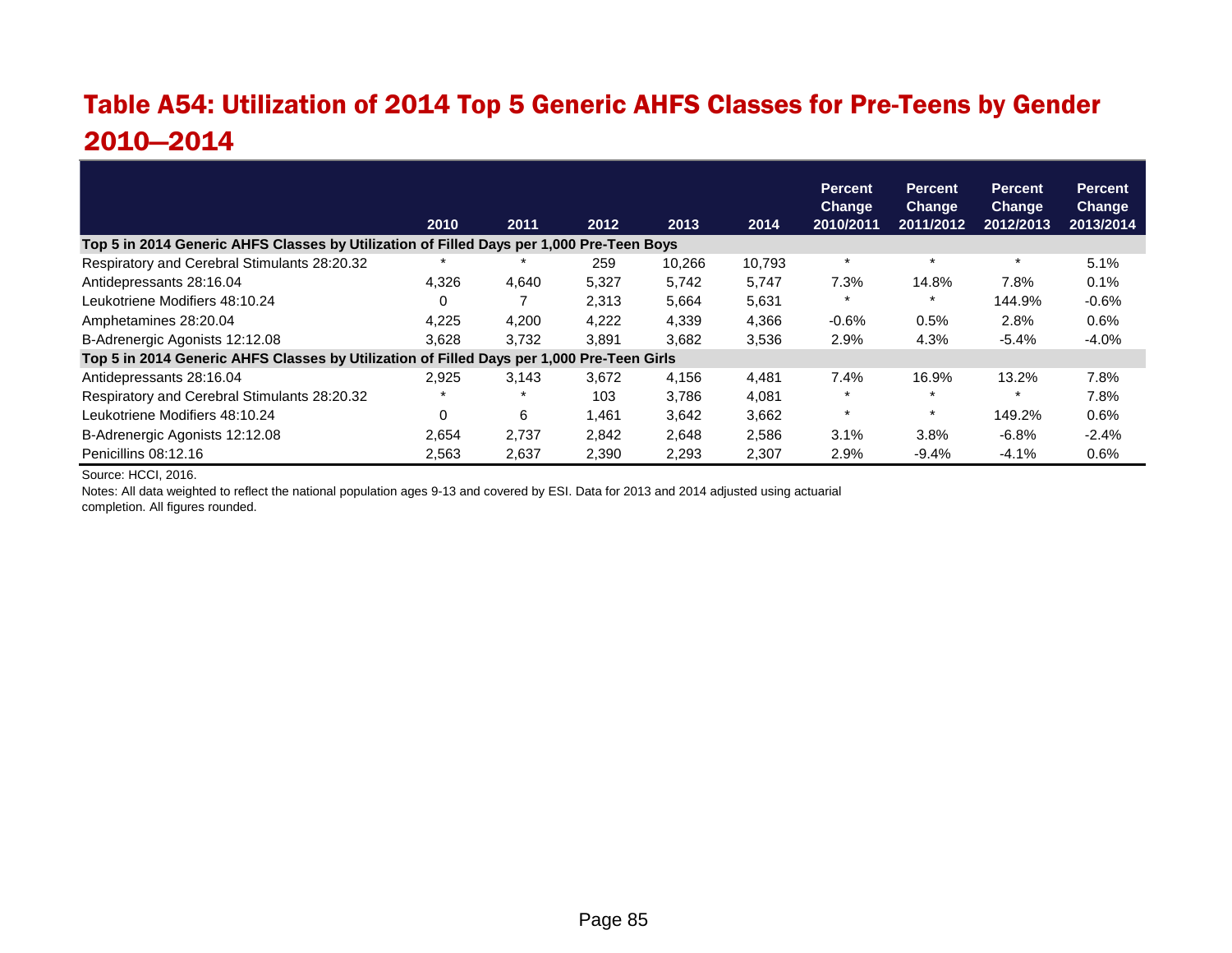#### Table A54: Utilization of 2014 Top 5 Generic AHFS Classes for Pre-Teens by Gender 2010—2014

|                                                                                           |          |       |       |        |        | <b>Percent</b><br><b>Change</b> | <b>Percent</b><br><b>Change</b> | <b>Percent</b><br>Change | <b>Percent</b><br><b>Change</b> |
|-------------------------------------------------------------------------------------------|----------|-------|-------|--------|--------|---------------------------------|---------------------------------|--------------------------|---------------------------------|
|                                                                                           | 2010     | 2011  | 2012  | 2013   | 2014   | 2010/2011                       | 2011/2012                       | 2012/2013                | 2013/2014                       |
| Top 5 in 2014 Generic AHFS Classes by Utilization of Filled Days per 1,000 Pre-Teen Boys  |          |       |       |        |        |                                 |                                 |                          |                                 |
| Respiratory and Cerebral Stimulants 28:20.32                                              |          |       | 259   | 10.266 | 10,793 | $\star$                         |                                 | $\star$                  | 5.1%                            |
| Antidepressants 28:16.04                                                                  | 4.326    | 4,640 | 5,327 | 5,742  | 5.747  | 7.3%                            | 14.8%                           | 7.8%                     | 0.1%                            |
| Leukotriene Modifiers 48:10.24                                                            |          |       | 2,313 | 5,664  | 5,631  |                                 |                                 | 144.9%                   | $-0.6%$                         |
| Amphetamines 28:20.04                                                                     | 4.225    | 4.200 | 4.222 | 4.339  | 4.366  | $-0.6%$                         | 0.5%                            | 2.8%                     | 0.6%                            |
| B-Adrenergic Agonists 12:12.08                                                            | 3,628    | 3,732 | 3,891 | 3,682  | 3,536  | 2.9%                            | 4.3%                            | $-5.4%$                  | $-4.0%$                         |
| Top 5 in 2014 Generic AHFS Classes by Utilization of Filled Days per 1,000 Pre-Teen Girls |          |       |       |        |        |                                 |                                 |                          |                                 |
| Antidepressants 28:16.04                                                                  | 2.925    | 3.143 | 3.672 | 4.156  | 4.481  | 7.4%                            | 16.9%                           | 13.2%                    | 7.8%                            |
| Respiratory and Cerebral Stimulants 28:20.32                                              |          |       | 103   | 3,786  | 4,081  |                                 |                                 | $\star$                  | 7.8%                            |
| Leukotriene Modifiers 48:10.24                                                            | $\Omega$ | 6     | 1.461 | 3.642  | 3.662  | $\star$                         |                                 | 149.2%                   | 0.6%                            |
| B-Adrenergic Agonists 12:12.08                                                            | 2.654    | 2.737 | 2,842 | 2,648  | 2,586  | 3.1%                            | 3.8%                            | $-6.8%$                  | $-2.4%$                         |
| Penicillins 08:12.16                                                                      | 2,563    | 2,637 | 2,390 | 2,293  | 2,307  | 2.9%                            | $-9.4%$                         | $-4.1%$                  | 0.6%                            |

Source: HCCI, 2016.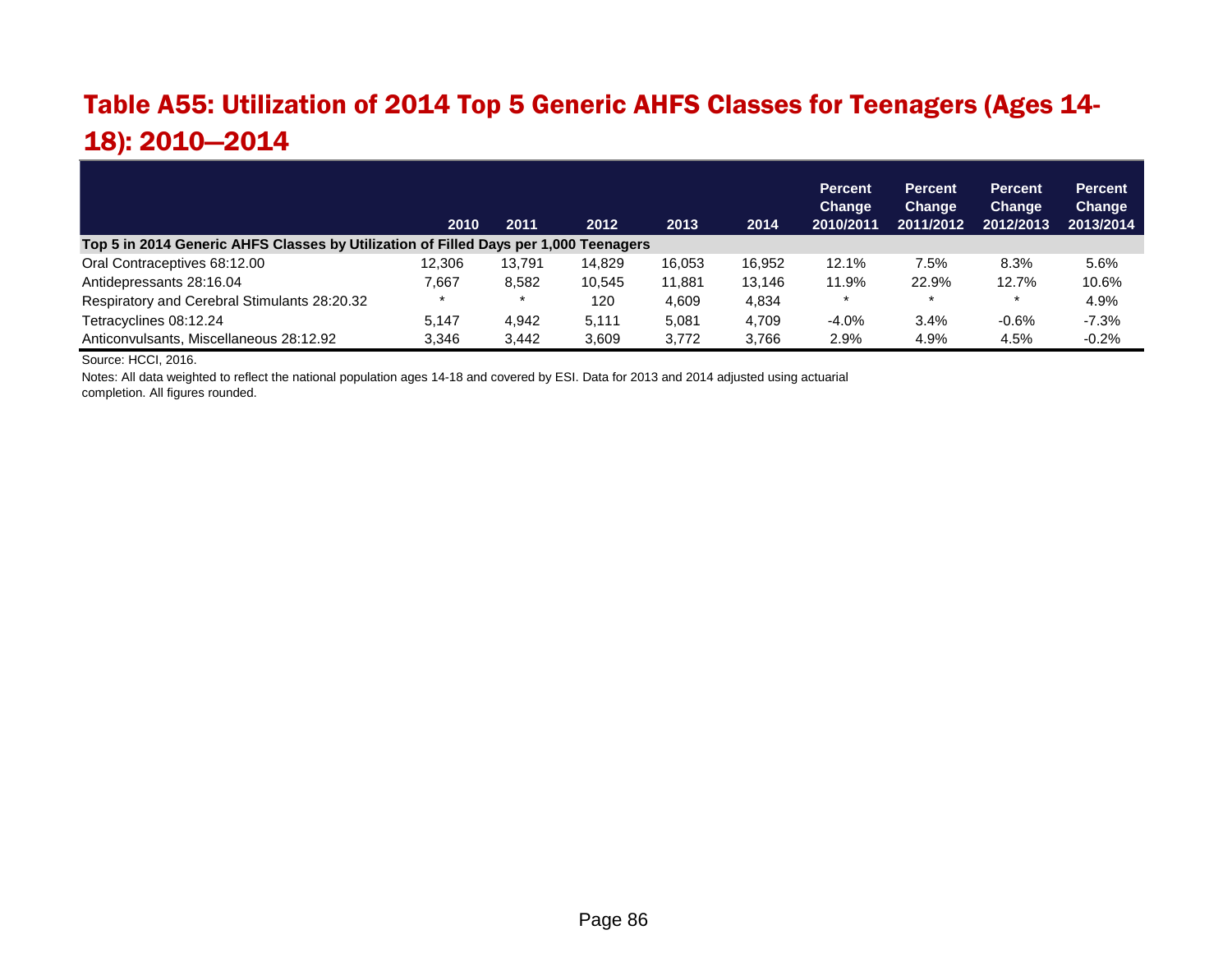# Table A55: Utilization of 2014 Top 5 Generic AHFS Classes for Teenagers (Ages 14- 18): 2010—2014

|                                                                                      | 2010   | 2011   | 2012   | 2013   | 2014   | <b>Percent</b><br>Change<br>2010/2011 | <b>Percent</b><br>Change<br>2011/2012 | <b>Percent</b><br><b>Change</b><br>2012/2013 | <b>Percent</b><br>Change<br>2013/2014 |
|--------------------------------------------------------------------------------------|--------|--------|--------|--------|--------|---------------------------------------|---------------------------------------|----------------------------------------------|---------------------------------------|
| Top 5 in 2014 Generic AHFS Classes by Utilization of Filled Days per 1,000 Teenagers |        |        |        |        |        |                                       |                                       |                                              |                                       |
| Oral Contraceptives 68:12.00                                                         | 12.306 | 13.791 | 14.829 | 16.053 | 16.952 | 12.1%                                 | 7.5%                                  | 8.3%                                         | 5.6%                                  |
| Antidepressants 28:16.04                                                             | 7,667  | 8.582  | 10.545 | 11.881 | 13.146 | 11.9%                                 | 22.9%                                 | 12.7%                                        | 10.6%                                 |
| Respiratory and Cerebral Stimulants 28:20.32                                         |        |        | 120    | 4,609  | 4,834  |                                       | $\star$                               |                                              | 4.9%                                  |
| Tetracyclines 08:12.24                                                               | 5.147  | 4.942  | 5.111  | 5.081  | 4.709  | $-4.0\%$                              | 3.4%                                  | $-0.6%$                                      | $-7.3%$                               |
| Anticonvulsants, Miscellaneous 28:12.92                                              | 3.346  | 3.442  | 3.609  | 3.772  | 3.766  | 2.9%                                  | 4.9%                                  | 4.5%                                         | $-0.2%$                               |

Source: HCCI, 2016.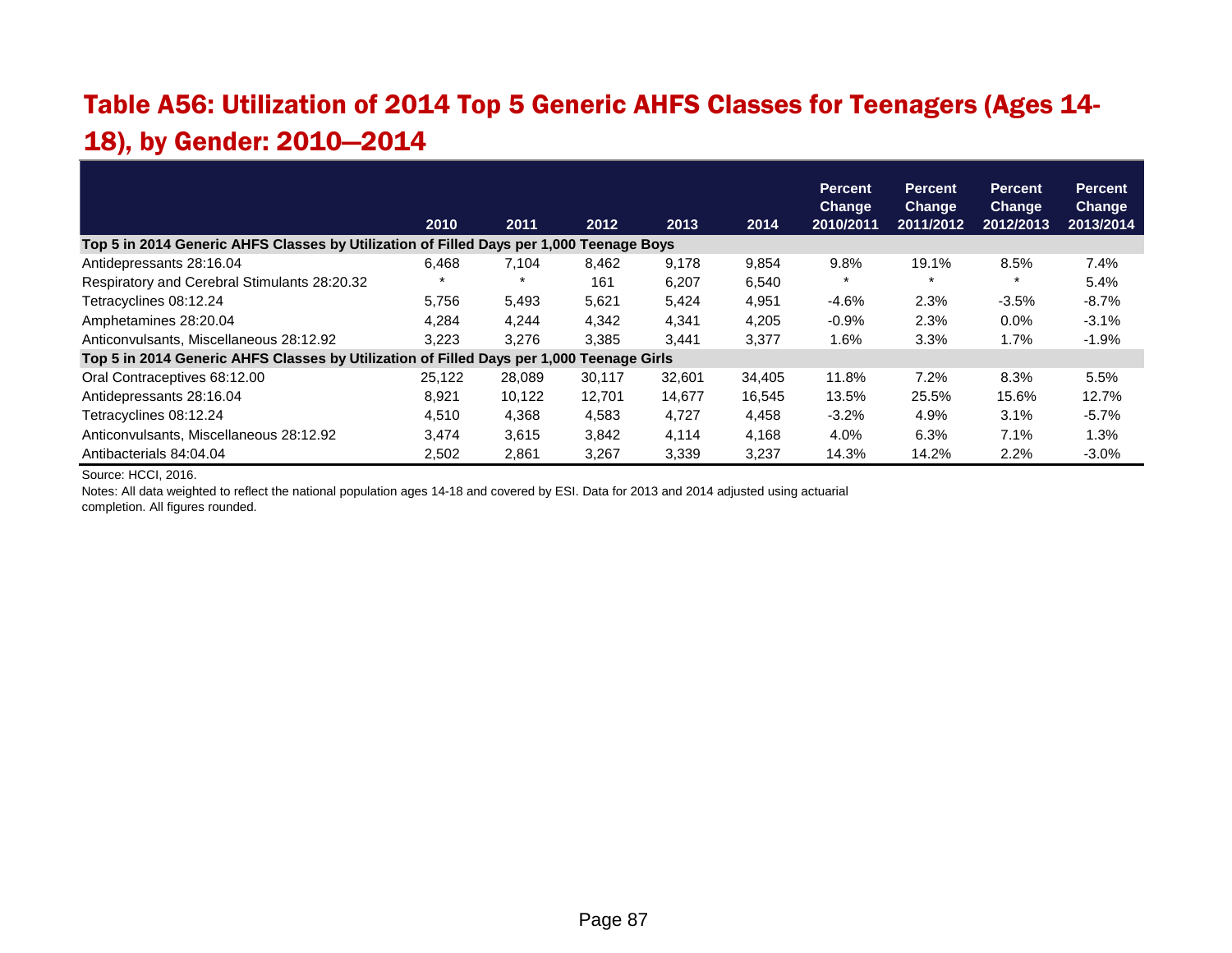# Table A56: Utilization of 2014 Top 5 Generic AHFS Classes for Teenagers (Ages 14- 18), by Gender: 2010—2014

|                                                                                          |        |        |        |        |        | <b>Percent</b><br><b>Change</b> | <b>Percent</b><br><b>Change</b> | <b>Percent</b><br><b>Change</b> | <b>Percent</b><br><b>Change</b> |
|------------------------------------------------------------------------------------------|--------|--------|--------|--------|--------|---------------------------------|---------------------------------|---------------------------------|---------------------------------|
|                                                                                          | 2010   | 2011   | 2012   | 2013   | 2014   | 2010/2011                       | 2011/2012                       | 2012/2013                       | 2013/2014                       |
| Top 5 in 2014 Generic AHFS Classes by Utilization of Filled Days per 1,000 Teenage Boys  |        |        |        |        |        |                                 |                                 |                                 |                                 |
| Antidepressants 28:16.04                                                                 | 6.468  | 7.104  | 8,462  | 9,178  | 9.854  | 9.8%                            | 19.1%                           | 8.5%                            | 7.4%                            |
| Respiratory and Cerebral Stimulants 28:20.32                                             |        |        | 161    | 6.207  | 6.540  | $\star$                         | $\star$                         | $\star$                         | 5.4%                            |
| Tetracyclines 08:12.24                                                                   | 5,756  | 5,493  | 5,621  | 5,424  | 4,951  | $-4.6%$                         | 2.3%                            | $-3.5%$                         | $-8.7%$                         |
| Amphetamines 28:20.04                                                                    | 4.284  | 4.244  | 4,342  | 4,341  | 4,205  | $-0.9%$                         | 2.3%                            | 0.0%                            | $-3.1%$                         |
| Anticonvulsants, Miscellaneous 28:12.92                                                  | 3.223  | 3.276  | 3,385  | 3.441  | 3,377  | 1.6%                            | 3.3%                            | 1.7%                            | $-1.9%$                         |
| Top 5 in 2014 Generic AHFS Classes by Utilization of Filled Days per 1,000 Teenage Girls |        |        |        |        |        |                                 |                                 |                                 |                                 |
| Oral Contraceptives 68:12.00                                                             | 25.122 | 28,089 | 30.117 | 32,601 | 34,405 | 11.8%                           | 7.2%                            | 8.3%                            | 5.5%                            |
| Antidepressants 28:16.04                                                                 | 8,921  | 10,122 | 12,701 | 14,677 | 16,545 | 13.5%                           | 25.5%                           | 15.6%                           | 12.7%                           |
| Tetracyclines 08:12.24                                                                   | 4,510  | 4,368  | 4,583  | 4,727  | 4,458  | $-3.2%$                         | 4.9%                            | 3.1%                            | $-5.7%$                         |
| Anticonvulsants, Miscellaneous 28:12.92                                                  | 3.474  | 3,615  | 3,842  | 4.114  | 4.168  | 4.0%                            | 6.3%                            | 7.1%                            | 1.3%                            |
| Antibacterials 84:04.04                                                                  | 2,502  | 2,861  | 3,267  | 3,339  | 3,237  | 14.3%                           | 14.2%                           | 2.2%                            | $-3.0%$                         |

Source: HCCI, 2016.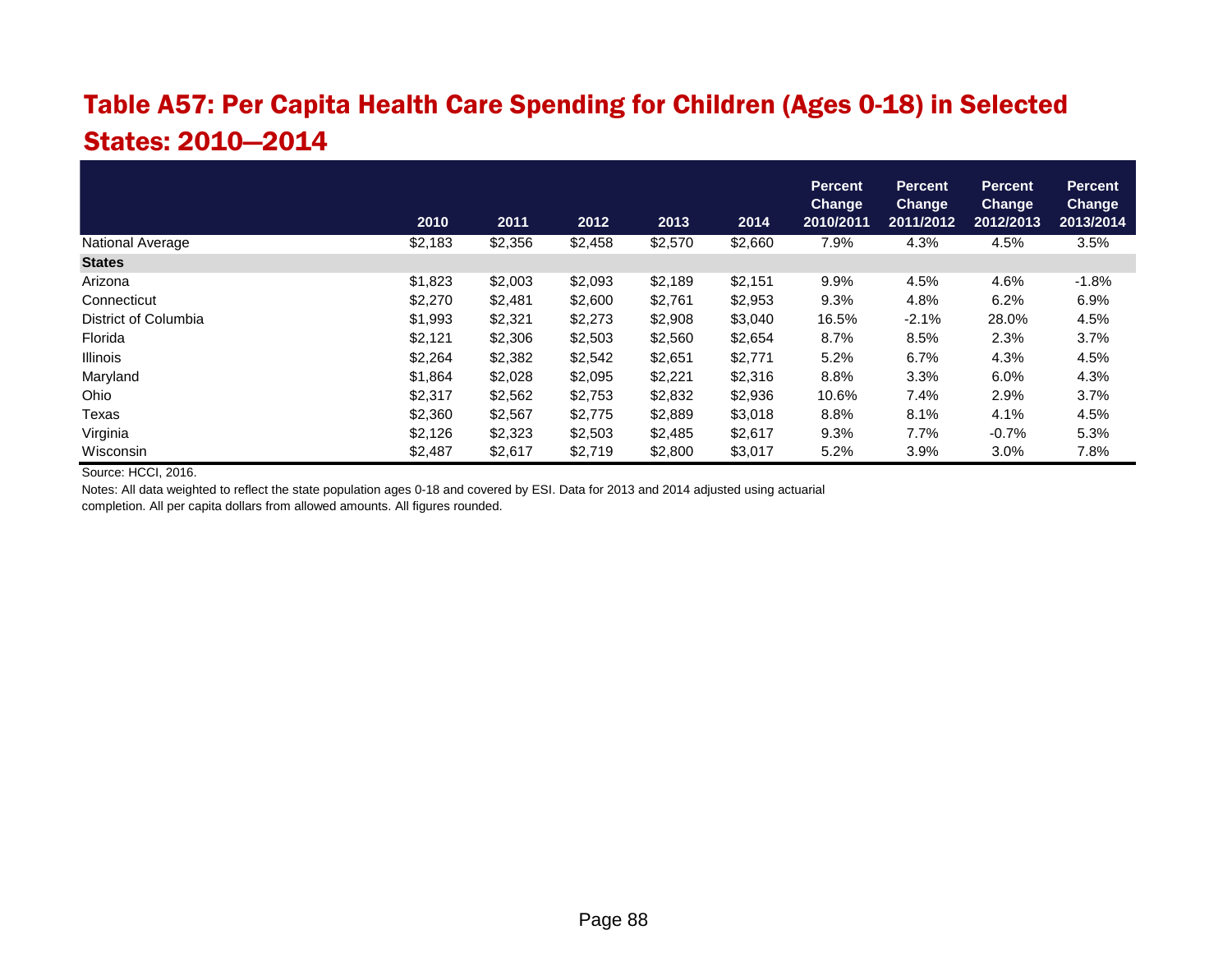# Table A57: Per Capita Health Care Spending for Children (Ages 0-18) in Selected States: 2010—2014

|                         |         |         |         |         |         | <b>Percent</b><br>Change | <b>Percent</b><br><b>Change</b> | <b>Percent</b><br><b>Change</b> | <b>Percent</b><br><b>Change</b> |
|-------------------------|---------|---------|---------|---------|---------|--------------------------|---------------------------------|---------------------------------|---------------------------------|
|                         | 2010    | 2011    | 2012    | 2013    | 2014    | 2010/2011                | 2011/2012                       | 2012/2013                       | 2013/2014                       |
| <b>National Average</b> | \$2,183 | \$2,356 | \$2,458 | \$2,570 | \$2,660 | 7.9%                     | 4.3%                            | 4.5%                            | 3.5%                            |
| <b>States</b>           |         |         |         |         |         |                          |                                 |                                 |                                 |
| Arizona                 | \$1,823 | \$2,003 | \$2,093 | \$2,189 | \$2,151 | 9.9%                     | 4.5%                            | 4.6%                            | $-1.8%$                         |
| Connecticut             | \$2,270 | \$2,481 | \$2,600 | \$2,761 | \$2,953 | 9.3%                     | 4.8%                            | 6.2%                            | 6.9%                            |
| District of Columbia    | \$1,993 | \$2,321 | \$2,273 | \$2,908 | \$3,040 | 16.5%                    | $-2.1%$                         | 28.0%                           | 4.5%                            |
| Florida                 | \$2,121 | \$2,306 | \$2,503 | \$2,560 | \$2,654 | 8.7%                     | 8.5%                            | 2.3%                            | 3.7%                            |
| <b>Illinois</b>         | \$2,264 | \$2,382 | \$2,542 | \$2,651 | \$2,771 | 5.2%                     | 6.7%                            | 4.3%                            | 4.5%                            |
| Maryland                | \$1,864 | \$2,028 | \$2,095 | \$2,221 | \$2,316 | 8.8%                     | 3.3%                            | 6.0%                            | 4.3%                            |
| Ohio                    | \$2,317 | \$2,562 | \$2,753 | \$2,832 | \$2,936 | 10.6%                    | 7.4%                            | 2.9%                            | 3.7%                            |
| Texas                   | \$2,360 | \$2,567 | \$2,775 | \$2,889 | \$3,018 | 8.8%                     | 8.1%                            | 4.1%                            | 4.5%                            |
| Virginia                | \$2,126 | \$2,323 | \$2,503 | \$2,485 | \$2,617 | 9.3%                     | 7.7%                            | $-0.7%$                         | 5.3%                            |
| Wisconsin               | \$2,487 | \$2,617 | \$2,719 | \$2,800 | \$3,017 | 5.2%                     | 3.9%                            | 3.0%                            | 7.8%                            |

Source: HCCI, 2016.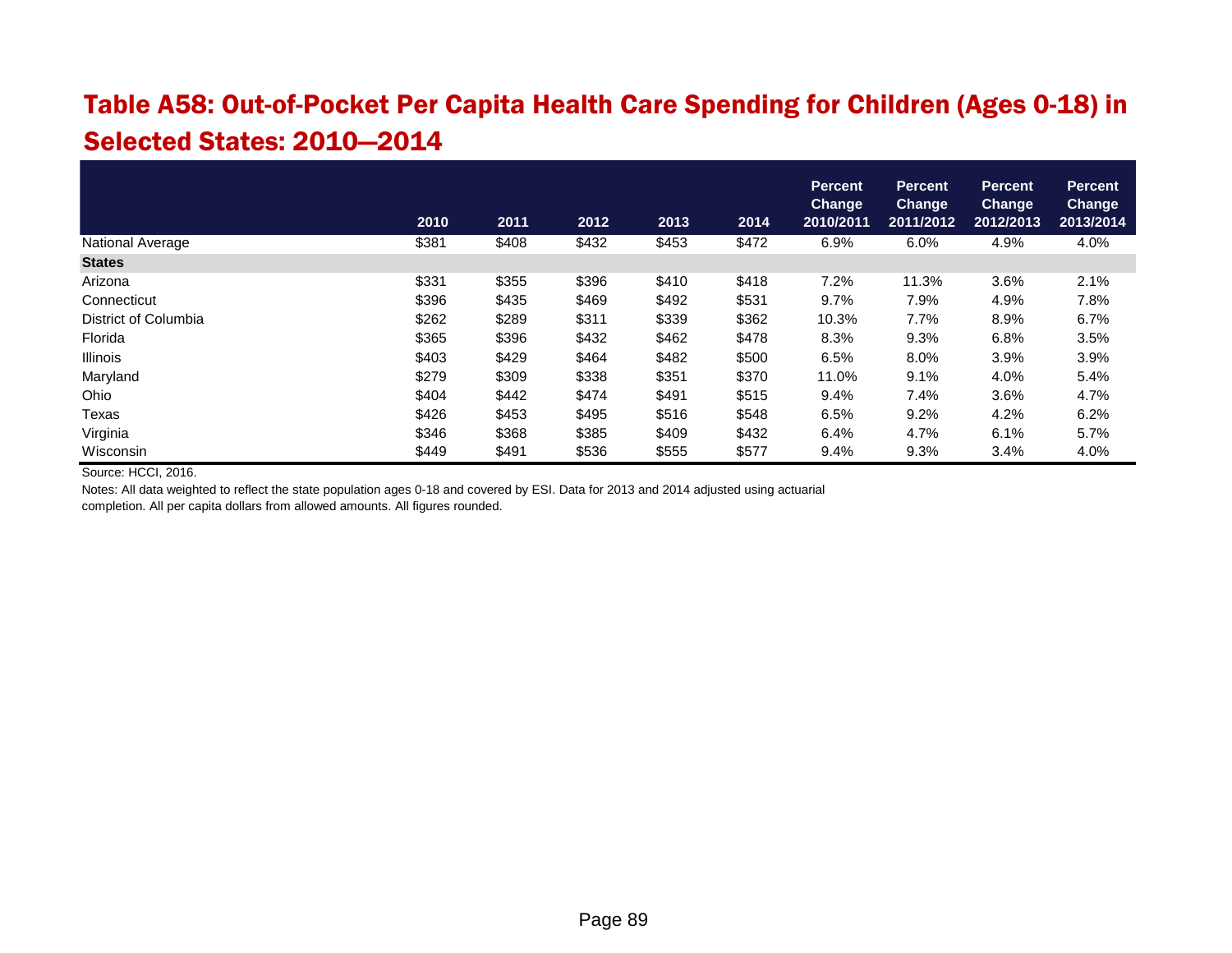#### Table A58: Out-of-Pocket Per Capita Health Care Spending for Children (Ages 0-18) in Selected States: 2010—2014

|                         | 2010  | 2011  | 2012  | 2013  | 2014  | <b>Percent</b><br><b>Change</b><br>2010/2011 | <b>Percent</b><br><b>Change</b><br>2011/2012 | <b>Percent</b><br><b>Change</b><br>2012/2013 | <b>Percent</b><br><b>Change</b><br>2013/2014 |
|-------------------------|-------|-------|-------|-------|-------|----------------------------------------------|----------------------------------------------|----------------------------------------------|----------------------------------------------|
| <b>National Average</b> | \$381 | \$408 | \$432 | \$453 | \$472 | 6.9%                                         | 6.0%                                         | 4.9%                                         | 4.0%                                         |
| <b>States</b>           |       |       |       |       |       |                                              |                                              |                                              |                                              |
| Arizona                 | \$331 | \$355 | \$396 | \$410 | \$418 | $7.2\%$                                      | 11.3%                                        | 3.6%                                         | 2.1%                                         |
| Connecticut             | \$396 | \$435 | \$469 | \$492 | \$531 | 9.7%                                         | 7.9%                                         | 4.9%                                         | 7.8%                                         |
| District of Columbia    | \$262 | \$289 | \$311 | \$339 | \$362 | 10.3%                                        | 7.7%                                         | 8.9%                                         | 6.7%                                         |
| Florida                 | \$365 | \$396 | \$432 | \$462 | \$478 | 8.3%                                         | 9.3%                                         | 6.8%                                         | 3.5%                                         |
| Illinois                | \$403 | \$429 | \$464 | \$482 | \$500 | 6.5%                                         | 8.0%                                         | 3.9%                                         | 3.9%                                         |
| Maryland                | \$279 | \$309 | \$338 | \$351 | \$370 | 11.0%                                        | 9.1%                                         | 4.0%                                         | 5.4%                                         |
| Ohio                    | \$404 | \$442 | \$474 | \$491 | \$515 | 9.4%                                         | 7.4%                                         | 3.6%                                         | 4.7%                                         |
| Texas                   | \$426 | \$453 | \$495 | \$516 | \$548 | 6.5%                                         | 9.2%                                         | 4.2%                                         | 6.2%                                         |
| Virginia                | \$346 | \$368 | \$385 | \$409 | \$432 | 6.4%                                         | 4.7%                                         | 6.1%                                         | 5.7%                                         |
| Wisconsin               | \$449 | \$491 | \$536 | \$555 | \$577 | 9.4%                                         | 9.3%                                         | 3.4%                                         | 4.0%                                         |

Source: HCCI, 2016.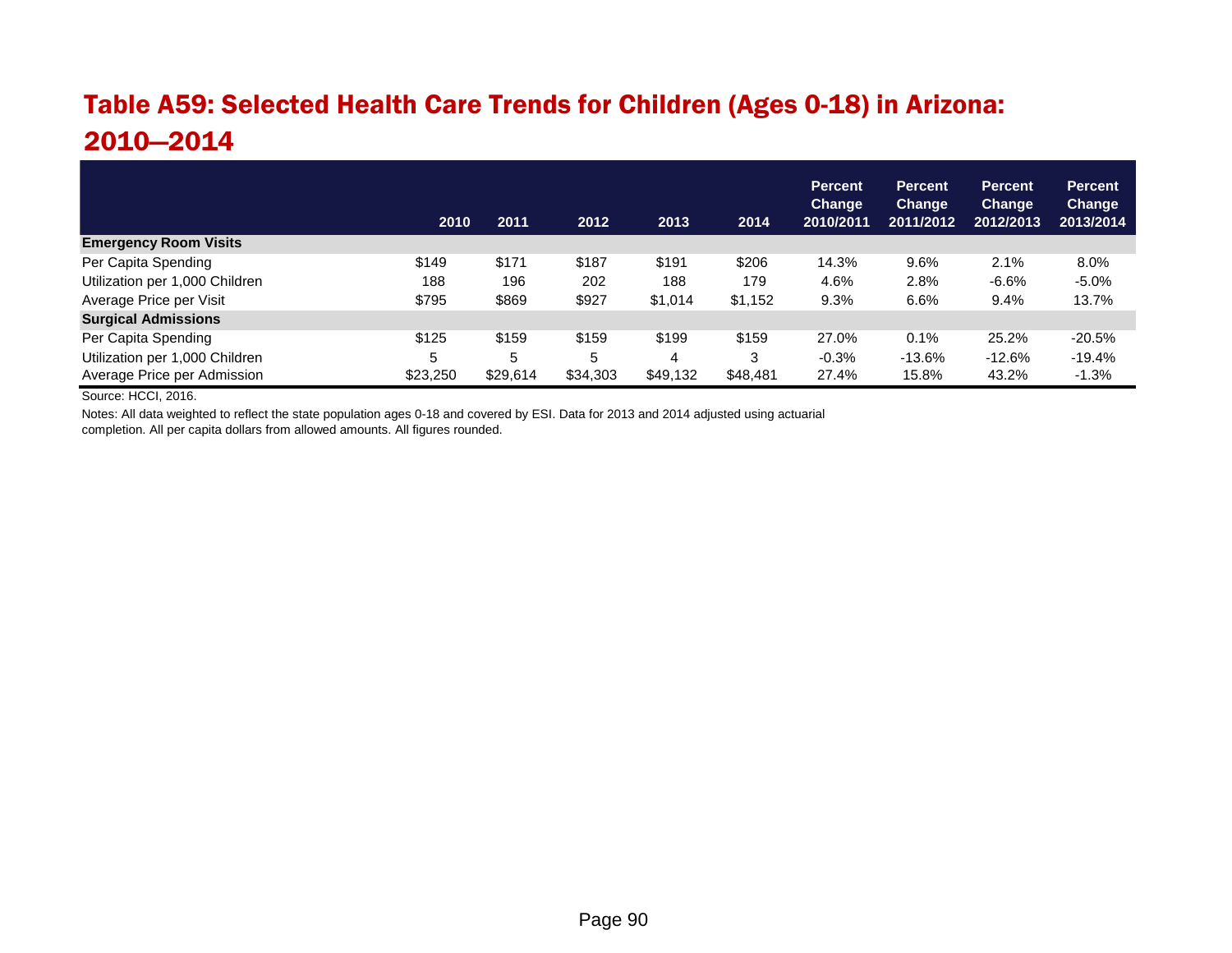# Table A59: Selected Health Care Trends for Children (Ages 0-18) in Arizona: 2010—2014

|                                | 2010     | 2011     | 2012     | 2013     | 2014     | <b>Percent</b><br>Change<br>2010/2011 | <b>Percent</b><br><b>Change</b><br>2011/2012 | <b>Percent</b><br>Change<br>2012/2013 | <b>Percent</b><br><b>Change</b><br>2013/2014 |
|--------------------------------|----------|----------|----------|----------|----------|---------------------------------------|----------------------------------------------|---------------------------------------|----------------------------------------------|
| <b>Emergency Room Visits</b>   |          |          |          |          |          |                                       |                                              |                                       |                                              |
| Per Capita Spending            | \$149    | \$171    | \$187    | \$191    | \$206    | 14.3%                                 | 9.6%                                         | 2.1%                                  | 8.0%                                         |
| Utilization per 1,000 Children | 188      | 196      | 202      | 188      | 179      | 4.6%                                  | 2.8%                                         | $-6.6%$                               | $-5.0%$                                      |
| Average Price per Visit        | \$795    | \$869    | \$927    | \$1,014  | \$1,152  | 9.3%                                  | 6.6%                                         | 9.4%                                  | 13.7%                                        |
| <b>Surgical Admissions</b>     |          |          |          |          |          |                                       |                                              |                                       |                                              |
| Per Capita Spending            | \$125    | \$159    | \$159    | \$199    | \$159    | 27.0%                                 | 0.1%                                         | 25.2%                                 | $-20.5%$                                     |
| Utilization per 1,000 Children | 5        | 5        | 5        | 4        | 3        | $-0.3%$                               | $-13.6%$                                     | $-12.6%$                              | $-19.4%$                                     |
| Average Price per Admission    | \$23,250 | \$29,614 | \$34,303 | \$49,132 | \$48,481 | 27.4%                                 | 15.8%                                        | 43.2%                                 | $-1.3%$                                      |

Source: HCCI, 2016.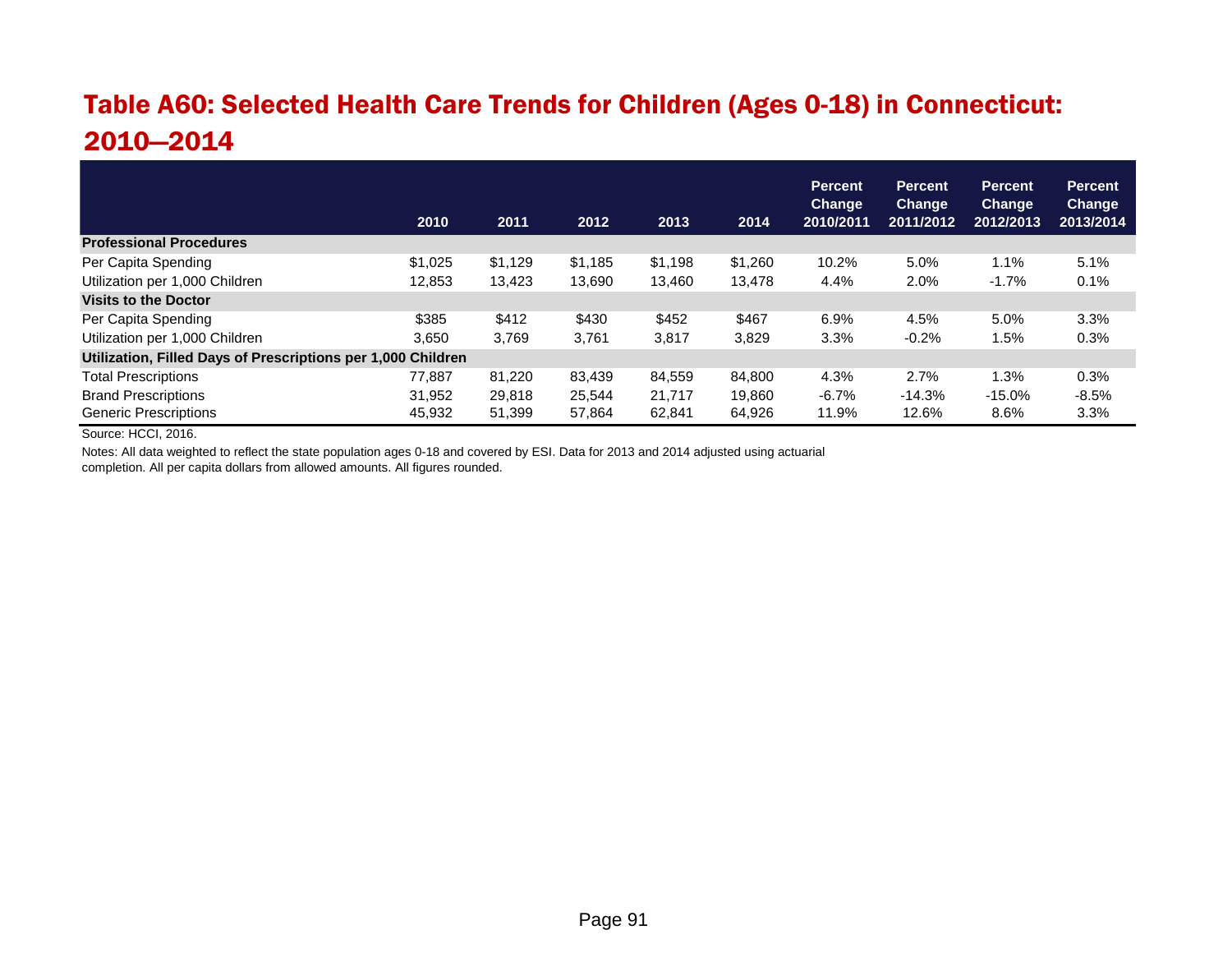# Table A60: Selected Health Care Trends for Children (Ages 0-18) in Connecticut: 2010—2014

|                                                              | 2010    | 2011    | 2012    | 2013    | 2014    | <b>Percent</b><br><b>Change</b><br>2010/2011 | <b>Percent</b><br><b>Change</b><br>2011/2012 | <b>Percent</b><br>Change<br>2012/2013 | <b>Percent</b><br><b>Change</b><br>2013/2014 |
|--------------------------------------------------------------|---------|---------|---------|---------|---------|----------------------------------------------|----------------------------------------------|---------------------------------------|----------------------------------------------|
| <b>Professional Procedures</b>                               |         |         |         |         |         |                                              |                                              |                                       |                                              |
| Per Capita Spending                                          | \$1,025 | \$1.129 | \$1.185 | \$1,198 | \$1,260 | 10.2%                                        | 5.0%                                         | 1.1%                                  | 5.1%                                         |
| Utilization per 1,000 Children                               | 12,853  | 13,423  | 13,690  | 13.460  | 13,478  | 4.4%                                         | 2.0%                                         | $-1.7%$                               | 0.1%                                         |
| <b>Visits to the Doctor</b>                                  |         |         |         |         |         |                                              |                                              |                                       |                                              |
| Per Capita Spending                                          | \$385   | \$412   | \$430   | \$452   | \$467   | 6.9%                                         | 4.5%                                         | 5.0%                                  | 3.3%                                         |
| Utilization per 1,000 Children                               | 3,650   | 3,769   | 3,761   | 3,817   | 3,829   | 3.3%                                         | $-0.2%$                                      | l.5%                                  | 0.3%                                         |
| Utilization, Filled Days of Prescriptions per 1,000 Children |         |         |         |         |         |                                              |                                              |                                       |                                              |
| <b>Total Prescriptions</b>                                   | 77.887  | 81,220  | 83,439  | 84,559  | 84,800  | 4.3%                                         | 2.7%                                         | 1.3%                                  | 0.3%                                         |
| <b>Brand Prescriptions</b>                                   | 31.952  | 29.818  | 25.544  | 21.717  | 19.860  | $-6.7%$                                      | $-14.3%$                                     | $-15.0%$                              | $-8.5%$                                      |
| <b>Generic Prescriptions</b>                                 | 45,932  | 51,399  | 57,864  | 62,841  | 64,926  | 11.9%                                        | 12.6%                                        | 8.6%                                  | 3.3%                                         |

Source: HCCI, 2016.

Notes: All data weighted to reflect the state population ages 0-18 and covered by ESI. Data for 2013 and 2014 adjusted using actuarial

completion. All per capita dollars from allowed amounts. All figures rounded.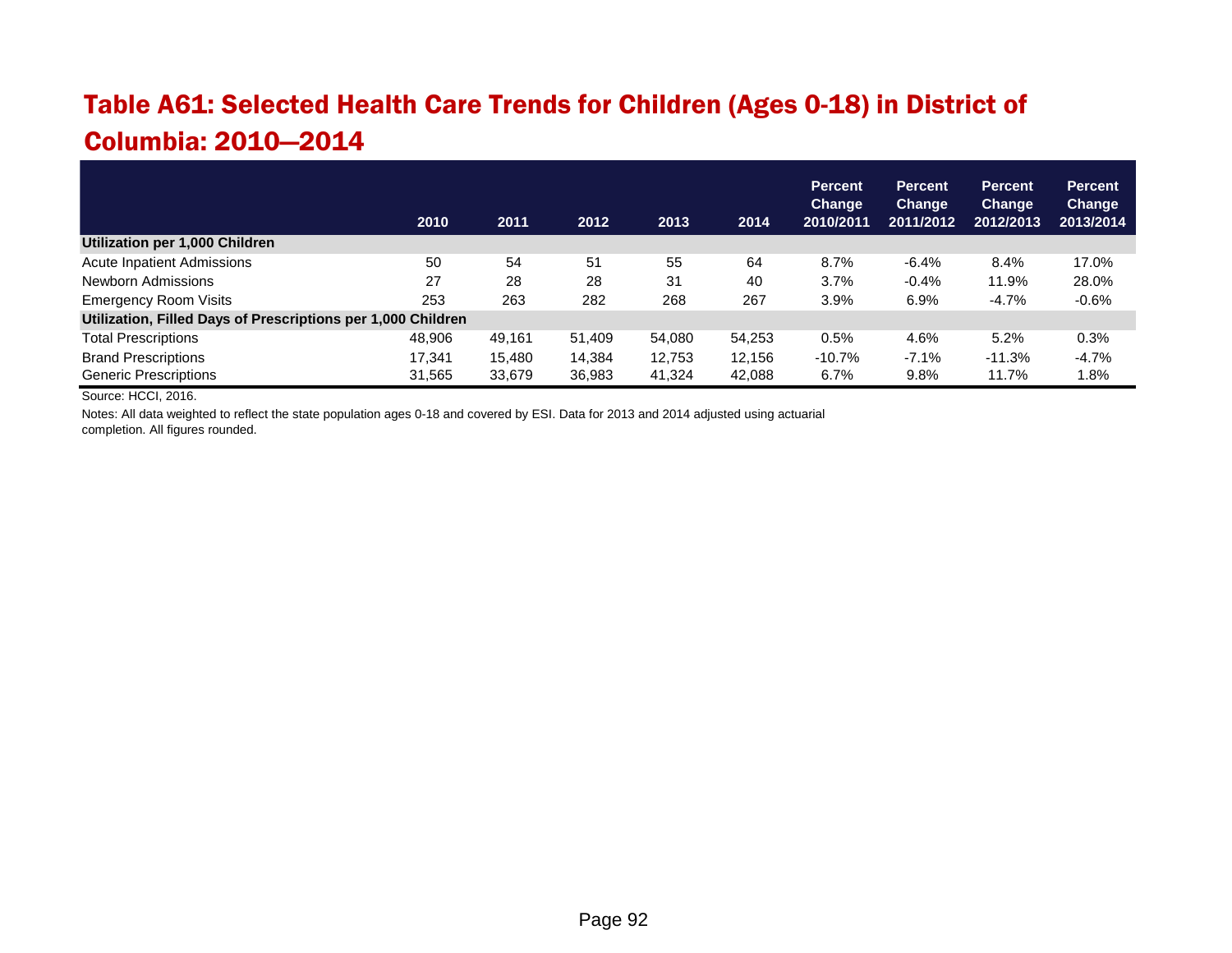# Table A61: Selected Health Care Trends for Children (Ages 0-18) in District of Columbia: 2010—2014

|                                                              | 2010   | 2011   | 2012   | 2013   | 2014   | <b>Percent</b><br><b>Change</b><br>2010/2011 | <b>Percent</b><br><b>Change</b><br>2011/2012 | <b>Percent</b><br>Change<br>2012/2013 | <b>Percent</b><br>Change<br>2013/2014 |
|--------------------------------------------------------------|--------|--------|--------|--------|--------|----------------------------------------------|----------------------------------------------|---------------------------------------|---------------------------------------|
| Utilization per 1,000 Children                               |        |        |        |        |        |                                              |                                              |                                       |                                       |
| <b>Acute Inpatient Admissions</b>                            | 50     | 54     | 51     | 55     | 64     | 8.7%                                         | $-6.4%$                                      | 8.4%                                  | 17.0%                                 |
| Newborn Admissions                                           | 27     | 28     | 28     | 31     | 40     | 3.7%                                         | $-0.4%$                                      | 11.9%                                 | 28.0%                                 |
| <b>Emergency Room Visits</b>                                 | 253    | 263    | 282    | 268    | 267    | 3.9%                                         | 6.9%                                         | $-4.7%$                               | $-0.6%$                               |
| Utilization, Filled Days of Prescriptions per 1,000 Children |        |        |        |        |        |                                              |                                              |                                       |                                       |
| <b>Total Prescriptions</b>                                   | 48,906 | 49.161 | 51.409 | 54,080 | 54,253 | $0.5\%$                                      | 4.6%                                         | 5.2%                                  | 0.3%                                  |
| <b>Brand Prescriptions</b>                                   | 17.341 | 15.480 | 14.384 | 12.753 | 12.156 | $-10.7%$                                     | $-7.1%$                                      | $-11.3%$                              | $-4.7%$                               |
| <b>Generic Prescriptions</b>                                 | 31,565 | 33,679 | 36,983 | 41,324 | 42,088 | 6.7%                                         | 9.8%                                         | 11.7%                                 | 1.8%                                  |

Source: HCCI, 2016.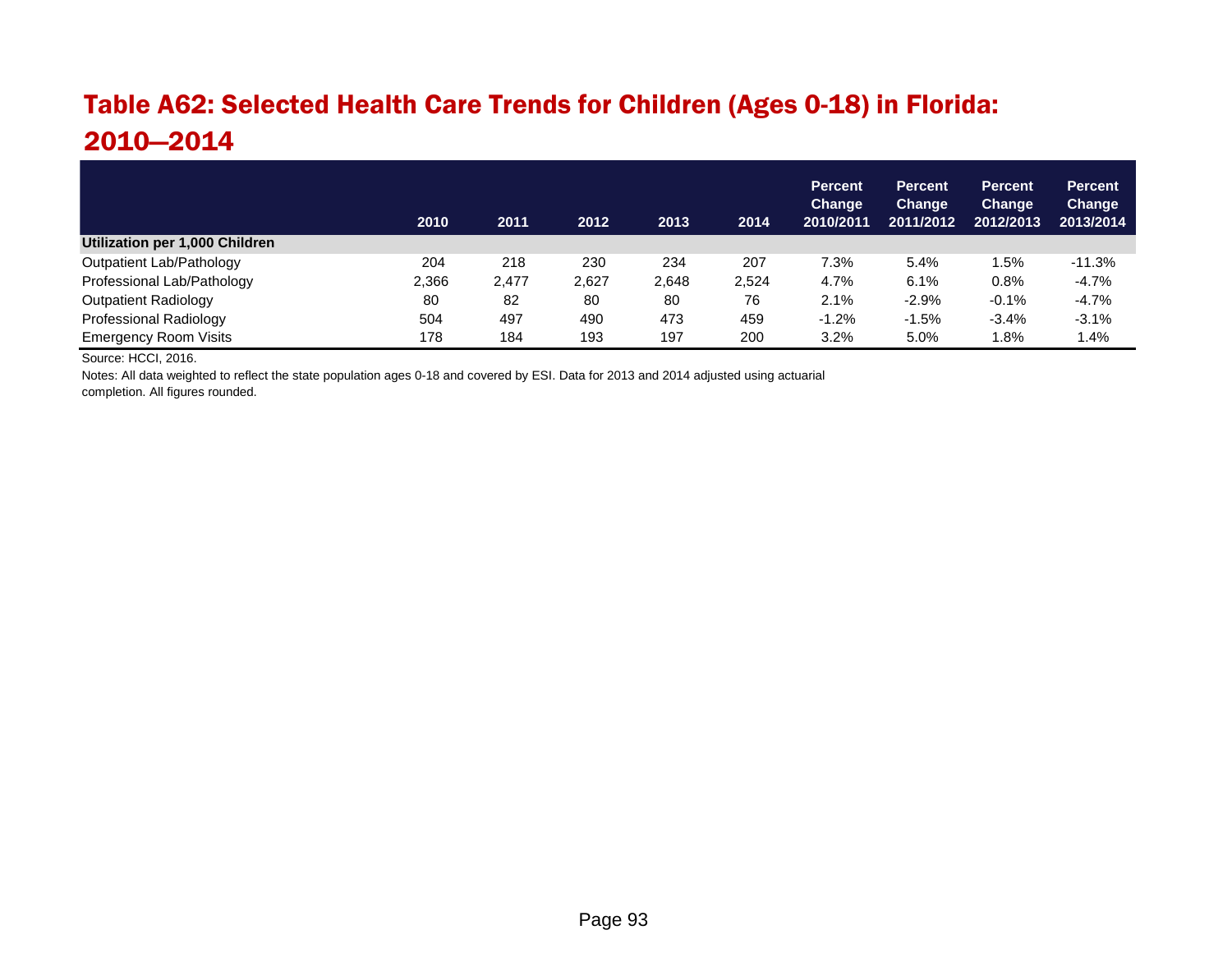# Table A62: Selected Health Care Trends for Children (Ages 0-18) in Florida: 2010—2014

|                                | 2010  | 2011  | 2012  | 2013  | 2014  | <b>Percent</b><br>Change<br>2010/2011 | <b>Percent</b><br>Change<br>2011/2012 | <b>Percent</b><br><b>Change</b><br>2012/2013 | <b>Percent</b><br>Change<br>2013/2014 |
|--------------------------------|-------|-------|-------|-------|-------|---------------------------------------|---------------------------------------|----------------------------------------------|---------------------------------------|
| Utilization per 1,000 Children |       |       |       |       |       |                                       |                                       |                                              |                                       |
| Outpatient Lab/Pathology       | 204   | 218   | 230   | 234   | 207   | 7.3%                                  | 5.4%                                  | 1.5%                                         | $-11.3%$                              |
| Professional Lab/Pathology     | 2,366 | 2.477 | 2.627 | 2.648 | 2.524 | 4.7%                                  | 6.1%                                  | 0.8%                                         | $-4.7%$                               |
| Outpatient Radiology           | 80    | 82    | 80    | 80    | 76    | 2.1%                                  | $-2.9%$                               | $-0.1%$                                      | $-4.7%$                               |
| Professional Radiology         | 504   | 497   | 490   | 473   | 459   | $-1.2%$                               | $-1.5%$                               | $-3.4%$                                      | $-3.1%$                               |
| <b>Emergency Room Visits</b>   | 178   | 184   | 193   | 197   | 200   | 3.2%                                  | 5.0%                                  | 1.8%                                         | 1.4%                                  |

Source: HCCI, 2016.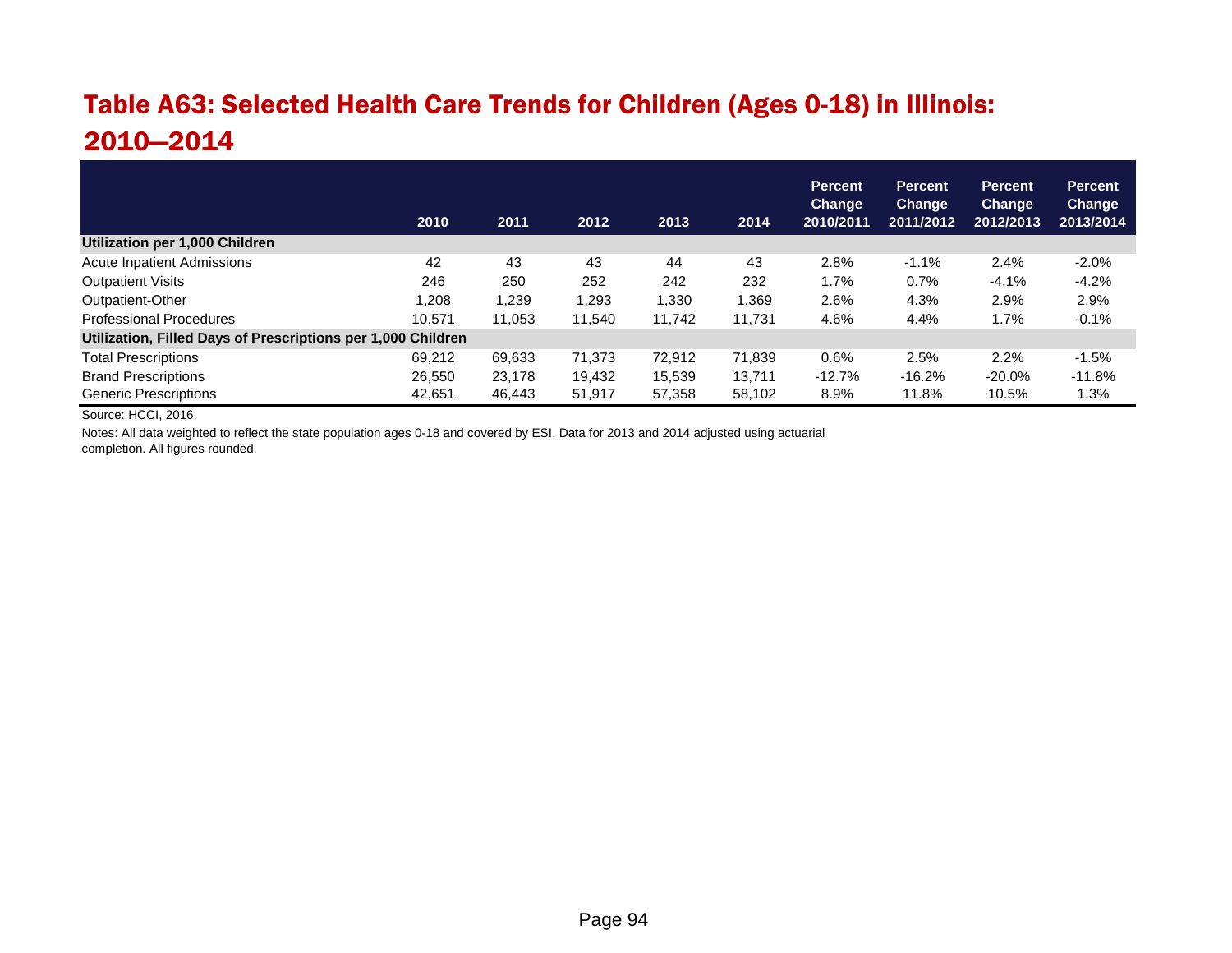# Table A63: Selected Health Care Trends for Children (Ages 0-18) in Illinois: 2010—2014

|                                                              | 2010   | 2011   | 2012   | 2013   | 2014   | <b>Percent</b><br><b>Change</b><br>2010/2011 | <b>Percent</b><br>Change<br>2011/2012 | <b>Percent</b><br>Change<br>2012/2013 | <b>Percent</b><br><b>Change</b><br>2013/2014 |
|--------------------------------------------------------------|--------|--------|--------|--------|--------|----------------------------------------------|---------------------------------------|---------------------------------------|----------------------------------------------|
| Utilization per 1,000 Children                               |        |        |        |        |        |                                              |                                       |                                       |                                              |
| <b>Acute Inpatient Admissions</b>                            | 42     | 43     | 43     | 44     | 43     | 2.8%                                         | $-1.1%$                               | 2.4%                                  | $-2.0\%$                                     |
| <b>Outpatient Visits</b>                                     | 246    | 250    | 252    | 242    | 232    | 1.7%                                         | 0.7%                                  | $-4.1%$                               | $-4.2%$                                      |
| Outpatient-Other                                             | 1,208  | 1,239  | 1,293  | 1,330  | 1,369  | 2.6%                                         | 4.3%                                  | 2.9%                                  | 2.9%                                         |
| <b>Professional Procedures</b>                               | 10.571 | 11.053 | 11.540 | 11,742 | 11.731 | 4.6%                                         | 4.4%                                  | 1.7%                                  | $-0.1%$                                      |
| Utilization, Filled Days of Prescriptions per 1,000 Children |        |        |        |        |        |                                              |                                       |                                       |                                              |
| <b>Total Prescriptions</b>                                   | 69,212 | 69,633 | 71,373 | 72,912 | 71,839 | 0.6%                                         | 2.5%                                  | 2.2%                                  | $-1.5%$                                      |
| <b>Brand Prescriptions</b>                                   | 26,550 | 23,178 | 19,432 | 15.539 | 13.711 | $-12.7%$                                     | $-16.2%$                              | $-20.0\%$                             | $-11.8%$                                     |
| <b>Generic Prescriptions</b>                                 | 42.651 | 46.443 | 51,917 | 57,358 | 58.102 | 8.9%                                         | 11.8%                                 | 10.5%                                 | 1.3%                                         |

Source: HCCI, 2016.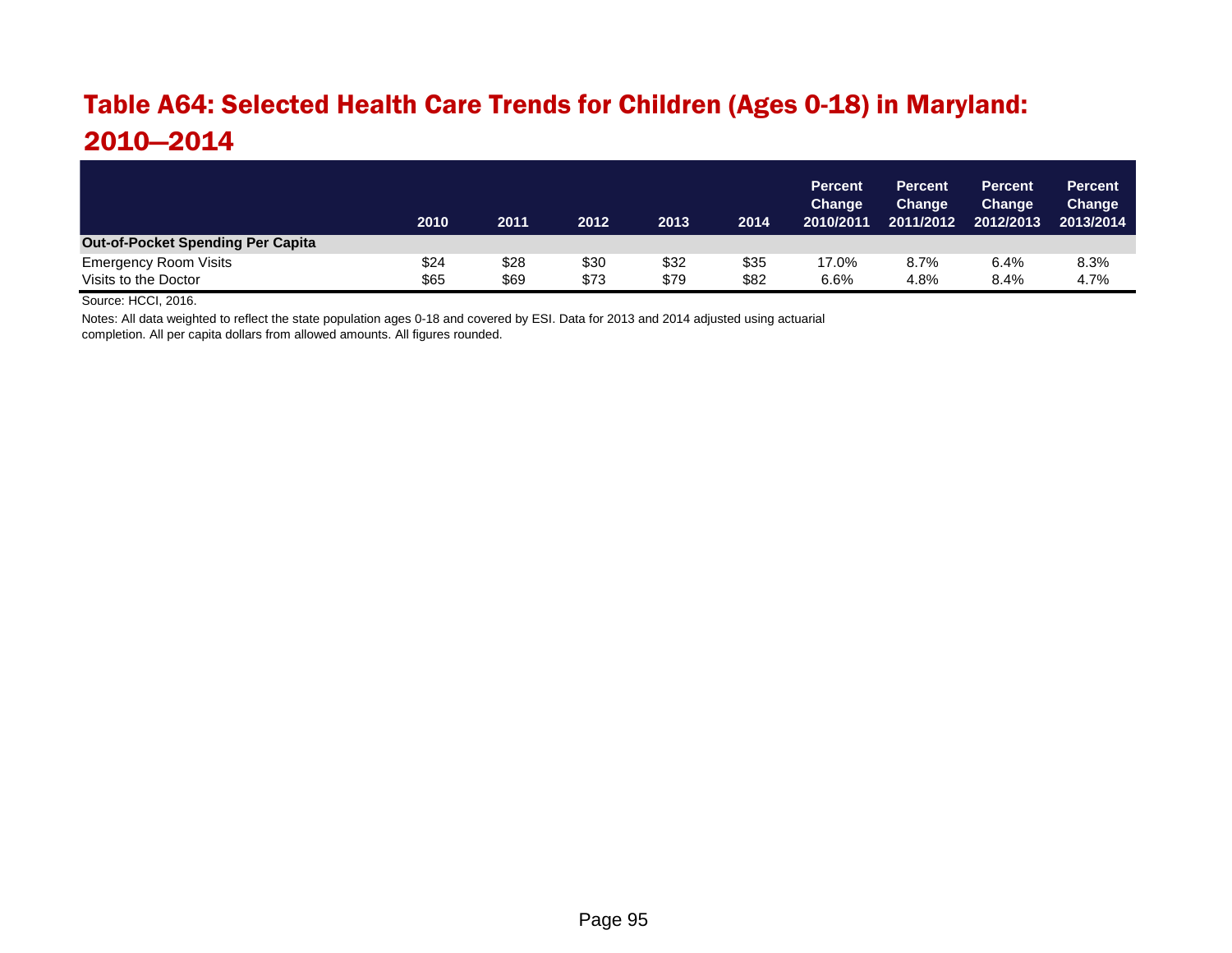#### Table A64: Selected Health Care Trends for Children (Ages 0-18) in Maryland: 2010—2014

|                                          | 2010 | 2011 | 2012 | 2013 | 2014 | <b>Percent</b><br><b>Change</b><br>2010/2011 | <b>Percent</b><br><b>Change</b><br>2011/2012 | <b>Percent</b><br>Change<br>2012/2013 | <b>Percent</b><br><b>Change</b><br>2013/2014 |
|------------------------------------------|------|------|------|------|------|----------------------------------------------|----------------------------------------------|---------------------------------------|----------------------------------------------|
| <b>Out-of-Pocket Spending Per Capita</b> |      |      |      |      |      |                                              |                                              |                                       |                                              |
| <b>Emergency Room Visits</b>             | \$24 | \$28 | \$30 | \$32 | \$35 | 17.0%                                        | 8.7%                                         | 6.4%                                  | 8.3%                                         |
| Visits to the Doctor                     | \$65 | \$69 | \$73 | \$79 | \$82 | 6.6%                                         | 4.8%                                         | 8.4%                                  | 4.7%                                         |

Source: HCCI, 2016.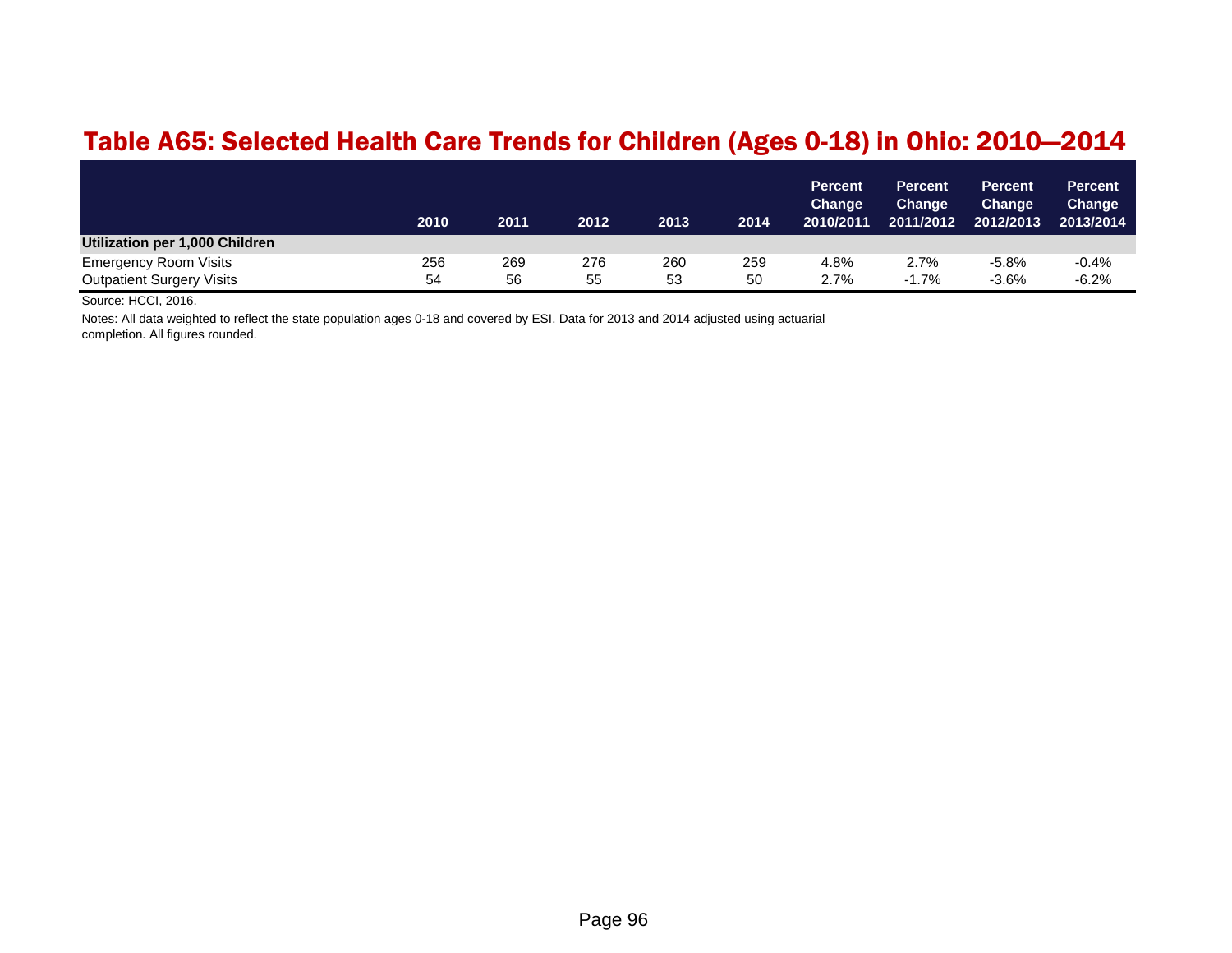#### Table A65: Selected Health Care Trends for Children (Ages 0-18) in Ohio: 2010—2014

|                                  | 2010 | 2011 | 2012 | 2013 | 2014 | <b>Percent</b><br>Change<br>2010/2011 | <b>Percent</b><br><b>Change</b><br>2011/2012 | <b>Percent</b><br><b>Change</b><br>2012/2013 | Percent<br>Change<br>2013/2014 |
|----------------------------------|------|------|------|------|------|---------------------------------------|----------------------------------------------|----------------------------------------------|--------------------------------|
| Utilization per 1,000 Children   |      |      |      |      |      |                                       |                                              |                                              |                                |
| <b>Emergency Room Visits</b>     | 256  | 269  | 276  | 260  | 259  | 4.8%                                  | 2.7%                                         | $-5.8%$                                      | $-0.4%$                        |
| <b>Outpatient Surgery Visits</b> | 54   | 56   | 55   | 53   | 50   | 2.7%                                  | $-1.7%$                                      | $-3.6%$                                      | $-6.2%$                        |

Source: HCCI, 2016.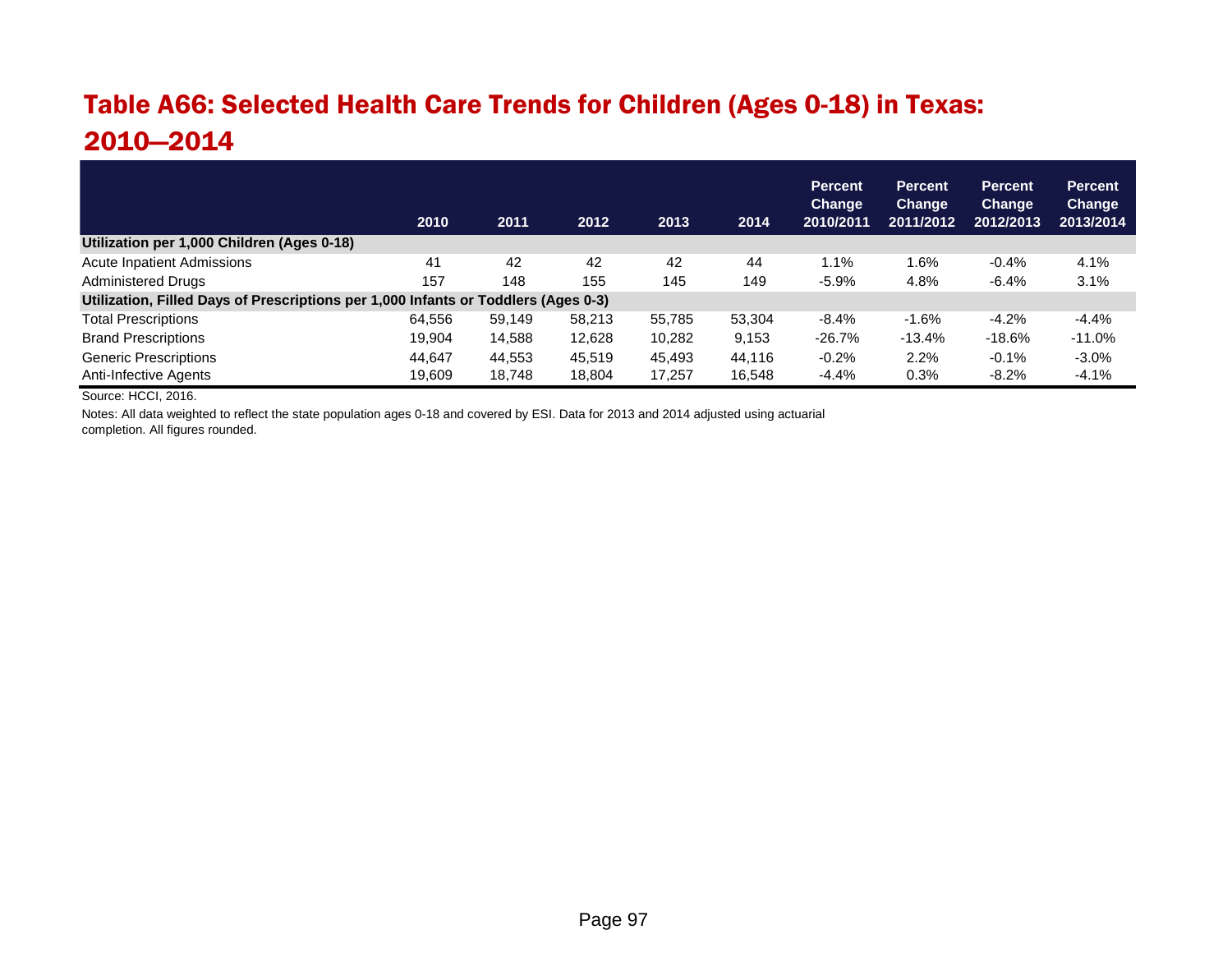# Table A66: Selected Health Care Trends for Children (Ages 0-18) in Texas: 2010—2014

|                                                                                    | 2010   | 2011   | 2012   | 2013   | 2014   | <b>Percent</b><br><b>Change</b><br>2010/2011 | <b>Percent</b><br>Change<br>2011/2012 | <b>Percent</b><br><b>Change</b><br>2012/2013 | <b>Percent</b><br>Change<br>2013/2014 |  |
|------------------------------------------------------------------------------------|--------|--------|--------|--------|--------|----------------------------------------------|---------------------------------------|----------------------------------------------|---------------------------------------|--|
| Utilization per 1,000 Children (Ages 0-18)                                         |        |        |        |        |        |                                              |                                       |                                              |                                       |  |
| <b>Acute Inpatient Admissions</b>                                                  | 41     | 42     | 42     | 42     | 44     | $1.1\%$                                      | 1.6%                                  | $-0.4%$                                      | 4.1%                                  |  |
| <b>Administered Drugs</b>                                                          | 157    | 148    | 155    | 145    | 149    | $-5.9%$                                      | 4.8%                                  | $-6.4%$                                      | 3.1%                                  |  |
| Utilization, Filled Days of Prescriptions per 1,000 Infants or Toddlers (Ages 0-3) |        |        |        |        |        |                                              |                                       |                                              |                                       |  |
| <b>Total Prescriptions</b>                                                         | 64.556 | 59.149 | 58.213 | 55.785 | 53.304 | $-8.4%$                                      | $-1.6%$                               | $-4.2%$                                      | $-4.4%$                               |  |
| <b>Brand Prescriptions</b>                                                         | 19.904 | 14,588 | 12,628 | 10.282 | 9,153  | $-26.7%$                                     | $-13.4%$                              | $-18.6\%$                                    | $-11.0\%$                             |  |
| <b>Generic Prescriptions</b>                                                       | 44.647 | 44,553 | 45.519 | 45.493 | 44.116 | $-0.2%$                                      | 2.2%                                  | $-0.1%$                                      | $-3.0%$                               |  |
| Anti-Infective Agents                                                              | 19.609 | 18.748 | 18,804 | 17,257 | 16,548 | $-4.4%$                                      | 0.3%                                  | $-8.2%$                                      | $-4.1%$                               |  |

Source: HCCI, 2016.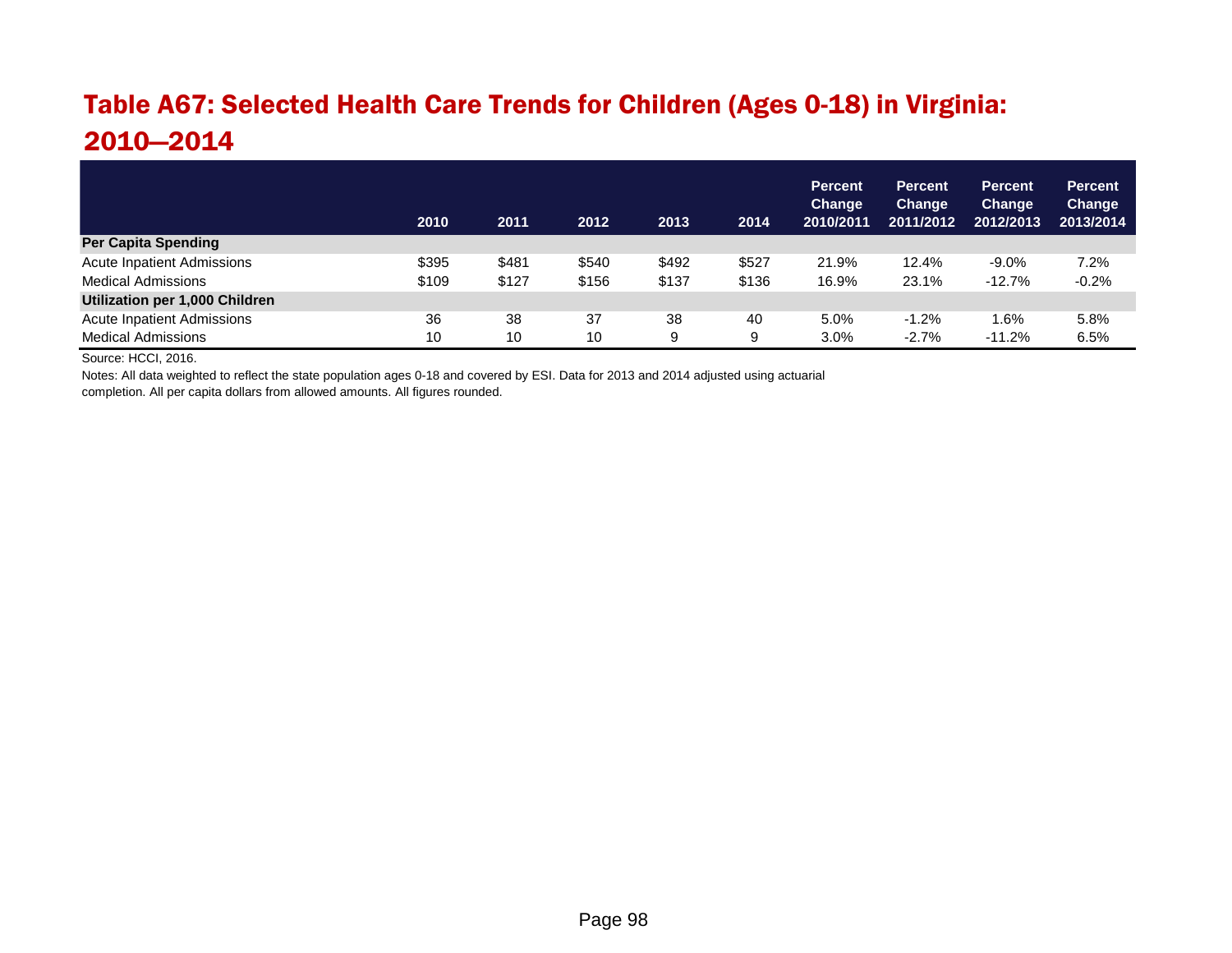# Table A67: Selected Health Care Trends for Children (Ages 0-18) in Virginia: 2010—2014

|                                       | 2010  | 2011  | 2012  | 2013  | 2014  | <b>Percent</b><br>Change<br>2010/2011 | <b>Percent</b><br><b>Change</b><br>2011/2012 | <b>Percent</b><br>Change<br>2012/2013 | <b>Percent</b><br>Change<br>2013/2014 |
|---------------------------------------|-------|-------|-------|-------|-------|---------------------------------------|----------------------------------------------|---------------------------------------|---------------------------------------|
| <b>Per Capita Spending</b>            |       |       |       |       |       |                                       |                                              |                                       |                                       |
| <b>Acute Inpatient Admissions</b>     | \$395 | \$481 | \$540 | \$492 | \$527 | 21.9%                                 | 12.4%                                        | $-9.0\%$                              | 7.2%                                  |
| <b>Medical Admissions</b>             | \$109 | \$127 | \$156 | \$137 | \$136 | 16.9%                                 | 23.1%                                        | $-12.7%$                              | $-0.2%$                               |
| <b>Utilization per 1,000 Children</b> |       |       |       |       |       |                                       |                                              |                                       |                                       |
| <b>Acute Inpatient Admissions</b>     | 36    | 38    | 37    | 38    | 40    | 5.0%                                  | $-1.2%$                                      | 1.6%                                  | 5.8%                                  |
| <b>Medical Admissions</b>             | 10    | 10    | 10    | 9     | 9     | 3.0%                                  | $-2.7%$                                      | $-11.2%$                              | 6.5%                                  |

Source: HCCI, 2016.